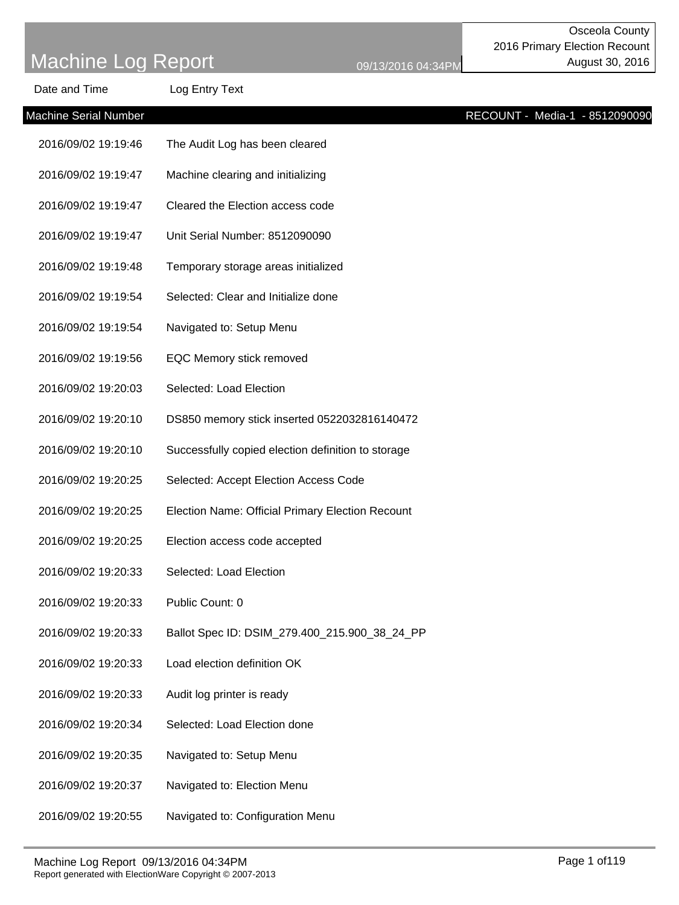| Date and Time                | Log Entry Text                                     |  |                                |
|------------------------------|----------------------------------------------------|--|--------------------------------|
| <b>Machine Serial Number</b> |                                                    |  | RECOUNT - Media-1 - 8512090090 |
| 2016/09/02 19:19:46          | The Audit Log has been cleared                     |  |                                |
| 2016/09/02 19:19:47          | Machine clearing and initializing                  |  |                                |
| 2016/09/02 19:19:47          | Cleared the Election access code                   |  |                                |
| 2016/09/02 19:19:47          | Unit Serial Number: 8512090090                     |  |                                |
| 2016/09/02 19:19:48          | Temporary storage areas initialized                |  |                                |
| 2016/09/02 19:19:54          | Selected: Clear and Initialize done                |  |                                |
| 2016/09/02 19:19:54          | Navigated to: Setup Menu                           |  |                                |
| 2016/09/02 19:19:56          | EQC Memory stick removed                           |  |                                |
| 2016/09/02 19:20:03          | Selected: Load Election                            |  |                                |
| 2016/09/02 19:20:10          | DS850 memory stick inserted 0522032816140472       |  |                                |
| 2016/09/02 19:20:10          | Successfully copied election definition to storage |  |                                |
| 2016/09/02 19:20:25          | Selected: Accept Election Access Code              |  |                                |
| 2016/09/02 19:20:25          | Election Name: Official Primary Election Recount   |  |                                |
| 2016/09/02 19:20:25          | Election access code accepted                      |  |                                |
| 2016/09/02 19:20:33          | Selected: Load Election                            |  |                                |
| 2016/09/02 19:20:33          | Public Count: 0                                    |  |                                |
| 2016/09/02 19:20:33          | Ballot Spec ID: DSIM_279.400_215.900_38_24_PP      |  |                                |
| 2016/09/02 19:20:33          | Load election definition OK                        |  |                                |
| 2016/09/02 19:20:33          | Audit log printer is ready                         |  |                                |
| 2016/09/02 19:20:34          | Selected: Load Election done                       |  |                                |
| 2016/09/02 19:20:35          | Navigated to: Setup Menu                           |  |                                |
| 2016/09/02 19:20:37          | Navigated to: Election Menu                        |  |                                |
| 2016/09/02 19:20:55          | Navigated to: Configuration Menu                   |  |                                |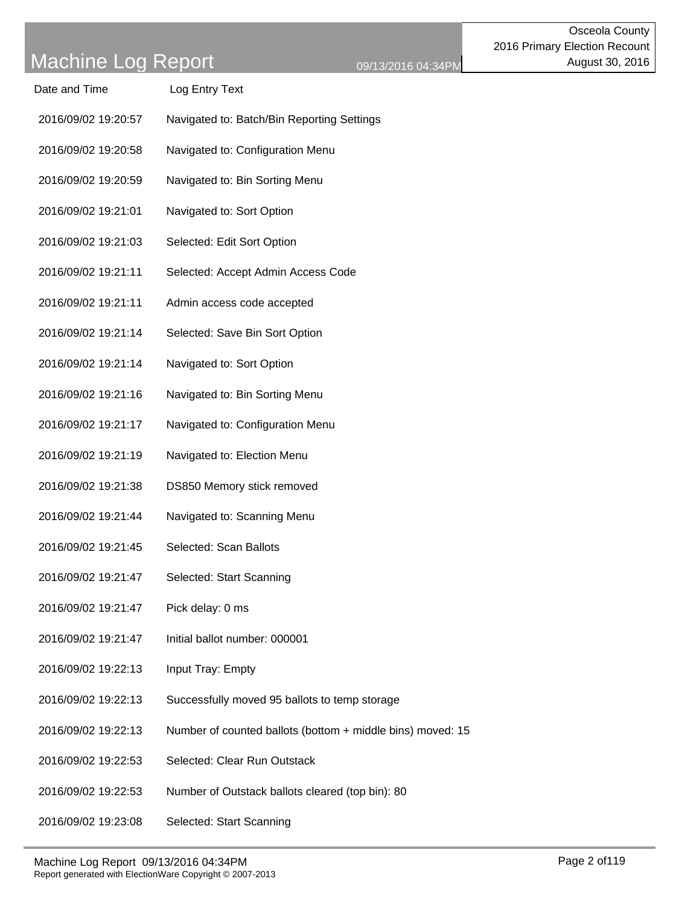| Date and Time       | Log Entry Text                             |
|---------------------|--------------------------------------------|
| 2016/09/02 19:20:57 | Navigated to: Batch/Bin Reporting Settings |

- 2016/09/02 19:20:58 Navigated to: Configuration Menu
- 2016/09/02 19:20:59 Navigated to: Bin Sorting Menu
- 2016/09/02 19:21:01 Navigated to: Sort Option
- 2016/09/02 19:21:03 Selected: Edit Sort Option
- 2016/09/02 19:21:11 Selected: Accept Admin Access Code
- 2016/09/02 19:21:11 Admin access code accepted
- 2016/09/02 19:21:14 Selected: Save Bin Sort Option
- 2016/09/02 19:21:14 Navigated to: Sort Option
- 2016/09/02 19:21:16 Navigated to: Bin Sorting Menu
- 2016/09/02 19:21:17 Navigated to: Configuration Menu
- 2016/09/02 19:21:19 Navigated to: Election Menu
- 2016/09/02 19:21:38 DS850 Memory stick removed
- 2016/09/02 19:21:44 Navigated to: Scanning Menu
- 2016/09/02 19:21:45 Selected: Scan Ballots
- 2016/09/02 19:21:47 Selected: Start Scanning
- 2016/09/02 19:21:47 Pick delay: 0 ms
- 2016/09/02 19:21:47 Initial ballot number: 000001
- 2016/09/02 19:22:13 Input Tray: Empty
- 2016/09/02 19:22:13 Successfully moved 95 ballots to temp storage
- 2016/09/02 19:22:13 Number of counted ballots (bottom + middle bins) moved: 15
- 2016/09/02 19:22:53 Selected: Clear Run Outstack
- 2016/09/02 19:22:53 Number of Outstack ballots cleared (top bin): 80
- 2016/09/02 19:23:08 Selected: Start Scanning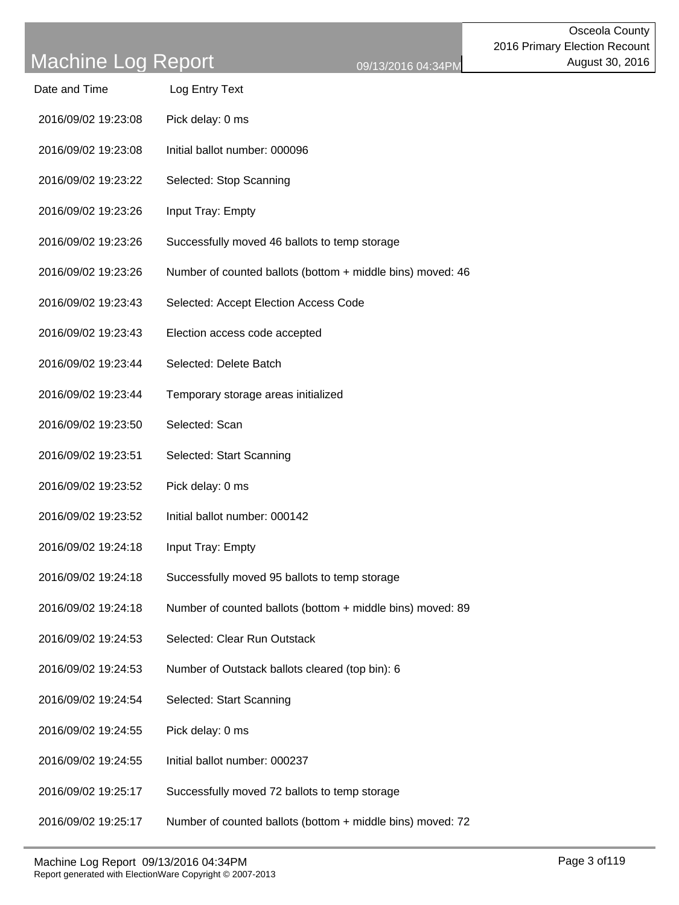| Date and Time | Log Entry Text |
|---------------|----------------|
|               |                |

- 2016/09/02 19:23:08 Pick delay: 0 ms
- 2016/09/02 19:23:08 Initial ballot number: 000096
- 2016/09/02 19:23:22 Selected: Stop Scanning
- 2016/09/02 19:23:26 Input Tray: Empty
- 2016/09/02 19:23:26 Successfully moved 46 ballots to temp storage
- 2016/09/02 19:23:26 Number of counted ballots (bottom + middle bins) moved: 46
- 2016/09/02 19:23:43 Selected: Accept Election Access Code
- 2016/09/02 19:23:43 Election access code accepted
- 2016/09/02 19:23:44 Selected: Delete Batch
- 2016/09/02 19:23:44 Temporary storage areas initialized
- 2016/09/02 19:23:50 Selected: Scan
- 2016/09/02 19:23:51 Selected: Start Scanning
- 2016/09/02 19:23:52 Pick delay: 0 ms
- 2016/09/02 19:23:52 Initial ballot number: 000142
- 2016/09/02 19:24:18 Input Tray: Empty
- 2016/09/02 19:24:18 Successfully moved 95 ballots to temp storage
- 2016/09/02 19:24:18 Number of counted ballots (bottom + middle bins) moved: 89
- 2016/09/02 19:24:53 Selected: Clear Run Outstack
- 2016/09/02 19:24:53 Number of Outstack ballots cleared (top bin): 6
- 2016/09/02 19:24:54 Selected: Start Scanning
- 2016/09/02 19:24:55 Pick delay: 0 ms
- 2016/09/02 19:24:55 Initial ballot number: 000237
- 2016/09/02 19:25:17 Successfully moved 72 ballots to temp storage
- 2016/09/02 19:25:17 Number of counted ballots (bottom + middle bins) moved: 72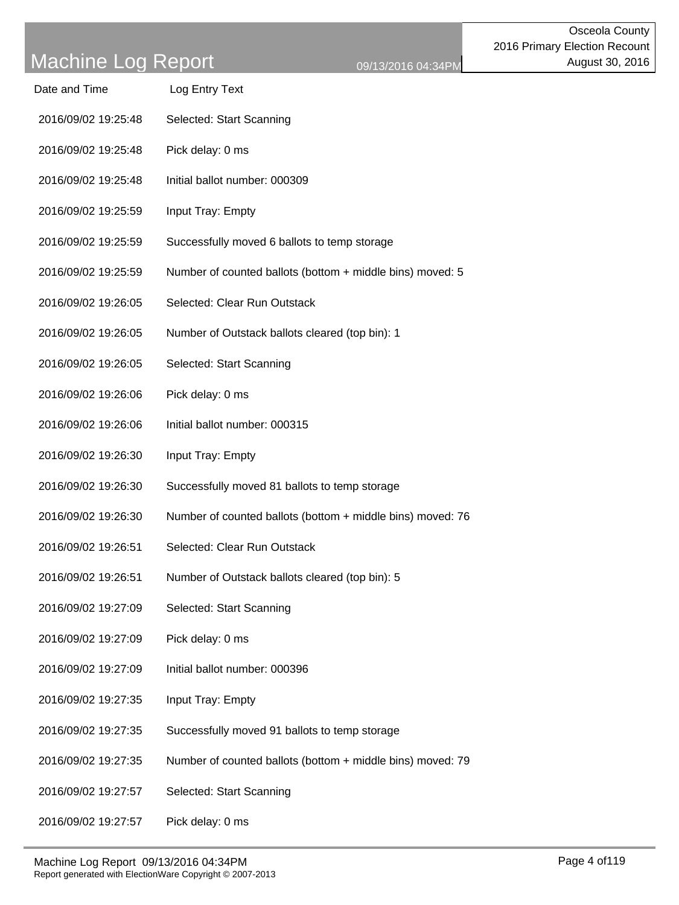| Date and Time       | Log Entry Text                                             |
|---------------------|------------------------------------------------------------|
| 2016/09/02 19:25:48 | Selected: Start Scanning                                   |
| 2016/09/02 19:25:48 | Pick delay: 0 ms                                           |
| 2016/09/02 19:25:48 | Initial ballot number: 000309                              |
| 2016/09/02 19:25:59 | Input Tray: Empty                                          |
| 2016/09/02 19:25:59 | Successfully moved 6 ballots to temp storage               |
| 2016/09/02 19:25:59 | Number of counted ballots (bottom + middle bins) moved: 5  |
| 2016/09/02 19:26:05 | Selected: Clear Run Outstack                               |
| 2016/09/02 19:26:05 | Number of Outstack ballots cleared (top bin): 1            |
| 2016/09/02 19:26:05 | Selected: Start Scanning                                   |
| 2016/09/02 19:26:06 | Pick delay: 0 ms                                           |
| 2016/09/02 19:26:06 | Initial ballot number: 000315                              |
| 2016/09/02 19:26:30 | Input Tray: Empty                                          |
| 2016/09/02 19:26:30 | Successfully moved 81 ballots to temp storage              |
| 2016/09/02 19:26:30 | Number of counted ballots (bottom + middle bins) moved: 76 |
| 2016/09/02 19:26:51 | Selected: Clear Run Outstack                               |
| 2016/09/02 19:26:51 | Number of Outstack ballots cleared (top bin): 5            |
| 2016/09/02 19:27:09 | Selected: Start Scanning                                   |
| 2016/09/02 19:27:09 | Pick delay: 0 ms                                           |
| 2016/09/02 19:27:09 | Initial ballot number: 000396                              |
| 2016/09/02 19:27:35 | Input Tray: Empty                                          |
| 2016/09/02 19:27:35 | Successfully moved 91 ballots to temp storage              |
| 2016/09/02 19:27:35 | Number of counted ballots (bottom + middle bins) moved: 79 |
| 2016/09/02 19:27:57 | Selected: Start Scanning                                   |
| 2016/09/02 19:27:57 | Pick delay: 0 ms                                           |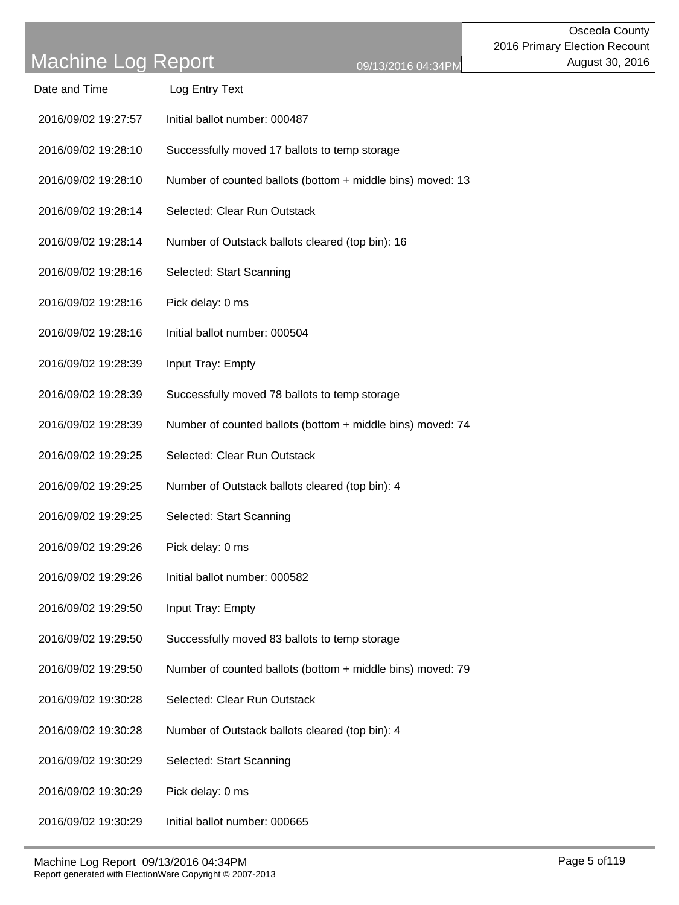| Date and Time       | Log Entry Text                                             |
|---------------------|------------------------------------------------------------|
| 2016/09/02 19:27:57 | Initial ballot number: 000487                              |
| 2016/09/02 19:28:10 | Successfully moved 17 ballots to temp storage              |
| 2016/09/02 19:28:10 | Number of counted ballots (bottom + middle bins) moved: 13 |
| 2016/09/02 19:28:14 | Selected: Clear Run Outstack                               |
| 2016/09/02 19:28:14 | Number of Outstack ballots cleared (top bin): 16           |
| 2016/09/02 19:28:16 | Selected: Start Scanning                                   |
| 2016/09/02 19:28:16 | Pick delay: 0 ms                                           |
| 2016/09/02 19:28:16 | Initial ballot number: 000504                              |
| 2016/09/02 19:28:39 | Input Tray: Empty                                          |
| 2016/09/02 19:28:39 | Successfully moved 78 ballots to temp storage              |
| 2016/09/02 19:28:39 | Number of counted ballots (bottom + middle bins) moved: 74 |
| 2016/09/02 19:29:25 | Selected: Clear Run Outstack                               |
| 2016/09/02 19:29:25 | Number of Outstack ballots cleared (top bin): 4            |
| 2016/09/02 19:29:25 | Selected: Start Scanning                                   |
| 2016/09/02 19:29:26 | Pick delay: 0 ms                                           |
| 2016/09/02 19:29:26 | Initial ballot number: 000582                              |
| 2016/09/02 19:29:50 | Input Tray: Empty                                          |
| 2016/09/02 19:29:50 | Successfully moved 83 ballots to temp storage              |
| 2016/09/02 19:29:50 | Number of counted ballots (bottom + middle bins) moved: 79 |
| 2016/09/02 19:30:28 | Selected: Clear Run Outstack                               |
| 2016/09/02 19:30:28 | Number of Outstack ballots cleared (top bin): 4            |
| 2016/09/02 19:30:29 | Selected: Start Scanning                                   |
| 2016/09/02 19:30:29 | Pick delay: 0 ms                                           |
| 2016/09/02 19:30:29 | Initial ballot number: 000665                              |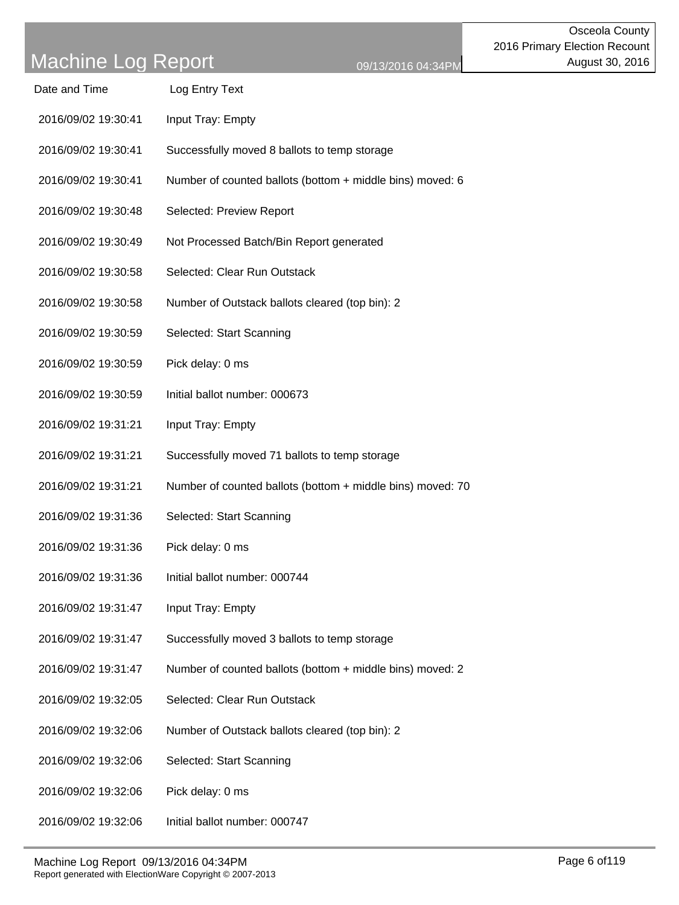| <b>Dalc</b> and Time | LUY LIIII YI U UNI |
|----------------------|--------------------|
| 2016/09/02 19:30:41  | Input Tray: Empty  |

Date and Time Log Entry Text

- 2016/09/02 19:30:41 Successfully moved 8 ballots to temp storage
- 2016/09/02 19:30:41 Number of counted ballots (bottom + middle bins) moved: 6
- 2016/09/02 19:30:48 Selected: Preview Report
- 2016/09/02 19:30:49 Not Processed Batch/Bin Report generated
- 2016/09/02 19:30:58 Selected: Clear Run Outstack
- 2016/09/02 19:30:58 Number of Outstack ballots cleared (top bin): 2
- 2016/09/02 19:30:59 Selected: Start Scanning
- 2016/09/02 19:30:59 Pick delay: 0 ms
- 2016/09/02 19:30:59 Initial ballot number: 000673
- 2016/09/02 19:31:21 Input Tray: Empty
- 2016/09/02 19:31:21 Successfully moved 71 ballots to temp storage
- 2016/09/02 19:31:21 Number of counted ballots (bottom + middle bins) moved: 70
- 2016/09/02 19:31:36 Selected: Start Scanning
- 2016/09/02 19:31:36 Pick delay: 0 ms
- 2016/09/02 19:31:36 Initial ballot number: 000744
- 2016/09/02 19:31:47 Input Tray: Empty
- 2016/09/02 19:31:47 Successfully moved 3 ballots to temp storage
- 2016/09/02 19:31:47 Number of counted ballots (bottom + middle bins) moved: 2
- 2016/09/02 19:32:05 Selected: Clear Run Outstack
- 2016/09/02 19:32:06 Number of Outstack ballots cleared (top bin): 2
- 2016/09/02 19:32:06 Selected: Start Scanning
- 2016/09/02 19:32:06 Pick delay: 0 ms
- 2016/09/02 19:32:06 Initial ballot number: 000747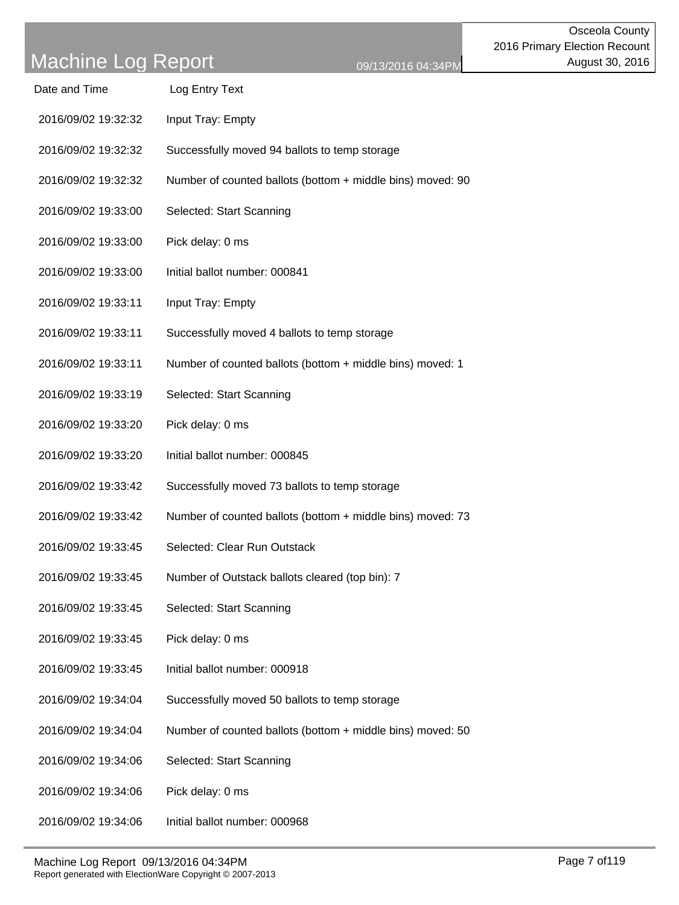| Date and Time       | Log Entry Text                                             |
|---------------------|------------------------------------------------------------|
| 2016/09/02 19:32:32 | Input Tray: Empty                                          |
| 2016/09/02 19:32:32 | Successfully moved 94 ballots to temp storage              |
| 2016/09/02 19:32:32 | Number of counted ballots (bottom + middle bins) moved: 90 |
| 2016/09/02 19:33:00 | Selected: Start Scanning                                   |
| 2016/09/02 19:33:00 | Pick delay: 0 ms                                           |
| 2016/09/02 19:33:00 | Initial ballot number: 000841                              |
| 2016/09/02 19:33:11 | Input Tray: Empty                                          |
| 2016/09/02 19:33:11 | Successfully moved 4 ballots to temp storage               |
| 2016/09/02 19:33:11 | Number of counted ballots (bottom + middle bins) moved: 1  |
| 2016/09/02 19:33:19 | Selected: Start Scanning                                   |
| 2016/09/02 19:33:20 | Pick delay: 0 ms                                           |
| 2016/09/02 19:33:20 | Initial ballot number: 000845                              |
| 2016/09/02 19:33:42 | Successfully moved 73 ballots to temp storage              |
| 2016/09/02 19:33:42 | Number of counted ballots (bottom + middle bins) moved: 73 |
| 2016/09/02 19:33:45 | Selected: Clear Run Outstack                               |
| 2016/09/02 19:33:45 | Number of Outstack ballots cleared (top bin): 7            |
| 2016/09/02 19:33:45 | Selected: Start Scanning                                   |
| 2016/09/02 19:33:45 | Pick delay: 0 ms                                           |
| 2016/09/02 19:33:45 | Initial ballot number: 000918                              |
| 2016/09/02 19:34:04 | Successfully moved 50 ballots to temp storage              |
| 2016/09/02 19:34:04 | Number of counted ballots (bottom + middle bins) moved: 50 |
| 2016/09/02 19:34:06 | Selected: Start Scanning                                   |
| 2016/09/02 19:34:06 | Pick delay: 0 ms                                           |
| 2016/09/02 19:34:06 | Initial ballot number: 000968                              |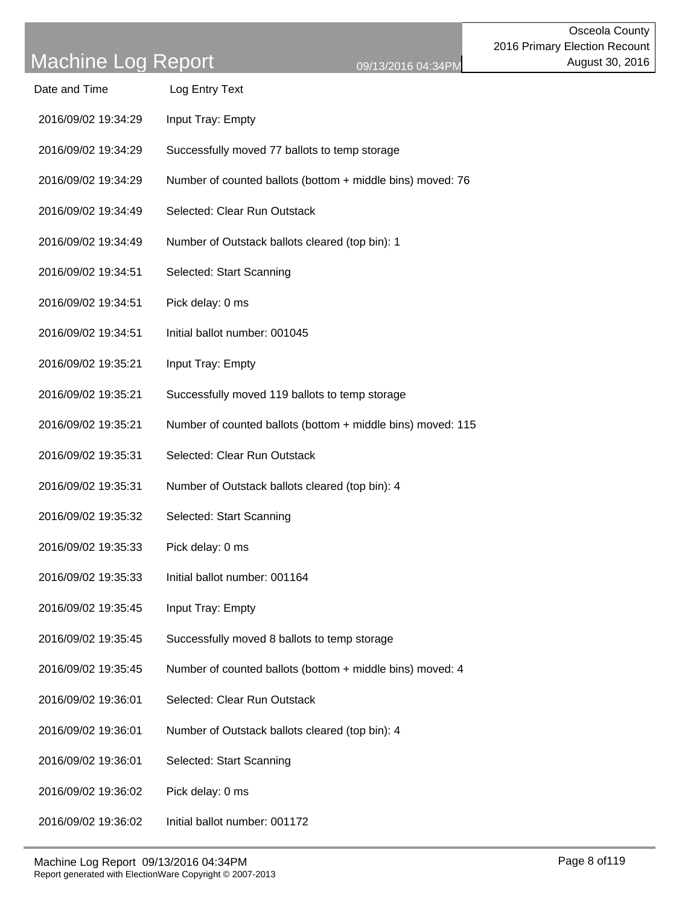| Date and Time       | Log Entry Text                                              |
|---------------------|-------------------------------------------------------------|
| 2016/09/02 19:34:29 | Input Tray: Empty                                           |
| 2016/09/02 19:34:29 | Successfully moved 77 ballots to temp storage               |
| 2016/09/02 19:34:29 | Number of counted ballots (bottom + middle bins) moved: 76  |
| 2016/09/02 19:34:49 | Selected: Clear Run Outstack                                |
| 2016/09/02 19:34:49 | Number of Outstack ballots cleared (top bin): 1             |
| 2016/09/02 19:34:51 | Selected: Start Scanning                                    |
| 2016/09/02 19:34:51 | Pick delay: 0 ms                                            |
| 2016/09/02 19:34:51 | Initial ballot number: 001045                               |
| 2016/09/02 19:35:21 | Input Tray: Empty                                           |
| 2016/09/02 19:35:21 | Successfully moved 119 ballots to temp storage              |
| 2016/09/02 19:35:21 | Number of counted ballots (bottom + middle bins) moved: 115 |
| 2016/09/02 19:35:31 | Selected: Clear Run Outstack                                |
| 2016/09/02 19:35:31 | Number of Outstack ballots cleared (top bin): 4             |
| 2016/09/02 19:35:32 | Selected: Start Scanning                                    |
| 2016/09/02 19:35:33 | Pick delay: 0 ms                                            |
| 2016/09/02 19:35:33 | Initial ballot number: 001164                               |
| 2016/09/02 19:35:45 | Input Tray: Empty                                           |
| 2016/09/02 19:35:45 | Successfully moved 8 ballots to temp storage                |
| 2016/09/02 19:35:45 | Number of counted ballots (bottom + middle bins) moved: 4   |
| 2016/09/02 19:36:01 | Selected: Clear Run Outstack                                |
| 2016/09/02 19:36:01 | Number of Outstack ballots cleared (top bin): 4             |
| 2016/09/02 19:36:01 | Selected: Start Scanning                                    |
| 2016/09/02 19:36:02 | Pick delay: 0 ms                                            |
|                     |                                                             |

2016/09/02 19:36:02 Initial ballot number: 001172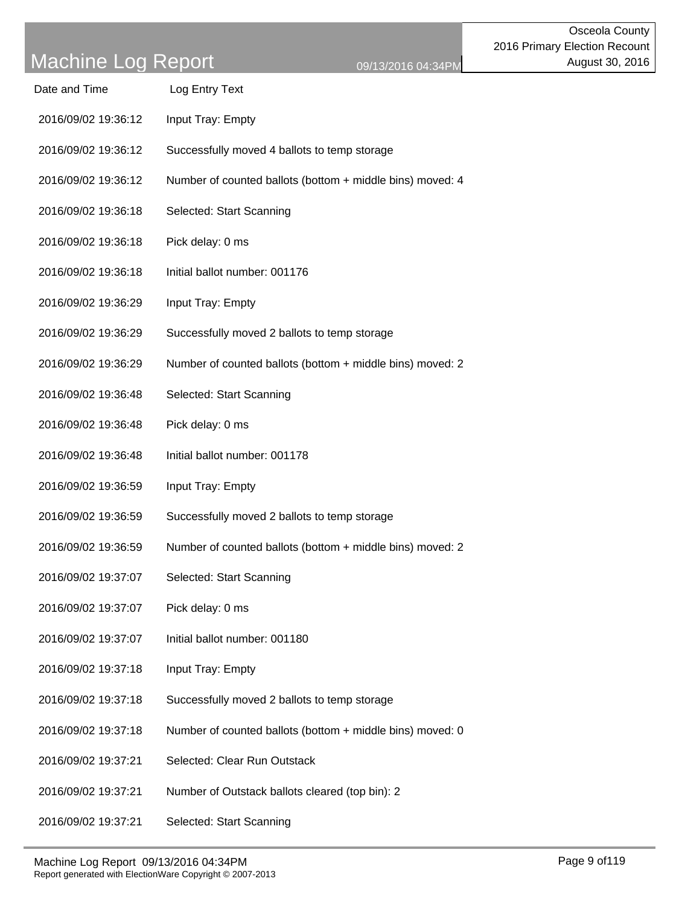| Date and Time       | Log Entry Text                                            |
|---------------------|-----------------------------------------------------------|
| 2016/09/02 19:36:12 | Input Tray: Empty                                         |
| 2016/09/02 19:36:12 | Successfully moved 4 ballots to temp storage              |
| 2016/09/02 19:36:12 | Number of counted ballots (bottom + middle bins) moved: 4 |
| 2016/09/02 19:36:18 | Selected: Start Scanning                                  |
| 2016/09/02 19:36:18 | Pick delay: 0 ms                                          |
| 2016/09/02 19:36:18 | Initial ballot number: 001176                             |
| 2016/09/02 19:36:29 | Input Tray: Empty                                         |
| 2016/09/02 19:36:29 | Successfully moved 2 ballots to temp storage              |
| 2016/09/02 19:36:29 | Number of counted ballots (bottom + middle bins) moved: 2 |
| 2016/09/02 19:36:48 | Selected: Start Scanning                                  |
| 2016/09/02 19:36:48 | Pick delay: 0 ms                                          |
| 2016/09/02 19:36:48 | Initial ballot number: 001178                             |
| 2016/09/02 19:36:59 | Input Tray: Empty                                         |
| 2016/09/02 19:36:59 | Successfully moved 2 ballots to temp storage              |
| 2016/09/02 19:36:59 | Number of counted ballots (bottom + middle bins) moved: 2 |
| 2016/09/02 19:37:07 | Selected: Start Scanning                                  |
| 2016/09/02 19:37:07 | Pick delay: 0 ms                                          |
| 2016/09/02 19:37:07 | Initial ballot number: 001180                             |
| 2016/09/02 19:37:18 | Input Tray: Empty                                         |
| 2016/09/02 19:37:18 | Successfully moved 2 ballots to temp storage              |
| 2016/09/02 19:37:18 | Number of counted ballots (bottom + middle bins) moved: 0 |
| 2016/09/02 19:37:21 | Selected: Clear Run Outstack                              |
| 2016/09/02 19:37:21 | Number of Outstack ballots cleared (top bin): 2           |
| 2016/09/02 19:37:21 | Selected: Start Scanning                                  |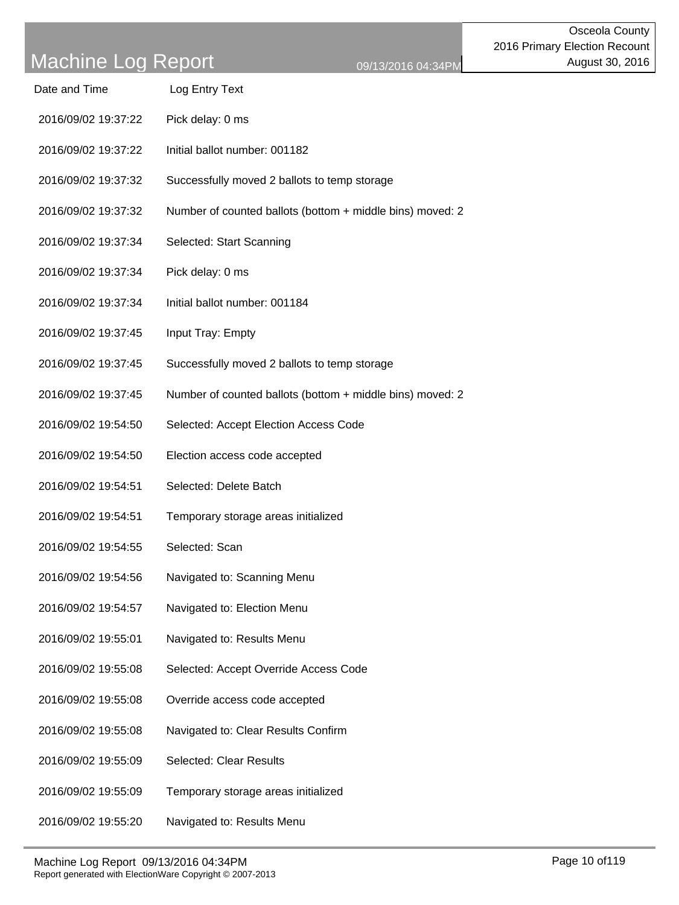| Date and Time       | Log Entry Text                                            |
|---------------------|-----------------------------------------------------------|
| 2016/09/02 19:37:22 | Pick delay: 0 ms                                          |
| 2016/09/02 19:37:22 | Initial ballot number: 001182                             |
| 2016/09/02 19:37:32 | Successfully moved 2 ballots to temp storage              |
| 2016/09/02 19:37:32 | Number of counted ballots (bottom + middle bins) moved: 2 |
| 2016/09/02 19:37:34 | Selected: Start Scanning                                  |
| 2016/09/02 19:37:34 | Pick delay: 0 ms                                          |
| 2016/09/02 19:37:34 | Initial ballot number: 001184                             |
| 2016/09/02 19:37:45 | Input Tray: Empty                                         |
| 2016/09/02 19:37:45 | Successfully moved 2 ballots to temp storage              |
| 2016/09/02 19:37:45 | Number of counted ballots (bottom + middle bins) moved: 2 |
| 2016/09/02 19:54:50 | Selected: Accept Election Access Code                     |
| 2016/09/02 19:54:50 | Election access code accepted                             |
| 2016/09/02 19:54:51 | Selected: Delete Batch                                    |
| 2016/09/02 19:54:51 | Temporary storage areas initialized                       |
| 2016/09/02 19:54:55 | Selected: Scan                                            |
| 2016/09/02 19:54:56 | Navigated to: Scanning Menu                               |
| 2016/09/02 19:54:57 | Navigated to: Election Menu                               |
| 2016/09/02 19:55:01 | Navigated to: Results Menu                                |
| 2016/09/02 19:55:08 | Selected: Accept Override Access Code                     |
| 2016/09/02 19:55:08 | Override access code accepted                             |
| 2016/09/02 19:55:08 | Navigated to: Clear Results Confirm                       |
| 2016/09/02 19:55:09 | <b>Selected: Clear Results</b>                            |
| 2016/09/02 19:55:09 | Temporary storage areas initialized                       |
| 2016/09/02 19:55:20 | Navigated to: Results Menu                                |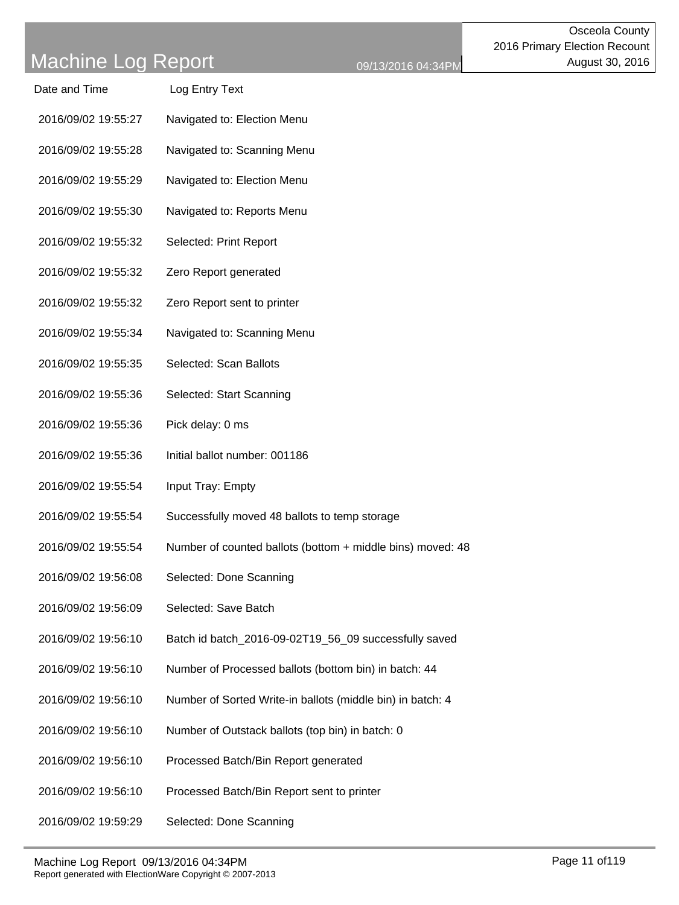| Date and Time       | Log Entry Text                                             |
|---------------------|------------------------------------------------------------|
| 2016/09/02 19:55:27 | Navigated to: Election Menu                                |
| 2016/09/02 19:55:28 | Navigated to: Scanning Menu                                |
| 2016/09/02 19:55:29 | Navigated to: Election Menu                                |
| 2016/09/02 19:55:30 | Navigated to: Reports Menu                                 |
| 2016/09/02 19:55:32 | Selected: Print Report                                     |
| 2016/09/02 19:55:32 | Zero Report generated                                      |
| 2016/09/02 19:55:32 | Zero Report sent to printer                                |
| 2016/09/02 19:55:34 | Navigated to: Scanning Menu                                |
| 2016/09/02 19:55:35 | Selected: Scan Ballots                                     |
| 2016/09/02 19:55:36 | Selected: Start Scanning                                   |
| 2016/09/02 19:55:36 | Pick delay: 0 ms                                           |
| 2016/09/02 19:55:36 | Initial ballot number: 001186                              |
| 2016/09/02 19:55:54 | Input Tray: Empty                                          |
| 2016/09/02 19:55:54 | Successfully moved 48 ballots to temp storage              |
| 2016/09/02 19:55:54 | Number of counted ballots (bottom + middle bins) moved: 48 |
| 2016/09/02 19:56:08 | Selected: Done Scanning                                    |
| 2016/09/02 19:56:09 | Selected: Save Batch                                       |
| 2016/09/02 19:56:10 | Batch id batch_2016-09-02T19_56_09 successfully saved      |
| 2016/09/02 19:56:10 | Number of Processed ballots (bottom bin) in batch: 44      |
| 2016/09/02 19:56:10 | Number of Sorted Write-in ballots (middle bin) in batch: 4 |
| 2016/09/02 19:56:10 | Number of Outstack ballots (top bin) in batch: 0           |
| 2016/09/02 19:56:10 | Processed Batch/Bin Report generated                       |
| 2016/09/02 19:56:10 | Processed Batch/Bin Report sent to printer                 |
| 2016/09/02 19:59:29 | Selected: Done Scanning                                    |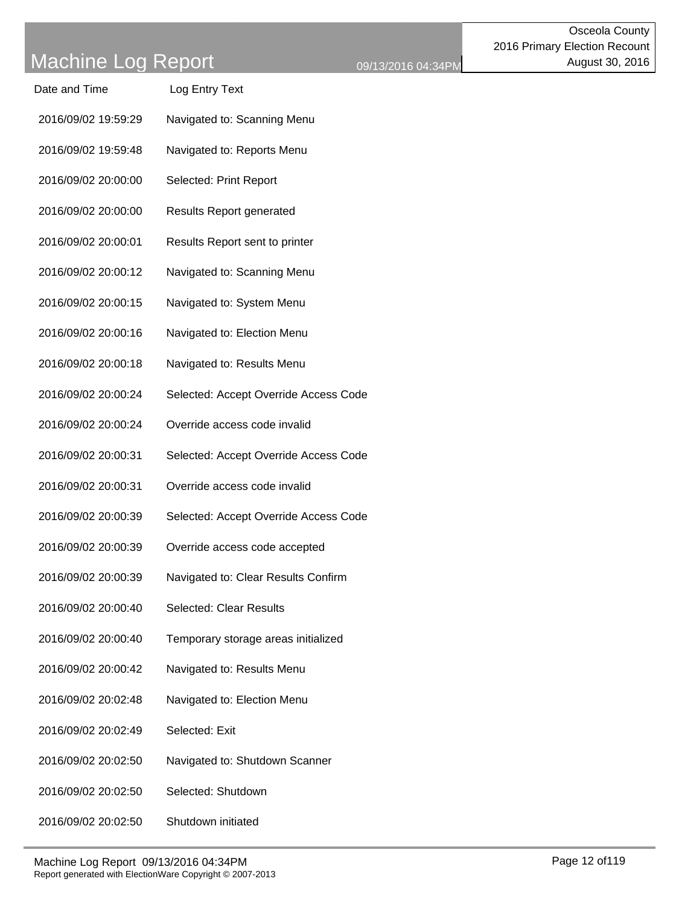| Date and Time       | Log Entry Text                        |
|---------------------|---------------------------------------|
| 2016/09/02 19:59:29 | Navigated to: Scanning Menu           |
| 2016/09/02 19:59:48 | Navigated to: Reports Menu            |
| 2016/09/02 20:00:00 | Selected: Print Report                |
| 2016/09/02 20:00:00 | <b>Results Report generated</b>       |
| 2016/09/02 20:00:01 | Results Report sent to printer        |
| 2016/09/02 20:00:12 | Navigated to: Scanning Menu           |
| 2016/09/02 20:00:15 | Navigated to: System Menu             |
| 2016/09/02 20:00:16 | Navigated to: Election Menu           |
| 2016/09/02 20:00:18 | Navigated to: Results Menu            |
| 2016/09/02 20:00:24 | Selected: Accept Override Access Code |
| 2016/09/02 20:00:24 | Override access code invalid          |
| 2016/09/02 20:00:31 | Selected: Accept Override Access Code |
| 2016/09/02 20:00:31 | Override access code invalid          |
| 2016/09/02 20:00:39 | Selected: Accept Override Access Code |
| 2016/09/02 20:00:39 | Override access code accepted         |
| 2016/09/02 20:00:39 | Navigated to: Clear Results Confirm   |
| 2016/09/02 20:00:40 | <b>Selected: Clear Results</b>        |
| 2016/09/02 20:00:40 | Temporary storage areas initialized   |
| 2016/09/02 20:00:42 | Navigated to: Results Menu            |
| 2016/09/02 20:02:48 | Navigated to: Election Menu           |
| 2016/09/02 20:02:49 | Selected: Exit                        |
| 2016/09/02 20:02:50 | Navigated to: Shutdown Scanner        |
| 2016/09/02 20:02:50 | Selected: Shutdown                    |
| 2016/09/02 20:02:50 | Shutdown initiated                    |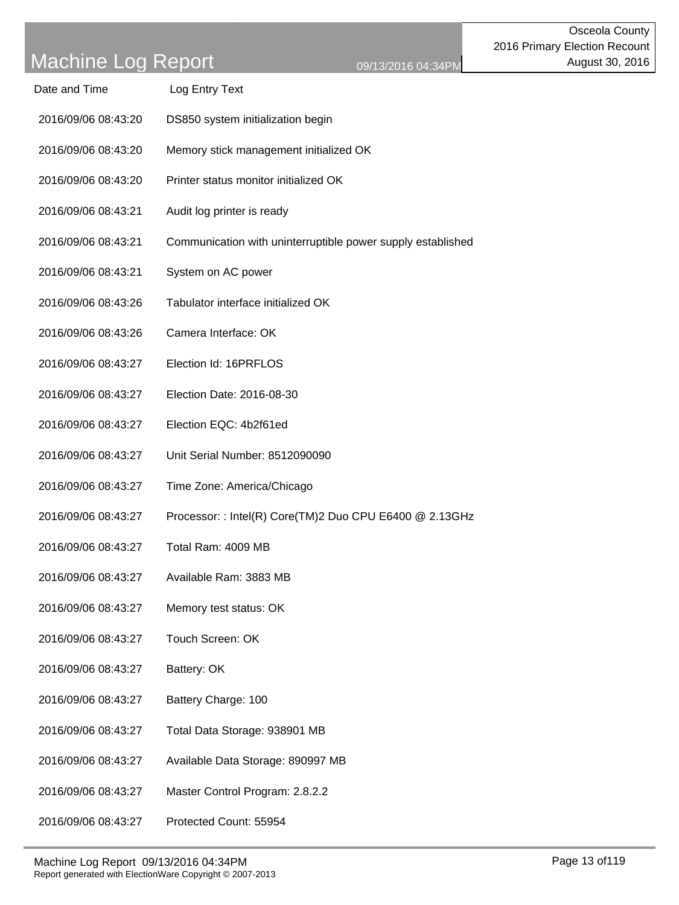| Date and Time | Log Entry Text |
|---------------|----------------|
|---------------|----------------|

- 2016/09/06 08:43:20 DS850 system initialization begin
- 2016/09/06 08:43:20 Memory stick management initialized OK
- 2016/09/06 08:43:20 Printer status monitor initialized OK
- 2016/09/06 08:43:21 Audit log printer is ready
- 2016/09/06 08:43:21 Communication with uninterruptible power supply established
- 2016/09/06 08:43:21 System on AC power
- 2016/09/06 08:43:26 Tabulator interface initialized OK
- 2016/09/06 08:43:26 Camera Interface: OK
- 2016/09/06 08:43:27 Election Id: 16PRFLOS
- 2016/09/06 08:43:27 Election Date: 2016-08-30
- 2016/09/06 08:43:27 Election EQC: 4b2f61ed
- 2016/09/06 08:43:27 Unit Serial Number: 8512090090
- 2016/09/06 08:43:27 Time Zone: America/Chicago
- 2016/09/06 08:43:27 Processor: : Intel(R) Core(TM)2 Duo CPU E6400 @ 2.13GHz
- 2016/09/06 08:43:27 Total Ram: 4009 MB
- 2016/09/06 08:43:27 Available Ram: 3883 MB
- 2016/09/06 08:43:27 Memory test status: OK
- 2016/09/06 08:43:27 Touch Screen: OK
- 2016/09/06 08:43:27 Battery: OK
- 2016/09/06 08:43:27 Battery Charge: 100
- 2016/09/06 08:43:27 Total Data Storage: 938901 MB
- 2016/09/06 08:43:27 Available Data Storage: 890997 MB
- 2016/09/06 08:43:27 Master Control Program: 2.8.2.2
- 2016/09/06 08:43:27 Protected Count: 55954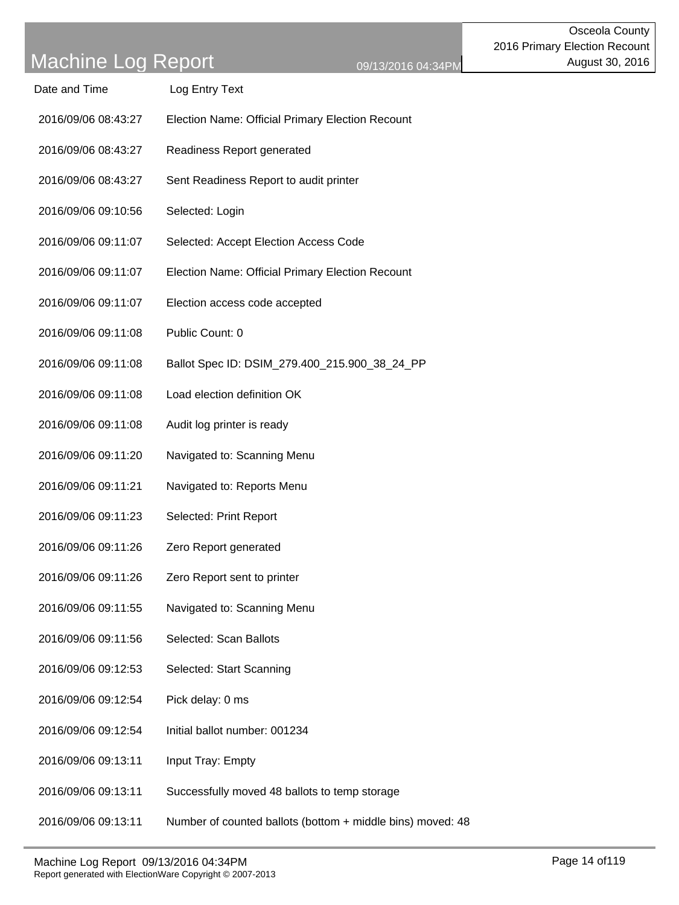| Date and Time | Log Entry Text |
|---------------|----------------|
|               |                |

- 2016/09/06 08:43:27 Election Name: Official Primary Election Recount
- 2016/09/06 08:43:27 Readiness Report generated
- 2016/09/06 08:43:27 Sent Readiness Report to audit printer
- 2016/09/06 09:10:56 Selected: Login
- 2016/09/06 09:11:07 Selected: Accept Election Access Code
- 2016/09/06 09:11:07 Election Name: Official Primary Election Recount
- 2016/09/06 09:11:07 Election access code accepted
- 2016/09/06 09:11:08 Public Count: 0
- 2016/09/06 09:11:08 Ballot Spec ID: DSIM\_279.400\_215.900\_38\_24\_PP
- 2016/09/06 09:11:08 Load election definition OK
- 2016/09/06 09:11:08 Audit log printer is ready
- 2016/09/06 09:11:20 Navigated to: Scanning Menu
- 2016/09/06 09:11:21 Navigated to: Reports Menu
- 2016/09/06 09:11:23 Selected: Print Report
- 2016/09/06 09:11:26 Zero Report generated
- 2016/09/06 09:11:26 Zero Report sent to printer
- 2016/09/06 09:11:55 Navigated to: Scanning Menu
- 2016/09/06 09:11:56 Selected: Scan Ballots
- 2016/09/06 09:12:53 Selected: Start Scanning
- 2016/09/06 09:12:54 Pick delay: 0 ms
- 2016/09/06 09:12:54 Initial ballot number: 001234
- 2016/09/06 09:13:11 Input Tray: Empty
- 2016/09/06 09:13:11 Successfully moved 48 ballots to temp storage
- 2016/09/06 09:13:11 Number of counted ballots (bottom + middle bins) moved: 48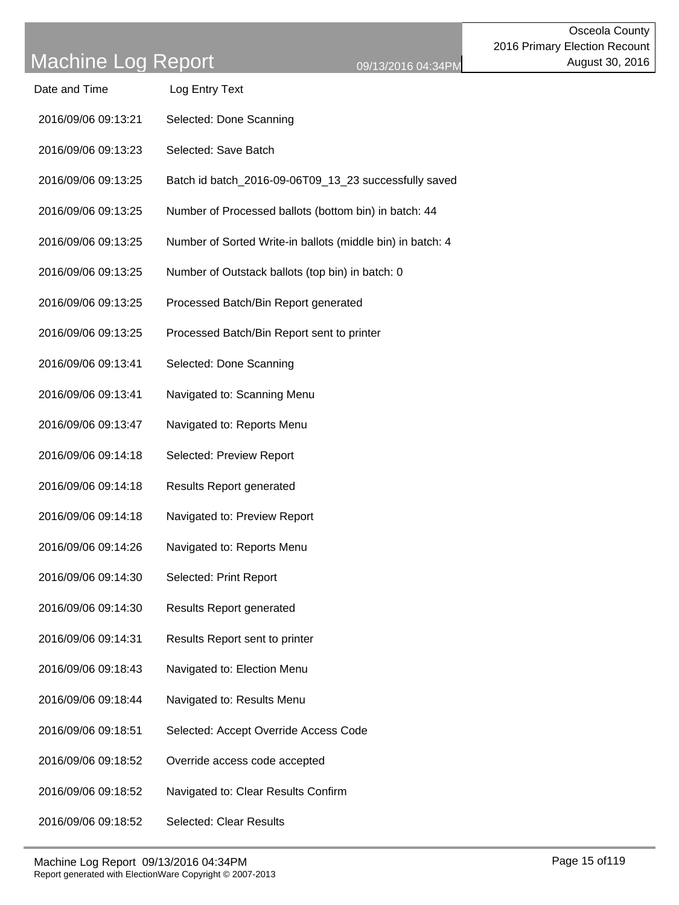| Date and Time       | Log Entry Text                                             |
|---------------------|------------------------------------------------------------|
| 2016/09/06 09:13:21 | Selected: Done Scanning                                    |
| 2016/09/06 09:13:23 | Selected: Save Batch                                       |
| 2016/09/06 09:13:25 | Batch id batch_2016-09-06T09_13_23 successfully saved      |
| 2016/09/06 09:13:25 | Number of Processed ballots (bottom bin) in batch: 44      |
| 2016/09/06 09:13:25 | Number of Sorted Write-in ballots (middle bin) in batch: 4 |
| 2016/09/06 09:13:25 | Number of Outstack ballots (top bin) in batch: 0           |
| 2016/09/06 09:13:25 | Processed Batch/Bin Report generated                       |
| 2016/09/06 09:13:25 | Processed Batch/Bin Report sent to printer                 |
| 2016/09/06 09:13:41 | Selected: Done Scanning                                    |
| 2016/09/06 09:13:41 | Navigated to: Scanning Menu                                |
| 2016/09/06 09:13:47 | Navigated to: Reports Menu                                 |
| 2016/09/06 09:14:18 | Selected: Preview Report                                   |
| 2016/09/06 09:14:18 | <b>Results Report generated</b>                            |
| 2016/09/06 09:14:18 | Navigated to: Preview Report                               |
| 2016/09/06 09:14:26 | Navigated to: Reports Menu                                 |
| 2016/09/06 09:14:30 | Selected: Print Report                                     |
| 2016/09/06 09:14:30 | <b>Results Report generated</b>                            |
| 2016/09/06 09:14:31 | Results Report sent to printer                             |
| 2016/09/06 09:18:43 | Navigated to: Election Menu                                |
| 2016/09/06 09:18:44 | Navigated to: Results Menu                                 |
| 2016/09/06 09:18:51 | Selected: Accept Override Access Code                      |
| 2016/09/06 09:18:52 | Override access code accepted                              |
| 2016/09/06 09:18:52 | Navigated to: Clear Results Confirm                        |
| 2016/09/06 09:18:52 | Selected: Clear Results                                    |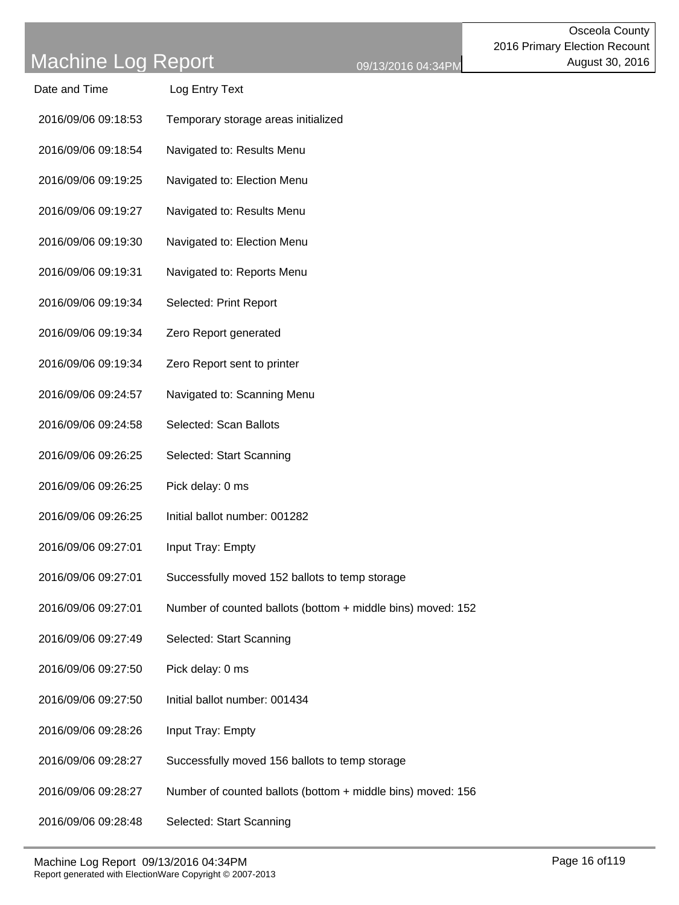|  | 9/13/2016 04:34PI |  |
|--|-------------------|--|
|  |                   |  |

| Date and Time       | Log Entry Text                                              |
|---------------------|-------------------------------------------------------------|
| 2016/09/06 09:18:53 | Temporary storage areas initialized                         |
| 2016/09/06 09:18:54 | Navigated to: Results Menu                                  |
| 2016/09/06 09:19:25 | Navigated to: Election Menu                                 |
| 2016/09/06 09:19:27 | Navigated to: Results Menu                                  |
| 2016/09/06 09:19:30 | Navigated to: Election Menu                                 |
| 2016/09/06 09:19:31 | Navigated to: Reports Menu                                  |
| 2016/09/06 09:19:34 | Selected: Print Report                                      |
| 2016/09/06 09:19:34 | Zero Report generated                                       |
| 2016/09/06 09:19:34 | Zero Report sent to printer                                 |
| 2016/09/06 09:24:57 | Navigated to: Scanning Menu                                 |
| 2016/09/06 09:24:58 | Selected: Scan Ballots                                      |
| 2016/09/06 09:26:25 | Selected: Start Scanning                                    |
| 2016/09/06 09:26:25 | Pick delay: 0 ms                                            |
| 2016/09/06 09:26:25 | Initial ballot number: 001282                               |
| 2016/09/06 09:27:01 | Input Tray: Empty                                           |
| 2016/09/06 09:27:01 | Successfully moved 152 ballots to temp storage              |
| 2016/09/06 09:27:01 | Number of counted ballots (bottom + middle bins) moved: 152 |
| 2016/09/06 09:27:49 | Selected: Start Scanning                                    |
| 2016/09/06 09:27:50 | Pick delay: 0 ms                                            |
| 2016/09/06 09:27:50 | Initial ballot number: 001434                               |
| 2016/09/06 09:28:26 | Input Tray: Empty                                           |
| 2016/09/06 09:28:27 | Successfully moved 156 ballots to temp storage              |
| 2016/09/06 09:28:27 | Number of counted ballots (bottom + middle bins) moved: 156 |
| 2016/09/06 09:28:48 | Selected: Start Scanning                                    |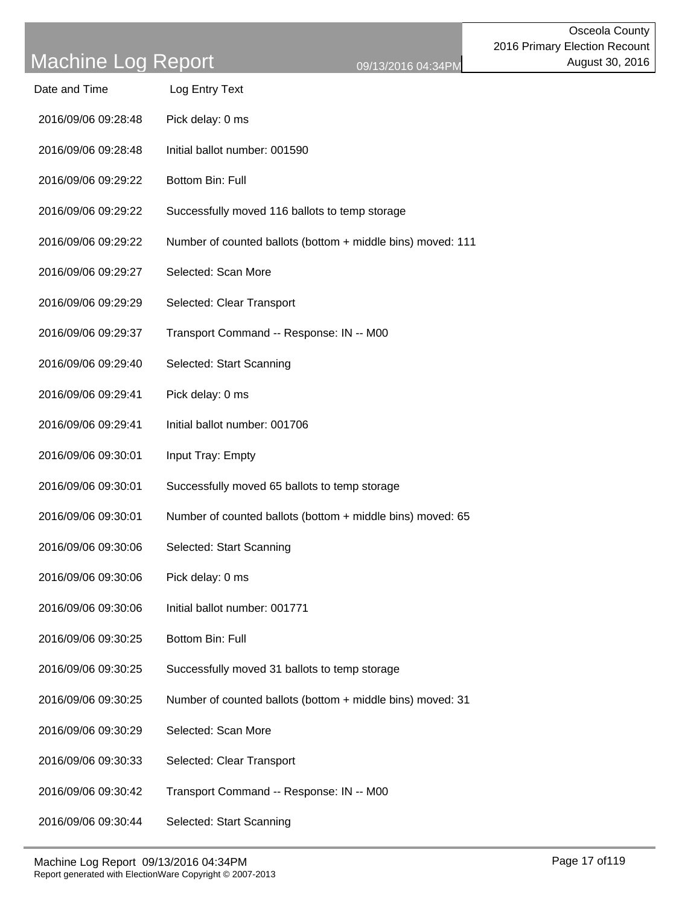| Date and Time       | Log Entry Text   |
|---------------------|------------------|
| 2016/09/06 09:28:48 | Pick delay: 0 ms |

- 2016/09/06 09:28:48 Initial ballot number: 001590
- 2016/09/06 09:29:22 Bottom Bin: Full
- 2016/09/06 09:29:22 Successfully moved 116 ballots to temp storage
- 2016/09/06 09:29:22 Number of counted ballots (bottom + middle bins) moved: 111
- 2016/09/06 09:29:27 Selected: Scan More
- 2016/09/06 09:29:29 Selected: Clear Transport
- 2016/09/06 09:29:37 Transport Command -- Response: IN -- M00
- 2016/09/06 09:29:40 Selected: Start Scanning
- 2016/09/06 09:29:41 Pick delay: 0 ms
- 2016/09/06 09:29:41 Initial ballot number: 001706
- 2016/09/06 09:30:01 Input Tray: Empty
- 2016/09/06 09:30:01 Successfully moved 65 ballots to temp storage
- 2016/09/06 09:30:01 Number of counted ballots (bottom + middle bins) moved: 65
- 2016/09/06 09:30:06 Selected: Start Scanning
- 2016/09/06 09:30:06 Pick delay: 0 ms
- 2016/09/06 09:30:06 Initial ballot number: 001771
- 2016/09/06 09:30:25 Bottom Bin: Full
- 2016/09/06 09:30:25 Successfully moved 31 ballots to temp storage
- 2016/09/06 09:30:25 Number of counted ballots (bottom + middle bins) moved: 31
- 2016/09/06 09:30:29 Selected: Scan More
- 2016/09/06 09:30:33 Selected: Clear Transport
- 2016/09/06 09:30:42 Transport Command -- Response: IN -- M00
- 2016/09/06 09:30:44 Selected: Start Scanning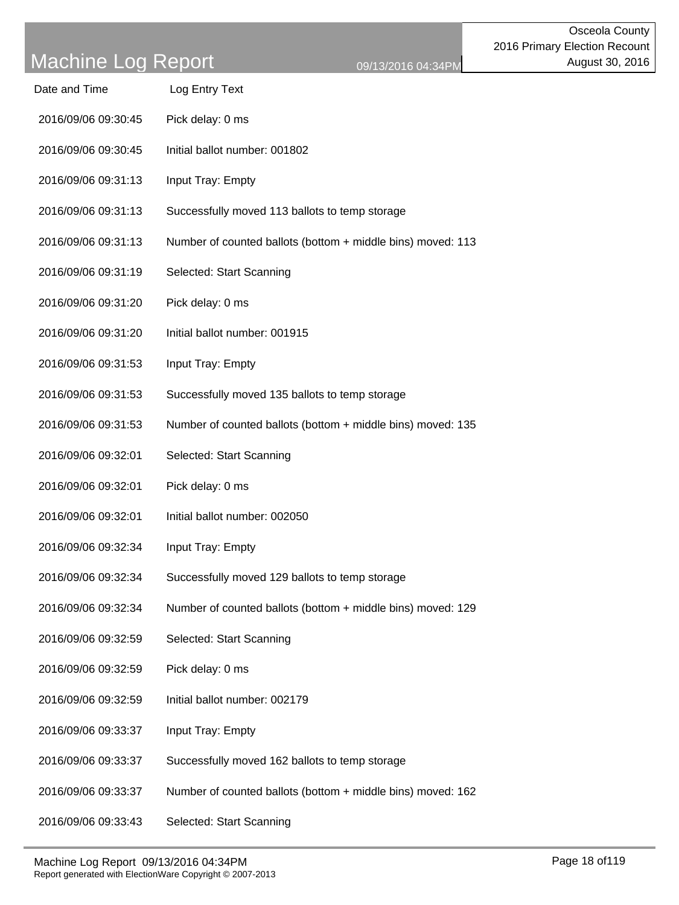| Date and Time       | Log Entry Text                                              |
|---------------------|-------------------------------------------------------------|
| 2016/09/06 09:30:45 | Pick delay: 0 ms                                            |
| 2016/09/06 09:30:45 | Initial ballot number: 001802                               |
| 2016/09/06 09:31:13 | Input Tray: Empty                                           |
| 2016/09/06 09:31:13 | Successfully moved 113 ballots to temp storage              |
| 2016/09/06 09:31:13 | Number of counted ballots (bottom + middle bins) moved: 113 |
| 2016/09/06 09:31:19 | Selected: Start Scanning                                    |
| 2016/09/06 09:31:20 | Pick delay: 0 ms                                            |
| 2016/09/06 09:31:20 | Initial ballot number: 001915                               |
| 2016/09/06 09:31:53 | Input Tray: Empty                                           |
| 2016/09/06 09:31:53 | Successfully moved 135 ballots to temp storage              |
| 2016/09/06 09:31:53 | Number of counted ballots (bottom + middle bins) moved: 135 |
| 2016/09/06 09:32:01 | Selected: Start Scanning                                    |
| 2016/09/06 09:32:01 | Pick delay: 0 ms                                            |
| 2016/09/06 09:32:01 | Initial ballot number: 002050                               |
| 2016/09/06 09:32:34 | Input Tray: Empty                                           |
| 2016/09/06 09:32:34 | Successfully moved 129 ballots to temp storage              |
| 2016/09/06 09:32:34 | Number of counted ballots (bottom + middle bins) moved: 129 |
| 2016/09/06 09:32:59 | Selected: Start Scanning                                    |
| 2016/09/06 09:32:59 | Pick delay: 0 ms                                            |
| 2016/09/06 09:32:59 | Initial ballot number: 002179                               |
| 2016/09/06 09:33:37 | Input Tray: Empty                                           |
| 2016/09/06 09:33:37 | Successfully moved 162 ballots to temp storage              |
| 2016/09/06 09:33:37 | Number of counted ballots (bottom + middle bins) moved: 162 |
|                     |                                                             |

2016/09/06 09:33:43 Selected: Start Scanning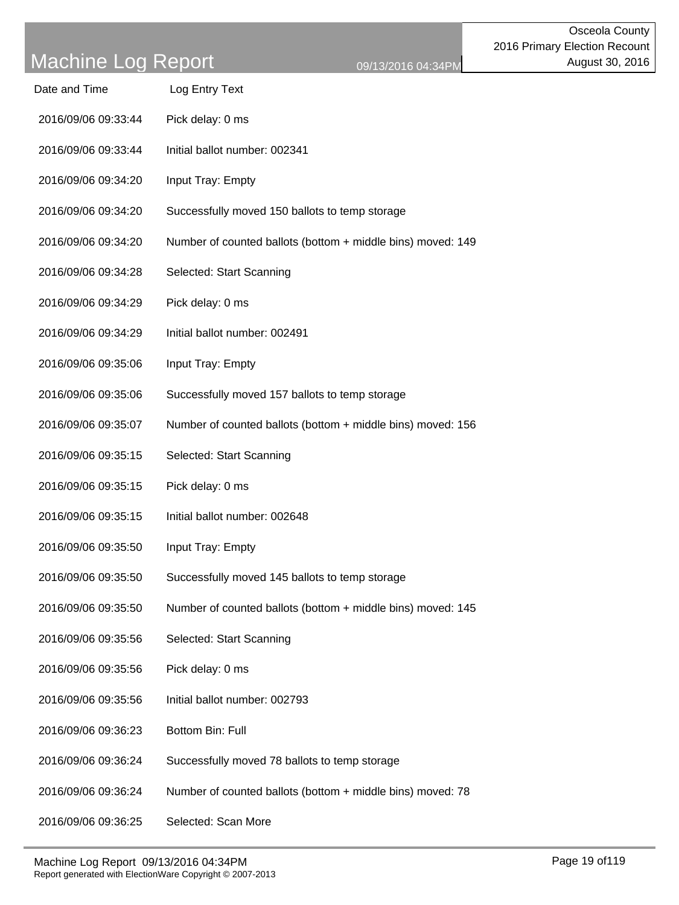| Date and Time       | Log Entry Text                                              |
|---------------------|-------------------------------------------------------------|
| 2016/09/06 09:33:44 | Pick delay: 0 ms                                            |
| 2016/09/06 09:33:44 | Initial ballot number: 002341                               |
| 2016/09/06 09:34:20 | Input Tray: Empty                                           |
| 2016/09/06 09:34:20 | Successfully moved 150 ballots to temp storage              |
| 2016/09/06 09:34:20 | Number of counted ballots (bottom + middle bins) moved: 149 |
| 2016/09/06 09:34:28 | Selected: Start Scanning                                    |
| 2016/09/06 09:34:29 | Pick delay: 0 ms                                            |
| 2016/09/06 09:34:29 | Initial ballot number: 002491                               |
| 2016/09/06 09:35:06 | Input Tray: Empty                                           |
| 2016/09/06 09:35:06 | Successfully moved 157 ballots to temp storage              |
| 2016/09/06 09:35:07 | Number of counted ballots (bottom + middle bins) moved: 156 |
| 2016/09/06 09:35:15 | Selected: Start Scanning                                    |
| 2016/09/06 09:35:15 | Pick delay: 0 ms                                            |
| 2016/09/06 09:35:15 | Initial ballot number: 002648                               |
| 2016/09/06 09:35:50 | Input Tray: Empty                                           |
| 2016/09/06 09:35:50 | Successfully moved 145 ballots to temp storage              |
| 2016/09/06 09:35:50 | Number of counted ballots (bottom + middle bins) moved: 145 |
| 2016/09/06 09:35:56 | Selected: Start Scanning                                    |
| 2016/09/06 09:35:56 | Pick delay: 0 ms                                            |
| 2016/09/06 09:35:56 | Initial ballot number: 002793                               |
| 2016/09/06 09:36:23 | Bottom Bin: Full                                            |
| 2016/09/06 09:36:24 | Successfully moved 78 ballots to temp storage               |
| 2016/09/06 09:36:24 | Number of counted ballots (bottom + middle bins) moved: 78  |
| 2016/09/06 09:36:25 | Selected: Scan More                                         |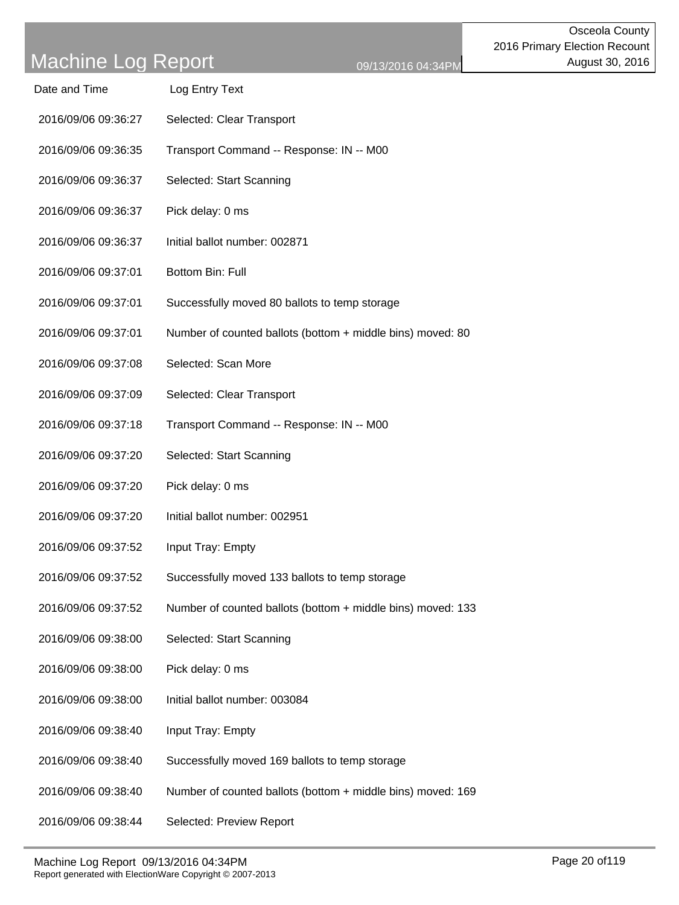| Date and Time | Log Entry Text |
|---------------|----------------|
|---------------|----------------|

- 2016/09/06 09:36:27 Selected: Clear Transport
- 2016/09/06 09:36:35 Transport Command -- Response: IN -- M00
- 2016/09/06 09:36:37 Selected: Start Scanning
- 2016/09/06 09:36:37 Pick delay: 0 ms
- 2016/09/06 09:36:37 Initial ballot number: 002871
- 2016/09/06 09:37:01 Bottom Bin: Full
- 2016/09/06 09:37:01 Successfully moved 80 ballots to temp storage
- 2016/09/06 09:37:01 Number of counted ballots (bottom + middle bins) moved: 80
- 2016/09/06 09:37:08 Selected: Scan More
- 2016/09/06 09:37:09 Selected: Clear Transport
- 2016/09/06 09:37:18 Transport Command -- Response: IN -- M00
- 2016/09/06 09:37:20 Selected: Start Scanning
- 2016/09/06 09:37:20 Pick delay: 0 ms
- 2016/09/06 09:37:20 Initial ballot number: 002951
- 2016/09/06 09:37:52 Input Tray: Empty
- 2016/09/06 09:37:52 Successfully moved 133 ballots to temp storage
- 2016/09/06 09:37:52 Number of counted ballots (bottom + middle bins) moved: 133
- 2016/09/06 09:38:00 Selected: Start Scanning
- 2016/09/06 09:38:00 Pick delay: 0 ms
- 2016/09/06 09:38:00 Initial ballot number: 003084
- 2016/09/06 09:38:40 Input Tray: Empty
- 2016/09/06 09:38:40 Successfully moved 169 ballots to temp storage
- 2016/09/06 09:38:40 Number of counted ballots (bottom + middle bins) moved: 169
- 2016/09/06 09:38:44 Selected: Preview Report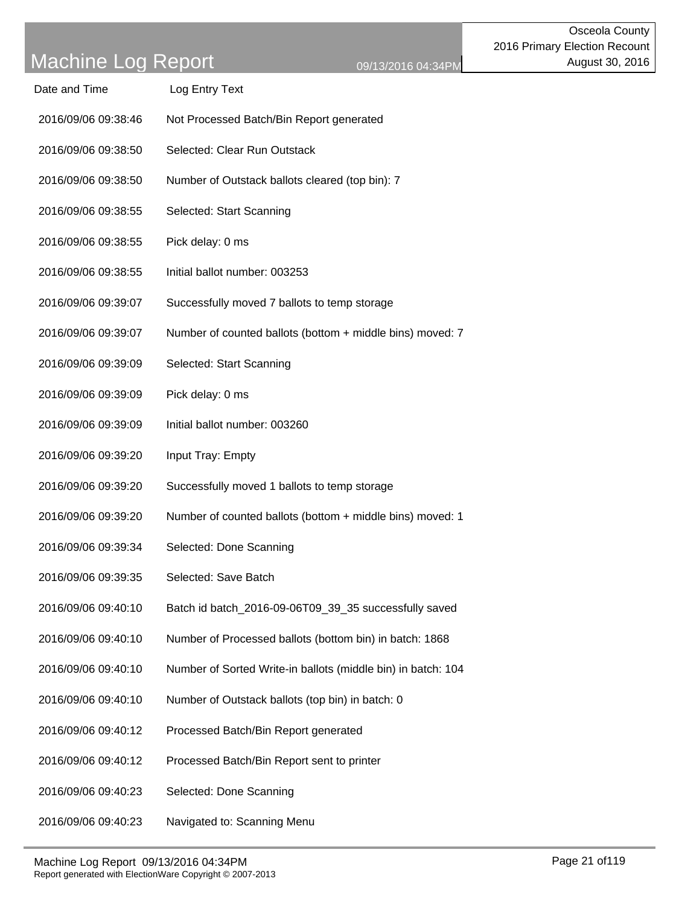| Date and Time       | Log Entry Text                                               |
|---------------------|--------------------------------------------------------------|
| 2016/09/06 09:38:46 | Not Processed Batch/Bin Report generated                     |
| 2016/09/06 09:38:50 | Selected: Clear Run Outstack                                 |
| 2016/09/06 09:38:50 | Number of Outstack ballots cleared (top bin): 7              |
| 2016/09/06 09:38:55 | Selected: Start Scanning                                     |
| 2016/09/06 09:38:55 | Pick delay: 0 ms                                             |
| 2016/09/06 09:38:55 | Initial ballot number: 003253                                |
| 2016/09/06 09:39:07 | Successfully moved 7 ballots to temp storage                 |
| 2016/09/06 09:39:07 | Number of counted ballots (bottom + middle bins) moved: 7    |
| 2016/09/06 09:39:09 | Selected: Start Scanning                                     |
| 2016/09/06 09:39:09 | Pick delay: 0 ms                                             |
| 2016/09/06 09:39:09 | Initial ballot number: 003260                                |
| 2016/09/06 09:39:20 | Input Tray: Empty                                            |
| 2016/09/06 09:39:20 | Successfully moved 1 ballots to temp storage                 |
| 2016/09/06 09:39:20 | Number of counted ballots (bottom + middle bins) moved: 1    |
| 2016/09/06 09:39:34 | Selected: Done Scanning                                      |
| 2016/09/06 09:39:35 | Selected: Save Batch                                         |
| 2016/09/06 09:40:10 | Batch id batch_2016-09-06T09_39_35 successfully saved        |
| 2016/09/06 09:40:10 | Number of Processed ballots (bottom bin) in batch: 1868      |
| 2016/09/06 09:40:10 | Number of Sorted Write-in ballots (middle bin) in batch: 104 |
| 2016/09/06 09:40:10 | Number of Outstack ballots (top bin) in batch: 0             |
| 2016/09/06 09:40:12 | Processed Batch/Bin Report generated                         |
| 2016/09/06 09:40:12 | Processed Batch/Bin Report sent to printer                   |
| 2016/09/06 09:40:23 | Selected: Done Scanning                                      |
| 2016/09/06 09:40:23 | Navigated to: Scanning Menu                                  |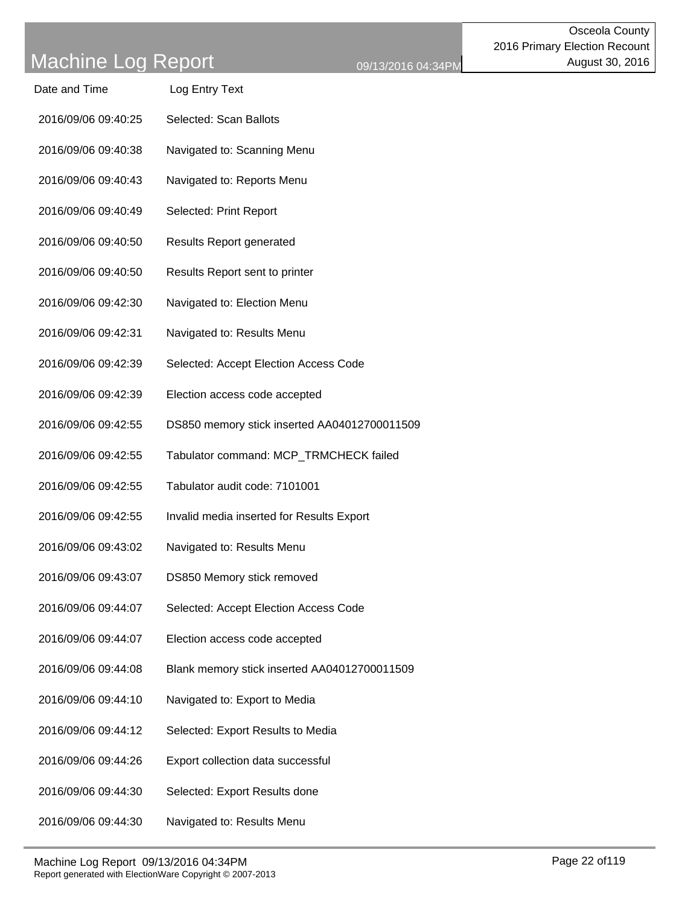| Date and Time | Log Entry Text |
|---------------|----------------|
|               |                |

- 2016/09/06 09:40:25 Selected: Scan Ballots
- 2016/09/06 09:40:38 Navigated to: Scanning Menu
- 2016/09/06 09:40:43 Navigated to: Reports Menu
- 2016/09/06 09:40:49 Selected: Print Report
- 2016/09/06 09:40:50 Results Report generated
- 2016/09/06 09:40:50 Results Report sent to printer
- 2016/09/06 09:42:30 Navigated to: Election Menu
- 2016/09/06 09:42:31 Navigated to: Results Menu
- 2016/09/06 09:42:39 Selected: Accept Election Access Code
- 2016/09/06 09:42:39 Election access code accepted
- 2016/09/06 09:42:55 DS850 memory stick inserted AA04012700011509
- 2016/09/06 09:42:55 Tabulator command: MCP\_TRMCHECK failed
- 2016/09/06 09:42:55 Tabulator audit code: 7101001
- 2016/09/06 09:42:55 Invalid media inserted for Results Export
- 2016/09/06 09:43:02 Navigated to: Results Menu
- 2016/09/06 09:43:07 DS850 Memory stick removed
- 2016/09/06 09:44:07 Selected: Accept Election Access Code
- 2016/09/06 09:44:07 Election access code accepted
- 2016/09/06 09:44:08 Blank memory stick inserted AA04012700011509
- 2016/09/06 09:44:10 Navigated to: Export to Media
- 2016/09/06 09:44:12 Selected: Export Results to Media
- 2016/09/06 09:44:26 Export collection data successful
- 2016/09/06 09:44:30 Selected: Export Results done
- 2016/09/06 09:44:30 Navigated to: Results Menu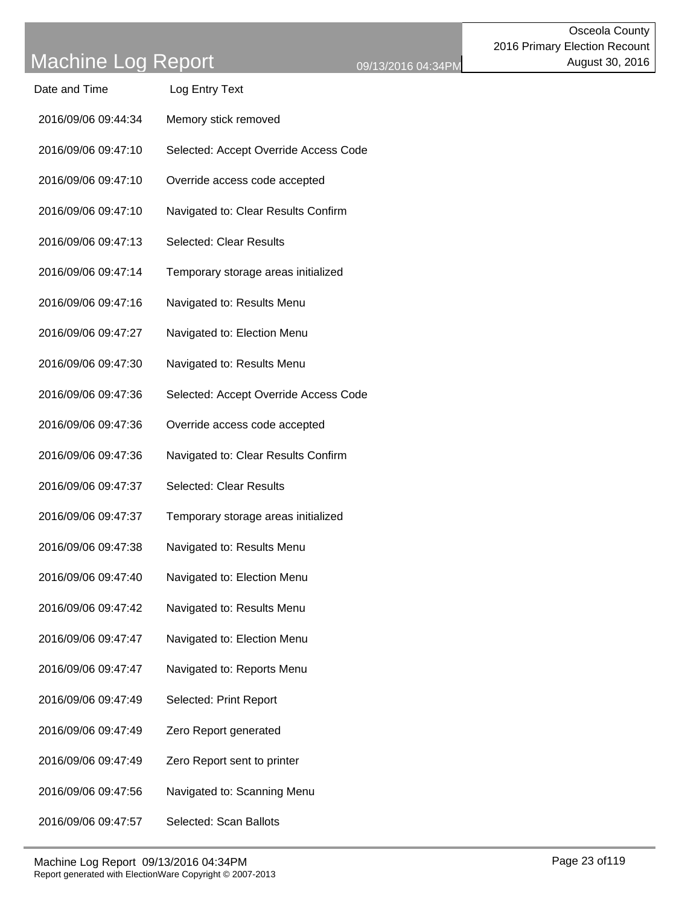| Date and Time | Log Entry Text |
|---------------|----------------|
|               |                |

- 2016/09/06 09:44:34 Memory stick removed
- 2016/09/06 09:47:10 Selected: Accept Override Access Code
- 2016/09/06 09:47:10 Override access code accepted
- 2016/09/06 09:47:10 Navigated to: Clear Results Confirm
- 2016/09/06 09:47:13 Selected: Clear Results
- 2016/09/06 09:47:14 Temporary storage areas initialized
- 2016/09/06 09:47:16 Navigated to: Results Menu
- 2016/09/06 09:47:27 Navigated to: Election Menu
- 2016/09/06 09:47:30 Navigated to: Results Menu
- 2016/09/06 09:47:36 Selected: Accept Override Access Code
- 2016/09/06 09:47:36 Override access code accepted
- 2016/09/06 09:47:36 Navigated to: Clear Results Confirm
- 2016/09/06 09:47:37 Selected: Clear Results
- 2016/09/06 09:47:37 Temporary storage areas initialized
- 2016/09/06 09:47:38 Navigated to: Results Menu
- 2016/09/06 09:47:40 Navigated to: Election Menu
- 2016/09/06 09:47:42 Navigated to: Results Menu
- 2016/09/06 09:47:47 Navigated to: Election Menu
- 2016/09/06 09:47:47 Navigated to: Reports Menu
- 2016/09/06 09:47:49 Selected: Print Report
- 2016/09/06 09:47:49 Zero Report generated
- 2016/09/06 09:47:49 Zero Report sent to printer
- 2016/09/06 09:47:56 Navigated to: Scanning Menu
- 2016/09/06 09:47:57 Selected: Scan Ballots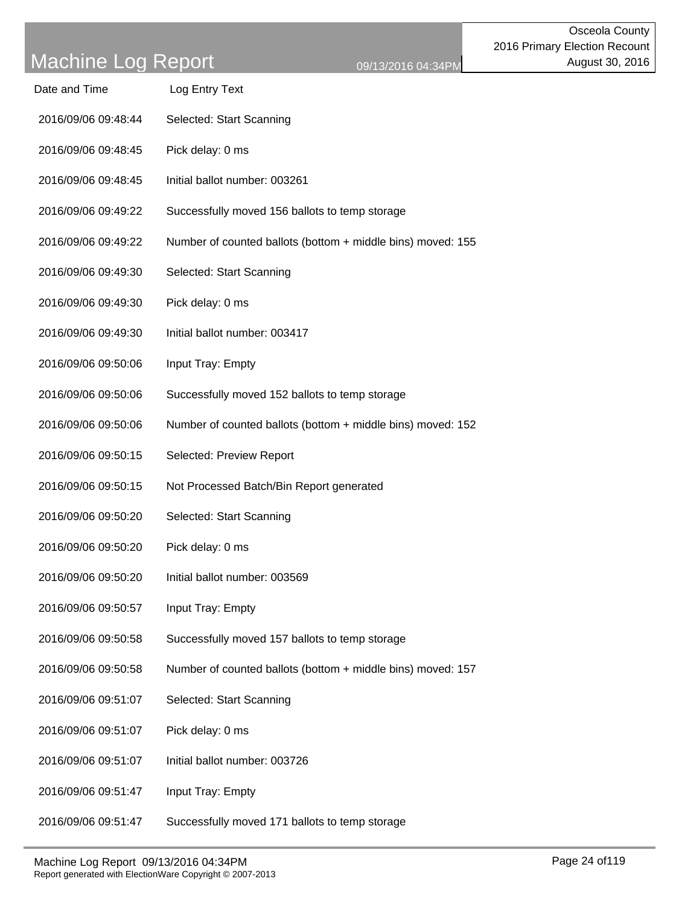| Date and Time       | Log Entry Text                                              |
|---------------------|-------------------------------------------------------------|
| 2016/09/06 09:48:44 | Selected: Start Scanning                                    |
| 2016/09/06 09:48:45 | Pick delay: 0 ms                                            |
| 2016/09/06 09:48:45 | Initial ballot number: 003261                               |
| 2016/09/06 09:49:22 | Successfully moved 156 ballots to temp storage              |
| 2016/09/06 09:49:22 | Number of counted ballots (bottom + middle bins) moved: 155 |
| 2016/09/06 09:49:30 | Selected: Start Scanning                                    |
| 2016/09/06 09:49:30 | Pick delay: 0 ms                                            |
| 2016/09/06 09:49:30 | Initial ballot number: 003417                               |
| 2016/09/06 09:50:06 | Input Tray: Empty                                           |
| 2016/09/06 09:50:06 | Successfully moved 152 ballots to temp storage              |
| 2016/09/06 09:50:06 | Number of counted ballots (bottom + middle bins) moved: 152 |
| 2016/09/06 09:50:15 | Selected: Preview Report                                    |
| 2016/09/06 09:50:15 | Not Processed Batch/Bin Report generated                    |
| 2016/09/06 09:50:20 | Selected: Start Scanning                                    |
| 2016/09/06 09:50:20 | Pick delay: 0 ms                                            |
| 2016/09/06 09:50:20 | Initial ballot number: 003569                               |
| 2016/09/06 09:50:57 | Input Tray: Empty                                           |
| 2016/09/06 09:50:58 | Successfully moved 157 ballots to temp storage              |
| 2016/09/06 09:50:58 | Number of counted ballots (bottom + middle bins) moved: 157 |
| 2016/09/06 09:51:07 | Selected: Start Scanning                                    |
| 2016/09/06 09:51:07 | Pick delay: 0 ms                                            |
| 2016/09/06 09:51:07 | Initial ballot number: 003726                               |
| 2016/09/06 09:51:47 | Input Tray: Empty                                           |
| 2016/09/06 09:51:47 | Successfully moved 171 ballots to temp storage              |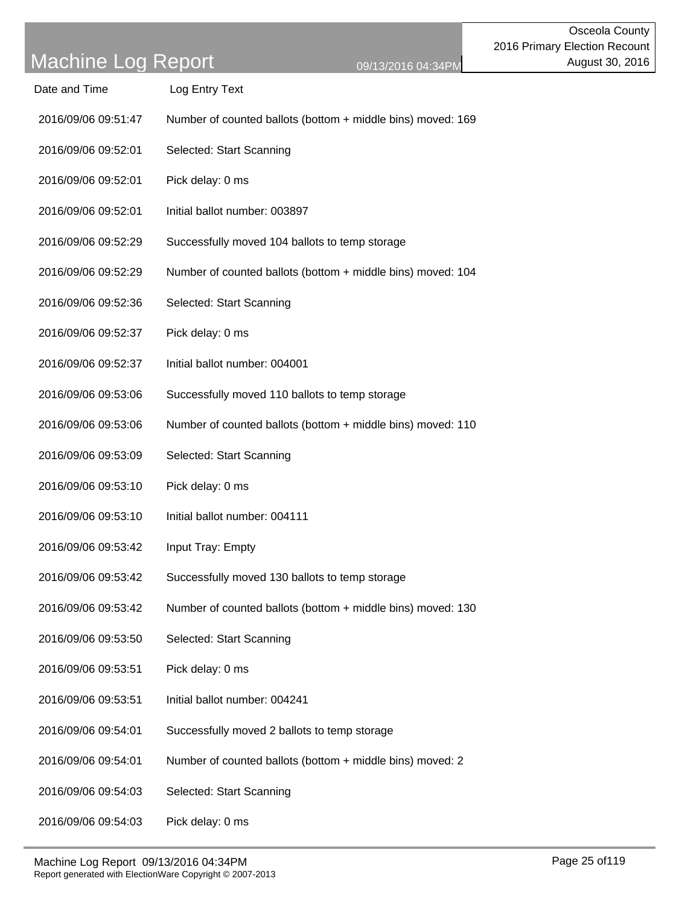| Date and Time | Log Entry Text |
|---------------|----------------|
|               |                |

- 2016/09/06 09:51:47 Number of counted ballots (bottom + middle bins) moved: 169
- 2016/09/06 09:52:01 Selected: Start Scanning
- 2016/09/06 09:52:01 Pick delay: 0 ms
- 2016/09/06 09:52:01 Initial ballot number: 003897
- 2016/09/06 09:52:29 Successfully moved 104 ballots to temp storage
- 2016/09/06 09:52:29 Number of counted ballots (bottom + middle bins) moved: 104
- 2016/09/06 09:52:36 Selected: Start Scanning
- 2016/09/06 09:52:37 Pick delay: 0 ms
- 2016/09/06 09:52:37 Initial ballot number: 004001
- 2016/09/06 09:53:06 Successfully moved 110 ballots to temp storage
- 2016/09/06 09:53:06 Number of counted ballots (bottom + middle bins) moved: 110
- 2016/09/06 09:53:09 Selected: Start Scanning
- 2016/09/06 09:53:10 Pick delay: 0 ms
- 2016/09/06 09:53:10 Initial ballot number: 004111
- 2016/09/06 09:53:42 Input Tray: Empty
- 2016/09/06 09:53:42 Successfully moved 130 ballots to temp storage
- 2016/09/06 09:53:42 Number of counted ballots (bottom + middle bins) moved: 130
- 2016/09/06 09:53:50 Selected: Start Scanning
- 2016/09/06 09:53:51 Pick delay: 0 ms
- 2016/09/06 09:53:51 Initial ballot number: 004241
- 2016/09/06 09:54:01 Successfully moved 2 ballots to temp storage
- 2016/09/06 09:54:01 Number of counted ballots (bottom + middle bins) moved: 2
- 2016/09/06 09:54:03 Selected: Start Scanning
- 2016/09/06 09:54:03 Pick delay: 0 ms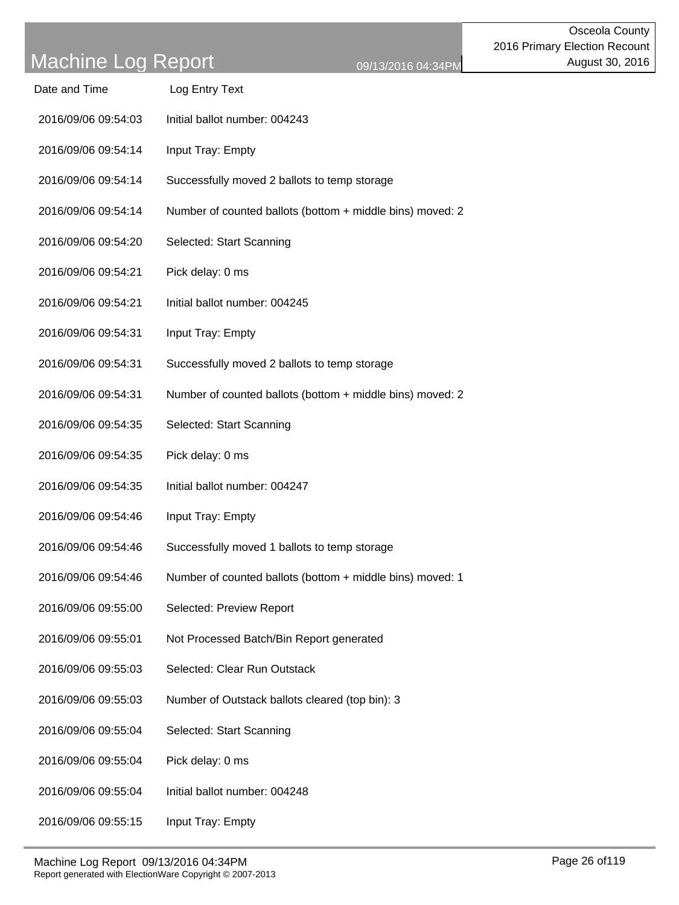| Date and Time       | Log Entry Text                                            |
|---------------------|-----------------------------------------------------------|
| 2016/09/06 09:54:03 | Initial ballot number: 004243                             |
| 2016/09/06 09:54:14 | Input Tray: Empty                                         |
| 2016/09/06 09:54:14 | Successfully moved 2 ballots to temp storage              |
| 2016/09/06 09:54:14 | Number of counted ballots (bottom + middle bins) moved: 2 |
| 2016/09/06 09:54:20 | Selected: Start Scanning                                  |
| 2016/09/06 09:54:21 | Pick delay: 0 ms                                          |
| 2016/09/06 09:54:21 | Initial ballot number: 004245                             |
| 2016/09/06 09:54:31 | Input Tray: Empty                                         |
| 2016/09/06 09:54:31 | Successfully moved 2 ballots to temp storage              |
| 2016/09/06 09:54:31 | Number of counted ballots (bottom + middle bins) moved: 2 |
| 2016/09/06 09:54:35 | Selected: Start Scanning                                  |
| 2016/09/06 09:54:35 | Pick delay: 0 ms                                          |
| 2016/09/06 09:54:35 | Initial ballot number: 004247                             |
| 2016/09/06 09:54:46 | Input Tray: Empty                                         |
| 2016/09/06 09:54:46 | Successfully moved 1 ballots to temp storage              |
| 2016/09/06 09:54:46 | Number of counted ballots (bottom + middle bins) moved: 1 |
| 2016/09/06 09:55:00 | Selected: Preview Report                                  |
| 2016/09/06 09:55:01 | Not Processed Batch/Bin Report generated                  |
| 2016/09/06 09:55:03 | Selected: Clear Run Outstack                              |
| 2016/09/06 09:55:03 | Number of Outstack ballots cleared (top bin): 3           |
| 2016/09/06 09:55:04 | Selected: Start Scanning                                  |
| 2016/09/06 09:55:04 | Pick delay: 0 ms                                          |
| 2016/09/06 09:55:04 | Initial ballot number: 004248                             |
| 2016/09/06 09:55:15 | Input Tray: Empty                                         |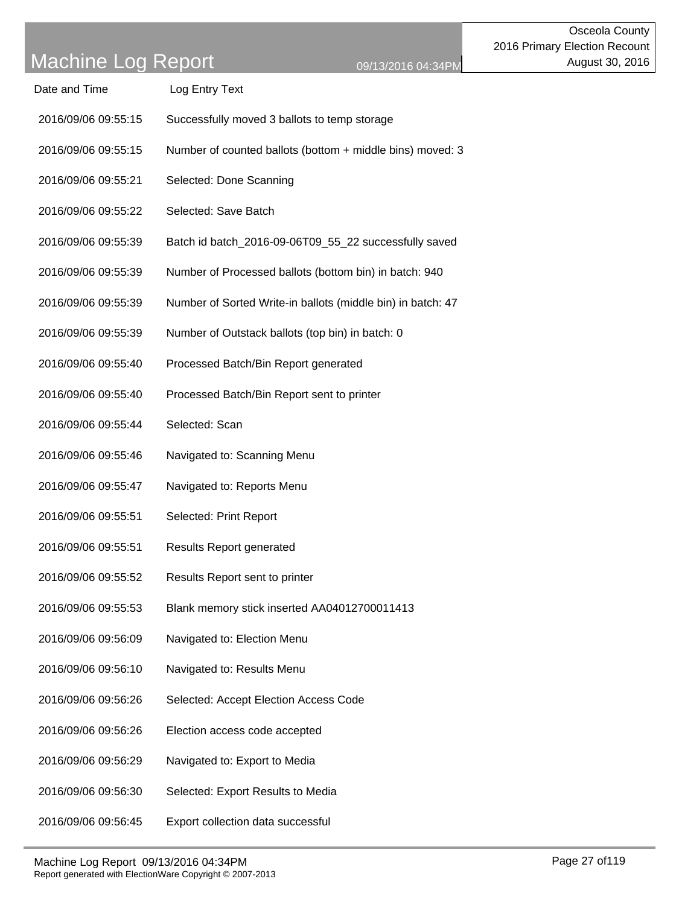- 2016/09/06 09:55:15 Successfully moved 3 ballots to temp storage
- 2016/09/06 09:55:15 Number of counted ballots (bottom + middle bins) moved: 3
- 2016/09/06 09:55:21 Selected: Done Scanning
- 2016/09/06 09:55:22 Selected: Save Batch
- 2016/09/06 09:55:39 Batch id batch\_2016-09-06T09\_55\_22 successfully saved
- 2016/09/06 09:55:39 Number of Processed ballots (bottom bin) in batch: 940
- 2016/09/06 09:55:39 Number of Sorted Write-in ballots (middle bin) in batch: 47
- 2016/09/06 09:55:39 Number of Outstack ballots (top bin) in batch: 0
- 2016/09/06 09:55:40 Processed Batch/Bin Report generated
- 2016/09/06 09:55:40 Processed Batch/Bin Report sent to printer
- 2016/09/06 09:55:44 Selected: Scan
- 2016/09/06 09:55:46 Navigated to: Scanning Menu
- 2016/09/06 09:55:47 Navigated to: Reports Menu
- 2016/09/06 09:55:51 Selected: Print Report
- 2016/09/06 09:55:51 Results Report generated
- 2016/09/06 09:55:52 Results Report sent to printer
- 2016/09/06 09:55:53 Blank memory stick inserted AA04012700011413
- 2016/09/06 09:56:09 Navigated to: Election Menu
- 2016/09/06 09:56:10 Navigated to: Results Menu
- 2016/09/06 09:56:26 Selected: Accept Election Access Code
- 2016/09/06 09:56:26 Election access code accepted
- 2016/09/06 09:56:29 Navigated to: Export to Media
- 2016/09/06 09:56:30 Selected: Export Results to Media
- 2016/09/06 09:56:45 Export collection data successful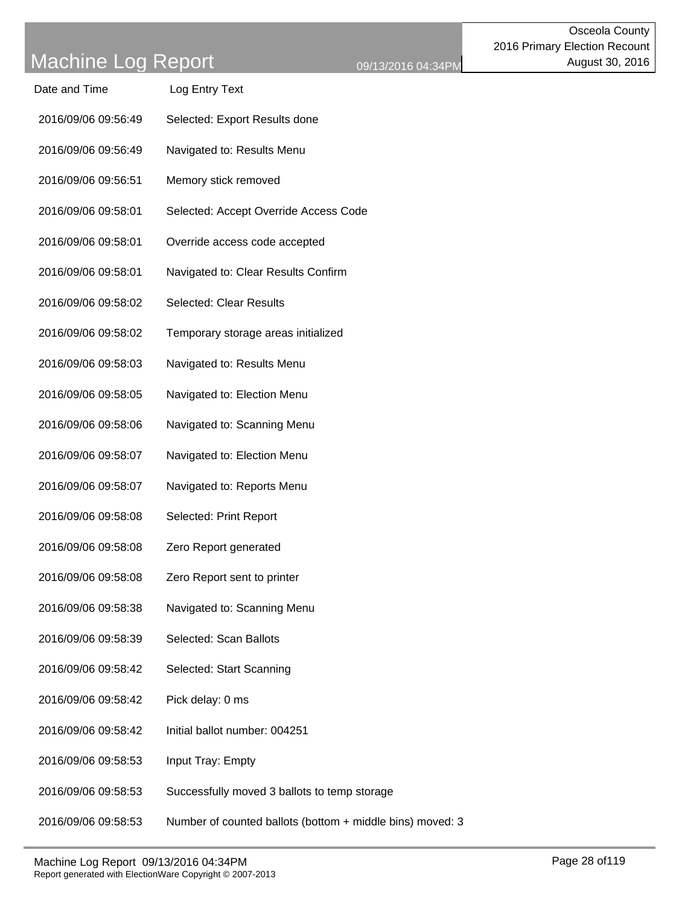| Date and Time       | Log Entry Text                                            |
|---------------------|-----------------------------------------------------------|
| 2016/09/06 09:56:49 | Selected: Export Results done                             |
| 2016/09/06 09:56:49 | Navigated to: Results Menu                                |
| 2016/09/06 09:56:51 | Memory stick removed                                      |
| 2016/09/06 09:58:01 | Selected: Accept Override Access Code                     |
| 2016/09/06 09:58:01 | Override access code accepted                             |
| 2016/09/06 09:58:01 | Navigated to: Clear Results Confirm                       |
| 2016/09/06 09:58:02 | <b>Selected: Clear Results</b>                            |
| 2016/09/06 09:58:02 | Temporary storage areas initialized                       |
| 2016/09/06 09:58:03 | Navigated to: Results Menu                                |
| 2016/09/06 09:58:05 | Navigated to: Election Menu                               |
| 2016/09/06 09:58:06 | Navigated to: Scanning Menu                               |
| 2016/09/06 09:58:07 | Navigated to: Election Menu                               |
| 2016/09/06 09:58:07 | Navigated to: Reports Menu                                |
| 2016/09/06 09:58:08 | Selected: Print Report                                    |
| 2016/09/06 09:58:08 | Zero Report generated                                     |
| 2016/09/06 09:58:08 | Zero Report sent to printer                               |
| 2016/09/06 09:58:38 | Navigated to: Scanning Menu                               |
| 2016/09/06 09:58:39 | Selected: Scan Ballots                                    |
| 2016/09/06 09:58:42 | Selected: Start Scanning                                  |
| 2016/09/06 09:58:42 | Pick delay: 0 ms                                          |
| 2016/09/06 09:58:42 | Initial ballot number: 004251                             |
| 2016/09/06 09:58:53 | Input Tray: Empty                                         |
| 2016/09/06 09:58:53 | Successfully moved 3 ballots to temp storage              |
| 2016/09/06 09:58:53 | Number of counted ballots (bottom + middle bins) moved: 3 |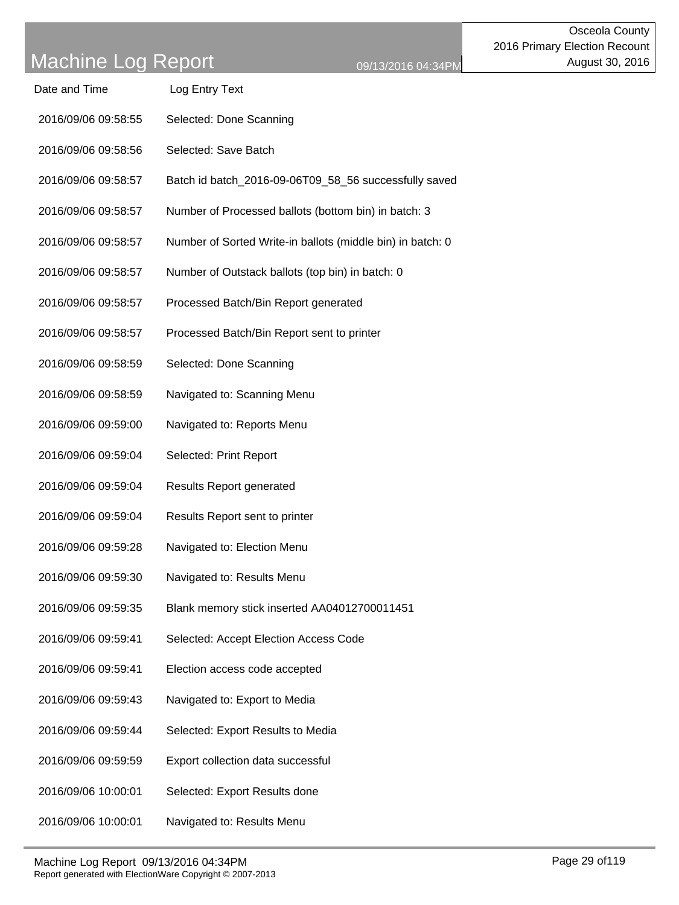| Date and Time       | Log Entry Text                                             |
|---------------------|------------------------------------------------------------|
| 2016/09/06 09:58:55 | Selected: Done Scanning                                    |
| 2016/09/06 09:58:56 | Selected: Save Batch                                       |
| 2016/09/06 09:58:57 | Batch id batch_2016-09-06T09_58_56 successfully saved      |
| 2016/09/06 09:58:57 | Number of Processed ballots (bottom bin) in batch: 3       |
| 2016/09/06 09:58:57 | Number of Sorted Write-in ballots (middle bin) in batch: 0 |
| 2016/09/06 09:58:57 | Number of Outstack ballots (top bin) in batch: 0           |
| 2016/09/06 09:58:57 | Processed Batch/Bin Report generated                       |
| 2016/09/06 09:58:57 | Processed Batch/Bin Report sent to printer                 |
| 2016/09/06 09:58:59 | Selected: Done Scanning                                    |
| 2016/09/06 09:58:59 | Navigated to: Scanning Menu                                |
| 2016/09/06 09:59:00 | Navigated to: Reports Menu                                 |
| 2016/09/06 09:59:04 | Selected: Print Report                                     |
| 2016/09/06 09:59:04 | <b>Results Report generated</b>                            |
| 2016/09/06 09:59:04 | Results Report sent to printer                             |
| 2016/09/06 09:59:28 | Navigated to: Election Menu                                |
| 2016/09/06 09:59:30 | Navigated to: Results Menu                                 |
| 2016/09/06 09:59:35 | Blank memory stick inserted AA04012700011451               |
| 2016/09/06 09:59:41 | Selected: Accept Election Access Code                      |
| 2016/09/06 09:59:41 | Election access code accepted                              |
| 2016/09/06 09:59:43 | Navigated to: Export to Media                              |
| 2016/09/06 09:59:44 | Selected: Export Results to Media                          |
| 2016/09/06 09:59:59 | Export collection data successful                          |
| 2016/09/06 10:00:01 | Selected: Export Results done                              |
| 2016/09/06 10:00:01 | Navigated to: Results Menu                                 |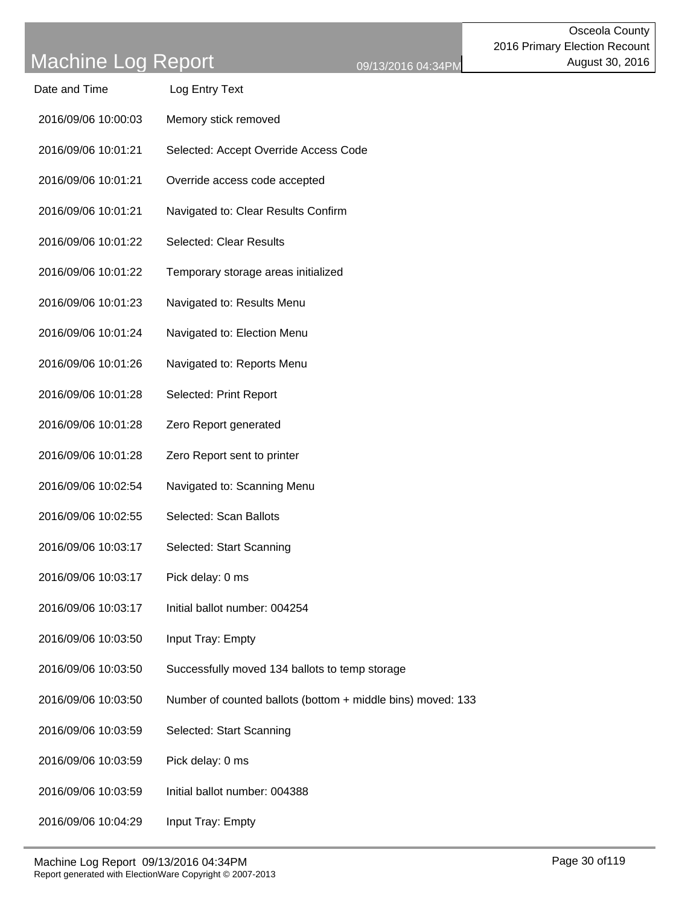| Log Entry Text<br>Date and Time |  |
|---------------------------------|--|
|---------------------------------|--|

- 2016/09/06 10:00:03 Memory stick removed
- 2016/09/06 10:01:21 Selected: Accept Override Access Code
- 2016/09/06 10:01:21 Override access code accepted
- 2016/09/06 10:01:21 Navigated to: Clear Results Confirm
- 2016/09/06 10:01:22 Selected: Clear Results
- 2016/09/06 10:01:22 Temporary storage areas initialized
- 2016/09/06 10:01:23 Navigated to: Results Menu
- 2016/09/06 10:01:24 Navigated to: Election Menu
- 2016/09/06 10:01:26 Navigated to: Reports Menu
- 2016/09/06 10:01:28 Selected: Print Report
- 2016/09/06 10:01:28 Zero Report generated
- 2016/09/06 10:01:28 Zero Report sent to printer
- 2016/09/06 10:02:54 Navigated to: Scanning Menu
- 2016/09/06 10:02:55 Selected: Scan Ballots
- 2016/09/06 10:03:17 Selected: Start Scanning
- 2016/09/06 10:03:17 Pick delay: 0 ms
- 2016/09/06 10:03:17 Initial ballot number: 004254
- 2016/09/06 10:03:50 Input Tray: Empty
- 2016/09/06 10:03:50 Successfully moved 134 ballots to temp storage
- 2016/09/06 10:03:50 Number of counted ballots (bottom + middle bins) moved: 133
- 2016/09/06 10:03:59 Selected: Start Scanning
- 2016/09/06 10:03:59 Pick delay: 0 ms
- 2016/09/06 10:03:59 Initial ballot number: 004388
- 2016/09/06 10:04:29 Input Tray: Empty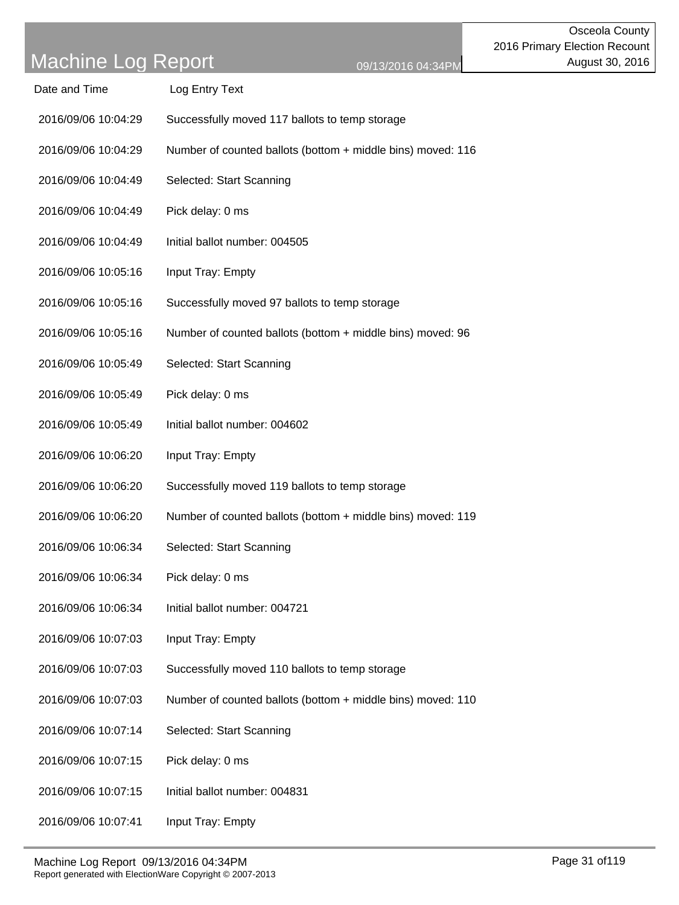| Date and Time | Log Entry Text |
|---------------|----------------|
|               |                |

- 2016/09/06 10:04:29 Successfully moved 117 ballots to temp storage
- 2016/09/06 10:04:29 Number of counted ballots (bottom + middle bins) moved: 116
- 2016/09/06 10:04:49 Selected: Start Scanning
- 2016/09/06 10:04:49 Pick delay: 0 ms
- 2016/09/06 10:04:49 Initial ballot number: 004505
- 2016/09/06 10:05:16 Input Tray: Empty
- 2016/09/06 10:05:16 Successfully moved 97 ballots to temp storage
- 2016/09/06 10:05:16 Number of counted ballots (bottom + middle bins) moved: 96
- 2016/09/06 10:05:49 Selected: Start Scanning
- 2016/09/06 10:05:49 Pick delay: 0 ms
- 2016/09/06 10:05:49 Initial ballot number: 004602
- 2016/09/06 10:06:20 Input Tray: Empty
- 2016/09/06 10:06:20 Successfully moved 119 ballots to temp storage
- 2016/09/06 10:06:20 Number of counted ballots (bottom + middle bins) moved: 119
- 2016/09/06 10:06:34 Selected: Start Scanning
- 2016/09/06 10:06:34 Pick delay: 0 ms
- 2016/09/06 10:06:34 Initial ballot number: 004721
- 2016/09/06 10:07:03 Input Tray: Empty
- 2016/09/06 10:07:03 Successfully moved 110 ballots to temp storage
- 2016/09/06 10:07:03 Number of counted ballots (bottom + middle bins) moved: 110
- 2016/09/06 10:07:14 Selected: Start Scanning
- 2016/09/06 10:07:15 Pick delay: 0 ms
- 2016/09/06 10:07:15 Initial ballot number: 004831
- 2016/09/06 10:07:41 Input Tray: Empty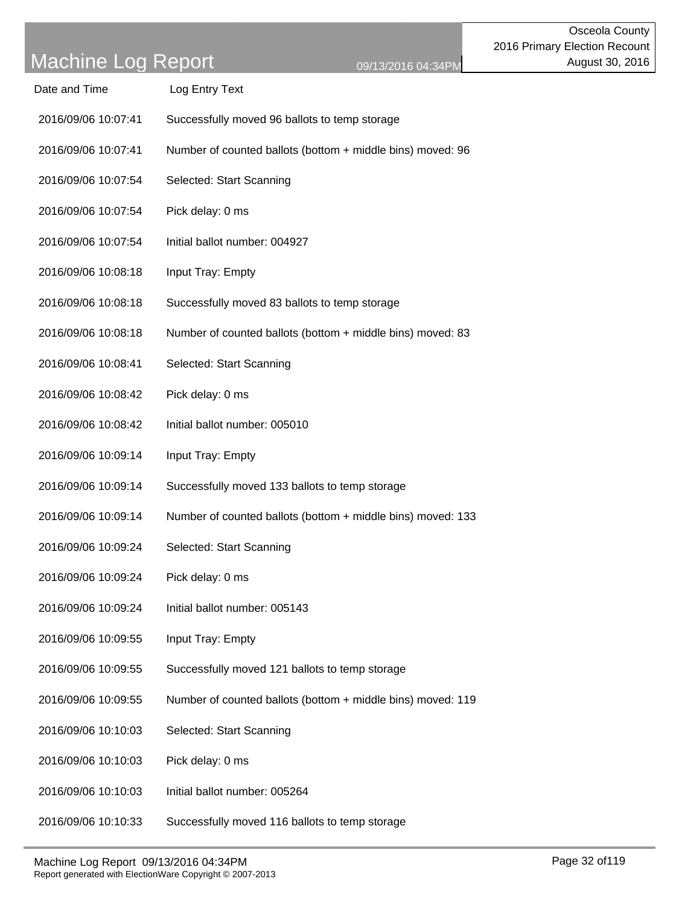| Date and Time | Log Entry Text |
|---------------|----------------|
|               |                |

- 2016/09/06 10:07:41 Successfully moved 96 ballots to temp storage
- 2016/09/06 10:07:41 Number of counted ballots (bottom + middle bins) moved: 96
- 2016/09/06 10:07:54 Selected: Start Scanning
- 2016/09/06 10:07:54 Pick delay: 0 ms
- 2016/09/06 10:07:54 Initial ballot number: 004927
- 2016/09/06 10:08:18 Input Tray: Empty
- 2016/09/06 10:08:18 Successfully moved 83 ballots to temp storage
- 2016/09/06 10:08:18 Number of counted ballots (bottom + middle bins) moved: 83
- 2016/09/06 10:08:41 Selected: Start Scanning
- 2016/09/06 10:08:42 Pick delay: 0 ms
- 2016/09/06 10:08:42 Initial ballot number: 005010
- 2016/09/06 10:09:14 Input Tray: Empty
- 2016/09/06 10:09:14 Successfully moved 133 ballots to temp storage
- 2016/09/06 10:09:14 Number of counted ballots (bottom + middle bins) moved: 133
- 2016/09/06 10:09:24 Selected: Start Scanning
- 2016/09/06 10:09:24 Pick delay: 0 ms
- 2016/09/06 10:09:24 Initial ballot number: 005143
- 2016/09/06 10:09:55 Input Tray: Empty
- 2016/09/06 10:09:55 Successfully moved 121 ballots to temp storage
- 2016/09/06 10:09:55 Number of counted ballots (bottom + middle bins) moved: 119
- 2016/09/06 10:10:03 Selected: Start Scanning
- 2016/09/06 10:10:03 Pick delay: 0 ms
- 2016/09/06 10:10:03 Initial ballot number: 005264
- 2016/09/06 10:10:33 Successfully moved 116 ballots to temp storage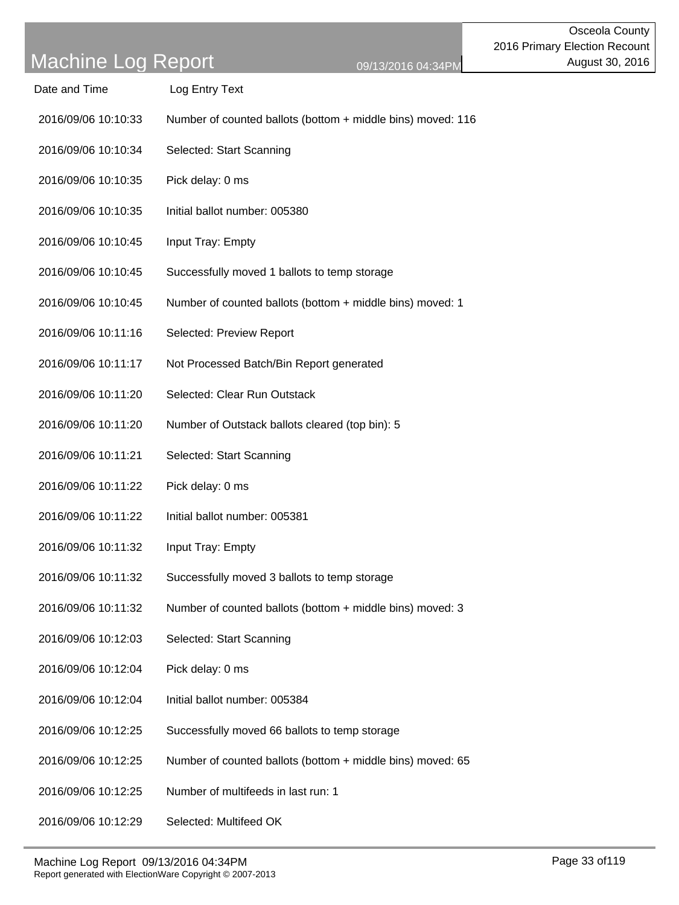| Date and Time | Log Entry Text |
|---------------|----------------|
|               |                |

- 2016/09/06 10:10:33 Number of counted ballots (bottom + middle bins) moved: 116
- 2016/09/06 10:10:34 Selected: Start Scanning
- 2016/09/06 10:10:35 Pick delay: 0 ms
- 2016/09/06 10:10:35 Initial ballot number: 005380
- 2016/09/06 10:10:45 Input Tray: Empty
- 2016/09/06 10:10:45 Successfully moved 1 ballots to temp storage
- 2016/09/06 10:10:45 Number of counted ballots (bottom + middle bins) moved: 1
- 2016/09/06 10:11:16 Selected: Preview Report
- 2016/09/06 10:11:17 Not Processed Batch/Bin Report generated
- 2016/09/06 10:11:20 Selected: Clear Run Outstack
- 2016/09/06 10:11:20 Number of Outstack ballots cleared (top bin): 5
- 2016/09/06 10:11:21 Selected: Start Scanning
- 2016/09/06 10:11:22 Pick delay: 0 ms
- 2016/09/06 10:11:22 Initial ballot number: 005381
- 2016/09/06 10:11:32 Input Tray: Empty
- 2016/09/06 10:11:32 Successfully moved 3 ballots to temp storage
- 2016/09/06 10:11:32 Number of counted ballots (bottom + middle bins) moved: 3
- 2016/09/06 10:12:03 Selected: Start Scanning
- 2016/09/06 10:12:04 Pick delay: 0 ms
- 2016/09/06 10:12:04 Initial ballot number: 005384
- 2016/09/06 10:12:25 Successfully moved 66 ballots to temp storage
- 2016/09/06 10:12:25 Number of counted ballots (bottom + middle bins) moved: 65
- 2016/09/06 10:12:25 Number of multifeeds in last run: 1
- 2016/09/06 10:12:29 Selected: Multifeed OK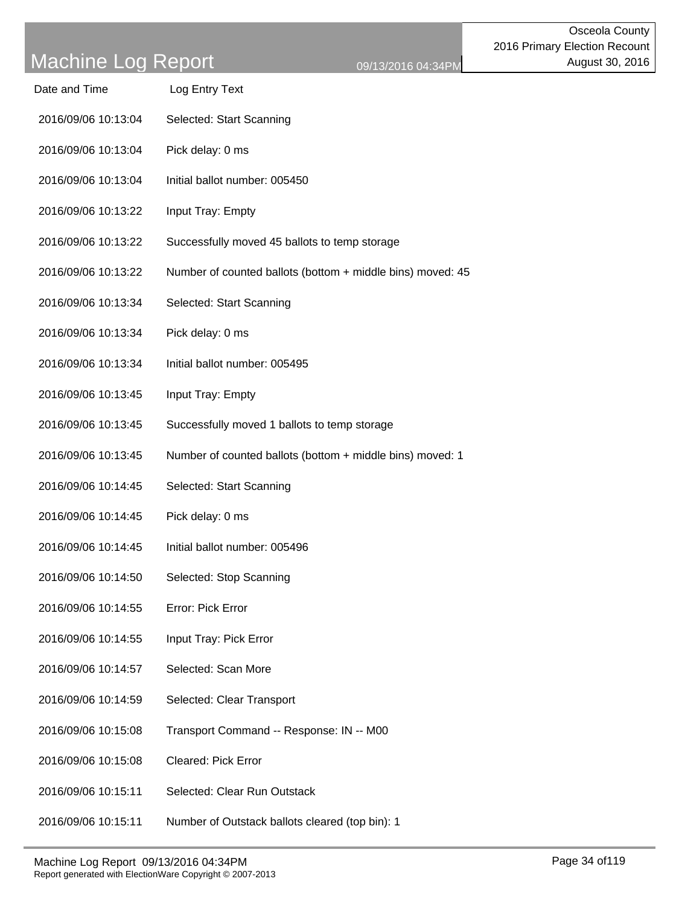| Date and Time       | Log Entry Text           |
|---------------------|--------------------------|
| 2016/09/06 10:13:04 | Selected: Start Scanning |

- 2016/09/06 10:13:04 Pick delay: 0 ms
- 2016/09/06 10:13:04 Initial ballot number: 005450
- 2016/09/06 10:13:22 Input Tray: Empty
- 2016/09/06 10:13:22 Successfully moved 45 ballots to temp storage
- 2016/09/06 10:13:22 Number of counted ballots (bottom + middle bins) moved: 45
- 2016/09/06 10:13:34 Selected: Start Scanning
- 2016/09/06 10:13:34 Pick delay: 0 ms
- 2016/09/06 10:13:34 Initial ballot number: 005495
- 2016/09/06 10:13:45 Input Tray: Empty
- 2016/09/06 10:13:45 Successfully moved 1 ballots to temp storage
- 2016/09/06 10:13:45 Number of counted ballots (bottom + middle bins) moved: 1
- 2016/09/06 10:14:45 Selected: Start Scanning
- 2016/09/06 10:14:45 Pick delay: 0 ms
- 2016/09/06 10:14:45 Initial ballot number: 005496
- 2016/09/06 10:14:50 Selected: Stop Scanning
- 2016/09/06 10:14:55 Error: Pick Error
- 2016/09/06 10:14:55 Input Tray: Pick Error
- 2016/09/06 10:14:57 Selected: Scan More
- 2016/09/06 10:14:59 Selected: Clear Transport
- 2016/09/06 10:15:08 Transport Command -- Response: IN -- M00
- 2016/09/06 10:15:08 Cleared: Pick Error
- 2016/09/06 10:15:11 Selected: Clear Run Outstack
- 2016/09/06 10:15:11 Number of Outstack ballots cleared (top bin): 1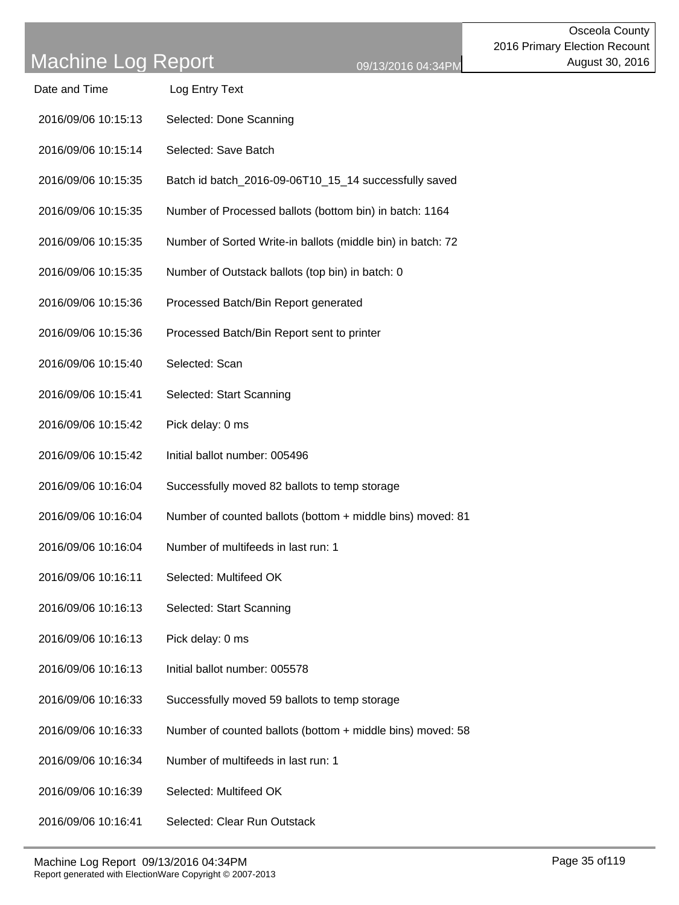| Date and Time       | Log Entry Text                                              |
|---------------------|-------------------------------------------------------------|
| 2016/09/06 10:15:13 | Selected: Done Scanning                                     |
| 2016/09/06 10:15:14 | Selected: Save Batch                                        |
| 2016/09/06 10:15:35 | Batch id batch_2016-09-06T10_15_14 successfully saved       |
| 2016/09/06 10:15:35 | Number of Processed ballots (bottom bin) in batch: 1164     |
| 2016/09/06 10:15:35 | Number of Sorted Write-in ballots (middle bin) in batch: 72 |
| 2016/09/06 10:15:35 | Number of Outstack ballots (top bin) in batch: 0            |
| 2016/09/06 10:15:36 | Processed Batch/Bin Report generated                        |
| 2016/09/06 10:15:36 | Processed Batch/Bin Report sent to printer                  |
| 2016/09/06 10:15:40 | Selected: Scan                                              |
| 2016/09/06 10:15:41 | Selected: Start Scanning                                    |
| 2016/09/06 10:15:42 | Pick delay: 0 ms                                            |
| 2016/09/06 10:15:42 | Initial ballot number: 005496                               |
| 2016/09/06 10:16:04 | Successfully moved 82 ballots to temp storage               |
| 2016/09/06 10:16:04 | Number of counted ballots (bottom + middle bins) moved: 81  |
| 2016/09/06 10:16:04 | Number of multifeeds in last run: 1                         |
| 2016/09/06 10:16:11 | Selected: Multifeed OK                                      |
| 2016/09/06 10:16:13 | Selected: Start Scanning                                    |
| 2016/09/06 10:16:13 | Pick delay: 0 ms                                            |
| 2016/09/06 10:16:13 | Initial ballot number: 005578                               |
| 2016/09/06 10:16:33 | Successfully moved 59 ballots to temp storage               |
| 2016/09/06 10:16:33 | Number of counted ballots (bottom + middle bins) moved: 58  |
| 2016/09/06 10:16:34 | Number of multifeeds in last run: 1                         |
| 2016/09/06 10:16:39 | Selected: Multifeed OK                                      |
| 2016/09/06 10:16:41 | Selected: Clear Run Outstack                                |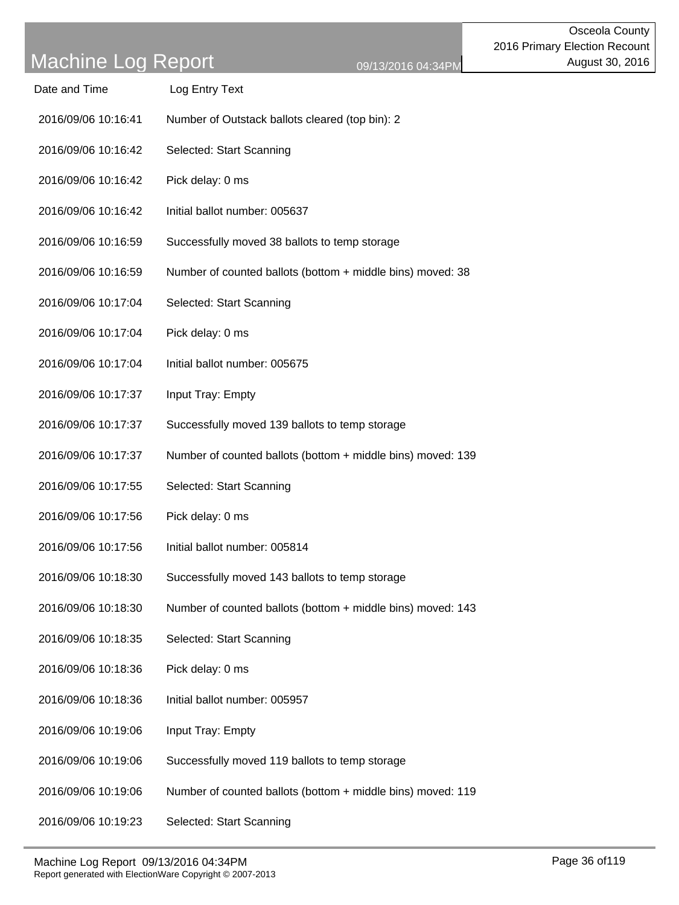Date and Time Log Entry Text

bins) moved: 38

bins) moved: 139

bins) moved: 143

| 2016/09/06 10:16:42 | Selected: Start Scanning                        |
|---------------------|-------------------------------------------------|
| 2016/09/06 10:16:42 | Pick delay: 0 ms                                |
| 2016/09/06 10:16:42 | Initial ballot number: 005637                   |
| 2016/09/06 10:16:59 | Successfully moved 38 ballots to temp storage   |
| 2016/09/06 10:16:59 | Number of counted ballots (bottom + middle bins |
| 2016/09/06 10:17:04 | Selected: Start Scanning                        |
| 2016/09/06 10:17:04 | Pick delay: 0 ms                                |
| 2016/09/06 10:17:04 | Initial ballot number: 005675                   |
| 2016/09/06 10:17:37 | Input Tray: Empty                               |
| 2016/09/06 10:17:37 | Successfully moved 139 ballots to temp storage  |
| 2016/09/06 10:17:37 | Number of counted ballots (bottom + middle bins |
| 2016/09/06 10:17:55 | Selected: Start Scanning                        |
| 2016/09/06 10:17:56 | Pick delay: 0 ms                                |
| 2016/09/06 10:17:56 | Initial ballot number: 005814                   |
| 2016/09/06 10:18:30 | Successfully moved 143 ballots to temp storage  |
| 2016/09/06 10:18:30 | Number of counted ballots (bottom + middle bins |
| 2016/09/06 10:18:35 | Selected: Start Scanning                        |
| 2016/09/06 10:18:36 | Pick delay: 0 ms                                |
| 2016/09/06 10:18:36 | Initial ballot number: 005957                   |
| 2016/09/06 10:19:06 | Input Tray: Empty                               |

2016/09/06 10:16:41 Number of Outstack ballots cleared (top bin): 2

- 2016/09/06 10:19:06 Successfully moved 119 ballots to temp storage
- 2016/09/06 10:19:06 Number of counted ballots (bottom + middle bins) moved: 119
- 2016/09/06 10:19:23 Selected: Start Scanning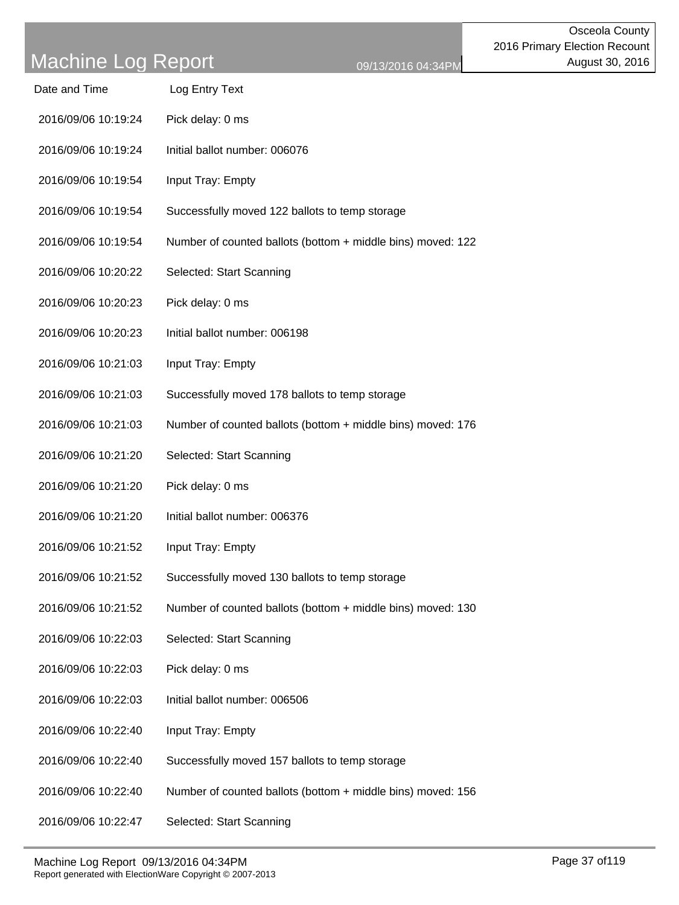| Date and Time       | Log Entry Text                                              |
|---------------------|-------------------------------------------------------------|
| 2016/09/06 10:19:24 | Pick delay: 0 ms                                            |
| 2016/09/06 10:19:24 | Initial ballot number: 006076                               |
| 2016/09/06 10:19:54 | Input Tray: Empty                                           |
| 2016/09/06 10:19:54 | Successfully moved 122 ballots to temp storage              |
| 2016/09/06 10:19:54 | Number of counted ballots (bottom + middle bins) moved: 122 |
| 2016/09/06 10:20:22 | Selected: Start Scanning                                    |
| 2016/09/06 10:20:23 | Pick delay: 0 ms                                            |
| 2016/09/06 10:20:23 | Initial ballot number: 006198                               |
| 2016/09/06 10:21:03 | Input Tray: Empty                                           |
| 2016/09/06 10:21:03 | Successfully moved 178 ballots to temp storage              |
| 2016/09/06 10:21:03 | Number of counted ballots (bottom + middle bins) moved: 176 |
| 2016/09/06 10:21:20 | Selected: Start Scanning                                    |
| 2016/09/06 10:21:20 | Pick delay: 0 ms                                            |
| 2016/09/06 10:21:20 | Initial ballot number: 006376                               |
| 2016/09/06 10:21:52 | Input Tray: Empty                                           |
| 2016/09/06 10:21:52 | Successfully moved 130 ballots to temp storage              |
| 2016/09/06 10:21:52 | Number of counted ballots (bottom + middle bins) moved: 130 |
| 2016/09/06 10:22:03 | Selected: Start Scanning                                    |
| 2016/09/06 10:22:03 | Pick delay: 0 ms                                            |
| 2016/09/06 10:22:03 | Initial ballot number: 006506                               |
| 2016/09/06 10:22:40 | Input Tray: Empty                                           |
| 2016/09/06 10:22:40 | Successfully moved 157 ballots to temp storage              |
| 2016/09/06 10:22:40 | Number of counted ballots (bottom + middle bins) moved: 156 |
| 2016/09/06 10:22:47 | Selected: Start Scanning                                    |
|                     |                                                             |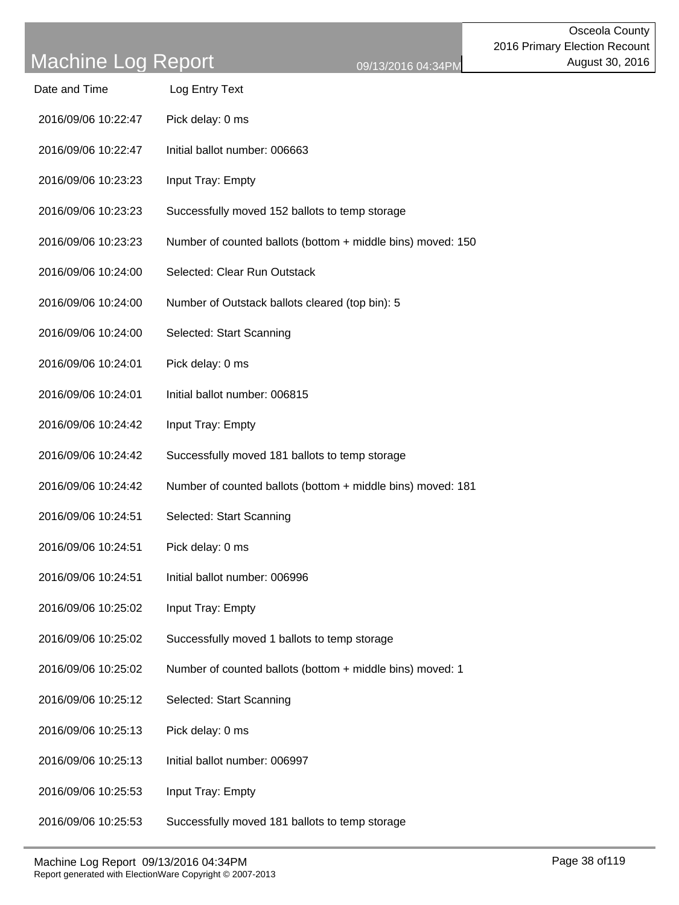| Date and Time | Log Entry Text |
|---------------|----------------|
|               |                |

- 2016/09/06 10:22:47 Pick delay: 0 ms
- 2016/09/06 10:22:47 Initial ballot number: 006663
- 2016/09/06 10:23:23 Input Tray: Empty
- 2016/09/06 10:23:23 Successfully moved 152 ballots to temp storage
- 2016/09/06 10:23:23 Number of counted ballots (bottom + middle bins) moved: 150
- 2016/09/06 10:24:00 Selected: Clear Run Outstack
- 2016/09/06 10:24:00 Number of Outstack ballots cleared (top bin): 5
- 2016/09/06 10:24:00 Selected: Start Scanning
- 2016/09/06 10:24:01 Pick delay: 0 ms
- 2016/09/06 10:24:01 Initial ballot number: 006815
- 2016/09/06 10:24:42 Input Tray: Empty
- 2016/09/06 10:24:42 Successfully moved 181 ballots to temp storage
- 2016/09/06 10:24:42 Number of counted ballots (bottom + middle bins) moved: 181
- 2016/09/06 10:24:51 Selected: Start Scanning
- 2016/09/06 10:24:51 Pick delay: 0 ms
- 2016/09/06 10:24:51 Initial ballot number: 006996
- 2016/09/06 10:25:02 Input Tray: Empty
- 2016/09/06 10:25:02 Successfully moved 1 ballots to temp storage
- 2016/09/06 10:25:02 Number of counted ballots (bottom + middle bins) moved: 1
- 2016/09/06 10:25:12 Selected: Start Scanning
- 2016/09/06 10:25:13 Pick delay: 0 ms
- 2016/09/06 10:25:13 Initial ballot number: 006997
- 2016/09/06 10:25:53 Input Tray: Empty
- 2016/09/06 10:25:53 Successfully moved 181 ballots to temp storage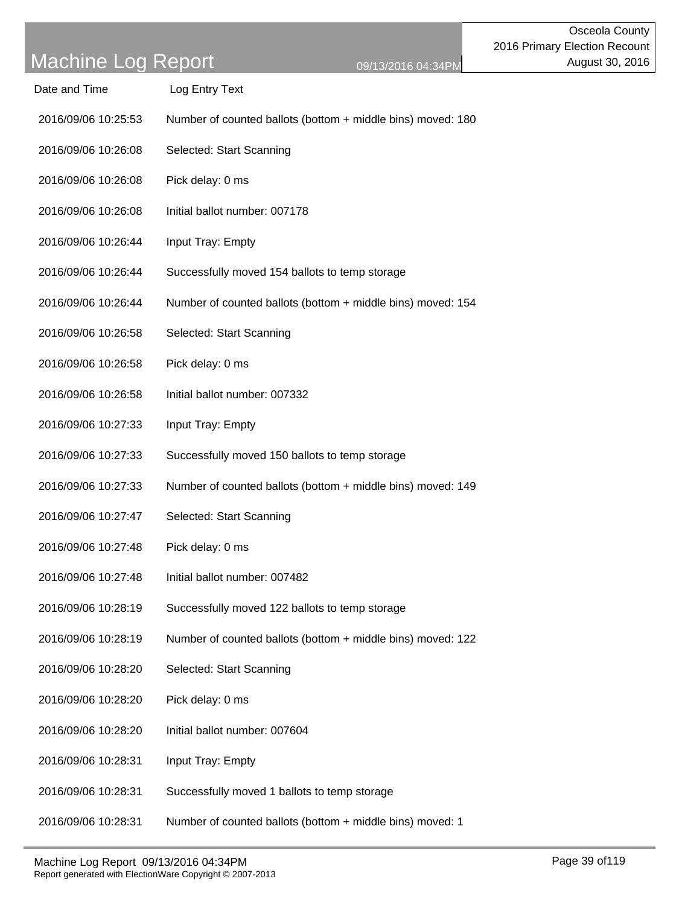Date and Time Log Entry Text

| 2016/09/06 10:25:53 | Number of counted ballots (bottom + middle bins) moved: 180 |
|---------------------|-------------------------------------------------------------|
| 2016/09/06 10:26:08 | Selected: Start Scanning                                    |
| 2016/09/06 10:26:08 | Pick delay: 0 ms                                            |
| 2016/09/06 10:26:08 | Initial ballot number: 007178                               |
| 2016/09/06 10:26:44 | Input Tray: Empty                                           |
| 2016/09/06 10:26:44 | Successfully moved 154 ballots to temp storage              |
| 2016/09/06 10:26:44 | Number of counted ballots (bottom + middle bins) moved: 154 |
| 2016/09/06 10:26:58 | Selected: Start Scanning                                    |
| 2016/09/06 10:26:58 | Pick delay: 0 ms                                            |
| 2016/09/06 10:26:58 | Initial ballot number: 007332                               |
| 2016/09/06 10:27:33 | Input Tray: Empty                                           |
| 2016/09/06 10:27:33 | Successfully moved 150 ballots to temp storage              |
| 2016/09/06 10:27:33 | Number of counted ballots (bottom + middle bins) moved: 149 |
| 2016/09/06 10:27:47 | Selected: Start Scanning                                    |
| 2016/09/06 10:27:48 | Pick delay: 0 ms                                            |
| 2016/09/06 10:27:48 | Initial ballot number: 007482                               |
| 2016/09/06 10:28:19 | Successfully moved 122 ballots to temp storage              |
| 2016/09/06 10:28:19 | Number of counted ballots (bottom + middle bins) moved: 122 |
| 2016/09/06 10:28:20 | Selected: Start Scanning                                    |
| 2016/09/06 10:28:20 | Pick delay: 0 ms                                            |
| 2016/09/06 10:28:20 | Initial ballot number: 007604                               |
| 2016/09/06 10:28:31 | Input Tray: Empty                                           |
| 2016/09/06 10:28:31 | Successfully moved 1 ballots to temp storage                |

2016/09/06 10:28:31 Number of counted ballots (bottom + middle bins) moved: 1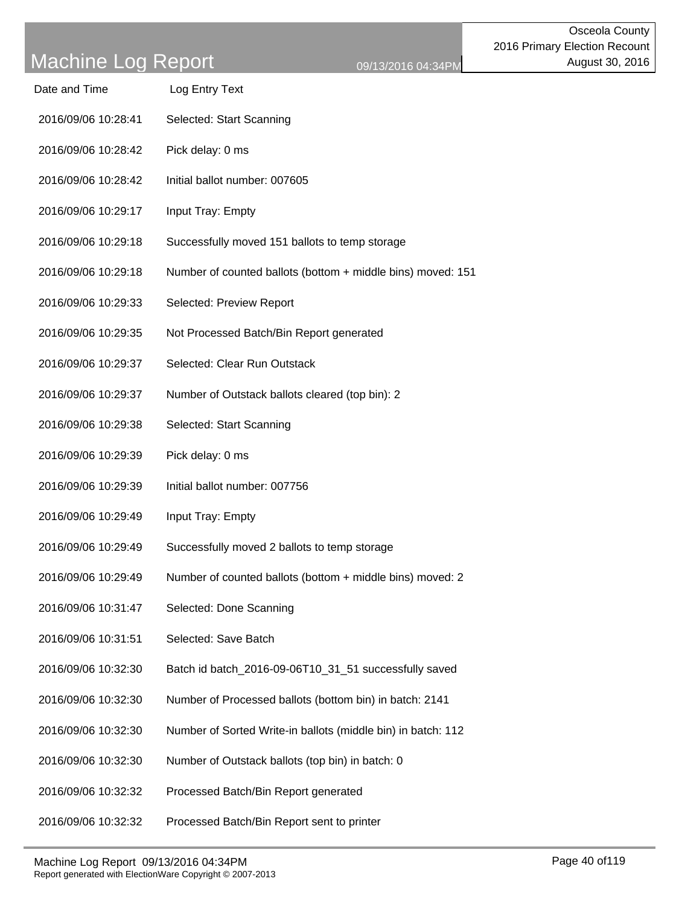| Date and Time | Log Entry Text |
|---------------|----------------|
|               |                |

- 2016/09/06 10:28:41 Selected: Start Scanning
- 2016/09/06 10:28:42 Pick delay: 0 ms
- 2016/09/06 10:28:42 Initial ballot number: 007605
- 2016/09/06 10:29:17 Input Tray: Empty
- 2016/09/06 10:29:18 Successfully moved 151 ballots to temp storage
- 2016/09/06 10:29:18 Number of counted ballots (bottom + middle bins) moved: 151
- 2016/09/06 10:29:33 Selected: Preview Report
- 2016/09/06 10:29:35 Not Processed Batch/Bin Report generated
- 2016/09/06 10:29:37 Selected: Clear Run Outstack
- 2016/09/06 10:29:37 Number of Outstack ballots cleared (top bin): 2
- 2016/09/06 10:29:38 Selected: Start Scanning
- 2016/09/06 10:29:39 Pick delay: 0 ms
- 2016/09/06 10:29:39 Initial ballot number: 007756
- 2016/09/06 10:29:49 Input Tray: Empty
- 2016/09/06 10:29:49 Successfully moved 2 ballots to temp storage
- 2016/09/06 10:29:49 Number of counted ballots (bottom + middle bins) moved: 2
- 2016/09/06 10:31:47 Selected: Done Scanning
- 2016/09/06 10:31:51 Selected: Save Batch
- 2016/09/06 10:32:30 Batch id batch\_2016-09-06T10\_31\_51 successfully saved
- 2016/09/06 10:32:30 Number of Processed ballots (bottom bin) in batch: 2141
- 2016/09/06 10:32:30 Number of Sorted Write-in ballots (middle bin) in batch: 112
- 2016/09/06 10:32:30 Number of Outstack ballots (top bin) in batch: 0
- 2016/09/06 10:32:32 Processed Batch/Bin Report generated
- 2016/09/06 10:32:32 Processed Batch/Bin Report sent to printer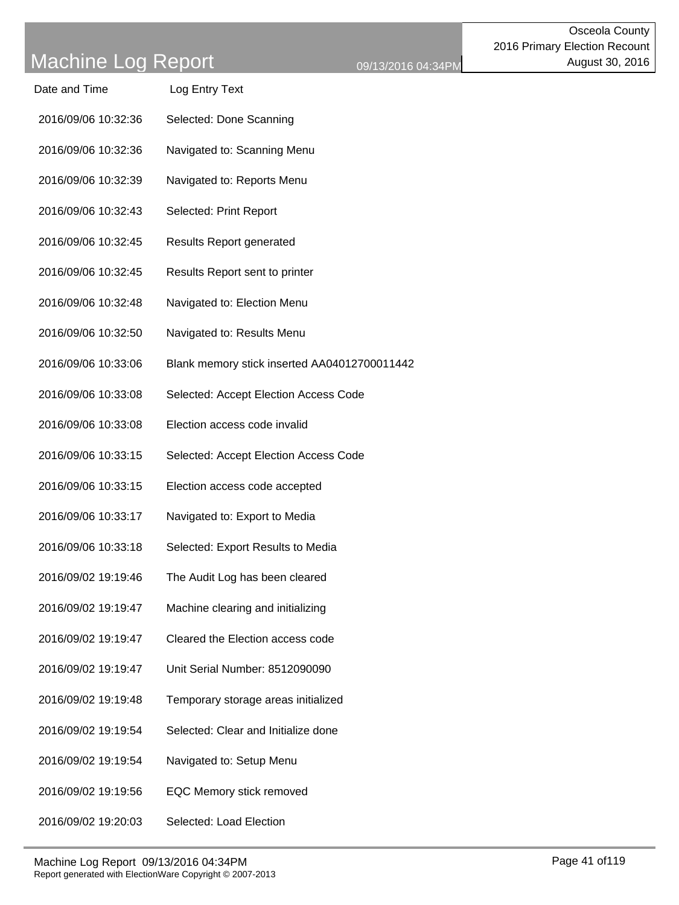| Date and Time       | Log Entry Text          |
|---------------------|-------------------------|
| 2016/09/06 10:32:36 | Selected: Done Scanning |

- 2016/09/06 10:32:36 Navigated to: Scanning Menu
- 2016/09/06 10:32:39 Navigated to: Reports Menu
- 2016/09/06 10:32:43 Selected: Print Report
- 2016/09/06 10:32:45 Results Report generated
- 2016/09/06 10:32:45 Results Report sent to printer
- 2016/09/06 10:32:48 Navigated to: Election Menu
- 2016/09/06 10:32:50 Navigated to: Results Menu
- 2016/09/06 10:33:06 Blank memory stick inserted AA04012700011442
- 2016/09/06 10:33:08 Selected: Accept Election Access Code
- 2016/09/06 10:33:08 Election access code invalid
- 2016/09/06 10:33:15 Selected: Accept Election Access Code
- 2016/09/06 10:33:15 Election access code accepted
- 2016/09/06 10:33:17 Navigated to: Export to Media
- 2016/09/06 10:33:18 Selected: Export Results to Media
- 2016/09/02 19:19:46 The Audit Log has been cleared
- 2016/09/02 19:19:47 Machine clearing and initializing
- 2016/09/02 19:19:47 Cleared the Election access code
- 2016/09/02 19:19:47 Unit Serial Number: 8512090090
- 2016/09/02 19:19:48 Temporary storage areas initialized
- 2016/09/02 19:19:54 Selected: Clear and Initialize done
- 2016/09/02 19:19:54 Navigated to: Setup Menu
- 2016/09/02 19:19:56 EQC Memory stick removed
- 2016/09/02 19:20:03 Selected: Load Election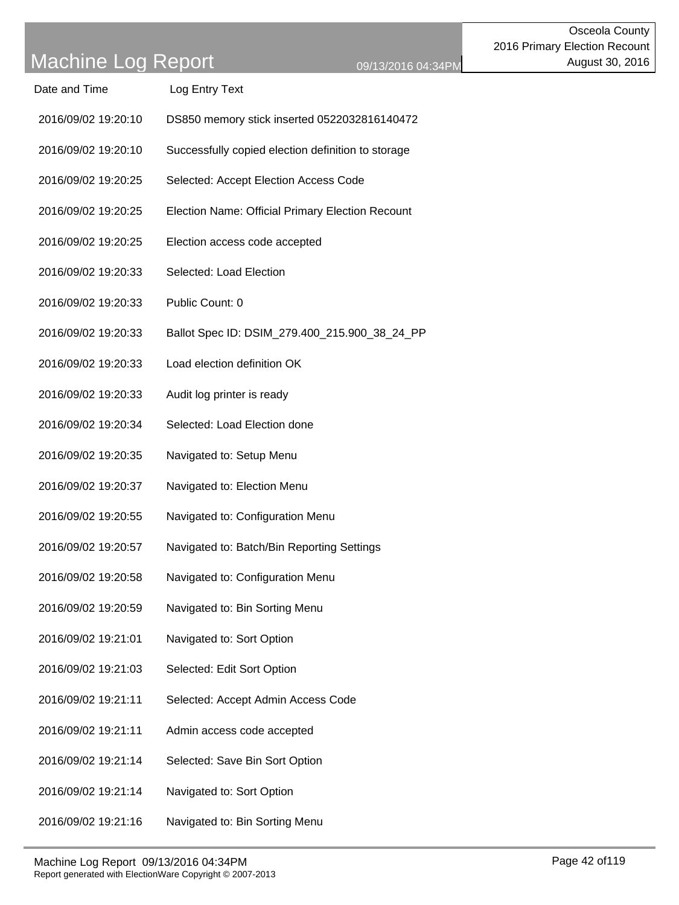Date and Time Log Entry Text

2016/09/02 19:20:10 DS850 memory stick inserted 0522032816140472

| 2016/09/02 19:20:10 | Successfully copied election definition to storage |
|---------------------|----------------------------------------------------|
| 2016/09/02 19:20:25 | Selected: Accept Election Access Code              |
| 2016/09/02 19:20:25 | Election Name: Official Primary Election Recount   |
| 2016/09/02 19:20:25 | Election access code accepted                      |
| 2016/09/02 19:20:33 | Selected: Load Election                            |
| 2016/09/02 19:20:33 | Public Count: 0                                    |
| 2016/09/02 19:20:33 | Ballot Spec ID: DSIM_279.400_215.900_38_24_PP      |
| 2016/09/02 19:20:33 | Load election definition OK                        |
| 2016/09/02 19:20:33 | Audit log printer is ready                         |
| 2016/09/02 19:20:34 | Selected: Load Election done                       |
| 2016/09/02 19:20:35 | Navigated to: Setup Menu                           |
| 2016/09/02 19:20:37 | Navigated to: Election Menu                        |
| 2016/09/02 19:20:55 | Navigated to: Configuration Menu                   |
| 2016/09/02 19:20:57 | Navigated to: Batch/Bin Reporting Settings         |
| 2016/09/02 19:20:58 | Navigated to: Configuration Menu                   |
| 2016/09/02 19:20:59 | Navigated to: Bin Sorting Menu                     |
| 2016/09/02 19:21:01 | Navigated to: Sort Option                          |
| 2016/09/02 19:21:03 | Selected: Edit Sort Option                         |
| 2016/09/02 19:21:11 | Selected: Accept Admin Access Code                 |
| 2016/09/02 19:21:11 | Admin access code accepted                         |
| 2016/09/02 19:21:14 | Selected: Save Bin Sort Option                     |
| 2016/09/02 19:21:14 | Navigated to: Sort Option                          |
|                     |                                                    |

2016/09/02 19:21:16 Navigated to: Bin Sorting Menu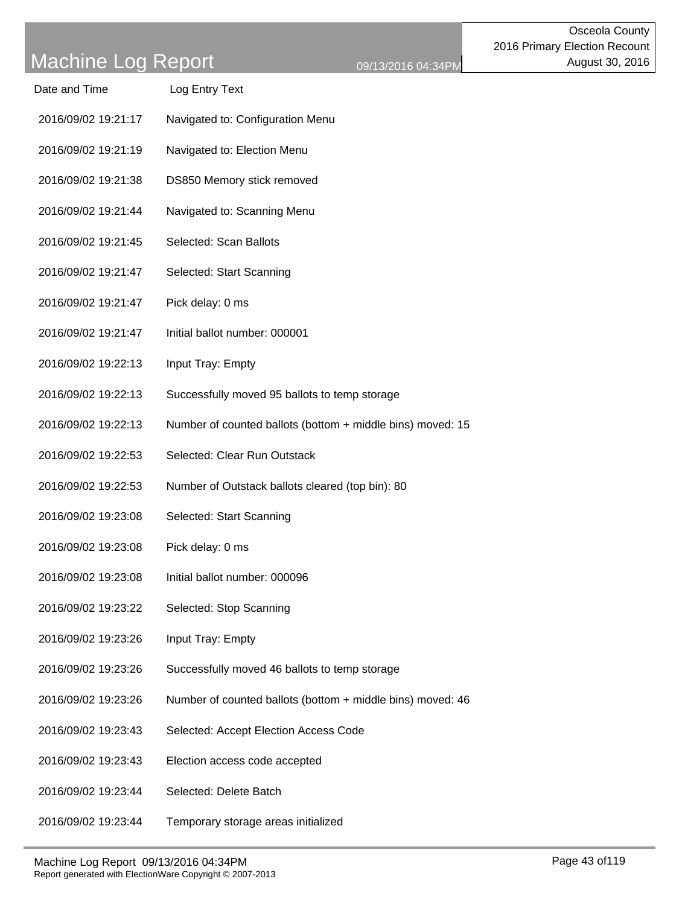| Date and Time       | Log Entry Text                                             |
|---------------------|------------------------------------------------------------|
| 2016/09/02 19:21:17 | Navigated to: Configuration Menu                           |
| 2016/09/02 19:21:19 | Navigated to: Election Menu                                |
| 2016/09/02 19:21:38 | DS850 Memory stick removed                                 |
| 2016/09/02 19:21:44 | Navigated to: Scanning Menu                                |
| 2016/09/02 19:21:45 | Selected: Scan Ballots                                     |
| 2016/09/02 19:21:47 | Selected: Start Scanning                                   |
| 2016/09/02 19:21:47 | Pick delay: 0 ms                                           |
| 2016/09/02 19:21:47 | Initial ballot number: 000001                              |
| 2016/09/02 19:22:13 | Input Tray: Empty                                          |
| 2016/09/02 19:22:13 | Successfully moved 95 ballots to temp storage              |
| 2016/09/02 19:22:13 | Number of counted ballots (bottom + middle bins) moved: 15 |
| 2016/09/02 19:22:53 | Selected: Clear Run Outstack                               |
| 2016/09/02 19:22:53 | Number of Outstack ballots cleared (top bin): 80           |
| 2016/09/02 19:23:08 | Selected: Start Scanning                                   |
| 2016/09/02 19:23:08 | Pick delay: 0 ms                                           |
| 2016/09/02 19:23:08 | Initial ballot number: 000096                              |
| 2016/09/02 19:23:22 | Selected: Stop Scanning                                    |
| 2016/09/02 19:23:26 | Input Tray: Empty                                          |
| 2016/09/02 19:23:26 | Successfully moved 46 ballots to temp storage              |
| 2016/09/02 19:23:26 | Number of counted ballots (bottom + middle bins) moved: 46 |
| 2016/09/02 19:23:43 | Selected: Accept Election Access Code                      |
| 2016/09/02 19:23:43 | Election access code accepted                              |
| 2016/09/02 19:23:44 | Selected: Delete Batch                                     |
| 2016/09/02 19:23:44 | Temporary storage areas initialized                        |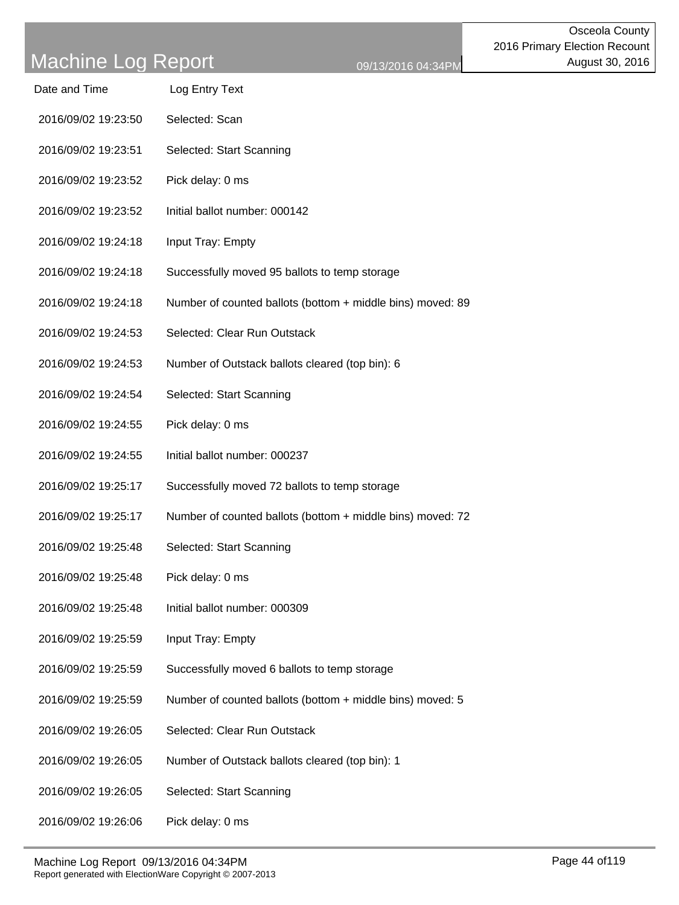| Date and Time | Log Entry Text |  |
|---------------|----------------|--|
|               |                |  |

- 2016/09/02 19:23:50 Selected: Scan
- 2016/09/02 19:23:51 Selected: Start Scanning
- 2016/09/02 19:23:52 Pick delay: 0 ms
- 2016/09/02 19:23:52 Initial ballot number: 000142
- 2016/09/02 19:24:18 Input Tray: Empty
- 2016/09/02 19:24:18 Successfully moved 95 ballots to temp storage
- 2016/09/02 19:24:18 Number of counted ballots (bottom + middle bins) moved: 89
- 2016/09/02 19:24:53 Selected: Clear Run Outstack
- 2016/09/02 19:24:53 Number of Outstack ballots cleared (top bin): 6
- 2016/09/02 19:24:54 Selected: Start Scanning
- 2016/09/02 19:24:55 Pick delay: 0 ms
- 2016/09/02 19:24:55 Initial ballot number: 000237
- 2016/09/02 19:25:17 Successfully moved 72 ballots to temp storage
- 2016/09/02 19:25:17 Number of counted ballots (bottom + middle bins) moved: 72
- 2016/09/02 19:25:48 Selected: Start Scanning
- 2016/09/02 19:25:48 Pick delay: 0 ms
- 2016/09/02 19:25:48 Initial ballot number: 000309
- 2016/09/02 19:25:59 Input Tray: Empty
- 2016/09/02 19:25:59 Successfully moved 6 ballots to temp storage
- 2016/09/02 19:25:59 Number of counted ballots (bottom + middle bins) moved: 5
- 2016/09/02 19:26:05 Selected: Clear Run Outstack
- 2016/09/02 19:26:05 Number of Outstack ballots cleared (top bin): 1
- 2016/09/02 19:26:05 Selected: Start Scanning
- 2016/09/02 19:26:06 Pick delay: 0 ms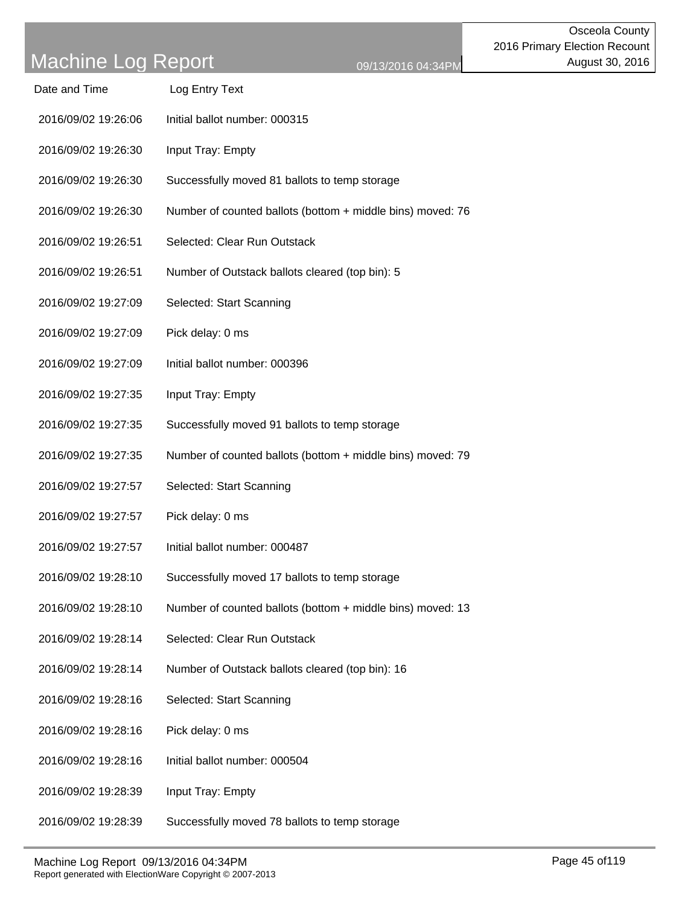| Date and Time       | Log Entry Text                                             |
|---------------------|------------------------------------------------------------|
| 2016/09/02 19:26:06 | Initial ballot number: 000315                              |
| 2016/09/02 19:26:30 | Input Tray: Empty                                          |
| 2016/09/02 19:26:30 | Successfully moved 81 ballots to temp storage              |
| 2016/09/02 19:26:30 | Number of counted ballots (bottom + middle bins) moved: 76 |
| 2016/09/02 19:26:51 | Selected: Clear Run Outstack                               |
| 2016/09/02 19:26:51 | Number of Outstack ballots cleared (top bin): 5            |
| 2016/09/02 19:27:09 | Selected: Start Scanning                                   |
| 2016/09/02 19:27:09 | Pick delay: 0 ms                                           |
| 2016/09/02 19:27:09 | Initial ballot number: 000396                              |
| 2016/09/02 19:27:35 | Input Tray: Empty                                          |
| 2016/09/02 19:27:35 | Successfully moved 91 ballots to temp storage              |
| 2016/09/02 19:27:35 | Number of counted ballots (bottom + middle bins) moved: 79 |
| 2016/09/02 19:27:57 | Selected: Start Scanning                                   |
| 2016/09/02 19:27:57 | Pick delay: 0 ms                                           |
| 2016/09/02 19:27:57 | Initial ballot number: 000487                              |
| 2016/09/02 19:28:10 | Successfully moved 17 ballots to temp storage              |
| 2016/09/02 19:28:10 | Number of counted ballots (bottom + middle bins) moved: 13 |
| 2016/09/02 19:28:14 | Selected: Clear Run Outstack                               |
| 2016/09/02 19:28:14 | Number of Outstack ballots cleared (top bin): 16           |
| 2016/09/02 19:28:16 | Selected: Start Scanning                                   |
| 2016/09/02 19:28:16 | Pick delay: 0 ms                                           |
| 2016/09/02 19:28:16 | Initial ballot number: 000504                              |
| 2016/09/02 19:28:39 | Input Tray: Empty                                          |
| 2016/09/02 19:28:39 | Successfully moved 78 ballots to temp storage              |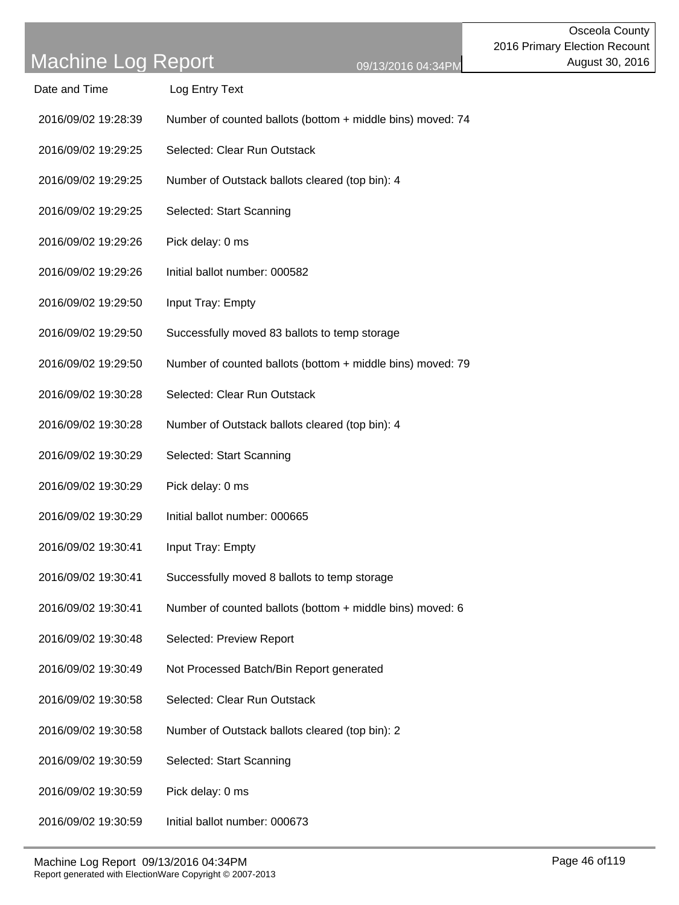| Date and Time       | Log Entry Text                                             |
|---------------------|------------------------------------------------------------|
| 2016/09/02 19:28:39 | Number of counted ballots (bottom + middle bins) moved: 74 |
| 2016/09/02 19:29:25 | Selected: Clear Run Outstack                               |
| 2016/09/02 19:29:25 | Number of Outstack ballots cleared (top bin): 4            |
| 2016/09/02 19:29:25 | Selected: Start Scanning                                   |
| 2016/09/02 19:29:26 | Pick delay: 0 ms                                           |
| 2016/09/02 19:29:26 | Initial ballot number: 000582                              |
| 2016/09/02 19:29:50 | Input Tray: Empty                                          |
| 2016/09/02 19:29:50 | Successfully moved 83 ballots to temp storage              |
| 2016/09/02 19:29:50 | Number of counted ballots (bottom + middle bins) moved: 79 |
| 2016/09/02 19:30:28 | Selected: Clear Run Outstack                               |
| 2016/09/02 19:30:28 | Number of Outstack ballots cleared (top bin): 4            |
| 2016/09/02 19:30:29 | Selected: Start Scanning                                   |
| 2016/09/02 19:30:29 | Pick delay: 0 ms                                           |
| 2016/09/02 19:30:29 | Initial ballot number: 000665                              |
| 2016/09/02 19:30:41 | Input Tray: Empty                                          |
| 2016/09/02 19:30:41 | Successfully moved 8 ballots to temp storage               |
| 2016/09/02 19:30:41 | Number of counted ballots (bottom + middle bins) moved: 6  |
| 2016/09/02 19:30:48 | Selected: Preview Report                                   |
| 2016/09/02 19:30:49 | Not Processed Batch/Bin Report generated                   |
| 2016/09/02 19:30:58 | Selected: Clear Run Outstack                               |
| 2016/09/02 19:30:58 | Number of Outstack ballots cleared (top bin): 2            |
| 2016/09/02 19:30:59 | Selected: Start Scanning                                   |
| 2016/09/02 19:30:59 | Pick delay: 0 ms                                           |
| 2016/09/02 19:30:59 | Initial ballot number: 000673                              |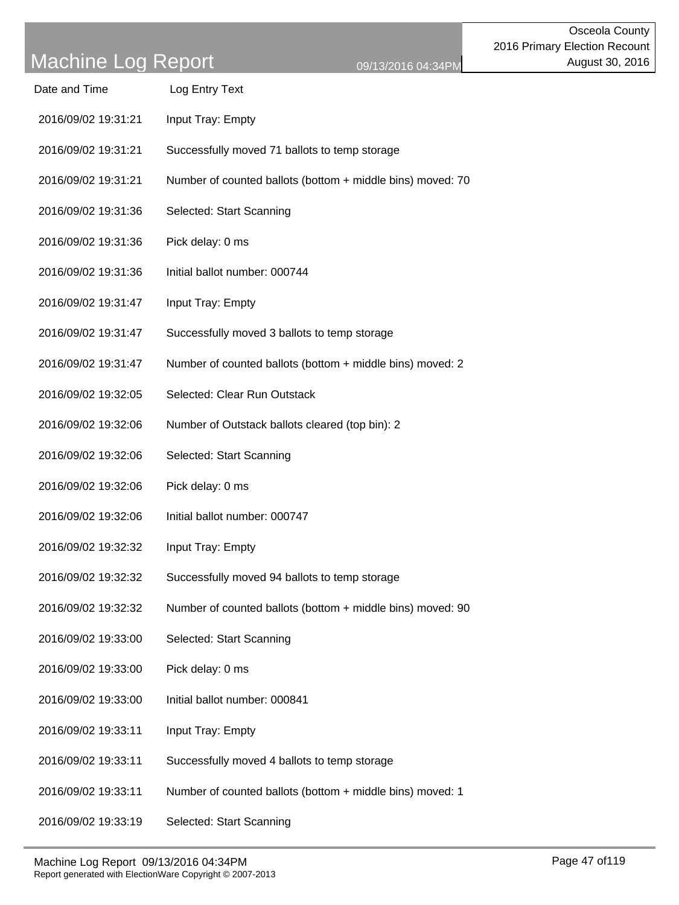| Date and Time       | Log Entry Text                                             |
|---------------------|------------------------------------------------------------|
| 2016/09/02 19:31:21 | Input Tray: Empty                                          |
| 2016/09/02 19:31:21 | Successfully moved 71 ballots to temp storage              |
| 2016/09/02 19:31:21 | Number of counted ballots (bottom + middle bins) moved: 70 |
| 2016/09/02 19:31:36 | Selected: Start Scanning                                   |
| 2016/09/02 19:31:36 | Pick delay: 0 ms                                           |
| 2016/09/02 19:31:36 | Initial ballot number: 000744                              |
| 2016/09/02 19:31:47 | Input Tray: Empty                                          |
| 2016/09/02 19:31:47 | Successfully moved 3 ballots to temp storage               |
| 2016/09/02 19:31:47 | Number of counted ballots (bottom + middle bins) moved: 2  |
| 2016/09/02 19:32:05 | Selected: Clear Run Outstack                               |
| 2016/09/02 19:32:06 | Number of Outstack ballots cleared (top bin): 2            |
| 2016/09/02 19:32:06 | Selected: Start Scanning                                   |
| 2016/09/02 19:32:06 | Pick delay: 0 ms                                           |
| 2016/09/02 19:32:06 | Initial ballot number: 000747                              |
| 2016/09/02 19:32:32 | Input Tray: Empty                                          |
| 2016/09/02 19:32:32 | Successfully moved 94 ballots to temp storage              |
| 2016/09/02 19:32:32 | Number of counted ballots (bottom + middle bins) moved: 90 |
| 2016/09/02 19:33:00 | Selected: Start Scanning                                   |
| 2016/09/02 19:33:00 | Pick delay: 0 ms                                           |
| 2016/09/02 19:33:00 | Initial ballot number: 000841                              |
| 2016/09/02 19:33:11 | Input Tray: Empty                                          |
| 2016/09/02 19:33:11 | Successfully moved 4 ballots to temp storage               |
| 2016/09/02 19:33:11 | Number of counted ballots (bottom + middle bins) moved: 1  |
| 2016/09/02 19:33:19 | Selected: Start Scanning                                   |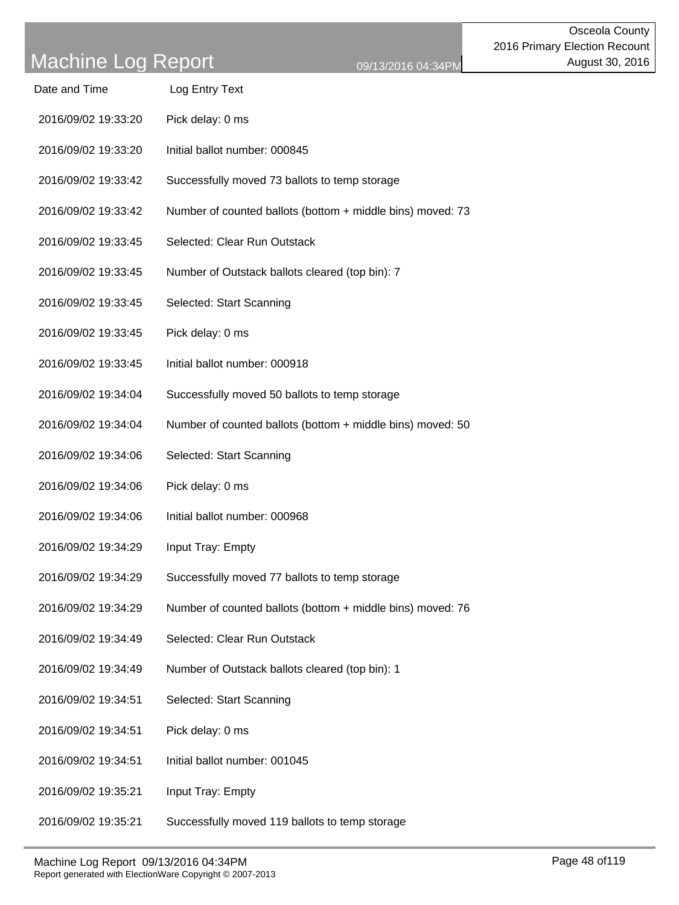| Date and Time       | Log Entry Text                                             |
|---------------------|------------------------------------------------------------|
| 2016/09/02 19:33:20 | Pick delay: 0 ms                                           |
| 2016/09/02 19:33:20 | Initial ballot number: 000845                              |
| 2016/09/02 19:33:42 | Successfully moved 73 ballots to temp storage              |
| 2016/09/02 19:33:42 | Number of counted ballots (bottom + middle bins) moved: 73 |
| 2016/09/02 19:33:45 | Selected: Clear Run Outstack                               |
| 2016/09/02 19:33:45 | Number of Outstack ballots cleared (top bin): 7            |
| 2016/09/02 19:33:45 | Selected: Start Scanning                                   |
| 2016/09/02 19:33:45 | Pick delay: 0 ms                                           |
| 2016/09/02 19:33:45 | Initial ballot number: 000918                              |
| 2016/09/02 19:34:04 | Successfully moved 50 ballots to temp storage              |
| 2016/09/02 19:34:04 | Number of counted ballots (bottom + middle bins) moved: 50 |
| 2016/09/02 19:34:06 | Selected: Start Scanning                                   |
| 2016/09/02 19:34:06 | Pick delay: 0 ms                                           |
| 2016/09/02 19:34:06 | Initial ballot number: 000968                              |
| 2016/09/02 19:34:29 | Input Tray: Empty                                          |
| 2016/09/02 19:34:29 | Successfully moved 77 ballots to temp storage              |
| 2016/09/02 19:34:29 | Number of counted ballots (bottom + middle bins) moved: 76 |
| 2016/09/02 19:34:49 | Selected: Clear Run Outstack                               |
| 2016/09/02 19:34:49 | Number of Outstack ballots cleared (top bin): 1            |
| 2016/09/02 19:34:51 | Selected: Start Scanning                                   |
| 2016/09/02 19:34:51 | Pick delay: 0 ms                                           |
| 2016/09/02 19:34:51 | Initial ballot number: 001045                              |
| 2016/09/02 19:35:21 | Input Tray: Empty                                          |
| 2016/09/02 19:35:21 | Successfully moved 119 ballots to temp storage             |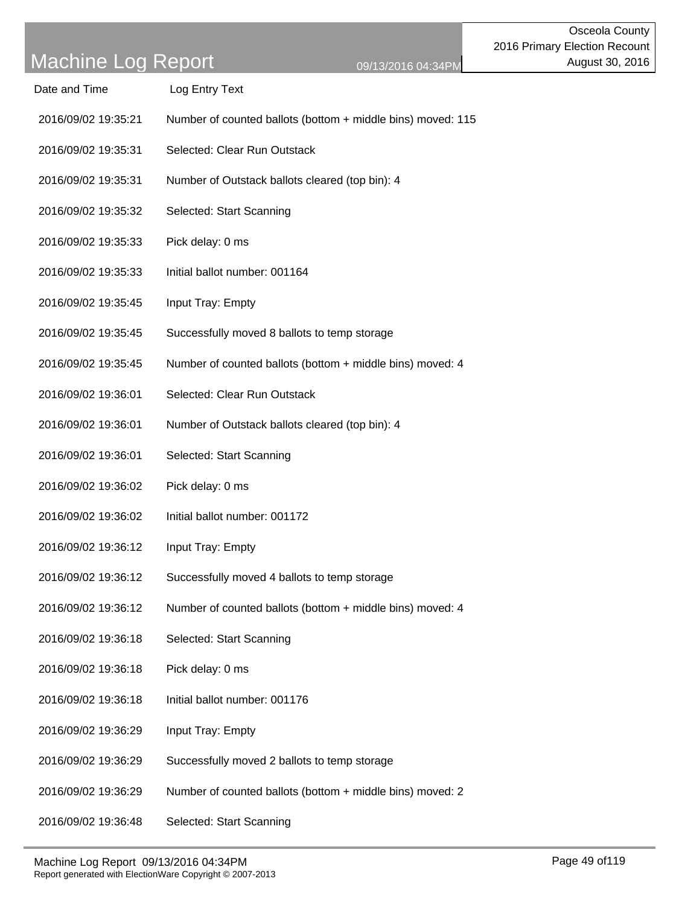| Date and Time       | Log Entry Text                                              |
|---------------------|-------------------------------------------------------------|
| 2016/09/02 19:35:21 | Number of counted ballots (bottom + middle bins) moved: 115 |
| 2016/09/02 19:35:31 | Selected: Clear Run Outstack                                |
| 2016/09/02 19:35:31 | Number of Outstack ballots cleared (top bin): 4             |
| 2016/09/02 19:35:32 | Selected: Start Scanning                                    |
| 2016/09/02 19:35:33 | Pick delay: 0 ms                                            |
| 2016/09/02 19:35:33 | Initial ballot number: 001164                               |
| 2016/09/02 19:35:45 | Input Tray: Empty                                           |
| 2016/09/02 19:35:45 | Successfully moved 8 ballots to temp storage                |
| 2016/09/02 19:35:45 | Number of counted ballots (bottom + middle bins) moved: 4   |
| 2016/09/02 19:36:01 | Selected: Clear Run Outstack                                |
| 2016/09/02 19:36:01 | Number of Outstack ballots cleared (top bin): 4             |
| 2016/09/02 19:36:01 | Selected: Start Scanning                                    |
| 2016/09/02 19:36:02 | Pick delay: 0 ms                                            |
| 2016/09/02 19:36:02 | Initial ballot number: 001172                               |
| 2016/09/02 19:36:12 | Input Tray: Empty                                           |
| 2016/09/02 19:36:12 | Successfully moved 4 ballots to temp storage                |
| 2016/09/02 19:36:12 | Number of counted ballots (bottom + middle bins) moved: 4   |
| 2016/09/02 19:36:18 | Selected: Start Scanning                                    |
| 2016/09/02 19:36:18 | Pick delay: 0 ms                                            |
| 2016/09/02 19:36:18 | Initial ballot number: 001176                               |
| 2016/09/02 19:36:29 | Input Tray: Empty                                           |
| 2016/09/02 19:36:29 | Successfully moved 2 ballots to temp storage                |
| 2016/09/02 19:36:29 | Number of counted ballots (bottom + middle bins) moved: 2   |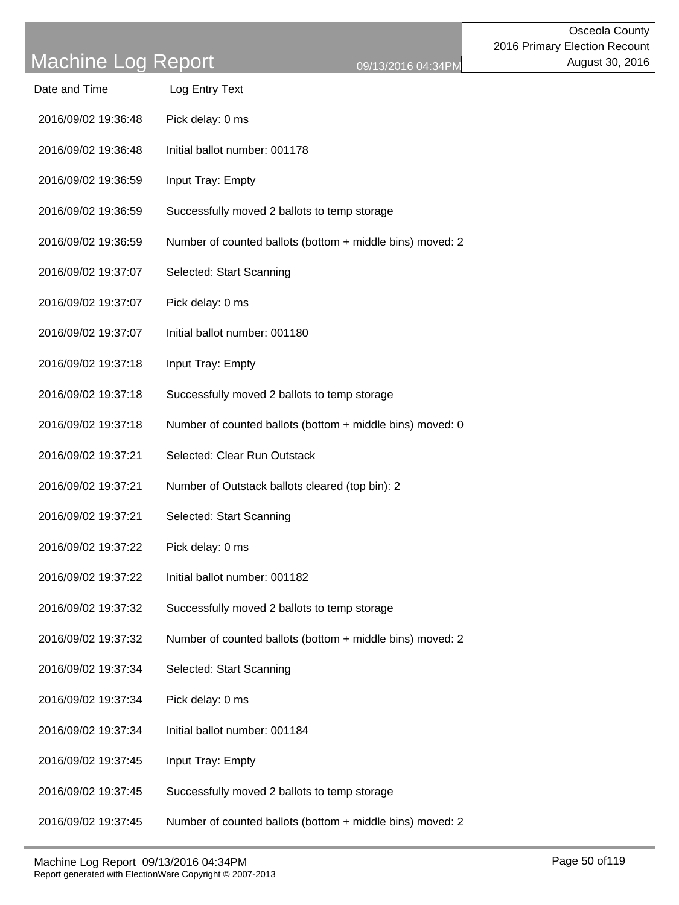| Date and Time       | Log Entry Text                                            |
|---------------------|-----------------------------------------------------------|
| 2016/09/02 19:36:48 | Pick delay: 0 ms                                          |
| 2016/09/02 19:36:48 | Initial ballot number: 001178                             |
| 2016/09/02 19:36:59 | Input Tray: Empty                                         |
| 2016/09/02 19:36:59 | Successfully moved 2 ballots to temp storage              |
| 2016/09/02 19:36:59 | Number of counted ballots (bottom + middle bins) moved: 2 |
| 2016/09/02 19:37:07 | Selected: Start Scanning                                  |
| 2016/09/02 19:37:07 | Pick delay: 0 ms                                          |
| 2016/09/02 19:37:07 | Initial ballot number: 001180                             |
| 2016/09/02 19:37:18 | Input Tray: Empty                                         |
| 2016/09/02 19:37:18 | Successfully moved 2 ballots to temp storage              |
| 2016/09/02 19:37:18 | Number of counted ballots (bottom + middle bins) moved: 0 |
| 2016/09/02 19:37:21 | Selected: Clear Run Outstack                              |
| 2016/09/02 19:37:21 | Number of Outstack ballots cleared (top bin): 2           |
| 2016/09/02 19:37:21 | Selected: Start Scanning                                  |
| 2016/09/02 19:37:22 | Pick delay: 0 ms                                          |
| 2016/09/02 19:37:22 | Initial ballot number: 001182                             |
| 2016/09/02 19:37:32 | Successfully moved 2 ballots to temp storage              |
| 2016/09/02 19:37:32 | Number of counted ballots (bottom + middle bins) moved: 2 |
| 2016/09/02 19:37:34 | Selected: Start Scanning                                  |
| 2016/09/02 19:37:34 | Pick delay: 0 ms                                          |
| 2016/09/02 19:37:34 | Initial ballot number: 001184                             |
| 2016/09/02 19:37:45 | Input Tray: Empty                                         |
| 2016/09/02 19:37:45 | Successfully moved 2 ballots to temp storage              |
| 2016/09/02 19:37:45 | Number of counted ballots (bottom + middle bins) moved: 2 |
|                     |                                                           |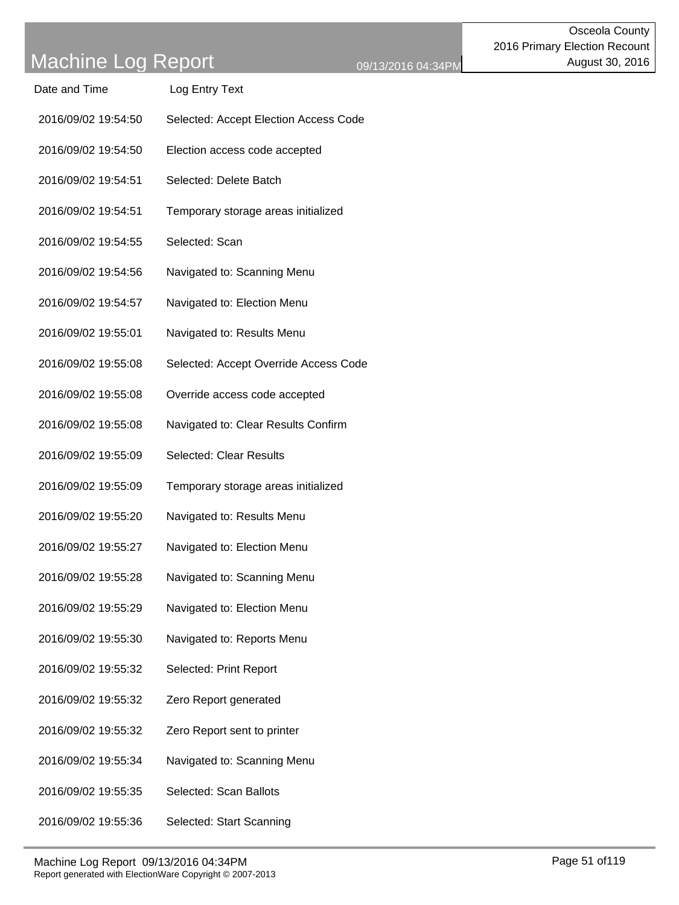| <u>iviau ili ic Luy Inchnit</u> | 0 <sup>o</sup>                        |
|---------------------------------|---------------------------------------|
| Date and Time                   | Log Entry Text                        |
| 2016/09/02 19:54:50             | Selected: Accept Election Access Code |
| 2016/09/02 19:54:50             | Election access code accepted         |
| 2016/09/02 19:54:51             | Selected: Delete Batch                |
| 2016/09/02 19:54:51             | Temporary storage areas initialized   |
| 2016/09/02 19:54:55             | Selected: Scan                        |
| 2016/09/02 19:54:56             | Navigated to: Scanning Menu           |
| 2016/09/02 19:54:57             | Navigated to: Election Menu           |
| 2016/09/02 19:55:01             | Navigated to: Results Menu            |
| 2016/09/02 19:55:08             | Selected: Accept Override Access Code |
| 2016/09/02 19:55:08             | Override access code accepted         |
| 2016/09/02 19:55:08             | Navigated to: Clear Results Confirm   |
| 2016/09/02 19:55:09             | Selected: Clear Results               |
| 2016/09/02 19:55:09             | Temporary storage areas initialized   |
| 2016/09/02 19:55:20             | Navigated to: Results Menu            |
| 2016/09/02 19:55:27             | Navigated to: Election Menu           |
| 2016/09/02 19:55:28             | Navigated to: Scanning Menu           |
| 2016/09/02 19:55:29             | Navigated to: Election Menu           |
| 2016/09/02 19:55:30             | Navigated to: Reports Menu            |
| 2016/09/02 19:55:32             | Selected: Print Report                |
| 2016/09/02 19:55:32             | Zero Report generated                 |
| 2016/09/02 19:55:32             | Zero Report sent to printer           |
| 2016/09/02 19:55:34             | Navigated to: Scanning Menu           |
| 2016/09/02 19:55:35             | Selected: Scan Ballots                |
| 2016/09/02 19:55:36             | Selected: Start Scanning              |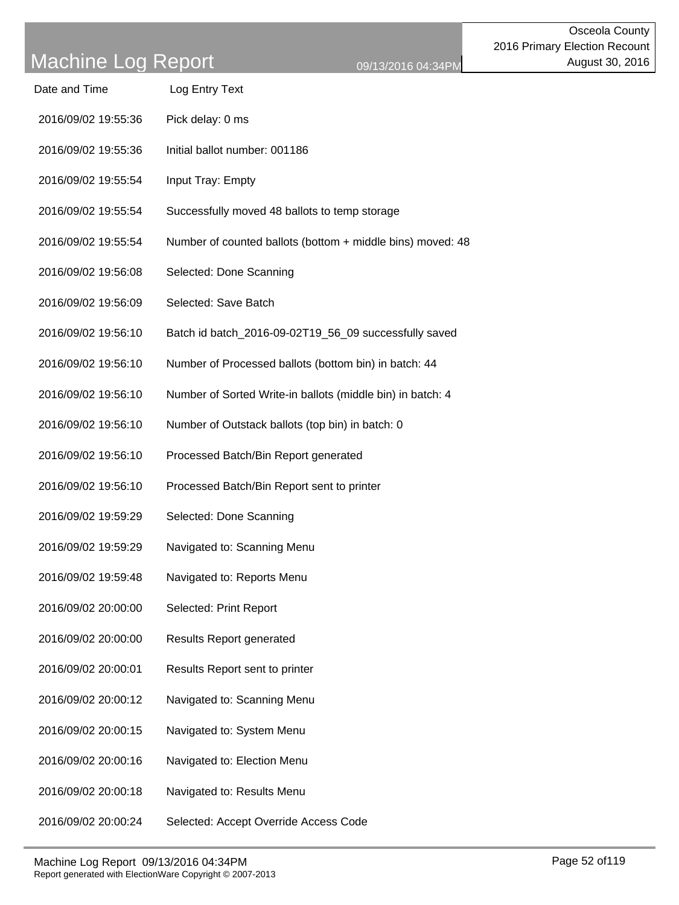| Date and Time       | Log Entry Text                                             |
|---------------------|------------------------------------------------------------|
| 2016/09/02 19:55:36 | Pick delay: 0 ms                                           |
| 2016/09/02 19:55:36 | Initial ballot number: 001186                              |
| 2016/09/02 19:55:54 | Input Tray: Empty                                          |
| 2016/09/02 19:55:54 | Successfully moved 48 ballots to temp storage              |
| 2016/09/02 19:55:54 | Number of counted ballots (bottom + middle bins) moved: 48 |
| 2016/09/02 19:56:08 | Selected: Done Scanning                                    |
| 2016/09/02 19:56:09 | Selected: Save Batch                                       |
| 2016/09/02 19:56:10 | Batch id batch_2016-09-02T19_56_09 successfully saved      |
| 2016/09/02 19:56:10 | Number of Processed ballots (bottom bin) in batch: 44      |
| 2016/09/02 19:56:10 | Number of Sorted Write-in ballots (middle bin) in batch: 4 |
| 2016/09/02 19:56:10 | Number of Outstack ballots (top bin) in batch: 0           |
| 2016/09/02 19:56:10 | Processed Batch/Bin Report generated                       |
| 2016/09/02 19:56:10 | Processed Batch/Bin Report sent to printer                 |
| 2016/09/02 19:59:29 | Selected: Done Scanning                                    |
| 2016/09/02 19:59:29 | Navigated to: Scanning Menu                                |
| 2016/09/02 19:59:48 | Navigated to: Reports Menu                                 |
| 2016/09/02 20:00:00 | Selected: Print Report                                     |
| 2016/09/02 20:00:00 | <b>Results Report generated</b>                            |
| 2016/09/02 20:00:01 | Results Report sent to printer                             |
| 2016/09/02 20:00:12 | Navigated to: Scanning Menu                                |
| 2016/09/02 20:00:15 | Navigated to: System Menu                                  |
| 2016/09/02 20:00:16 | Navigated to: Election Menu                                |
| 2016/09/02 20:00:18 | Navigated to: Results Menu                                 |
| 2016/09/02 20:00:24 | Selected: Accept Override Access Code                      |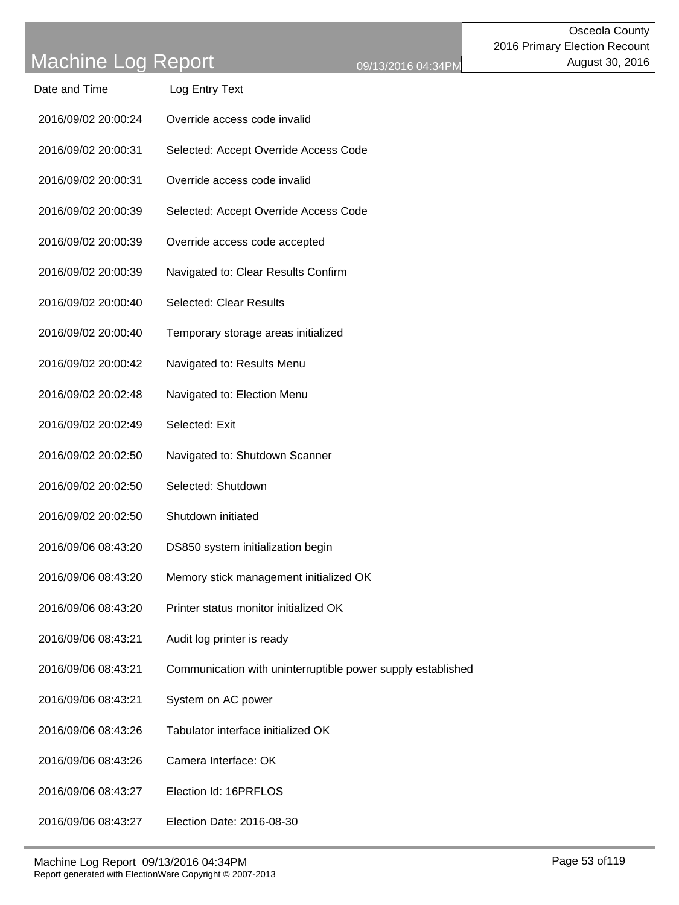| Date and Time       | Log Entry Text                                              |
|---------------------|-------------------------------------------------------------|
| 2016/09/02 20:00:24 | Override access code invalid                                |
| 2016/09/02 20:00:31 | Selected: Accept Override Access Code                       |
| 2016/09/02 20:00:31 | Override access code invalid                                |
| 2016/09/02 20:00:39 | Selected: Accept Override Access Code                       |
| 2016/09/02 20:00:39 | Override access code accepted                               |
| 2016/09/02 20:00:39 | Navigated to: Clear Results Confirm                         |
| 2016/09/02 20:00:40 | <b>Selected: Clear Results</b>                              |
| 2016/09/02 20:00:40 | Temporary storage areas initialized                         |
| 2016/09/02 20:00:42 | Navigated to: Results Menu                                  |
| 2016/09/02 20:02:48 | Navigated to: Election Menu                                 |
| 2016/09/02 20:02:49 | Selected: Exit                                              |
| 2016/09/02 20:02:50 | Navigated to: Shutdown Scanner                              |
| 2016/09/02 20:02:50 | Selected: Shutdown                                          |
| 2016/09/02 20:02:50 | Shutdown initiated                                          |
| 2016/09/06 08:43:20 | DS850 system initialization begin                           |
| 2016/09/06 08:43:20 | Memory stick management initialized OK                      |
| 2016/09/06 08:43:20 | Printer status monitor initialized OK                       |
| 2016/09/06 08:43:21 | Audit log printer is ready                                  |
| 2016/09/06 08:43:21 | Communication with uninterruptible power supply established |
| 2016/09/06 08:43:21 | System on AC power                                          |
| 2016/09/06 08:43:26 | Tabulator interface initialized OK                          |
| 2016/09/06 08:43:26 | Camera Interface: OK                                        |
| 2016/09/06 08:43:27 | Election Id: 16PRFLOS                                       |
| 2016/09/06 08:43:27 | Election Date: 2016-08-30                                   |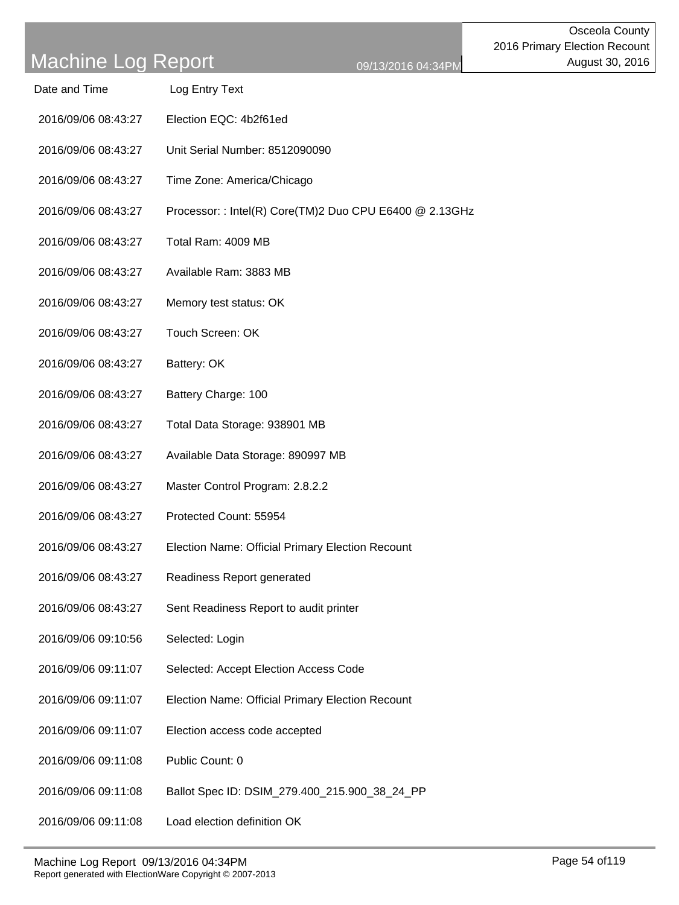| Log Entry Text |
|----------------|
|                |

- 2016/09/06 08:43:27 Election EQC: 4b2f61ed
- 2016/09/06 08:43:27 Unit Serial Number: 8512090090
- 2016/09/06 08:43:27 Time Zone: America/Chicago
- 2016/09/06 08:43:27 Processor: : Intel(R) Core(TM)2 Duo CPU E6400 @ 2.13GHz
- 2016/09/06 08:43:27 Total Ram: 4009 MB
- 2016/09/06 08:43:27 Available Ram: 3883 MB
- 2016/09/06 08:43:27 Memory test status: OK
- 2016/09/06 08:43:27 Touch Screen: OK
- 2016/09/06 08:43:27 Battery: OK
- 2016/09/06 08:43:27 Battery Charge: 100
- 2016/09/06 08:43:27 Total Data Storage: 938901 MB
- 2016/09/06 08:43:27 Available Data Storage: 890997 MB
- 2016/09/06 08:43:27 Master Control Program: 2.8.2.2
- 2016/09/06 08:43:27 Protected Count: 55954
- 2016/09/06 08:43:27 Election Name: Official Primary Election Recount
- 2016/09/06 08:43:27 Readiness Report generated
- 2016/09/06 08:43:27 Sent Readiness Report to audit printer
- 2016/09/06 09:10:56 Selected: Login
- 2016/09/06 09:11:07 Selected: Accept Election Access Code
- 2016/09/06 09:11:07 Election Name: Official Primary Election Recount
- 2016/09/06 09:11:07 Election access code accepted
- 2016/09/06 09:11:08 Public Count: 0
- 2016/09/06 09:11:08 Ballot Spec ID: DSIM\_279.400\_215.900\_38\_24\_PP
- 2016/09/06 09:11:08 Load election definition OK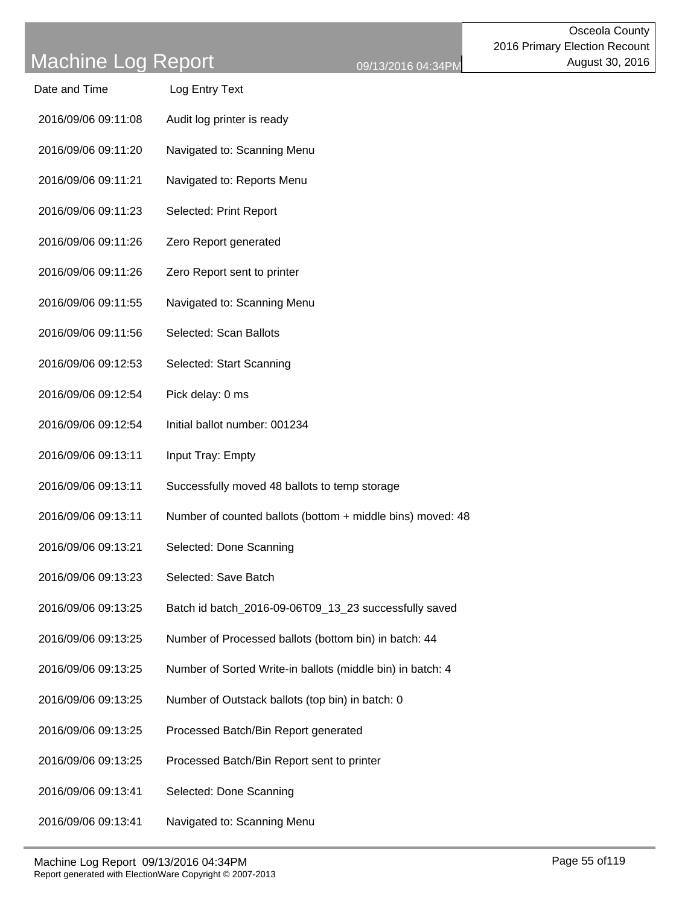| Date and Time       | Log Entry Text                                             |
|---------------------|------------------------------------------------------------|
| 2016/09/06 09:11:08 | Audit log printer is ready                                 |
| 2016/09/06 09:11:20 | Navigated to: Scanning Menu                                |
| 2016/09/06 09:11:21 | Navigated to: Reports Menu                                 |
| 2016/09/06 09:11:23 | Selected: Print Report                                     |
| 2016/09/06 09:11:26 | Zero Report generated                                      |
| 2016/09/06 09:11:26 | Zero Report sent to printer                                |
| 2016/09/06 09:11:55 | Navigated to: Scanning Menu                                |
| 2016/09/06 09:11:56 | Selected: Scan Ballots                                     |
| 2016/09/06 09:12:53 | Selected: Start Scanning                                   |
| 2016/09/06 09:12:54 | Pick delay: 0 ms                                           |
| 2016/09/06 09:12:54 | Initial ballot number: 001234                              |
| 2016/09/06 09:13:11 | Input Tray: Empty                                          |
| 2016/09/06 09:13:11 | Successfully moved 48 ballots to temp storage              |
| 2016/09/06 09:13:11 | Number of counted ballots (bottom + middle bins) moved: 48 |
| 2016/09/06 09:13:21 | Selected: Done Scanning                                    |
| 2016/09/06 09:13:23 | Selected: Save Batch                                       |
| 2016/09/06 09:13:25 | Batch id batch_2016-09-06T09_13_23 successfully saved      |
| 2016/09/06 09:13:25 | Number of Processed ballots (bottom bin) in batch: 44      |
| 2016/09/06 09:13:25 | Number of Sorted Write-in ballots (middle bin) in batch: 4 |
| 2016/09/06 09:13:25 | Number of Outstack ballots (top bin) in batch: 0           |
| 2016/09/06 09:13:25 | Processed Batch/Bin Report generated                       |
| 2016/09/06 09:13:25 | Processed Batch/Bin Report sent to printer                 |
| 2016/09/06 09:13:41 | Selected: Done Scanning                                    |
| 2016/09/06 09:13:41 | Navigated to: Scanning Menu                                |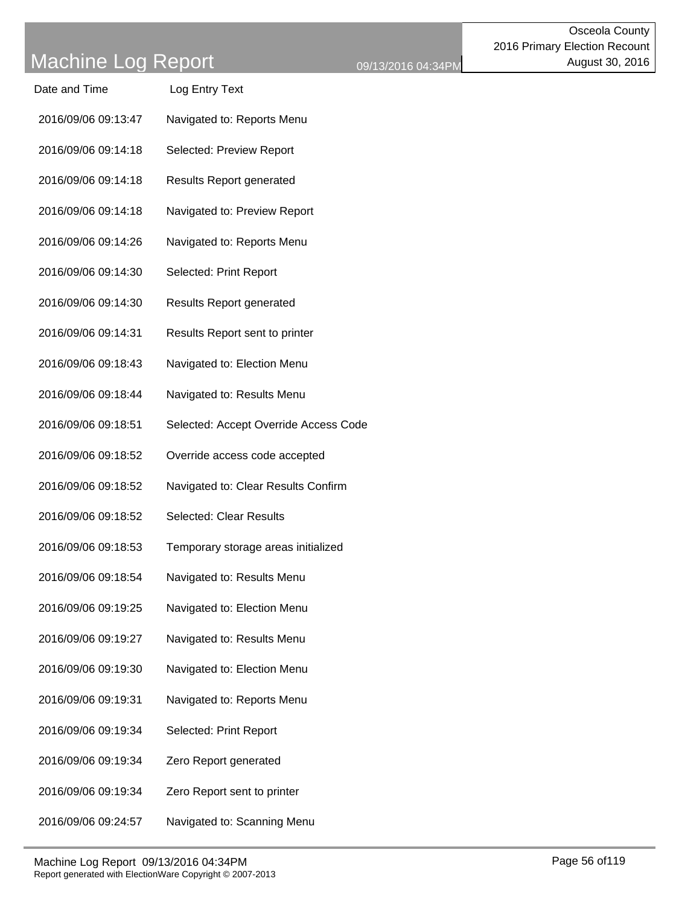| Date and Time       | Log Entry Text                        |
|---------------------|---------------------------------------|
| 2016/09/06 09:13:47 | Navigated to: Reports Menu            |
| 2016/09/06 09:14:18 | Selected: Preview Report              |
| 2016/09/06 09:14:18 | <b>Results Report generated</b>       |
| 2016/09/06 09:14:18 | Navigated to: Preview Report          |
| 2016/09/06 09:14:26 | Navigated to: Reports Menu            |
| 2016/09/06 09:14:30 | Selected: Print Report                |
| 2016/09/06 09:14:30 | <b>Results Report generated</b>       |
| 2016/09/06 09:14:31 | Results Report sent to printer        |
| 2016/09/06 09:18:43 | Navigated to: Election Menu           |
| 2016/09/06 09:18:44 | Navigated to: Results Menu            |
| 2016/09/06 09:18:51 | Selected: Accept Override Access Code |
| 2016/09/06 09:18:52 | Override access code accepted         |
| 2016/09/06 09:18:52 | Navigated to: Clear Results Confirm   |
| 2016/09/06 09:18:52 | <b>Selected: Clear Results</b>        |
| 2016/09/06 09:18:53 | Temporary storage areas initialized   |
| 2016/09/06 09:18:54 | Navigated to: Results Menu            |
| 2016/09/06 09:19:25 | Navigated to: Election Menu           |
| 2016/09/06 09:19:27 | Navigated to: Results Menu            |
| 2016/09/06 09:19:30 | Navigated to: Election Menu           |
| 2016/09/06 09:19:31 | Navigated to: Reports Menu            |
| 2016/09/06 09:19:34 | Selected: Print Report                |
| 2016/09/06 09:19:34 | Zero Report generated                 |
| 2016/09/06 09:19:34 | Zero Report sent to printer           |
| 2016/09/06 09:24:57 | Navigated to: Scanning Menu           |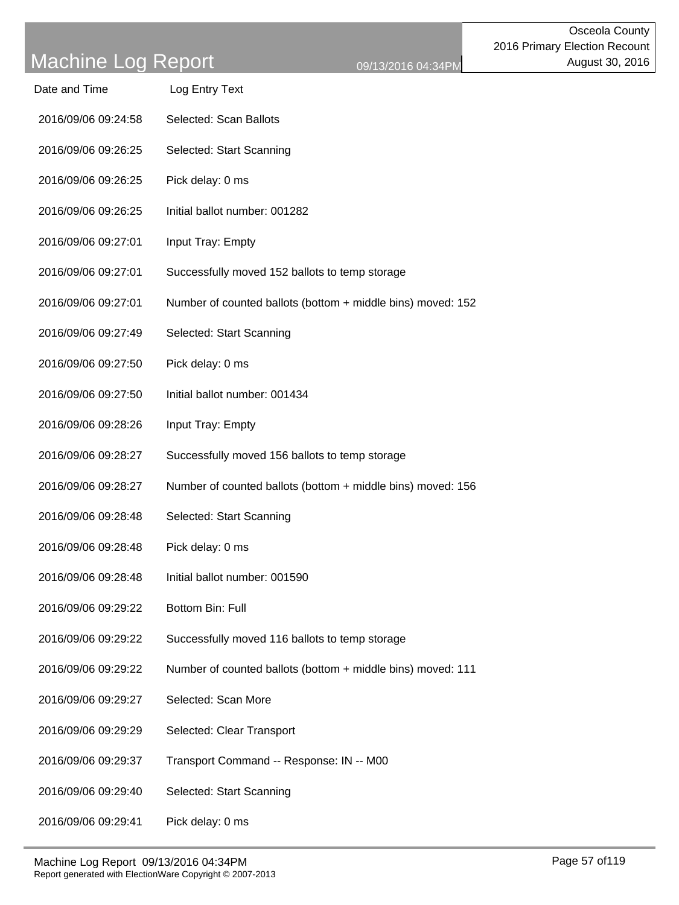| Date and Time       | Log Entry Text                                              |
|---------------------|-------------------------------------------------------------|
| 2016/09/06 09:24:58 | Selected: Scan Ballots                                      |
| 2016/09/06 09:26:25 | Selected: Start Scanning                                    |
| 2016/09/06 09:26:25 | Pick delay: 0 ms                                            |
| 2016/09/06 09:26:25 | Initial ballot number: 001282                               |
| 2016/09/06 09:27:01 | Input Tray: Empty                                           |
| 2016/09/06 09:27:01 | Successfully moved 152 ballots to temp storage              |
| 2016/09/06 09:27:01 | Number of counted ballots (bottom + middle bins) moved: 152 |
| 2016/09/06 09:27:49 | Selected: Start Scanning                                    |
| 2016/09/06 09:27:50 | Pick delay: 0 ms                                            |
| 2016/09/06 09:27:50 | Initial ballot number: 001434                               |
| 2016/09/06 09:28:26 | Input Tray: Empty                                           |
| 2016/09/06 09:28:27 | Successfully moved 156 ballots to temp storage              |
| 2016/09/06 09:28:27 | Number of counted ballots (bottom + middle bins) moved: 156 |
| 2016/09/06 09:28:48 | Selected: Start Scanning                                    |
| 2016/09/06 09:28:48 | Pick delay: 0 ms                                            |
| 2016/09/06 09:28:48 | Initial ballot number: 001590                               |
| 2016/09/06 09:29:22 | Bottom Bin: Full                                            |
| 2016/09/06 09:29:22 | Successfully moved 116 ballots to temp storage              |
| 2016/09/06 09:29:22 | Number of counted ballots (bottom + middle bins) moved: 111 |
| 2016/09/06 09:29:27 | Selected: Scan More                                         |
| 2016/09/06 09:29:29 | Selected: Clear Transport                                   |
| 2016/09/06 09:29:37 | Transport Command -- Response: IN -- M00                    |
| 2016/09/06 09:29:40 | Selected: Start Scanning                                    |
|                     |                                                             |

2016/09/06 09:29:41 Pick delay: 0 ms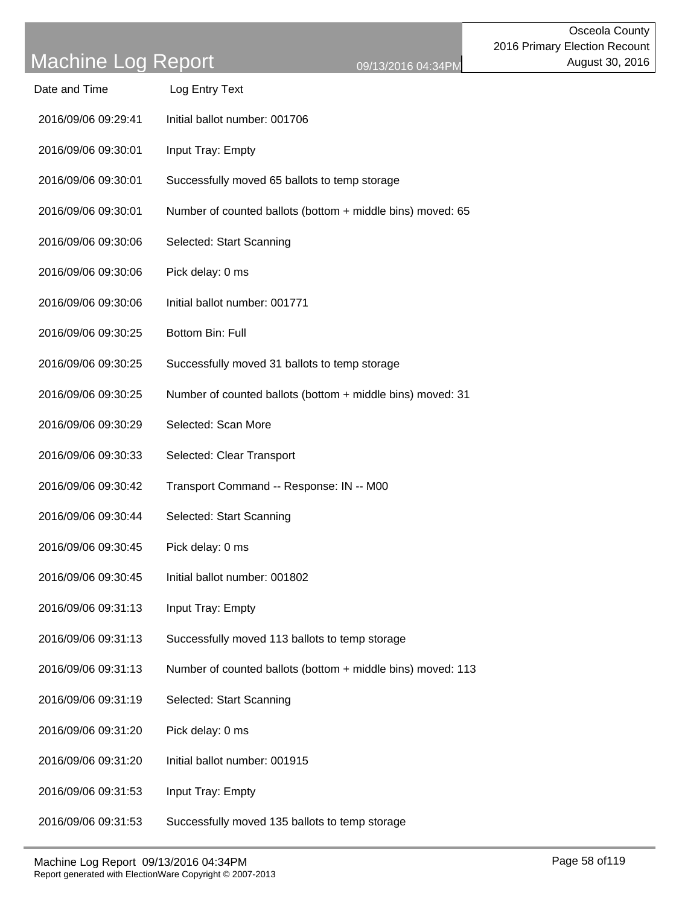| Date and Time       | Log Entry Text                                              |
|---------------------|-------------------------------------------------------------|
| 2016/09/06 09:29:41 | Initial ballot number: 001706                               |
| 2016/09/06 09:30:01 | Input Tray: Empty                                           |
| 2016/09/06 09:30:01 | Successfully moved 65 ballots to temp storage               |
| 2016/09/06 09:30:01 | Number of counted ballots (bottom + middle bins) moved: 65  |
| 2016/09/06 09:30:06 | Selected: Start Scanning                                    |
| 2016/09/06 09:30:06 | Pick delay: 0 ms                                            |
| 2016/09/06 09:30:06 | Initial ballot number: 001771                               |
| 2016/09/06 09:30:25 | Bottom Bin: Full                                            |
| 2016/09/06 09:30:25 | Successfully moved 31 ballots to temp storage               |
| 2016/09/06 09:30:25 | Number of counted ballots (bottom + middle bins) moved: 31  |
| 2016/09/06 09:30:29 | Selected: Scan More                                         |
| 2016/09/06 09:30:33 | Selected: Clear Transport                                   |
| 2016/09/06 09:30:42 | Transport Command -- Response: IN -- M00                    |
| 2016/09/06 09:30:44 | Selected: Start Scanning                                    |
| 2016/09/06 09:30:45 | Pick delay: 0 ms                                            |
| 2016/09/06 09:30:45 | Initial ballot number: 001802                               |
| 2016/09/06 09:31:13 | Input Tray: Empty                                           |
| 2016/09/06 09:31:13 | Successfully moved 113 ballots to temp storage              |
| 2016/09/06 09:31:13 | Number of counted ballots (bottom + middle bins) moved: 113 |
| 2016/09/06 09:31:19 | Selected: Start Scanning                                    |
| 2016/09/06 09:31:20 | Pick delay: 0 ms                                            |
| 2016/09/06 09:31:20 | Initial ballot number: 001915                               |
| 2016/09/06 09:31:53 | Input Tray: Empty                                           |
| 2016/09/06 09:31:53 | Successfully moved 135 ballots to temp storage              |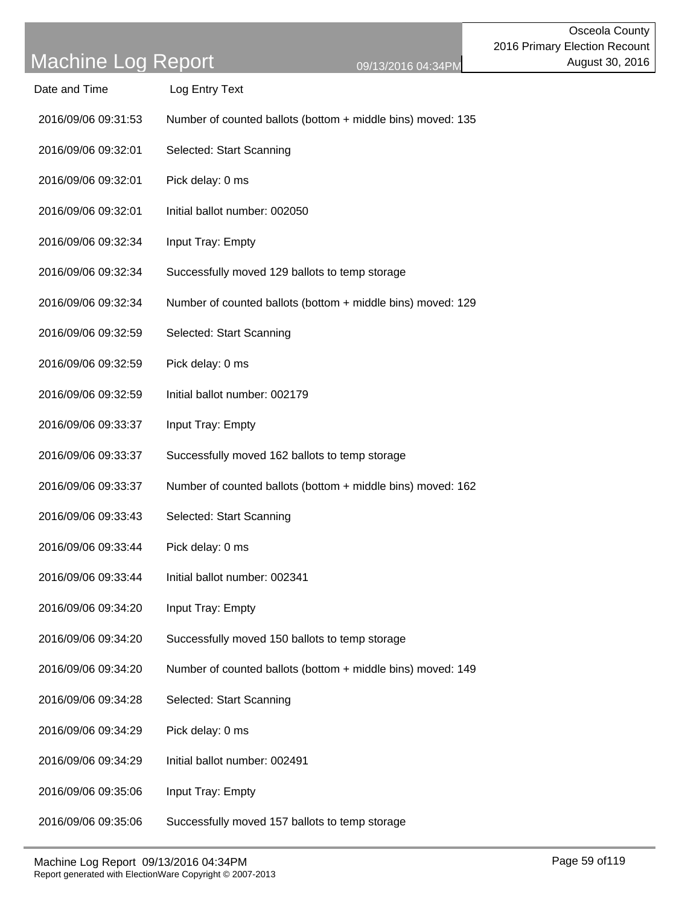| Date and Time       | Log Entry Text                                              |
|---------------------|-------------------------------------------------------------|
| 2016/09/06 09:31:53 | Number of counted ballots (bottom + middle bins) moved: 135 |
| 2016/09/06 09:32:01 | Selected: Start Scanning                                    |
| 2016/09/06 09:32:01 | Pick delay: 0 ms                                            |
| 2016/09/06 09:32:01 | Initial ballot number: 002050                               |
| 2016/09/06 09:32:34 | Input Tray: Empty                                           |
| 2016/09/06 09:32:34 | Successfully moved 129 ballots to temp storage              |
| 2016/09/06 09:32:34 | Number of counted ballots (bottom + middle bins) moved: 129 |
| 2016/09/06 09:32:59 | Selected: Start Scanning                                    |
| 2016/09/06 09:32:59 | Pick delay: 0 ms                                            |
| 2016/09/06 09:32:59 | Initial ballot number: 002179                               |
| 2016/09/06 09:33:37 | Input Tray: Empty                                           |
| 2016/09/06 09:33:37 | Successfully moved 162 ballots to temp storage              |
| 2016/09/06 09:33:37 | Number of counted ballots (bottom + middle bins) moved: 162 |
| 2016/09/06 09:33:43 | Selected: Start Scanning                                    |
| 2016/09/06 09:33:44 | Pick delay: 0 ms                                            |
| 2016/09/06 09:33:44 | Initial ballot number: 002341                               |
| 2016/09/06 09:34:20 | Input Tray: Empty                                           |
| 2016/09/06 09:34:20 | Successfully moved 150 ballots to temp storage              |
| 2016/09/06 09:34:20 | Number of counted ballots (bottom + middle bins) moved: 149 |
| 2016/09/06 09:34:28 | Selected: Start Scanning                                    |
| 2016/09/06 09:34:29 | Pick delay: 0 ms                                            |
| 2016/09/06 09:34:29 | Initial ballot number: 002491                               |
| 2016/09/06 09:35:06 | Input Tray: Empty                                           |

Machine Log Report 09/13/2016 04:34PM example of the control of the Page 59 of 119 Report generated with ElectionWare Copyright © 2007-2013

2016/09/06 09:35:06 Successfully moved 157 ballots to temp storage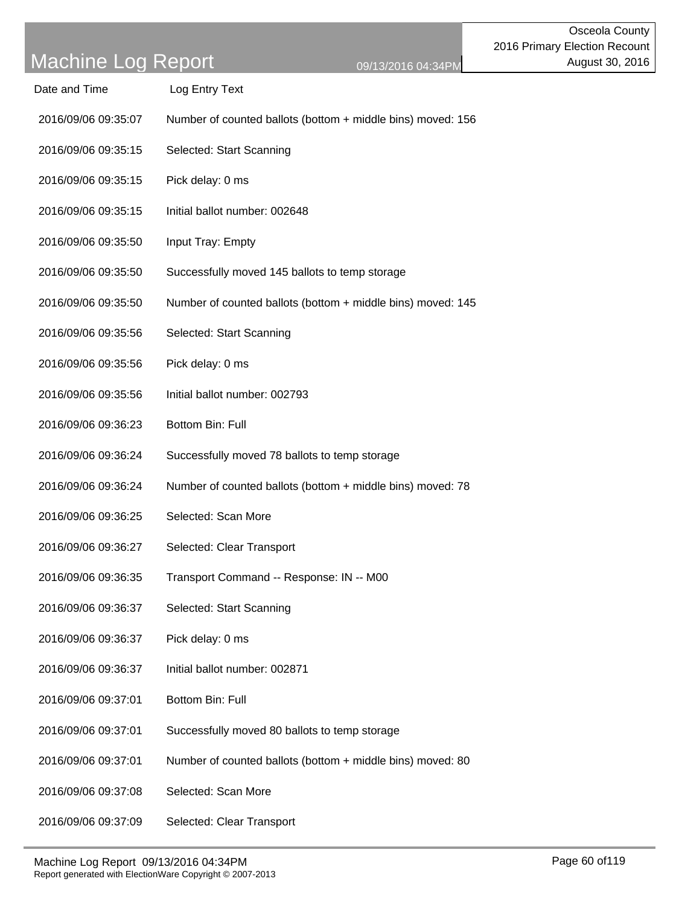| Date and Time       | Log Entry Text                                              |
|---------------------|-------------------------------------------------------------|
| 2016/09/06 09:35:07 | Number of counted ballots (bottom + middle bins) moved: 156 |
| 2016/09/06 09:35:15 | Selected: Start Scanning                                    |
| 2016/09/06 09:35:15 | Pick delay: 0 ms                                            |
| 2016/09/06 09:35:15 | Initial ballot number: 002648                               |
| 2016/09/06 09:35:50 | Input Tray: Empty                                           |
| 2016/09/06 09:35:50 | Successfully moved 145 ballots to temp storage              |
| 2016/09/06 09:35:50 | Number of counted ballots (bottom + middle bins) moved: 145 |
| 2016/09/06 09:35:56 | Selected: Start Scanning                                    |
| 2016/09/06 09:35:56 | Pick delay: 0 ms                                            |
| 2016/09/06 09:35:56 | Initial ballot number: 002793                               |
| 2016/09/06 09:36:23 | Bottom Bin: Full                                            |
| 2016/09/06 09:36:24 | Successfully moved 78 ballots to temp storage               |
| 2016/09/06 09:36:24 | Number of counted ballots (bottom + middle bins) moved: 78  |
| 2016/09/06 09:36:25 | Selected: Scan More                                         |
| 2016/09/06 09:36:27 | Selected: Clear Transport                                   |
| 2016/09/06 09:36:35 | Transport Command -- Response: IN -- M00                    |
| 2016/09/06 09:36:37 | Selected: Start Scanning                                    |
| 2016/09/06 09:36:37 | Pick delay: 0 ms                                            |
| 2016/09/06 09:36:37 | Initial ballot number: 002871                               |
| 2016/09/06 09:37:01 | Bottom Bin: Full                                            |
| 2016/09/06 09:37:01 | Successfully moved 80 ballots to temp storage               |
| 2016/09/06 09:37:01 | Number of counted ballots (bottom + middle bins) moved: 80  |
| 2016/09/06 09:37:08 | Selected: Scan More                                         |
|                     |                                                             |

2016/09/06 09:37:09 Selected: Clear Transport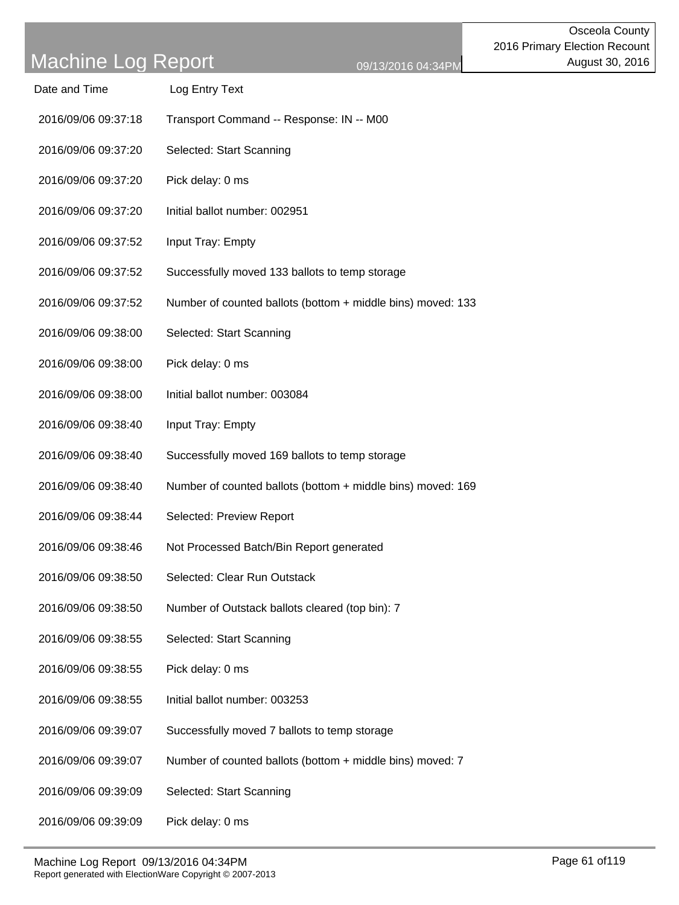| Date and Time       | Log Entry Text                                              |
|---------------------|-------------------------------------------------------------|
| 2016/09/06 09:37:18 | Transport Command -- Response: IN -- M00                    |
| 2016/09/06 09:37:20 | Selected: Start Scanning                                    |
| 2016/09/06 09:37:20 | Pick delay: 0 ms                                            |
| 2016/09/06 09:37:20 | Initial ballot number: 002951                               |
| 2016/09/06 09:37:52 | Input Tray: Empty                                           |
| 2016/09/06 09:37:52 | Successfully moved 133 ballots to temp storage              |
| 2016/09/06 09:37:52 | Number of counted ballots (bottom + middle bins) moved: 133 |
| 2016/09/06 09:38:00 | Selected: Start Scanning                                    |
| 2016/09/06 09:38:00 | Pick delay: 0 ms                                            |
| 2016/09/06 09:38:00 | Initial ballot number: 003084                               |
| 2016/09/06 09:38:40 | Input Tray: Empty                                           |
| 2016/09/06 09:38:40 | Successfully moved 169 ballots to temp storage              |
| 2016/09/06 09:38:40 | Number of counted ballots (bottom + middle bins) moved: 169 |
| 2016/09/06 09:38:44 | Selected: Preview Report                                    |
| 2016/09/06 09:38:46 | Not Processed Batch/Bin Report generated                    |
| 2016/09/06 09:38:50 | Selected: Clear Run Outstack                                |
| 2016/09/06 09:38:50 | Number of Outstack ballots cleared (top bin): 7             |
| 2016/09/06 09:38:55 | Selected: Start Scanning                                    |
| 2016/09/06 09:38:55 | Pick delay: 0 ms                                            |
| 2016/09/06 09:38:55 | Initial ballot number: 003253                               |
| 2016/09/06 09:39:07 | Successfully moved 7 ballots to temp storage                |
| 2016/09/06 09:39:07 | Number of counted ballots (bottom + middle bins) moved: 7   |
| 2016/09/06 09:39:09 | Selected: Start Scanning                                    |
|                     |                                                             |

2016/09/06 09:39:09 Pick delay: 0 ms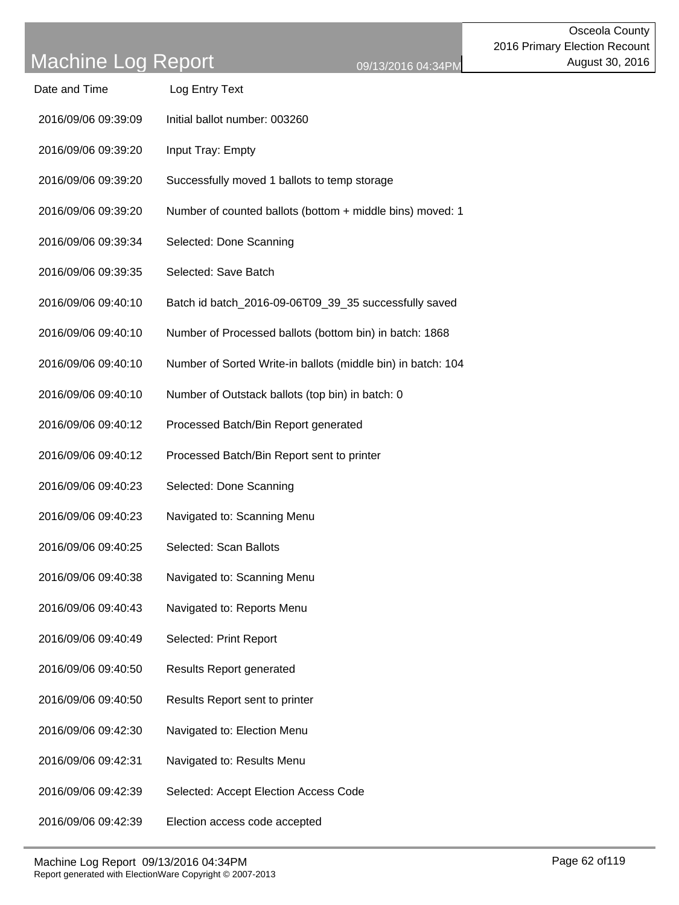| Date and Time       | Log Entry Text                                               |
|---------------------|--------------------------------------------------------------|
| 2016/09/06 09:39:09 | Initial ballot number: 003260                                |
| 2016/09/06 09:39:20 | Input Tray: Empty                                            |
| 2016/09/06 09:39:20 | Successfully moved 1 ballots to temp storage                 |
| 2016/09/06 09:39:20 | Number of counted ballots (bottom + middle bins) moved: 1    |
| 2016/09/06 09:39:34 | Selected: Done Scanning                                      |
| 2016/09/06 09:39:35 | Selected: Save Batch                                         |
| 2016/09/06 09:40:10 | Batch id batch_2016-09-06T09_39_35 successfully saved        |
| 2016/09/06 09:40:10 | Number of Processed ballots (bottom bin) in batch: 1868      |
| 2016/09/06 09:40:10 | Number of Sorted Write-in ballots (middle bin) in batch: 104 |
| 2016/09/06 09:40:10 | Number of Outstack ballots (top bin) in batch: 0             |
| 2016/09/06 09:40:12 | Processed Batch/Bin Report generated                         |
| 2016/09/06 09:40:12 | Processed Batch/Bin Report sent to printer                   |
| 2016/09/06 09:40:23 | Selected: Done Scanning                                      |
| 2016/09/06 09:40:23 | Navigated to: Scanning Menu                                  |
| 2016/09/06 09:40:25 | Selected: Scan Ballots                                       |
| 2016/09/06 09:40:38 | Navigated to: Scanning Menu                                  |
| 2016/09/06 09:40:43 | Navigated to: Reports Menu                                   |
| 2016/09/06 09:40:49 | Selected: Print Report                                       |
| 2016/09/06 09:40:50 | <b>Results Report generated</b>                              |
| 2016/09/06 09:40:50 | Results Report sent to printer                               |
| 2016/09/06 09:42:30 | Navigated to: Election Menu                                  |
| 2016/09/06 09:42:31 | Navigated to: Results Menu                                   |
| 2016/09/06 09:42:39 | Selected: Accept Election Access Code                        |
| 2016/09/06 09:42:39 | Election access code accepted                                |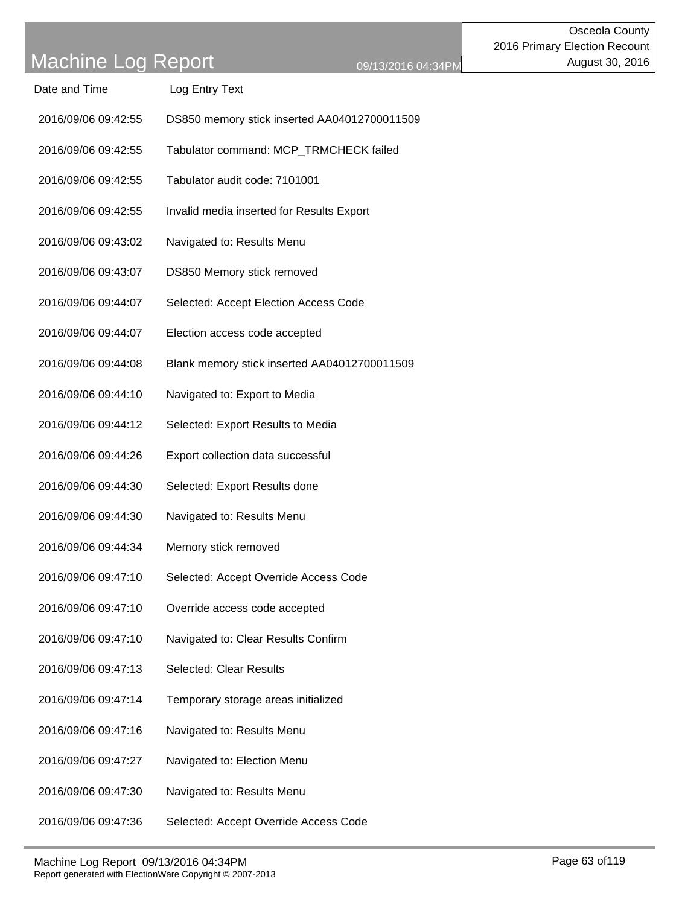Date and Time Log Entry Text

2016/09/06 09:42:55 DS850 memory stick inserted AA04012700011509

| 2016/09/06 09:42:55 | Tabulator command: MCP_TRMCHECK failed       |
|---------------------|----------------------------------------------|
| 2016/09/06 09:42:55 | Tabulator audit code: 7101001                |
| 2016/09/06 09:42:55 | Invalid media inserted for Results Export    |
| 2016/09/06 09:43:02 | Navigated to: Results Menu                   |
| 2016/09/06 09:43:07 | DS850 Memory stick removed                   |
| 2016/09/06 09:44:07 | Selected: Accept Election Access Code        |
| 2016/09/06 09:44:07 | Election access code accepted                |
| 2016/09/06 09:44:08 | Blank memory stick inserted AA04012700011509 |
| 2016/09/06 09:44:10 | Navigated to: Export to Media                |
| 2016/09/06 09:44:12 | Selected: Export Results to Media            |
| 2016/09/06 09:44:26 | Export collection data successful            |
| 2016/09/06 09:44:30 | Selected: Export Results done                |
| 2016/09/06 09:44:30 | Navigated to: Results Menu                   |
| 2016/09/06 09:44:34 | Memory stick removed                         |
| 2016/09/06 09:47:10 | Selected: Accept Override Access Code        |
| 2016/09/06 09:47:10 | Override access code accepted                |
| 2016/09/06 09:47:10 | Navigated to: Clear Results Confirm          |
| 2016/09/06 09:47:13 | <b>Selected: Clear Results</b>               |
| 2016/09/06 09:47:14 | Temporary storage areas initialized          |
| 2016/09/06 09:47:16 | Navigated to: Results Menu                   |
| 2016/09/06 09:47:27 | Navigated to: Election Menu                  |
| 2016/09/06 09:47:30 | Navigated to: Results Menu                   |

2016/09/06 09:47:36 Selected: Accept Override Access Code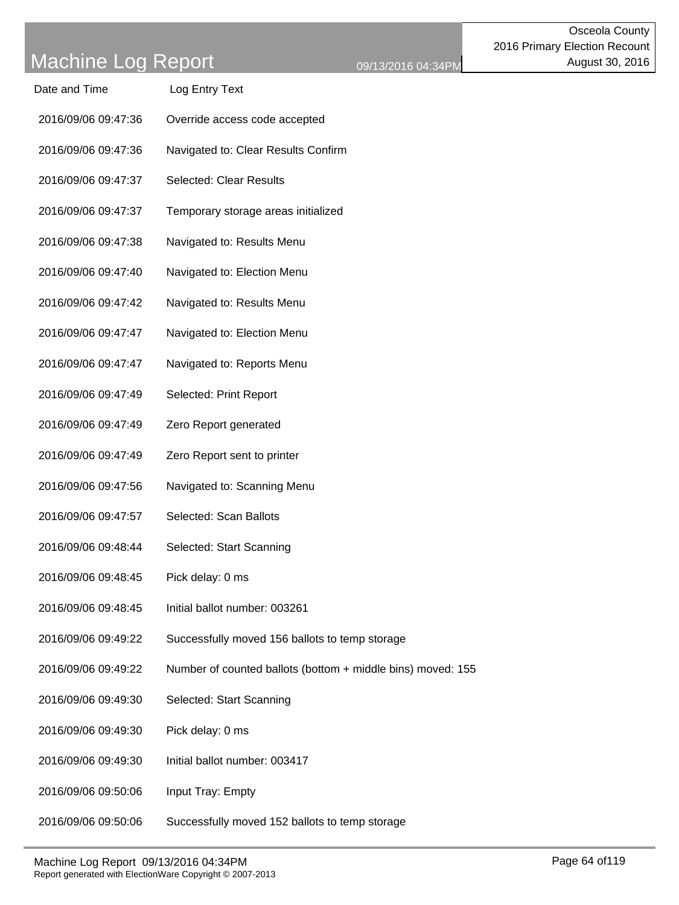| Date and Time       | Log Entry Text                                              |
|---------------------|-------------------------------------------------------------|
| 2016/09/06 09:47:36 | Override access code accepted                               |
| 2016/09/06 09:47:36 | Navigated to: Clear Results Confirm                         |
| 2016/09/06 09:47:37 | <b>Selected: Clear Results</b>                              |
| 2016/09/06 09:47:37 | Temporary storage areas initialized                         |
| 2016/09/06 09:47:38 | Navigated to: Results Menu                                  |
| 2016/09/06 09:47:40 | Navigated to: Election Menu                                 |
| 2016/09/06 09:47:42 | Navigated to: Results Menu                                  |
| 2016/09/06 09:47:47 | Navigated to: Election Menu                                 |
| 2016/09/06 09:47:47 | Navigated to: Reports Menu                                  |
| 2016/09/06 09:47:49 | Selected: Print Report                                      |
| 2016/09/06 09:47:49 | Zero Report generated                                       |
| 2016/09/06 09:47:49 | Zero Report sent to printer                                 |
| 2016/09/06 09:47:56 | Navigated to: Scanning Menu                                 |
| 2016/09/06 09:47:57 | Selected: Scan Ballots                                      |
| 2016/09/06 09:48:44 | Selected: Start Scanning                                    |
| 2016/09/06 09:48:45 | Pick delay: 0 ms                                            |
| 2016/09/06 09:48:45 | Initial ballot number: 003261                               |
| 2016/09/06 09:49:22 | Successfully moved 156 ballots to temp storage              |
| 2016/09/06 09:49:22 | Number of counted ballots (bottom + middle bins) moved: 155 |
| 2016/09/06 09:49:30 | Selected: Start Scanning                                    |
| 2016/09/06 09:49:30 | Pick delay: 0 ms                                            |
| 2016/09/06 09:49:30 | Initial ballot number: 003417                               |
| 2016/09/06 09:50:06 | Input Tray: Empty                                           |
| 2016/09/06 09:50:06 | Successfully moved 152 ballots to temp storage              |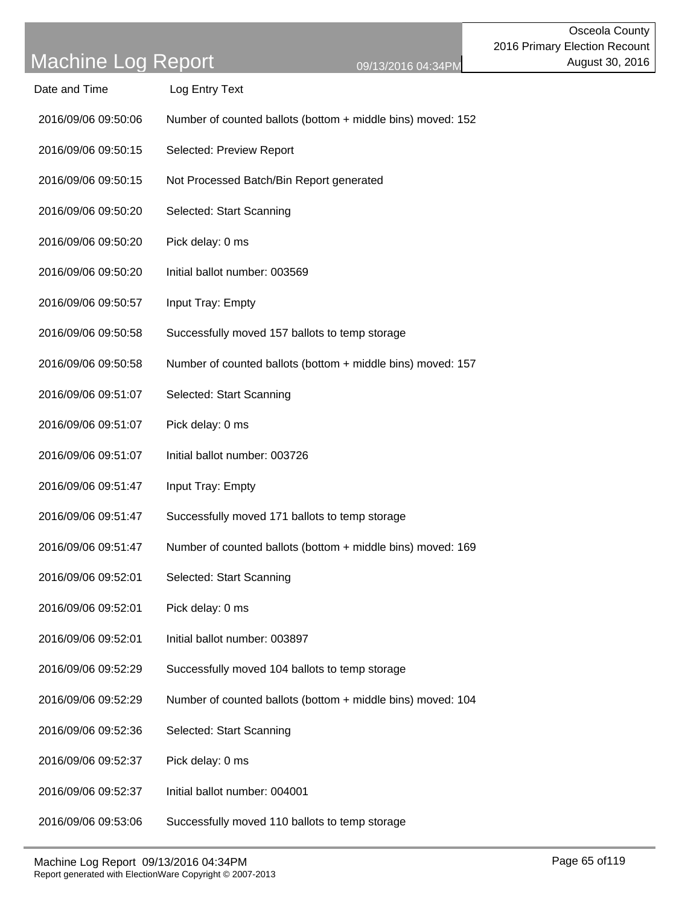| Date and Time       | Log Entry Text                                              |
|---------------------|-------------------------------------------------------------|
| 2016/09/06 09:50:06 | Number of counted ballots (bottom + middle bins) moved: 152 |
| 2016/09/06 09:50:15 | Selected: Preview Report                                    |
| 2016/09/06 09:50:15 | Not Processed Batch/Bin Report generated                    |
| 2016/09/06 09:50:20 | Selected: Start Scanning                                    |
| 2016/09/06 09:50:20 | Pick delay: 0 ms                                            |
| 2016/09/06 09:50:20 | Initial ballot number: 003569                               |
| 2016/09/06 09:50:57 | Input Tray: Empty                                           |
| 2016/09/06 09:50:58 | Successfully moved 157 ballots to temp storage              |
| 2016/09/06 09:50:58 | Number of counted ballots (bottom + middle bins) moved: 157 |
| 2016/09/06 09:51:07 | Selected: Start Scanning                                    |
| 2016/09/06 09:51:07 | Pick delay: 0 ms                                            |
| 2016/09/06 09:51:07 | Initial ballot number: 003726                               |
| 2016/09/06 09:51:47 | Input Tray: Empty                                           |
| 2016/09/06 09:51:47 | Successfully moved 171 ballots to temp storage              |
| 2016/09/06 09:51:47 | Number of counted ballots (bottom + middle bins) moved: 169 |
| 2016/09/06 09:52:01 | Selected: Start Scanning                                    |
| 2016/09/06 09:52:01 | Pick delay: 0 ms                                            |
| 2016/09/06 09:52:01 | Initial ballot number: 003897                               |
| 2016/09/06 09:52:29 | Successfully moved 104 ballots to temp storage              |
| 2016/09/06 09:52:29 | Number of counted ballots (bottom + middle bins) moved: 104 |
| 2016/09/06 09:52:36 | Selected: Start Scanning                                    |
| 2016/09/06 09:52:37 | Pick delay: 0 ms                                            |
| 2016/09/06 09:52:37 | Initial ballot number: 004001                               |
|                     |                                                             |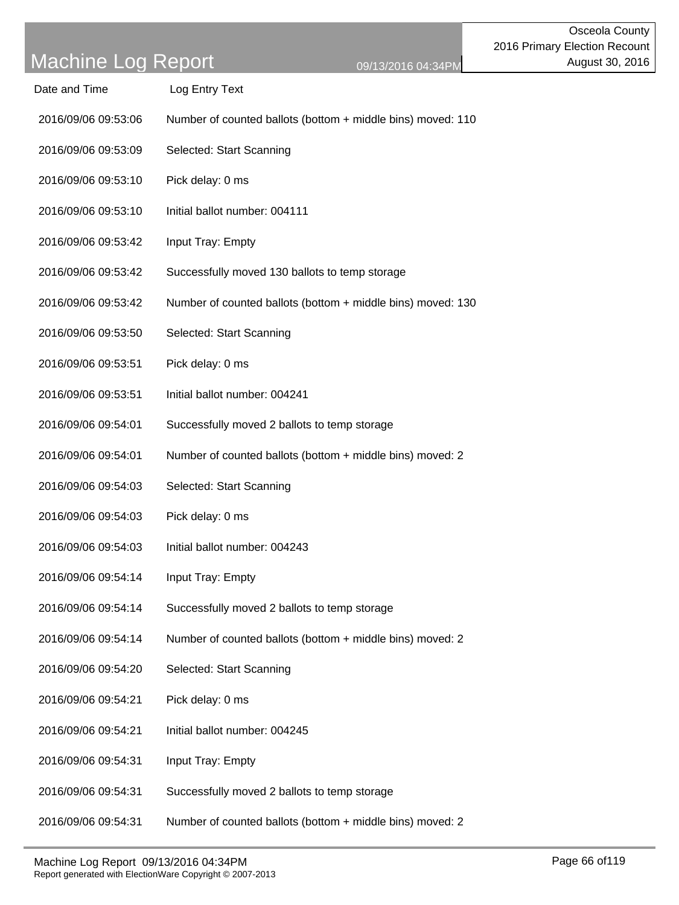| Date and Time       | Log Entry Text                                              |  |
|---------------------|-------------------------------------------------------------|--|
| 2016/09/06 09:53:06 | Number of counted ballots (bottom + middle bins) moved: 110 |  |
| 2016/09/06 09:53:09 | Selected: Start Scanning                                    |  |
| 2016/09/06 09:53:10 | Pick delay: 0 ms                                            |  |
| 2016/09/06 09:53:10 | Initial ballot number: 004111                               |  |
| 2016/09/06 09:53:42 | Input Tray: Empty                                           |  |
| 2016/09/06 09:53:42 | Successfully moved 130 ballots to temp storage              |  |
| 2016/09/06 09:53:42 | Number of counted ballots (bottom + middle bins) moved: 130 |  |
| 2016/09/06 09:53:50 | Selected: Start Scanning                                    |  |
| 2016/09/06 09:53:51 | Pick delay: 0 ms                                            |  |
| 2016/09/06 09:53:51 | Initial ballot number: 004241                               |  |
| 2016/09/06 09:54:01 | Successfully moved 2 ballots to temp storage                |  |
| 2016/09/06 09:54:01 | Number of counted ballots (bottom + middle bins) moved: 2   |  |
| 2016/09/06 09:54:03 | Selected: Start Scanning                                    |  |
| 2016/09/06 09:54:03 | Pick delay: 0 ms                                            |  |
| 2016/09/06 09:54:03 | Initial ballot number: 004243                               |  |
| 2016/09/06 09:54:14 | Input Tray: Empty                                           |  |
| 2016/09/06 09:54:14 | Successfully moved 2 ballots to temp storage                |  |
| 2016/09/06 09:54:14 | Number of counted ballots (bottom + middle bins) moved: 2   |  |
| 2016/09/06 09:54:20 | Selected: Start Scanning                                    |  |
| 2016/09/06 09:54:21 | Pick delay: 0 ms                                            |  |
| 2016/09/06 09:54:21 | Initial ballot number: 004245                               |  |
| 2016/09/06 09:54:31 | Input Tray: Empty                                           |  |
| 2016/09/06 09:54:31 | Successfully moved 2 ballots to temp storage                |  |
|                     |                                                             |  |

2016/09/06 09:54:31 Number of counted ballots (bottom + middle bins) moved: 2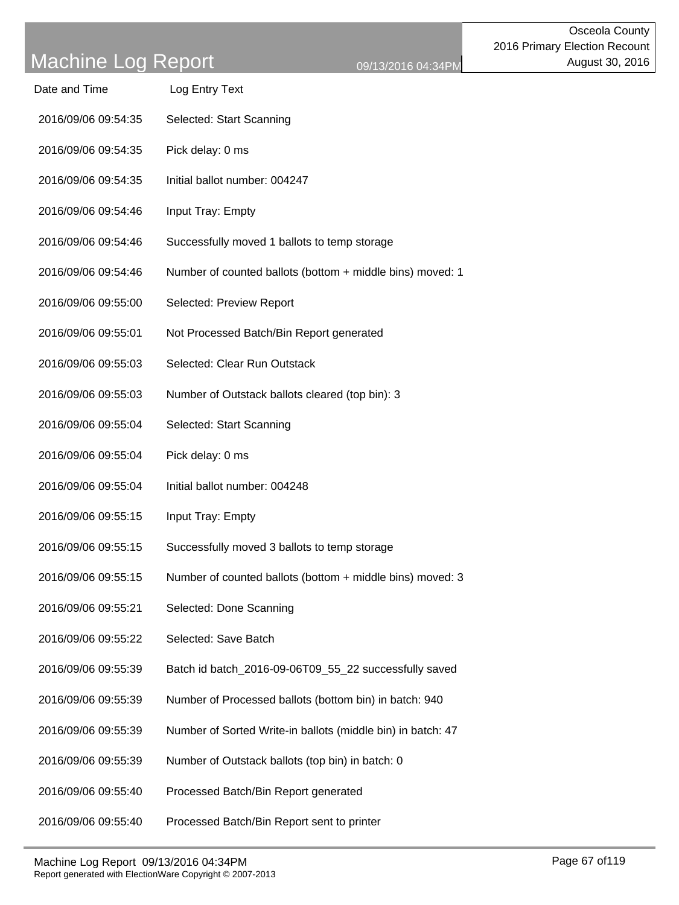| Date and Time       | Log Entry Text                                              |
|---------------------|-------------------------------------------------------------|
| 2016/09/06 09:54:35 | Selected: Start Scanning                                    |
| 2016/09/06 09:54:35 | Pick delay: 0 ms                                            |
| 2016/09/06 09:54:35 | Initial ballot number: 004247                               |
| 2016/09/06 09:54:46 | Input Tray: Empty                                           |
| 2016/09/06 09:54:46 | Successfully moved 1 ballots to temp storage                |
| 2016/09/06 09:54:46 | Number of counted ballots (bottom + middle bins) moved: 1   |
| 2016/09/06 09:55:00 | Selected: Preview Report                                    |
| 2016/09/06 09:55:01 | Not Processed Batch/Bin Report generated                    |
| 2016/09/06 09:55:03 | Selected: Clear Run Outstack                                |
| 2016/09/06 09:55:03 | Number of Outstack ballots cleared (top bin): 3             |
| 2016/09/06 09:55:04 | Selected: Start Scanning                                    |
| 2016/09/06 09:55:04 | Pick delay: 0 ms                                            |
| 2016/09/06 09:55:04 | Initial ballot number: 004248                               |
| 2016/09/06 09:55:15 | Input Tray: Empty                                           |
| 2016/09/06 09:55:15 | Successfully moved 3 ballots to temp storage                |
| 2016/09/06 09:55:15 | Number of counted ballots (bottom + middle bins) moved: 3   |
| 2016/09/06 09:55:21 | Selected: Done Scanning                                     |
| 2016/09/06 09:55:22 | Selected: Save Batch                                        |
| 2016/09/06 09:55:39 | Batch id batch_2016-09-06T09_55_22 successfully saved       |
| 2016/09/06 09:55:39 | Number of Processed ballots (bottom bin) in batch: 940      |
| 2016/09/06 09:55:39 | Number of Sorted Write-in ballots (middle bin) in batch: 47 |
| 2016/09/06 09:55:39 | Number of Outstack ballots (top bin) in batch: 0            |
| 2016/09/06 09:55:40 | Processed Batch/Bin Report generated                        |
| 2016/09/06 09:55:40 | Processed Batch/Bin Report sent to printer                  |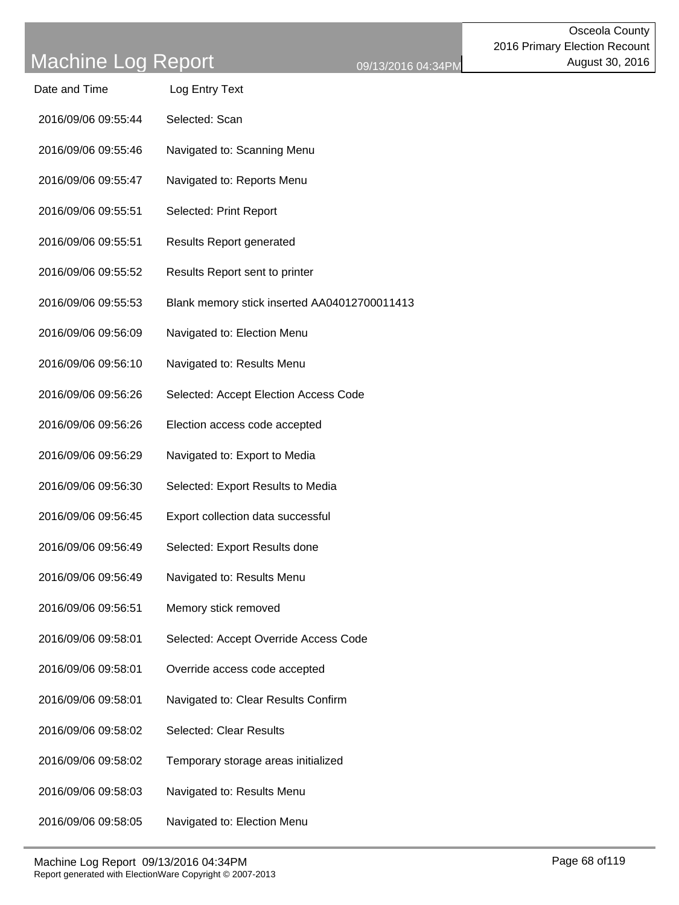| Date and Time | Log Entry Text |  |
|---------------|----------------|--|
|               |                |  |

- 2016/09/06 09:55:44 Selected: Scan
- 2016/09/06 09:55:46 Navigated to: Scanning Menu
- 2016/09/06 09:55:47 Navigated to: Reports Menu
- 2016/09/06 09:55:51 Selected: Print Report
- 2016/09/06 09:55:51 Results Report generated
- 2016/09/06 09:55:52 Results Report sent to printer
- 2016/09/06 09:55:53 Blank memory stick inserted AA04012700011413
- 2016/09/06 09:56:09 Navigated to: Election Menu
- 2016/09/06 09:56:10 Navigated to: Results Menu
- 2016/09/06 09:56:26 Selected: Accept Election Access Code
- 2016/09/06 09:56:26 Election access code accepted
- 2016/09/06 09:56:29 Navigated to: Export to Media
- 2016/09/06 09:56:30 Selected: Export Results to Media
- 2016/09/06 09:56:45 Export collection data successful
- 2016/09/06 09:56:49 Selected: Export Results done
- 2016/09/06 09:56:49 Navigated to: Results Menu
- 2016/09/06 09:56:51 Memory stick removed
- 2016/09/06 09:58:01 Selected: Accept Override Access Code
- 2016/09/06 09:58:01 Override access code accepted
- 2016/09/06 09:58:01 Navigated to: Clear Results Confirm
- 2016/09/06 09:58:02 Selected: Clear Results
- 2016/09/06 09:58:02 Temporary storage areas initialized
- 2016/09/06 09:58:03 Navigated to: Results Menu
- 2016/09/06 09:58:05 Navigated to: Election Menu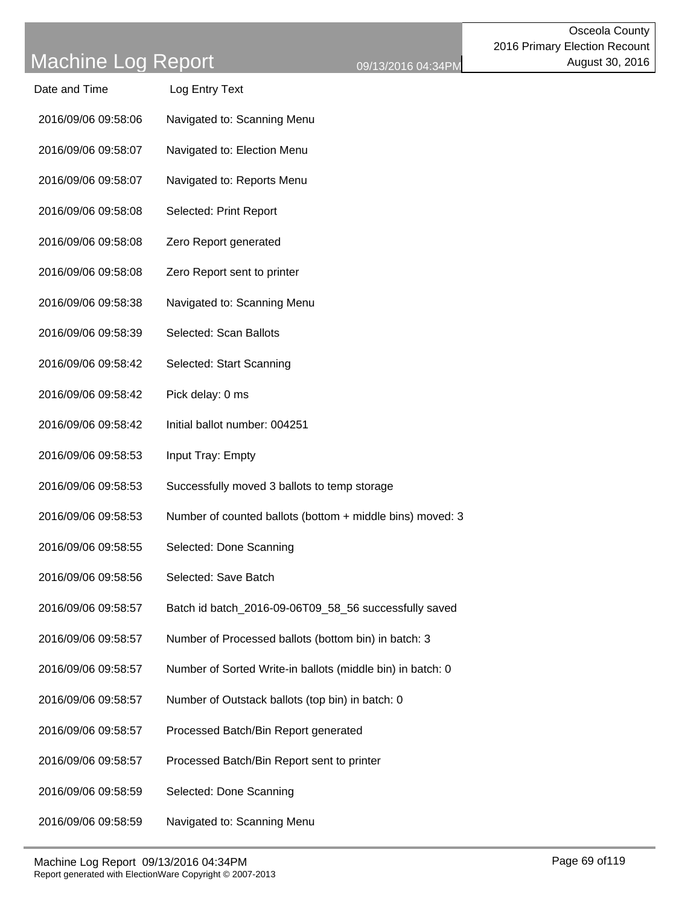| Date and Time       | Log Entry Text                                             |
|---------------------|------------------------------------------------------------|
| 2016/09/06 09:58:06 | Navigated to: Scanning Menu                                |
| 2016/09/06 09:58:07 | Navigated to: Election Menu                                |
| 2016/09/06 09:58:07 | Navigated to: Reports Menu                                 |
| 2016/09/06 09:58:08 | Selected: Print Report                                     |
| 2016/09/06 09:58:08 | Zero Report generated                                      |
| 2016/09/06 09:58:08 | Zero Report sent to printer                                |
| 2016/09/06 09:58:38 | Navigated to: Scanning Menu                                |
| 2016/09/06 09:58:39 | Selected: Scan Ballots                                     |
| 2016/09/06 09:58:42 | Selected: Start Scanning                                   |
| 2016/09/06 09:58:42 | Pick delay: 0 ms                                           |
| 2016/09/06 09:58:42 | Initial ballot number: 004251                              |
| 2016/09/06 09:58:53 | Input Tray: Empty                                          |
| 2016/09/06 09:58:53 | Successfully moved 3 ballots to temp storage               |
| 2016/09/06 09:58:53 | Number of counted ballots (bottom + middle bins) moved: 3  |
| 2016/09/06 09:58:55 | Selected: Done Scanning                                    |
| 2016/09/06 09:58:56 | Selected: Save Batch                                       |
| 2016/09/06 09:58:57 | Batch id batch_2016-09-06T09_58_56 successfully saved      |
| 2016/09/06 09:58:57 | Number of Processed ballots (bottom bin) in batch: 3       |
| 2016/09/06 09:58:57 | Number of Sorted Write-in ballots (middle bin) in batch: 0 |
| 2016/09/06 09:58:57 | Number of Outstack ballots (top bin) in batch: 0           |
| 2016/09/06 09:58:57 | Processed Batch/Bin Report generated                       |
| 2016/09/06 09:58:57 | Processed Batch/Bin Report sent to printer                 |
| 2016/09/06 09:58:59 | Selected: Done Scanning                                    |
| 2016/09/06 09:58:59 | Navigated to: Scanning Menu                                |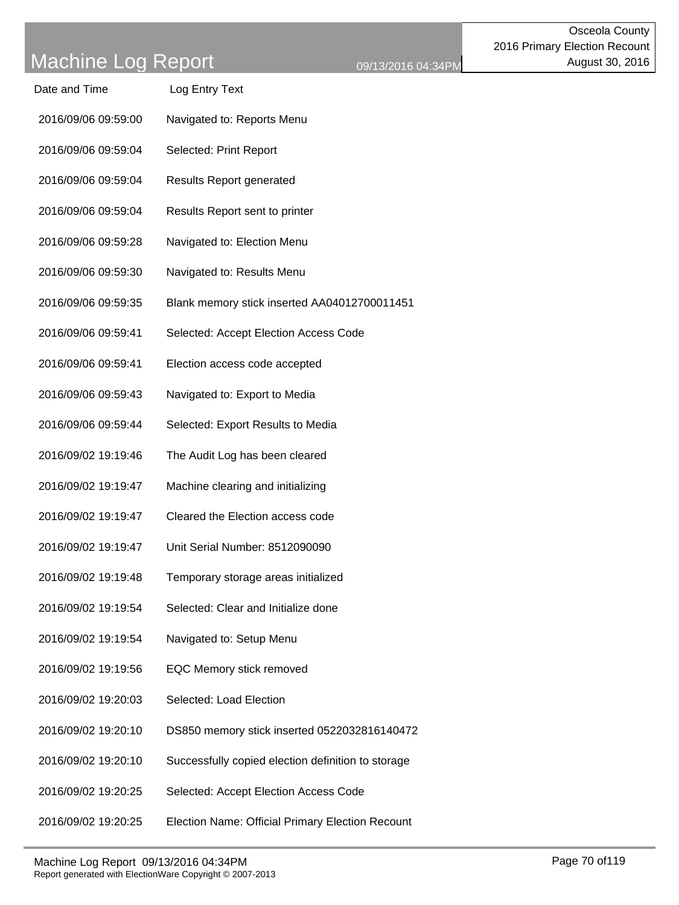| Date and Time       | Log Entry Text                                     |
|---------------------|----------------------------------------------------|
| 2016/09/06 09:59:00 | Navigated to: Reports Menu                         |
| 2016/09/06 09:59:04 | Selected: Print Report                             |
| 2016/09/06 09:59:04 | <b>Results Report generated</b>                    |
| 2016/09/06 09:59:04 | Results Report sent to printer                     |
| 2016/09/06 09:59:28 | Navigated to: Election Menu                        |
| 2016/09/06 09:59:30 | Navigated to: Results Menu                         |
| 2016/09/06 09:59:35 | Blank memory stick inserted AA04012700011451       |
| 2016/09/06 09:59:41 | Selected: Accept Election Access Code              |
| 2016/09/06 09:59:41 | Election access code accepted                      |
| 2016/09/06 09:59:43 | Navigated to: Export to Media                      |
| 2016/09/06 09:59:44 | Selected: Export Results to Media                  |
| 2016/09/02 19:19:46 | The Audit Log has been cleared                     |
| 2016/09/02 19:19:47 | Machine clearing and initializing                  |
| 2016/09/02 19:19:47 | Cleared the Election access code                   |
| 2016/09/02 19:19:47 | Unit Serial Number: 8512090090                     |
| 2016/09/02 19:19:48 | Temporary storage areas initialized                |
| 2016/09/02 19:19:54 | Selected: Clear and Initialize done                |
| 2016/09/02 19:19:54 | Navigated to: Setup Menu                           |
| 2016/09/02 19:19:56 | EQC Memory stick removed                           |
| 2016/09/02 19:20:03 | Selected: Load Election                            |
| 2016/09/02 19:20:10 | DS850 memory stick inserted 0522032816140472       |
| 2016/09/02 19:20:10 | Successfully copied election definition to storage |
| 2016/09/02 19:20:25 | Selected: Accept Election Access Code              |
| 2016/09/02 19:20:25 | Election Name: Official Primary Election Recount   |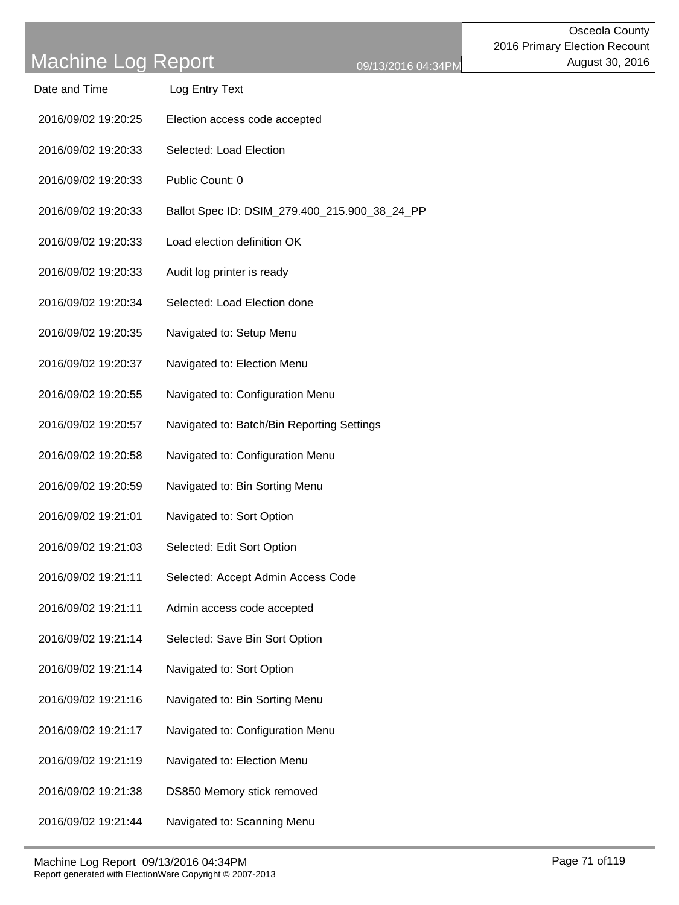- Date and Time Log Entry Text
- 2016/09/02 19:20:25 Election access code accepted
- 2016/09/02 19:20:33 Selected: Load Election
- 2016/09/02 19:20:33 Public Count: 0
- 2016/09/02 19:20:33 Ballot Spec ID: DSIM\_279.400\_215.900\_38\_24\_PP
- 2016/09/02 19:20:33 Load election definition OK
- 2016/09/02 19:20:33 Audit log printer is ready
- 2016/09/02 19:20:34 Selected: Load Election done
- 2016/09/02 19:20:35 Navigated to: Setup Menu
- 2016/09/02 19:20:37 Navigated to: Election Menu
- 2016/09/02 19:20:55 Navigated to: Configuration Menu
- 2016/09/02 19:20:57 Navigated to: Batch/Bin Reporting Settings
- 2016/09/02 19:20:58 Navigated to: Configuration Menu
- 2016/09/02 19:20:59 Navigated to: Bin Sorting Menu
- 2016/09/02 19:21:01 Navigated to: Sort Option
- 2016/09/02 19:21:03 Selected: Edit Sort Option
- 2016/09/02 19:21:11 Selected: Accept Admin Access Code
- 2016/09/02 19:21:11 Admin access code accepted
- 2016/09/02 19:21:14 Selected: Save Bin Sort Option
- 2016/09/02 19:21:14 Navigated to: Sort Option
- 2016/09/02 19:21:16 Navigated to: Bin Sorting Menu
- 2016/09/02 19:21:17 Navigated to: Configuration Menu
- 2016/09/02 19:21:19 Navigated to: Election Menu
- 2016/09/02 19:21:38 DS850 Memory stick removed
- 2016/09/02 19:21:44 Navigated to: Scanning Menu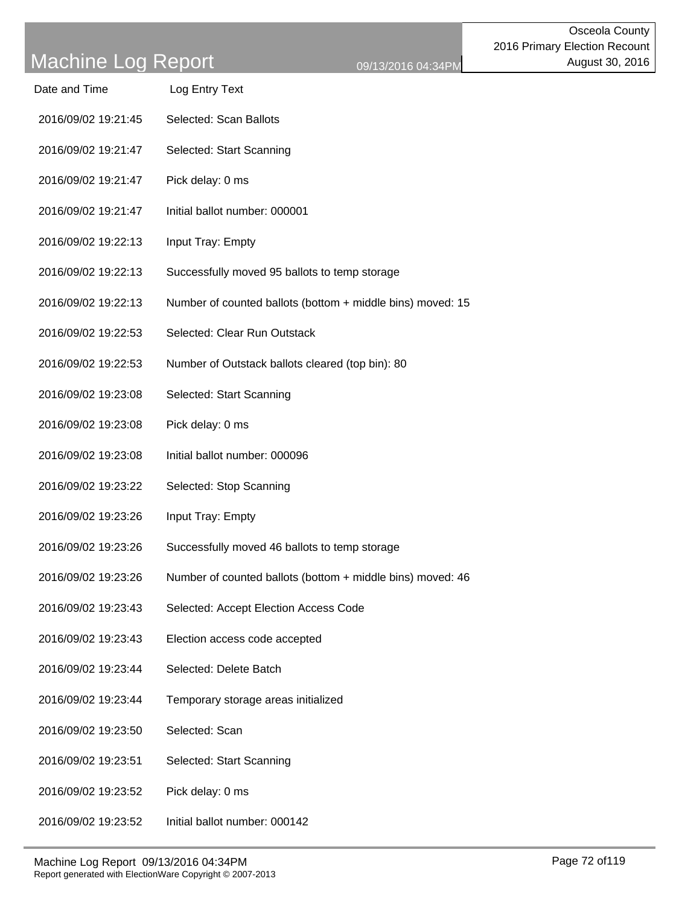- Date and Time Log Entry Text
- 2016/09/02 19:21:45 Selected: Scan Ballots
- 2016/09/02 19:21:47 Selected: Start Scanning
- 2016/09/02 19:21:47 Pick delay: 0 ms
- 2016/09/02 19:21:47 Initial ballot number: 000001
- 2016/09/02 19:22:13 Input Tray: Empty
- 2016/09/02 19:22:13 Successfully moved 95 ballots to temp storage
- 2016/09/02 19:22:13 Number of counted ballots (bottom + middle bins) moved: 15
- 2016/09/02 19:22:53 Selected: Clear Run Outstack
- 2016/09/02 19:22:53 Number of Outstack ballots cleared (top bin): 80
- 2016/09/02 19:23:08 Selected: Start Scanning
- 2016/09/02 19:23:08 Pick delay: 0 ms
- 2016/09/02 19:23:08 Initial ballot number: 000096
- 2016/09/02 19:23:22 Selected: Stop Scanning
- 2016/09/02 19:23:26 Input Tray: Empty
- 2016/09/02 19:23:26 Successfully moved 46 ballots to temp storage
- 2016/09/02 19:23:26 Number of counted ballots (bottom + middle bins) moved: 46
- 2016/09/02 19:23:43 Selected: Accept Election Access Code
- 2016/09/02 19:23:43 Election access code accepted
- 2016/09/02 19:23:44 Selected: Delete Batch
- 2016/09/02 19:23:44 Temporary storage areas initialized
- 2016/09/02 19:23:50 Selected: Scan
- 2016/09/02 19:23:51 Selected: Start Scanning
- 2016/09/02 19:23:52 Pick delay: 0 ms
- 2016/09/02 19:23:52 Initial ballot number: 000142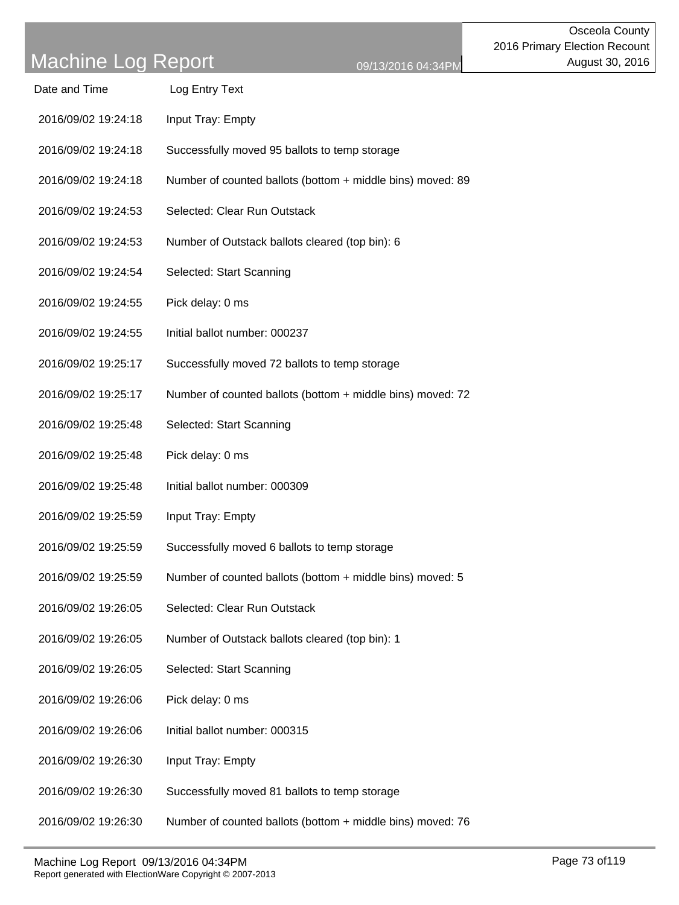| Date and Time       | Log Entry Text                                             |
|---------------------|------------------------------------------------------------|
| 2016/09/02 19:24:18 | Input Tray: Empty                                          |
| 2016/09/02 19:24:18 | Successfully moved 95 ballots to temp storage              |
| 2016/09/02 19:24:18 | Number of counted ballots (bottom + middle bins) moved: 89 |
| 2016/09/02 19:24:53 | Selected: Clear Run Outstack                               |
| 2016/09/02 19:24:53 | Number of Outstack ballots cleared (top bin): 6            |
| 2016/09/02 19:24:54 | Selected: Start Scanning                                   |
| 2016/09/02 19:24:55 | Pick delay: 0 ms                                           |
| 2016/09/02 19:24:55 | Initial ballot number: 000237                              |
| 2016/09/02 19:25:17 | Successfully moved 72 ballots to temp storage              |
| 2016/09/02 19:25:17 | Number of counted ballots (bottom + middle bins) moved: 72 |
| 2016/09/02 19:25:48 | Selected: Start Scanning                                   |
| 2016/09/02 19:25:48 | Pick delay: 0 ms                                           |
| 2016/09/02 19:25:48 | Initial ballot number: 000309                              |
| 2016/09/02 19:25:59 | Input Tray: Empty                                          |
| 2016/09/02 19:25:59 | Successfully moved 6 ballots to temp storage               |
| 2016/09/02 19:25:59 | Number of counted ballots (bottom + middle bins) moved: 5  |
| 2016/09/02 19:26:05 | Selected: Clear Run Outstack                               |
| 2016/09/02 19:26:05 | Number of Outstack ballots cleared (top bin): 1            |
| 2016/09/02 19:26:05 | Selected: Start Scanning                                   |
| 2016/09/02 19:26:06 | Pick delay: 0 ms                                           |
| 2016/09/02 19:26:06 | Initial ballot number: 000315                              |
| 2016/09/02 19:26:30 | Input Tray: Empty                                          |
| 2016/09/02 19:26:30 | Successfully moved 81 ballots to temp storage              |
| 2016/09/02 19:26:30 | Number of counted ballots (bottom + middle bins) moved: 76 |
|                     |                                                            |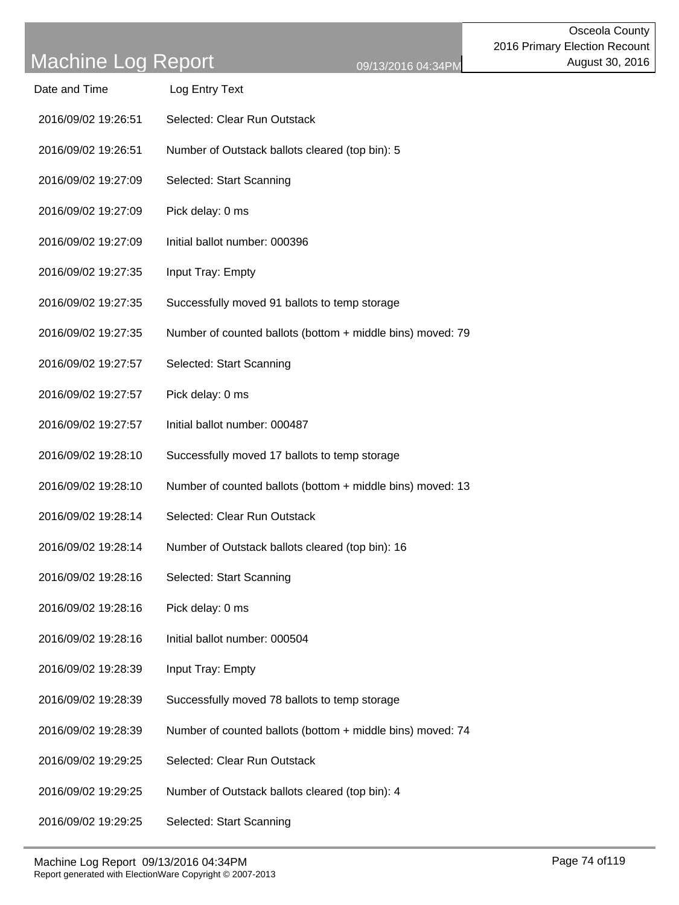| Log Entry Text<br>Date and Time |  |
|---------------------------------|--|
|---------------------------------|--|

- 2016/09/02 19:26:51 Selected: Clear Run Outstack
- 2016/09/02 19:26:51 Number of Outstack ballots cleared (top bin): 5
- 2016/09/02 19:27:09 Selected: Start Scanning
- 2016/09/02 19:27:09 Pick delay: 0 ms
- 2016/09/02 19:27:09 Initial ballot number: 000396
- 2016/09/02 19:27:35 Input Tray: Empty
- 2016/09/02 19:27:35 Successfully moved 91 ballots to temp storage
- 2016/09/02 19:27:35 Number of counted ballots (bottom + middle bins) moved: 79
- 2016/09/02 19:27:57 Selected: Start Scanning
- 2016/09/02 19:27:57 Pick delay: 0 ms
- 2016/09/02 19:27:57 Initial ballot number: 000487
- 2016/09/02 19:28:10 Successfully moved 17 ballots to temp storage
- 2016/09/02 19:28:10 Number of counted ballots (bottom + middle bins) moved: 13
- 2016/09/02 19:28:14 Selected: Clear Run Outstack
- 2016/09/02 19:28:14 Number of Outstack ballots cleared (top bin): 16
- 2016/09/02 19:28:16 Selected: Start Scanning
- 2016/09/02 19:28:16 Pick delay: 0 ms
- 2016/09/02 19:28:16 Initial ballot number: 000504
- 2016/09/02 19:28:39 Input Tray: Empty
- 2016/09/02 19:28:39 Successfully moved 78 ballots to temp storage
- 2016/09/02 19:28:39 Number of counted ballots (bottom + middle bins) moved: 74
- 2016/09/02 19:29:25 Selected: Clear Run Outstack
- 2016/09/02 19:29:25 Number of Outstack ballots cleared (top bin): 4
- 2016/09/02 19:29:25 Selected: Start Scanning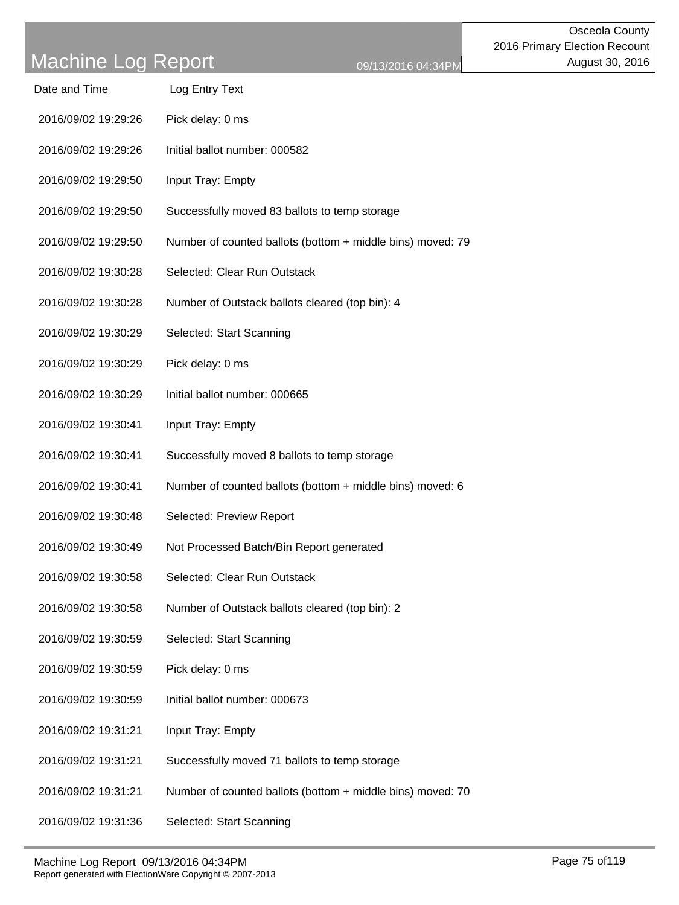| Date and Time | Log Entry Text |  |
|---------------|----------------|--|
|               |                |  |

- 2016/09/02 19:29:26 Pick delay: 0 ms
- 2016/09/02 19:29:26 Initial ballot number: 000582
- 2016/09/02 19:29:50 Input Tray: Empty
- 2016/09/02 19:29:50 Successfully moved 83 ballots to temp storage
- 2016/09/02 19:29:50 Number of counted ballots (bottom + middle bins) moved: 79
- 2016/09/02 19:30:28 Selected: Clear Run Outstack
- 2016/09/02 19:30:28 Number of Outstack ballots cleared (top bin): 4
- 2016/09/02 19:30:29 Selected: Start Scanning
- 2016/09/02 19:30:29 Pick delay: 0 ms
- 2016/09/02 19:30:29 Initial ballot number: 000665
- 2016/09/02 19:30:41 Input Tray: Empty
- 2016/09/02 19:30:41 Successfully moved 8 ballots to temp storage
- 2016/09/02 19:30:41 Number of counted ballots (bottom + middle bins) moved: 6
- 2016/09/02 19:30:48 Selected: Preview Report
- 2016/09/02 19:30:49 Not Processed Batch/Bin Report generated
- 2016/09/02 19:30:58 Selected: Clear Run Outstack
- 2016/09/02 19:30:58 Number of Outstack ballots cleared (top bin): 2
- 2016/09/02 19:30:59 Selected: Start Scanning
- 2016/09/02 19:30:59 Pick delay: 0 ms
- 2016/09/02 19:30:59 Initial ballot number: 000673
- 2016/09/02 19:31:21 Input Tray: Empty
- 2016/09/02 19:31:21 Successfully moved 71 ballots to temp storage
- 2016/09/02 19:31:21 Number of counted ballots (bottom + middle bins) moved: 70
- 2016/09/02 19:31:36 Selected: Start Scanning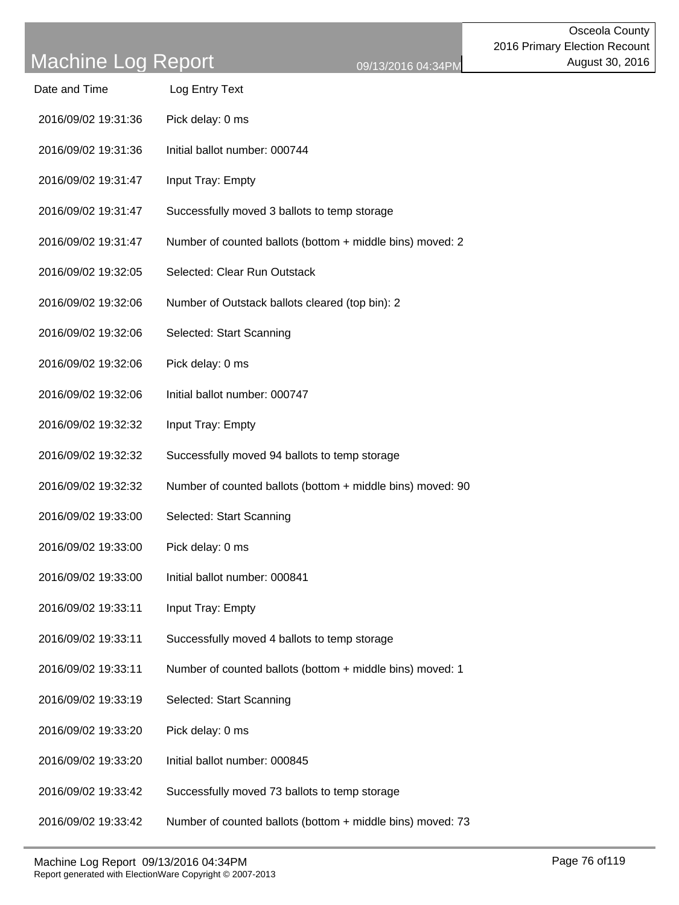| Date and Time | Log Entry Text |  |
|---------------|----------------|--|
|               |                |  |

- 2016/09/02 19:31:36 Pick delay: 0 ms
- 2016/09/02 19:31:36 Initial ballot number: 000744
- 2016/09/02 19:31:47 Input Tray: Empty
- 2016/09/02 19:31:47 Successfully moved 3 ballots to temp storage
- 2016/09/02 19:31:47 Number of counted ballots (bottom + middle bins) moved: 2
- 2016/09/02 19:32:05 Selected: Clear Run Outstack
- 2016/09/02 19:32:06 Number of Outstack ballots cleared (top bin): 2
- 2016/09/02 19:32:06 Selected: Start Scanning
- 2016/09/02 19:32:06 Pick delay: 0 ms
- 2016/09/02 19:32:06 Initial ballot number: 000747
- 2016/09/02 19:32:32 Input Tray: Empty
- 2016/09/02 19:32:32 Successfully moved 94 ballots to temp storage
- 2016/09/02 19:32:32 Number of counted ballots (bottom + middle bins) moved: 90
- 2016/09/02 19:33:00 Selected: Start Scanning
- 2016/09/02 19:33:00 Pick delay: 0 ms
- 2016/09/02 19:33:00 Initial ballot number: 000841
- 2016/09/02 19:33:11 Input Tray: Empty
- 2016/09/02 19:33:11 Successfully moved 4 ballots to temp storage
- 2016/09/02 19:33:11 Number of counted ballots (bottom + middle bins) moved: 1
- 2016/09/02 19:33:19 Selected: Start Scanning
- 2016/09/02 19:33:20 Pick delay: 0 ms
- 2016/09/02 19:33:20 Initial ballot number: 000845
- 2016/09/02 19:33:42 Successfully moved 73 ballots to temp storage
- 2016/09/02 19:33:42 Number of counted ballots (bottom + middle bins) moved: 73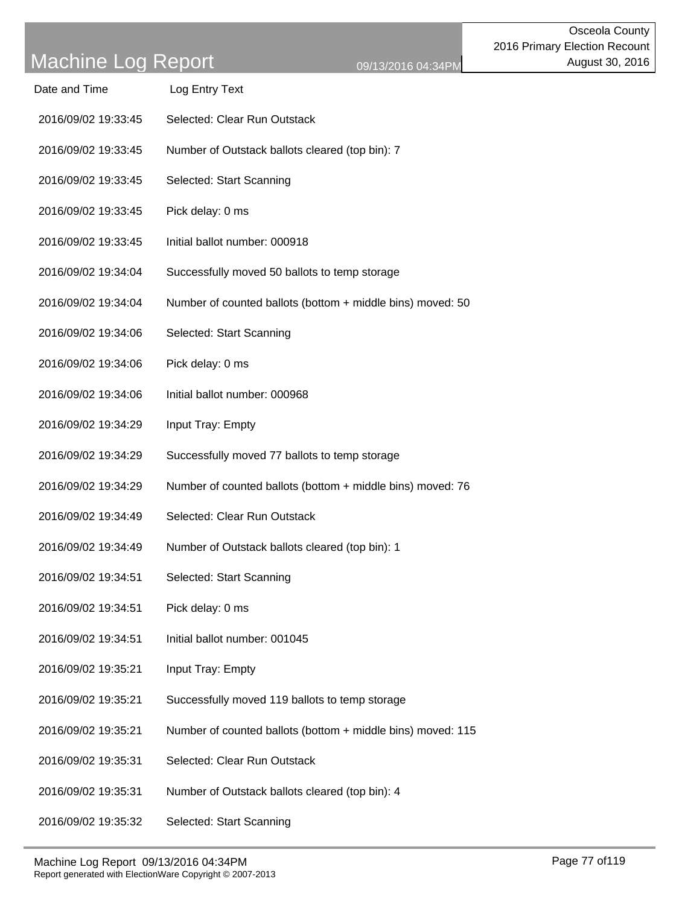- 2016/09/02 19:33:45 Selected: Clear Run Outstack
- 2016/09/02 19:33:45 Number of Outstack ballots cleared (top bin): 7
- 2016/09/02 19:33:45 Selected: Start Scanning
- 2016/09/02 19:33:45 Pick delay: 0 ms
- 2016/09/02 19:33:45 Initial ballot number: 000918
- 2016/09/02 19:34:04 Successfully moved 50 ballots to temp storage
- 2016/09/02 19:34:04 Number of counted ballots (bottom + middle bins) moved: 50
- 2016/09/02 19:34:06 Selected: Start Scanning
- 2016/09/02 19:34:06 Pick delay: 0 ms
- 2016/09/02 19:34:06 Initial ballot number: 000968
- 2016/09/02 19:34:29 Input Tray: Empty
- 2016/09/02 19:34:29 Successfully moved 77 ballots to temp storage
- 2016/09/02 19:34:29 Number of counted ballots (bottom + middle bins) moved: 76
- 2016/09/02 19:34:49 Selected: Clear Run Outstack
- 2016/09/02 19:34:49 Number of Outstack ballots cleared (top bin): 1
- 2016/09/02 19:34:51 Selected: Start Scanning
- 2016/09/02 19:34:51 Pick delay: 0 ms
- 2016/09/02 19:34:51 Initial ballot number: 001045
- 2016/09/02 19:35:21 Input Tray: Empty
- 2016/09/02 19:35:21 Successfully moved 119 ballots to temp storage
- 2016/09/02 19:35:21 Number of counted ballots (bottom + middle bins) moved: 115
- 2016/09/02 19:35:31 Selected: Clear Run Outstack
- 2016/09/02 19:35:31 Number of Outstack ballots cleared (top bin): 4
- 2016/09/02 19:35:32 Selected: Start Scanning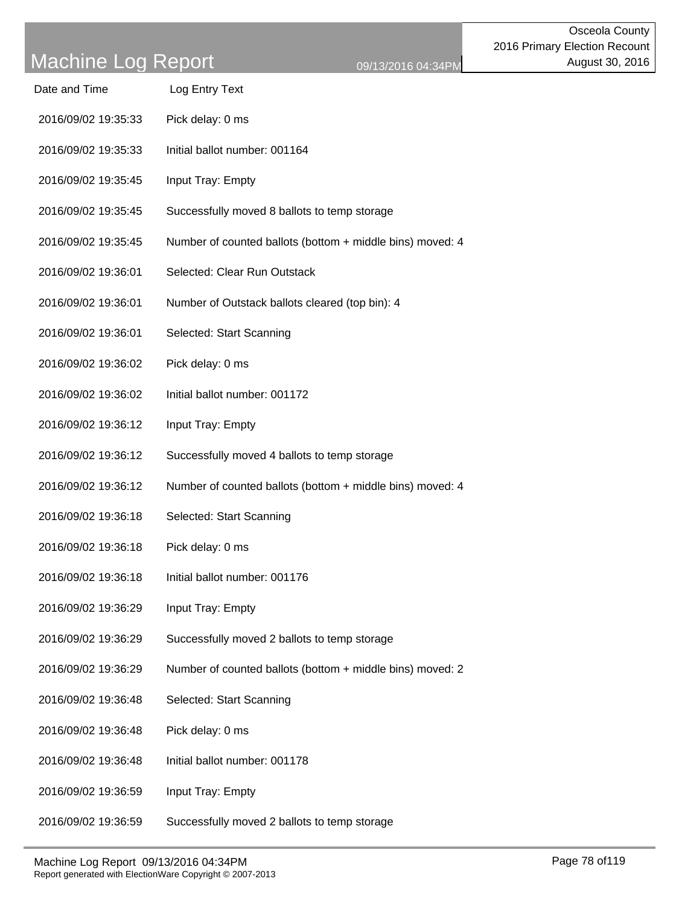| Date and Time | Log Entry Text |
|---------------|----------------|
|               |                |

- 2016/09/02 19:35:33 Pick delay: 0 ms
- 2016/09/02 19:35:33 Initial ballot number: 001164
- 2016/09/02 19:35:45 Input Tray: Empty
- 2016/09/02 19:35:45 Successfully moved 8 ballots to temp storage
- 2016/09/02 19:35:45 Number of counted ballots (bottom + middle bins) moved: 4
- 2016/09/02 19:36:01 Selected: Clear Run Outstack
- 2016/09/02 19:36:01 Number of Outstack ballots cleared (top bin): 4
- 2016/09/02 19:36:01 Selected: Start Scanning
- 2016/09/02 19:36:02 Pick delay: 0 ms
- 2016/09/02 19:36:02 Initial ballot number: 001172
- 2016/09/02 19:36:12 Input Tray: Empty
- 2016/09/02 19:36:12 Successfully moved 4 ballots to temp storage
- 2016/09/02 19:36:12 Number of counted ballots (bottom + middle bins) moved: 4
- 2016/09/02 19:36:18 Selected: Start Scanning
- 2016/09/02 19:36:18 Pick delay: 0 ms
- 2016/09/02 19:36:18 Initial ballot number: 001176
- 2016/09/02 19:36:29 Input Tray: Empty
- 2016/09/02 19:36:29 Successfully moved 2 ballots to temp storage
- 2016/09/02 19:36:29 Number of counted ballots (bottom + middle bins) moved: 2
- 2016/09/02 19:36:48 Selected: Start Scanning
- 2016/09/02 19:36:48 Pick delay: 0 ms
- 2016/09/02 19:36:48 Initial ballot number: 001178
- 2016/09/02 19:36:59 Input Tray: Empty
- 2016/09/02 19:36:59 Successfully moved 2 ballots to temp storage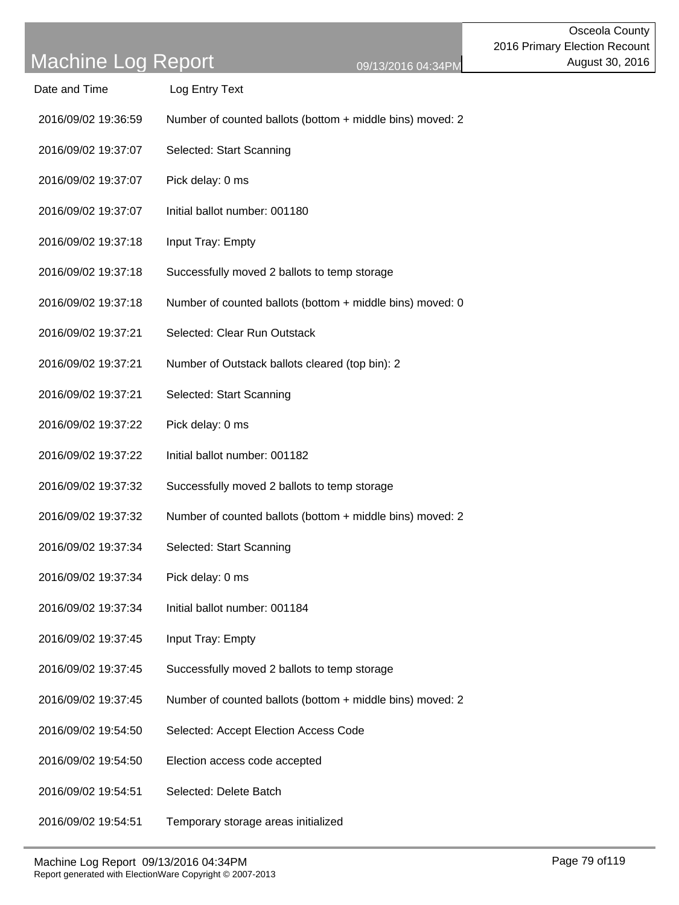Date and Time Log Entry Text

| 2016/09/02 19:36:59 | Number of counted ballots (bottom $+$ middle bins) moved: 2 |
|---------------------|-------------------------------------------------------------|
| 2016/09/02 19:37:07 | Selected: Start Scanning                                    |
| 2016/09/02 19:37:07 | Pick delay: 0 ms                                            |
| 2016/09/02 19:37:07 | Initial ballot number: 001180                               |
| 2016/09/02 19:37:18 | Input Tray: Empty                                           |
| 2016/09/02 19:37:18 | Successfully moved 2 ballots to temp storage                |
| 2016/09/02 19:37:18 | Number of counted ballots (bottom $+$ middle bins) moved: 0 |
| 2016/09/02 19:37:21 | Selected: Clear Run Outstack                                |
|                     |                                                             |

- 2016/09/02 19:37:21 Number of Outstack ballots cleared (top bin): 2
- 2016/09/02 19:37:21 Selected: Start Scanning
- 2016/09/02 19:37:22 Pick delay: 0 ms
- 2016/09/02 19:37:22 Initial ballot number: 001182
- 2016/09/02 19:37:32 Successfully moved 2 ballots to temp storage
- 2016/09/02 19:37:32 Number of counted ballots (bottom + middle bins) moved: 2
- 2016/09/02 19:37:34 Selected: Start Scanning
- 2016/09/02 19:37:34 Pick delay: 0 ms
- 2016/09/02 19:37:34 Initial ballot number: 001184
- 2016/09/02 19:37:45 Input Tray: Empty
- 2016/09/02 19:37:45 Successfully moved 2 ballots to temp storage
- 2016/09/02 19:37:45 Number of counted ballots (bottom + middle bins) moved: 2
- 2016/09/02 19:54:50 Selected: Accept Election Access Code
- 2016/09/02 19:54:50 Election access code accepted
- 2016/09/02 19:54:51 Selected: Delete Batch
- 2016/09/02 19:54:51 Temporary storage areas initialized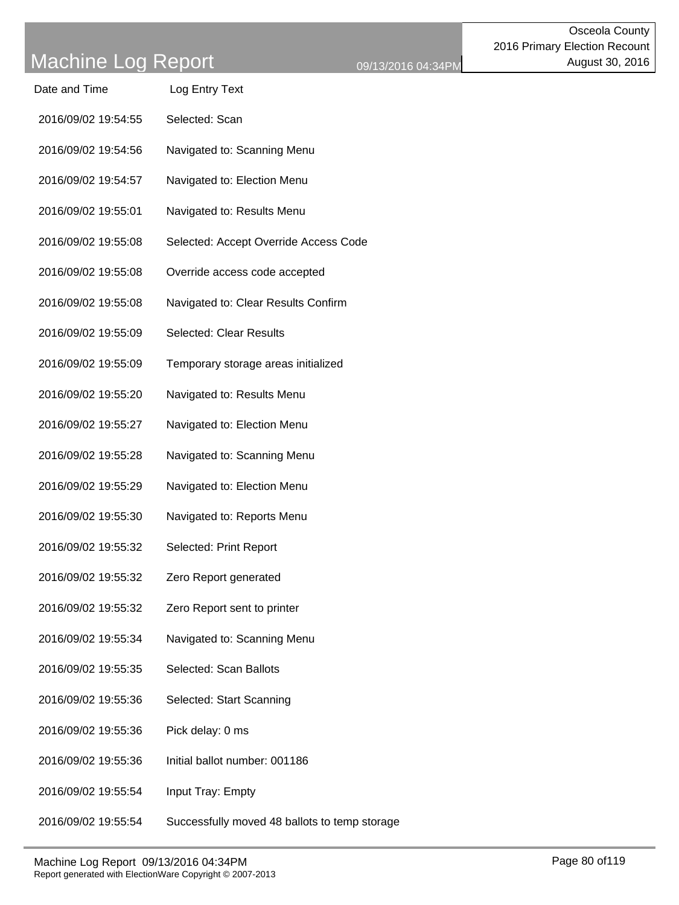| Date and Time       | Log Entry Text                                |
|---------------------|-----------------------------------------------|
| 2016/09/02 19:54:55 | Selected: Scan                                |
| 2016/09/02 19:54:56 | Navigated to: Scanning Menu                   |
| 2016/09/02 19:54:57 | Navigated to: Election Menu                   |
| 2016/09/02 19:55:01 | Navigated to: Results Menu                    |
| 2016/09/02 19:55:08 | Selected: Accept Override Access Code         |
| 2016/09/02 19:55:08 | Override access code accepted                 |
| 2016/09/02 19:55:08 | Navigated to: Clear Results Confirm           |
| 2016/09/02 19:55:09 | <b>Selected: Clear Results</b>                |
| 2016/09/02 19:55:09 | Temporary storage areas initialized           |
| 2016/09/02 19:55:20 | Navigated to: Results Menu                    |
| 2016/09/02 19:55:27 | Navigated to: Election Menu                   |
| 2016/09/02 19:55:28 | Navigated to: Scanning Menu                   |
| 2016/09/02 19:55:29 | Navigated to: Election Menu                   |
| 2016/09/02 19:55:30 | Navigated to: Reports Menu                    |
| 2016/09/02 19:55:32 | Selected: Print Report                        |
| 2016/09/02 19:55:32 | Zero Report generated                         |
| 2016/09/02 19:55:32 | Zero Report sent to printer                   |
| 2016/09/02 19:55:34 | Navigated to: Scanning Menu                   |
| 2016/09/02 19:55:35 | Selected: Scan Ballots                        |
| 2016/09/02 19:55:36 | Selected: Start Scanning                      |
| 2016/09/02 19:55:36 | Pick delay: 0 ms                              |
| 2016/09/02 19:55:36 | Initial ballot number: 001186                 |
| 2016/09/02 19:55:54 | Input Tray: Empty                             |
| 2016/09/02 19:55:54 | Successfully moved 48 ballots to temp storage |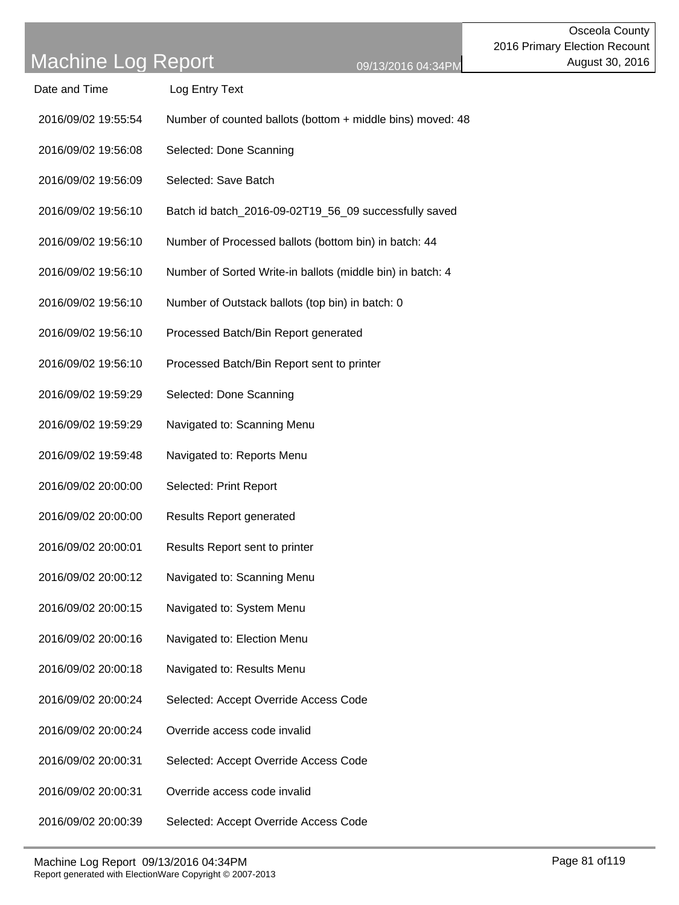- Date and Time Log Entry Text
- 2016/09/02 19:55:54 Number of counted ballots (bottom + middle bins) moved: 48
- 2016/09/02 19:56:08 Selected: Done Scanning
- 2016/09/02 19:56:09 Selected: Save Batch
- 2016/09/02 19:56:10 Batch id batch\_2016-09-02T19\_56\_09 successfully saved
- 2016/09/02 19:56:10 Number of Processed ballots (bottom bin) in batch: 44
- 2016/09/02 19:56:10 Number of Sorted Write-in ballots (middle bin) in batch: 4
- 2016/09/02 19:56:10 Number of Outstack ballots (top bin) in batch: 0
- 2016/09/02 19:56:10 Processed Batch/Bin Report generated
- 2016/09/02 19:56:10 Processed Batch/Bin Report sent to printer
- 2016/09/02 19:59:29 Selected: Done Scanning
- 2016/09/02 19:59:29 Navigated to: Scanning Menu
- 2016/09/02 19:59:48 Navigated to: Reports Menu
- 2016/09/02 20:00:00 Selected: Print Report
- 2016/09/02 20:00:00 Results Report generated
- 2016/09/02 20:00:01 Results Report sent to printer
- 2016/09/02 20:00:12 Navigated to: Scanning Menu
- 2016/09/02 20:00:15 Navigated to: System Menu
- 2016/09/02 20:00:16 Navigated to: Election Menu
- 2016/09/02 20:00:18 Navigated to: Results Menu
- 2016/09/02 20:00:24 Selected: Accept Override Access Code
- 2016/09/02 20:00:24 Override access code invalid
- 2016/09/02 20:00:31 Selected: Accept Override Access Code
- 2016/09/02 20:00:31 Override access code invalid
- 2016/09/02 20:00:39 Selected: Accept Override Access Code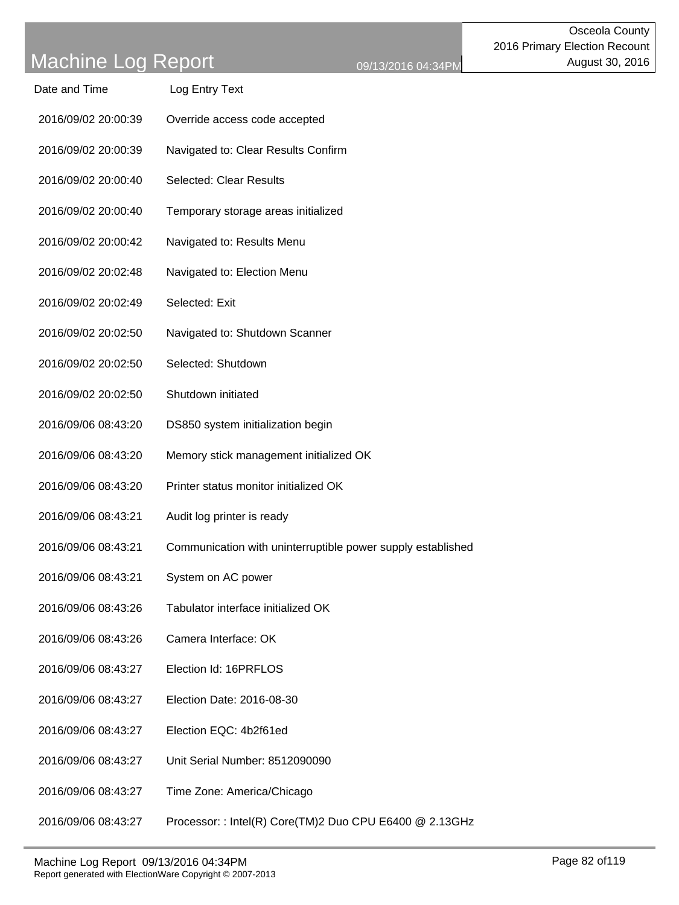Osceola County

| Date and Time       | Log Entry Text                                              |
|---------------------|-------------------------------------------------------------|
| 2016/09/02 20:00:39 | Override access code accepted                               |
| 2016/09/02 20:00:39 | Navigated to: Clear Results Confirm                         |
| 2016/09/02 20:00:40 | <b>Selected: Clear Results</b>                              |
| 2016/09/02 20:00:40 | Temporary storage areas initialized                         |
| 2016/09/02 20:00:42 | Navigated to: Results Menu                                  |
| 2016/09/02 20:02:48 | Navigated to: Election Menu                                 |
| 2016/09/02 20:02:49 | Selected: Exit                                              |
| 2016/09/02 20:02:50 | Navigated to: Shutdown Scanner                              |
| 2016/09/02 20:02:50 | Selected: Shutdown                                          |
| 2016/09/02 20:02:50 | Shutdown initiated                                          |
| 2016/09/06 08:43:20 | DS850 system initialization begin                           |
| 2016/09/06 08:43:20 | Memory stick management initialized OK                      |
| 2016/09/06 08:43:20 | Printer status monitor initialized OK                       |
| 2016/09/06 08:43:21 | Audit log printer is ready                                  |
| 2016/09/06 08:43:21 | Communication with uninterruptible power supply established |
| 2016/09/06 08:43:21 | System on AC power                                          |
| 2016/09/06 08:43:26 | Tabulator interface initialized OK                          |
| 2016/09/06 08:43:26 | Camera Interface: OK                                        |
| 2016/09/06 08:43:27 | Election Id: 16PRFLOS                                       |
| 2016/09/06 08:43:27 | Election Date: 2016-08-30                                   |
| 2016/09/06 08:43:27 | Election EQC: 4b2f61ed                                      |
| 2016/09/06 08:43:27 | Unit Serial Number: 8512090090                              |
| 2016/09/06 08:43:27 | Time Zone: America/Chicago                                  |
| 2016/09/06 08:43:27 | Processor: : Intel(R) Core(TM)2 Duo CPU E6400 @ 2.13GHz     |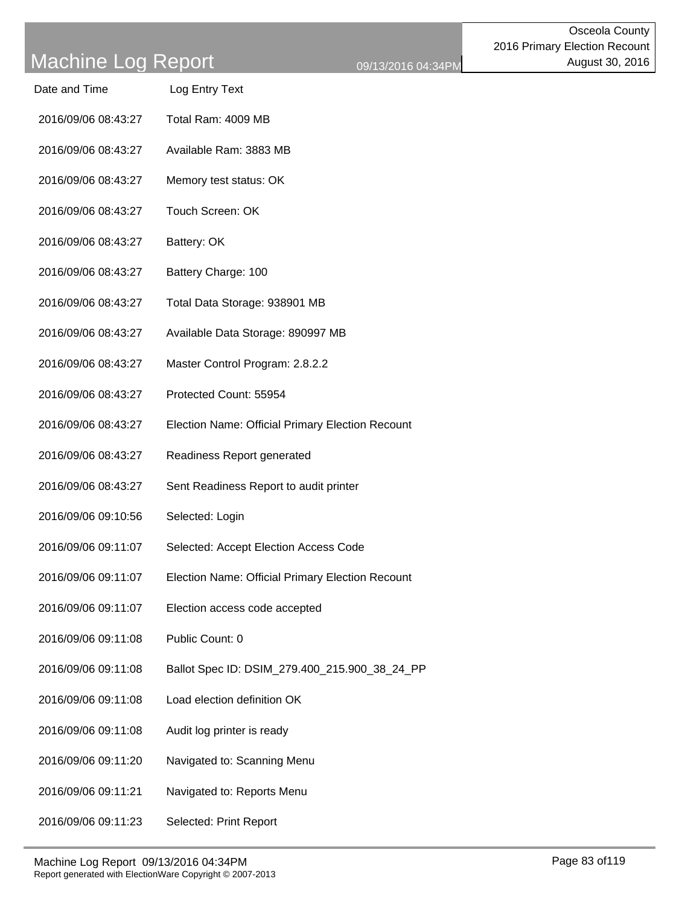| Date and Time | Log Entry Text |
|---------------|----------------|
|               |                |

- 2016/09/06 08:43:27 Total Ram: 4009 MB
- 2016/09/06 08:43:27 Available Ram: 3883 MB
- 2016/09/06 08:43:27 Memory test status: OK
- 2016/09/06 08:43:27 Touch Screen: OK
- 2016/09/06 08:43:27 Battery: OK
- 2016/09/06 08:43:27 Battery Charge: 100
- 2016/09/06 08:43:27 Total Data Storage: 938901 MB
- 2016/09/06 08:43:27 Available Data Storage: 890997 MB
- 2016/09/06 08:43:27 Master Control Program: 2.8.2.2
- 2016/09/06 08:43:27 Protected Count: 55954
- 2016/09/06 08:43:27 Election Name: Official Primary Election Recount
- 2016/09/06 08:43:27 Readiness Report generated
- 2016/09/06 08:43:27 Sent Readiness Report to audit printer
- 2016/09/06 09:10:56 Selected: Login
- 2016/09/06 09:11:07 Selected: Accept Election Access Code
- 2016/09/06 09:11:07 Election Name: Official Primary Election Recount
- 2016/09/06 09:11:07 Election access code accepted
- 2016/09/06 09:11:08 Public Count: 0
- 2016/09/06 09:11:08 Ballot Spec ID: DSIM\_279.400\_215.900\_38\_24\_PP
- 2016/09/06 09:11:08 Load election definition OK
- 2016/09/06 09:11:08 Audit log printer is ready
- 2016/09/06 09:11:20 Navigated to: Scanning Menu
- 2016/09/06 09:11:21 Navigated to: Reports Menu
- 2016/09/06 09:11:23 Selected: Print Report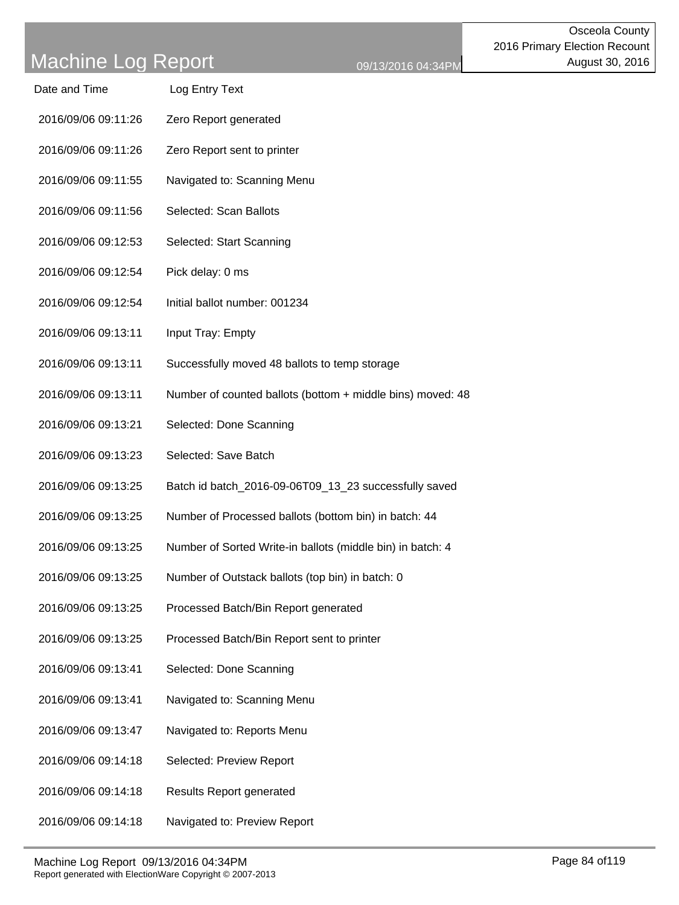| Date and Time | Log Entry Text |
|---------------|----------------|
|               |                |

- 2016/09/06 09:11:26 Zero Report generated
- 2016/09/06 09:11:26 Zero Report sent to printer
- 2016/09/06 09:11:55 Navigated to: Scanning Menu
- 2016/09/06 09:11:56 Selected: Scan Ballots
- 2016/09/06 09:12:53 Selected: Start Scanning
- 2016/09/06 09:12:54 Pick delay: 0 ms
- 2016/09/06 09:12:54 Initial ballot number: 001234
- 2016/09/06 09:13:11 Input Tray: Empty
- 2016/09/06 09:13:11 Successfully moved 48 ballots to temp storage
- 2016/09/06 09:13:11 Number of counted ballots (bottom + middle bins) moved: 48
- 2016/09/06 09:13:21 Selected: Done Scanning
- 2016/09/06 09:13:23 Selected: Save Batch
- 2016/09/06 09:13:25 Batch id batch\_2016-09-06T09\_13\_23 successfully saved
- 2016/09/06 09:13:25 Number of Processed ballots (bottom bin) in batch: 44
- 2016/09/06 09:13:25 Number of Sorted Write-in ballots (middle bin) in batch: 4
- 2016/09/06 09:13:25 Number of Outstack ballots (top bin) in batch: 0
- 2016/09/06 09:13:25 Processed Batch/Bin Report generated
- 2016/09/06 09:13:25 Processed Batch/Bin Report sent to printer
- 2016/09/06 09:13:41 Selected: Done Scanning
- 2016/09/06 09:13:41 Navigated to: Scanning Menu
- 2016/09/06 09:13:47 Navigated to: Reports Menu
- 2016/09/06 09:14:18 Selected: Preview Report
- 2016/09/06 09:14:18 Results Report generated
- 2016/09/06 09:14:18 Navigated to: Preview Report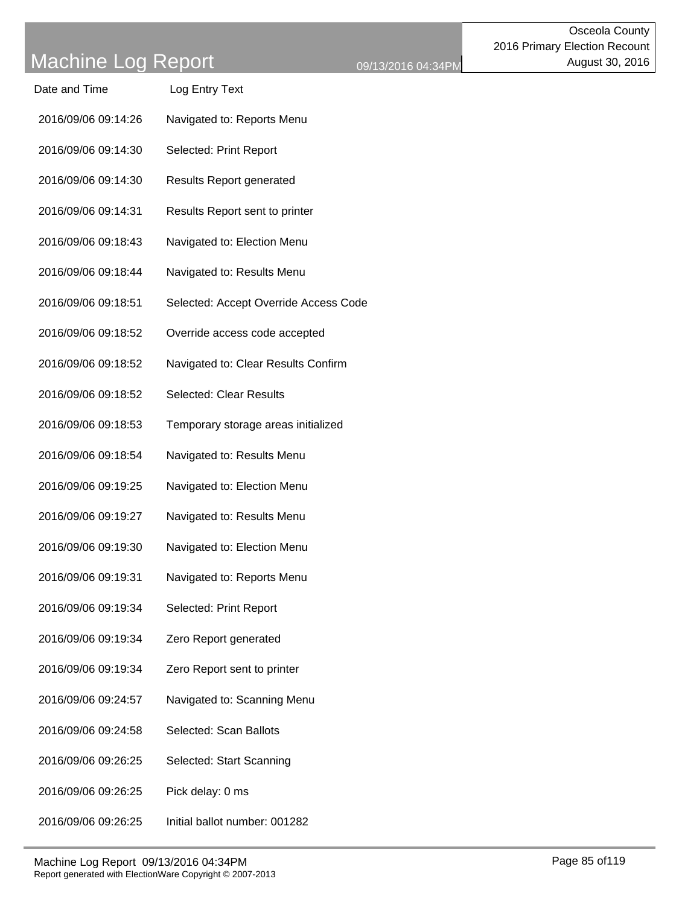| Date and Time       | Log Entry Text                        |
|---------------------|---------------------------------------|
| 2016/09/06 09:14:26 | Navigated to: Reports Menu            |
| 2016/09/06 09:14:30 | Selected: Print Report                |
| 2016/09/06 09:14:30 | <b>Results Report generated</b>       |
| 2016/09/06 09:14:31 | Results Report sent to printer        |
| 2016/09/06 09:18:43 | Navigated to: Election Menu           |
| 2016/09/06 09:18:44 | Navigated to: Results Menu            |
| 2016/09/06 09:18:51 | Selected: Accept Override Access Code |
| 2016/09/06 09:18:52 | Override access code accepted         |
| 2016/09/06 09:18:52 | Navigated to: Clear Results Confirm   |
| 2016/09/06 09:18:52 | <b>Selected: Clear Results</b>        |
| 2016/09/06 09:18:53 | Temporary storage areas initialized   |
| 2016/09/06 09:18:54 | Navigated to: Results Menu            |
| 2016/09/06 09:19:25 | Navigated to: Election Menu           |
| 2016/09/06 09:19:27 | Navigated to: Results Menu            |
| 2016/09/06 09:19:30 | Navigated to: Election Menu           |
| 2016/09/06 09:19:31 | Navigated to: Reports Menu            |
| 2016/09/06 09:19:34 | Selected: Print Report                |
| 2016/09/06 09:19:34 | Zero Report generated                 |
| 2016/09/06 09:19:34 | Zero Report sent to printer           |
| 2016/09/06 09:24:57 | Navigated to: Scanning Menu           |
| 2016/09/06 09:24:58 | Selected: Scan Ballots                |
| 2016/09/06 09:26:25 | Selected: Start Scanning              |
| 2016/09/06 09:26:25 | Pick delay: 0 ms                      |
| 2016/09/06 09:26:25 | Initial ballot number: 001282         |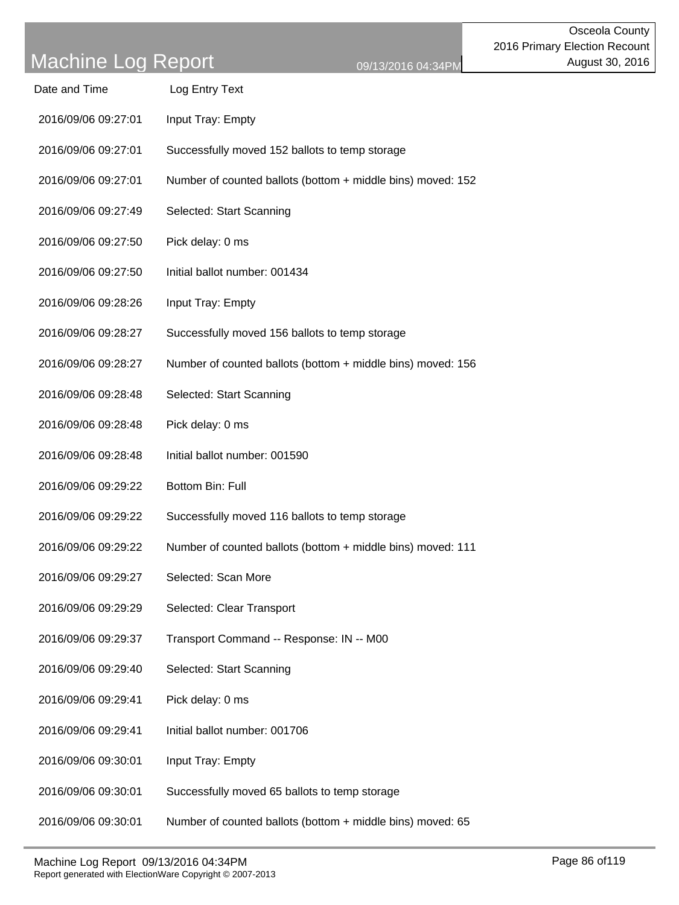| Date and Time       | Log Entry Text                                              |
|---------------------|-------------------------------------------------------------|
| 2016/09/06 09:27:01 | Input Tray: Empty                                           |
| 2016/09/06 09:27:01 | Successfully moved 152 ballots to temp storage              |
| 2016/09/06 09:27:01 | Number of counted ballots (bottom + middle bins) moved: 152 |
| 2016/09/06 09:27:49 | Selected: Start Scanning                                    |
| 2016/09/06 09:27:50 | Pick delay: 0 ms                                            |
| 2016/09/06 09:27:50 | Initial ballot number: 001434                               |
| 2016/09/06 09:28:26 | Input Tray: Empty                                           |
| 2016/09/06 09:28:27 | Successfully moved 156 ballots to temp storage              |
| 2016/09/06 09:28:27 | Number of counted ballots (bottom + middle bins) moved: 156 |
| 2016/09/06 09:28:48 | Selected: Start Scanning                                    |
| 2016/09/06 09:28:48 | Pick delay: 0 ms                                            |
| 2016/09/06 09:28:48 | Initial ballot number: 001590                               |
| 2016/09/06 09:29:22 | Bottom Bin: Full                                            |
| 2016/09/06 09:29:22 | Successfully moved 116 ballots to temp storage              |
| 2016/09/06 09:29:22 | Number of counted ballots (bottom + middle bins) moved: 111 |
| 2016/09/06 09:29:27 | Selected: Scan More                                         |
| 2016/09/06 09:29:29 | Selected: Clear Transport                                   |
| 2016/09/06 09:29:37 | Transport Command -- Response: IN -- M00                    |
| 2016/09/06 09:29:40 | Selected: Start Scanning                                    |
| 2016/09/06 09:29:41 | Pick delay: 0 ms                                            |
| 2016/09/06 09:29:41 | Initial ballot number: 001706                               |
| 2016/09/06 09:30:01 | Input Tray: Empty                                           |
| 2016/09/06 09:30:01 | Successfully moved 65 ballots to temp storage               |
| 2016/09/06 09:30:01 | Number of counted ballots (bottom + middle bins) moved: 65  |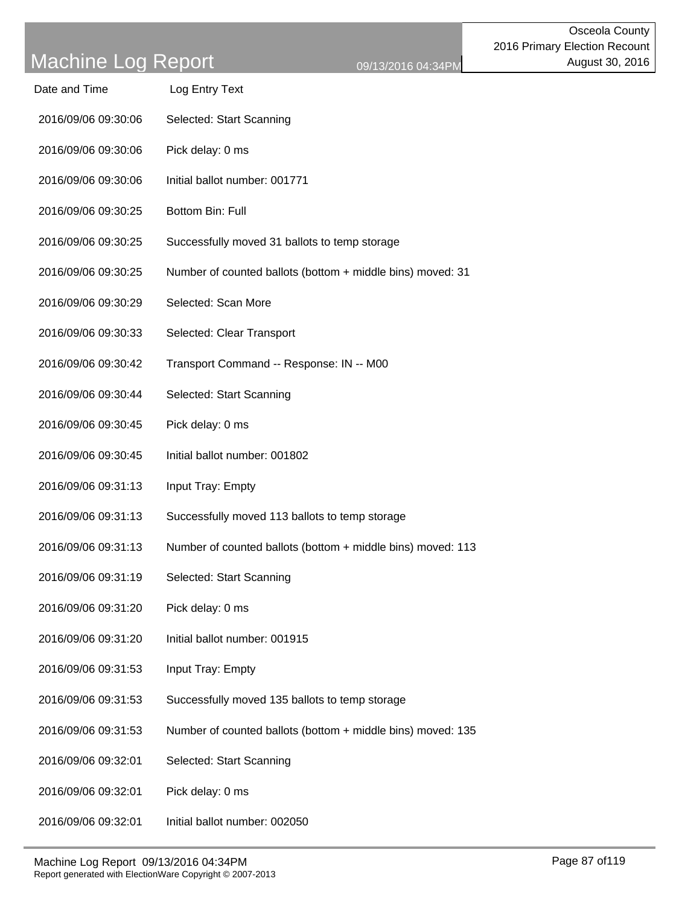| Date and Time       | Log Entry Text                                              |
|---------------------|-------------------------------------------------------------|
| 2016/09/06 09:30:06 | Selected: Start Scanning                                    |
| 2016/09/06 09:30:06 | Pick delay: 0 ms                                            |
| 2016/09/06 09:30:06 | Initial ballot number: 001771                               |
| 2016/09/06 09:30:25 | Bottom Bin: Full                                            |
| 2016/09/06 09:30:25 | Successfully moved 31 ballots to temp storage               |
| 2016/09/06 09:30:25 | Number of counted ballots (bottom + middle bins) moved: 31  |
| 2016/09/06 09:30:29 | Selected: Scan More                                         |
| 2016/09/06 09:30:33 | Selected: Clear Transport                                   |
| 2016/09/06 09:30:42 | Transport Command -- Response: IN -- M00                    |
| 2016/09/06 09:30:44 | Selected: Start Scanning                                    |
| 2016/09/06 09:30:45 | Pick delay: 0 ms                                            |
| 2016/09/06 09:30:45 | Initial ballot number: 001802                               |
| 2016/09/06 09:31:13 | Input Tray: Empty                                           |
| 2016/09/06 09:31:13 | Successfully moved 113 ballots to temp storage              |
| 2016/09/06 09:31:13 | Number of counted ballots (bottom + middle bins) moved: 113 |
| 2016/09/06 09:31:19 | Selected: Start Scanning                                    |
| 2016/09/06 09:31:20 | Pick delay: 0 ms                                            |
| 2016/09/06 09:31:20 | Initial ballot number: 001915                               |
| 2016/09/06 09:31:53 | Input Tray: Empty                                           |
| 2016/09/06 09:31:53 | Successfully moved 135 ballots to temp storage              |
| 2016/09/06 09:31:53 | Number of counted ballots (bottom + middle bins) moved: 135 |
| 2016/09/06 09:32:01 | Selected: Start Scanning                                    |
| 2016/09/06 09:32:01 | Pick delay: 0 ms                                            |
| 2016/09/06 09:32:01 | Initial ballot number: 002050                               |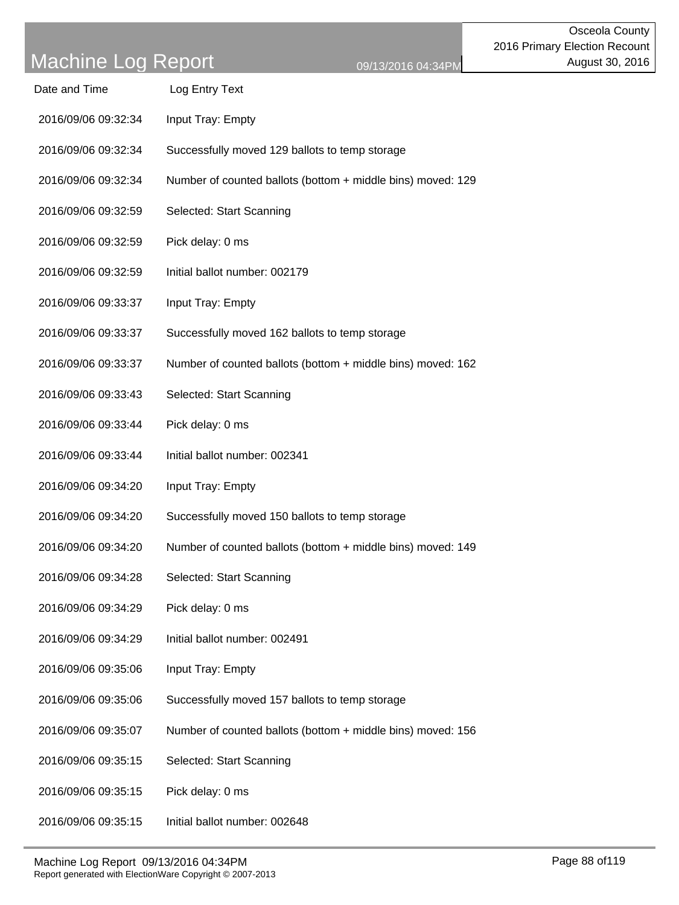| Date and Time       | Log Entry Text                                              |
|---------------------|-------------------------------------------------------------|
| 2016/09/06 09:32:34 | Input Tray: Empty                                           |
| 2016/09/06 09:32:34 | Successfully moved 129 ballots to temp storage              |
| 2016/09/06 09:32:34 | Number of counted ballots (bottom + middle bins) moved: 129 |
| 2016/09/06 09:32:59 | Selected: Start Scanning                                    |
| 2016/09/06 09:32:59 | Pick delay: 0 ms                                            |
| 2016/09/06 09:32:59 | Initial ballot number: 002179                               |
| 2016/09/06 09:33:37 | Input Tray: Empty                                           |
| 2016/09/06 09:33:37 | Successfully moved 162 ballots to temp storage              |
| 2016/09/06 09:33:37 | Number of counted ballots (bottom + middle bins) moved: 162 |
| 2016/09/06 09:33:43 | Selected: Start Scanning                                    |
| 2016/09/06 09:33:44 | Pick delay: 0 ms                                            |
| 2016/09/06 09:33:44 | Initial ballot number: 002341                               |
| 2016/09/06 09:34:20 | Input Tray: Empty                                           |
| 2016/09/06 09:34:20 | Successfully moved 150 ballots to temp storage              |
| 2016/09/06 09:34:20 | Number of counted ballots (bottom + middle bins) moved: 149 |
| 2016/09/06 09:34:28 | Selected: Start Scanning                                    |
| 2016/09/06 09:34:29 | Pick delay: 0 ms                                            |
| 2016/09/06 09:34:29 | Initial ballot number: 002491                               |
| 2016/09/06 09:35:06 | Input Tray: Empty                                           |
| 2016/09/06 09:35:06 | Successfully moved 157 ballots to temp storage              |
| 2016/09/06 09:35:07 | Number of counted ballots (bottom + middle bins) moved: 156 |
| 2016/09/06 09:35:15 | Selected: Start Scanning                                    |
| 2016/09/06 09:35:15 | Pick delay: 0 ms                                            |
| 2016/09/06 09:35:15 | Initial ballot number: 002648                               |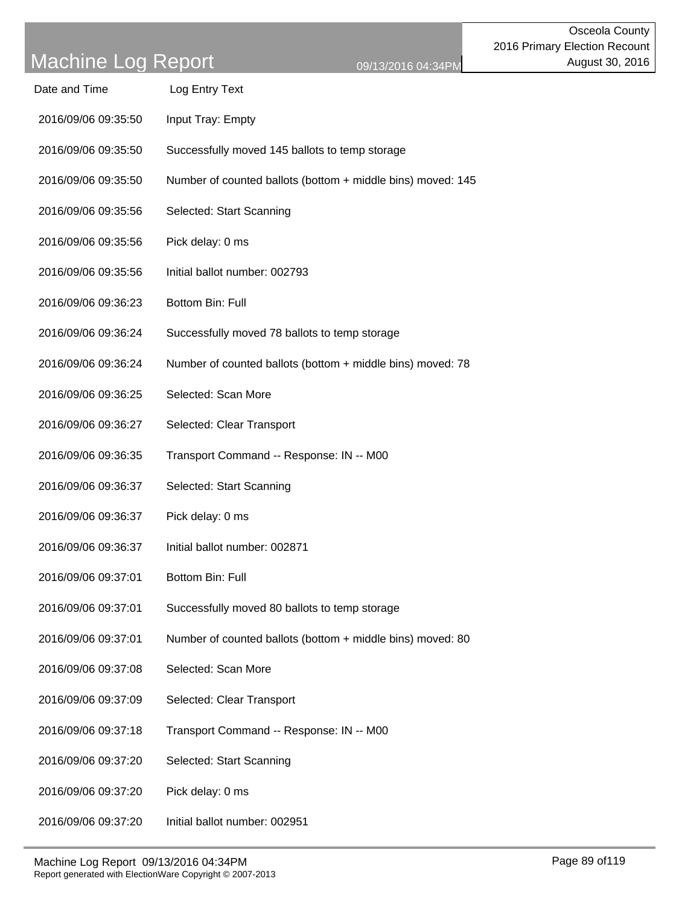| Date and Time       | Log Entry Text                                              |
|---------------------|-------------------------------------------------------------|
| 2016/09/06 09:35:50 | Input Tray: Empty                                           |
| 2016/09/06 09:35:50 | Successfully moved 145 ballots to temp storage              |
| 2016/09/06 09:35:50 | Number of counted ballots (bottom + middle bins) moved: 145 |
| 2016/09/06 09:35:56 | Selected: Start Scanning                                    |
| 2016/09/06 09:35:56 | Pick delay: 0 ms                                            |
| 2016/09/06 09:35:56 | Initial ballot number: 002793                               |
| 2016/09/06 09:36:23 | Bottom Bin: Full                                            |
| 2016/09/06 09:36:24 | Successfully moved 78 ballots to temp storage               |
| 2016/09/06 09:36:24 | Number of counted ballots (bottom + middle bins) moved: 78  |
| 2016/09/06 09:36:25 | Selected: Scan More                                         |
| 2016/09/06 09:36:27 | Selected: Clear Transport                                   |
| 2016/09/06 09:36:35 | Transport Command -- Response: IN -- M00                    |
| 2016/09/06 09:36:37 | Selected: Start Scanning                                    |
| 2016/09/06 09:36:37 | Pick delay: 0 ms                                            |
| 2016/09/06 09:36:37 | Initial ballot number: 002871                               |
| 2016/09/06 09:37:01 | Bottom Bin: Full                                            |
| 2016/09/06 09:37:01 | Successfully moved 80 ballots to temp storage               |
| 2016/09/06 09:37:01 | Number of counted ballots (bottom + middle bins) moved: 80  |
| 2016/09/06 09:37:08 | Selected: Scan More                                         |
| 2016/09/06 09:37:09 | Selected: Clear Transport                                   |
| 2016/09/06 09:37:18 | Transport Command -- Response: IN -- M00                    |
| 2016/09/06 09:37:20 | Selected: Start Scanning                                    |
| 2016/09/06 09:37:20 | Pick delay: 0 ms                                            |
| 2016/09/06 09:37:20 | Initial ballot number: 002951                               |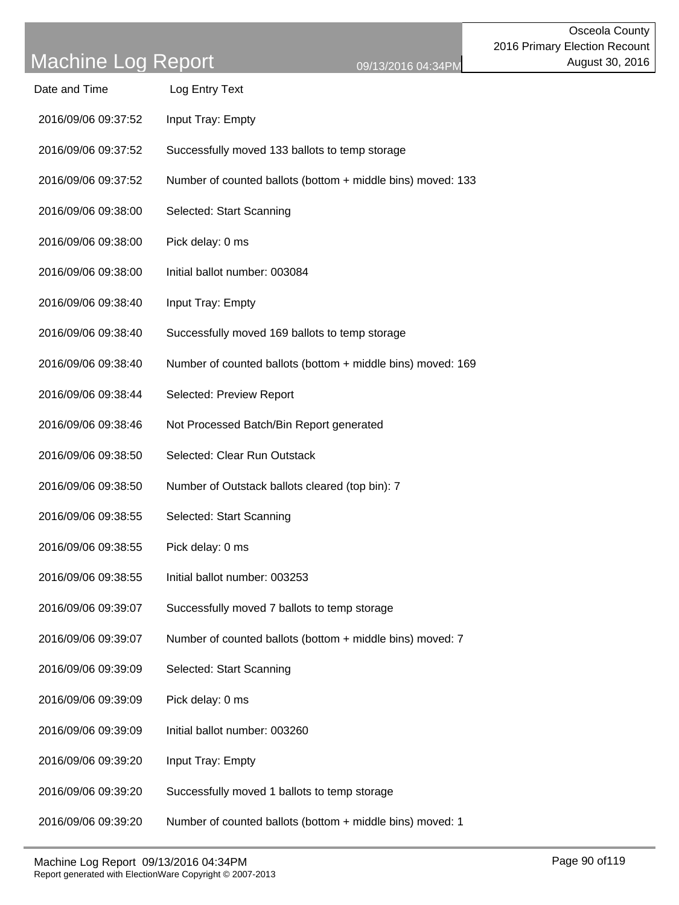| Date and Time       | Log Entry Text                                              |
|---------------------|-------------------------------------------------------------|
| 2016/09/06 09:37:52 | Input Tray: Empty                                           |
| 2016/09/06 09:37:52 | Successfully moved 133 ballots to temp storage              |
| 2016/09/06 09:37:52 | Number of counted ballots (bottom + middle bins) moved: 133 |
| 2016/09/06 09:38:00 | Selected: Start Scanning                                    |
| 2016/09/06 09:38:00 | Pick delay: 0 ms                                            |
| 2016/09/06 09:38:00 | Initial ballot number: 003084                               |
| 2016/09/06 09:38:40 | Input Tray: Empty                                           |
| 2016/09/06 09:38:40 | Successfully moved 169 ballots to temp storage              |
| 2016/09/06 09:38:40 | Number of counted ballots (bottom + middle bins) moved: 169 |
| 2016/09/06 09:38:44 | Selected: Preview Report                                    |
| 2016/09/06 09:38:46 | Not Processed Batch/Bin Report generated                    |
| 2016/09/06 09:38:50 | Selected: Clear Run Outstack                                |
| 2016/09/06 09:38:50 | Number of Outstack ballots cleared (top bin): 7             |
| 2016/09/06 09:38:55 | Selected: Start Scanning                                    |
| 2016/09/06 09:38:55 | Pick delay: 0 ms                                            |
| 2016/09/06 09:38:55 | Initial ballot number: 003253                               |
| 2016/09/06 09:39:07 | Successfully moved 7 ballots to temp storage                |
| 2016/09/06 09:39:07 | Number of counted ballots (bottom + middle bins) moved: 7   |
| 2016/09/06 09:39:09 | Selected: Start Scanning                                    |
| 2016/09/06 09:39:09 | Pick delay: 0 ms                                            |
| 2016/09/06 09:39:09 | Initial ballot number: 003260                               |
| 2016/09/06 09:39:20 | Input Tray: Empty                                           |
| 2016/09/06 09:39:20 | Successfully moved 1 ballots to temp storage                |
| 2016/09/06 09:39:20 | Number of counted ballots (bottom + middle bins) moved: 1   |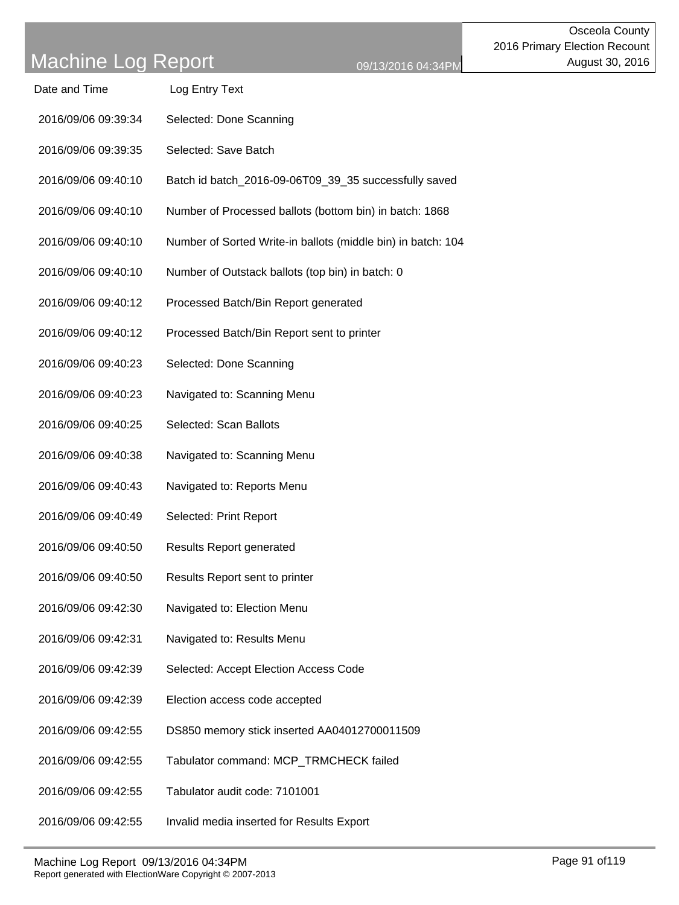| Date and Time       | Log Entry Text                                               |
|---------------------|--------------------------------------------------------------|
| 2016/09/06 09:39:34 | Selected: Done Scanning                                      |
| 2016/09/06 09:39:35 | Selected: Save Batch                                         |
| 2016/09/06 09:40:10 | Batch id batch_2016-09-06T09_39_35 successfully saved        |
| 2016/09/06 09:40:10 | Number of Processed ballots (bottom bin) in batch: 1868      |
| 2016/09/06 09:40:10 | Number of Sorted Write-in ballots (middle bin) in batch: 104 |
| 2016/09/06 09:40:10 | Number of Outstack ballots (top bin) in batch: 0             |
| 2016/09/06 09:40:12 | Processed Batch/Bin Report generated                         |
| 2016/09/06 09:40:12 | Processed Batch/Bin Report sent to printer                   |
| 2016/09/06 09:40:23 | Selected: Done Scanning                                      |
| 2016/09/06 09:40:23 | Navigated to: Scanning Menu                                  |
| 2016/09/06 09:40:25 | Selected: Scan Ballots                                       |
| 2016/09/06 09:40:38 | Navigated to: Scanning Menu                                  |
| 2016/09/06 09:40:43 | Navigated to: Reports Menu                                   |
| 2016/09/06 09:40:49 | Selected: Print Report                                       |
| 2016/09/06 09:40:50 | <b>Results Report generated</b>                              |
| 2016/09/06 09:40:50 | Results Report sent to printer                               |
| 2016/09/06 09:42:30 | Navigated to: Election Menu                                  |
| 2016/09/06 09:42:31 | Navigated to: Results Menu                                   |
| 2016/09/06 09:42:39 | Selected: Accept Election Access Code                        |
| 2016/09/06 09:42:39 | Election access code accepted                                |
| 2016/09/06 09:42:55 | DS850 memory stick inserted AA04012700011509                 |
| 2016/09/06 09:42:55 | Tabulator command: MCP_TRMCHECK failed                       |
| 2016/09/06 09:42:55 | Tabulator audit code: 7101001                                |
| 2016/09/06 09:42:55 | Invalid media inserted for Results Export                    |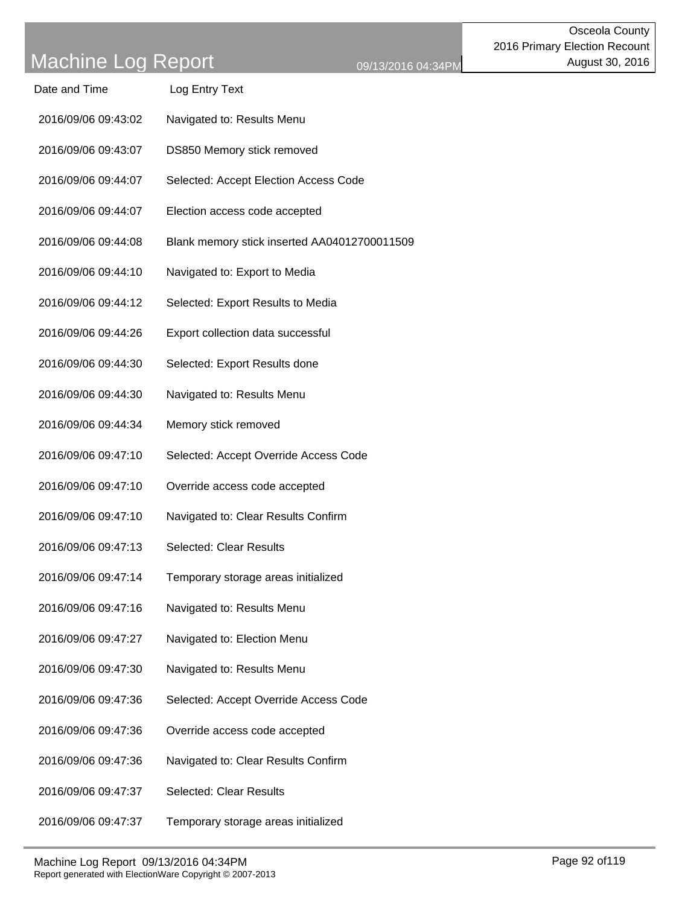| Date and Time       | Log Entry Text                               |
|---------------------|----------------------------------------------|
| 2016/09/06 09:43:02 | Navigated to: Results Menu                   |
| 2016/09/06 09:43:07 | DS850 Memory stick removed                   |
| 2016/09/06 09:44:07 | Selected: Accept Election Access Code        |
| 2016/09/06 09:44:07 | Election access code accepted                |
| 2016/09/06 09:44:08 | Blank memory stick inserted AA04012700011509 |
| 2016/09/06 09:44:10 | Navigated to: Export to Media                |
| 2016/09/06 09:44:12 | Selected: Export Results to Media            |
| 2016/09/06 09:44:26 | Export collection data successful            |
| 2016/09/06 09:44:30 | Selected: Export Results done                |
| 2016/09/06 09:44:30 | Navigated to: Results Menu                   |
| 2016/09/06 09:44:34 | Memory stick removed                         |
| 2016/09/06 09:47:10 | Selected: Accept Override Access Code        |
| 2016/09/06 09:47:10 | Override access code accepted                |
| 2016/09/06 09:47:10 | Navigated to: Clear Results Confirm          |
| 2016/09/06 09:47:13 | <b>Selected: Clear Results</b>               |
| 2016/09/06 09:47:14 | Temporary storage areas initialized          |
| 2016/09/06 09:47:16 | Navigated to: Results Menu                   |
| 2016/09/06 09:47:27 | Navigated to: Election Menu                  |
| 2016/09/06 09:47:30 | Navigated to: Results Menu                   |
| 2016/09/06 09:47:36 | Selected: Accept Override Access Code        |
| 2016/09/06 09:47:36 | Override access code accepted                |
| 2016/09/06 09:47:36 | Navigated to: Clear Results Confirm          |
| 2016/09/06 09:47:37 | <b>Selected: Clear Results</b>               |
| 2016/09/06 09:47:37 | Temporary storage areas initialized          |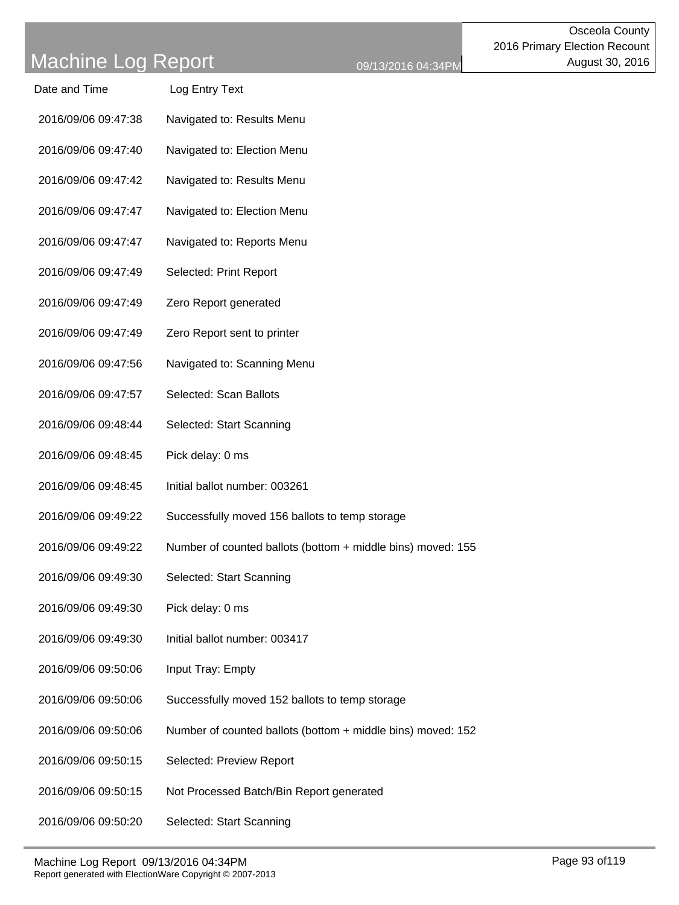| Date and Time       | Log Entry Text                                              |
|---------------------|-------------------------------------------------------------|
| 2016/09/06 09:47:38 | Navigated to: Results Menu                                  |
| 2016/09/06 09:47:40 | Navigated to: Election Menu                                 |
| 2016/09/06 09:47:42 | Navigated to: Results Menu                                  |
| 2016/09/06 09:47:47 | Navigated to: Election Menu                                 |
| 2016/09/06 09:47:47 | Navigated to: Reports Menu                                  |
| 2016/09/06 09:47:49 | Selected: Print Report                                      |
| 2016/09/06 09:47:49 | Zero Report generated                                       |
| 2016/09/06 09:47:49 | Zero Report sent to printer                                 |
| 2016/09/06 09:47:56 | Navigated to: Scanning Menu                                 |
| 2016/09/06 09:47:57 | Selected: Scan Ballots                                      |
| 2016/09/06 09:48:44 | Selected: Start Scanning                                    |
| 2016/09/06 09:48:45 | Pick delay: 0 ms                                            |
| 2016/09/06 09:48:45 | Initial ballot number: 003261                               |
| 2016/09/06 09:49:22 | Successfully moved 156 ballots to temp storage              |
| 2016/09/06 09:49:22 | Number of counted ballots (bottom + middle bins) moved: 155 |
| 2016/09/06 09:49:30 | Selected: Start Scanning                                    |
| 2016/09/06 09:49:30 | Pick delay: 0 ms                                            |
| 2016/09/06 09:49:30 | Initial ballot number: 003417                               |
| 2016/09/06 09:50:06 | Input Tray: Empty                                           |
| 2016/09/06 09:50:06 | Successfully moved 152 ballots to temp storage              |
| 2016/09/06 09:50:06 | Number of counted ballots (bottom + middle bins) moved: 152 |
| 2016/09/06 09:50:15 | Selected: Preview Report                                    |
| 2016/09/06 09:50:15 | Not Processed Batch/Bin Report generated                    |
| 2016/09/06 09:50:20 | Selected: Start Scanning                                    |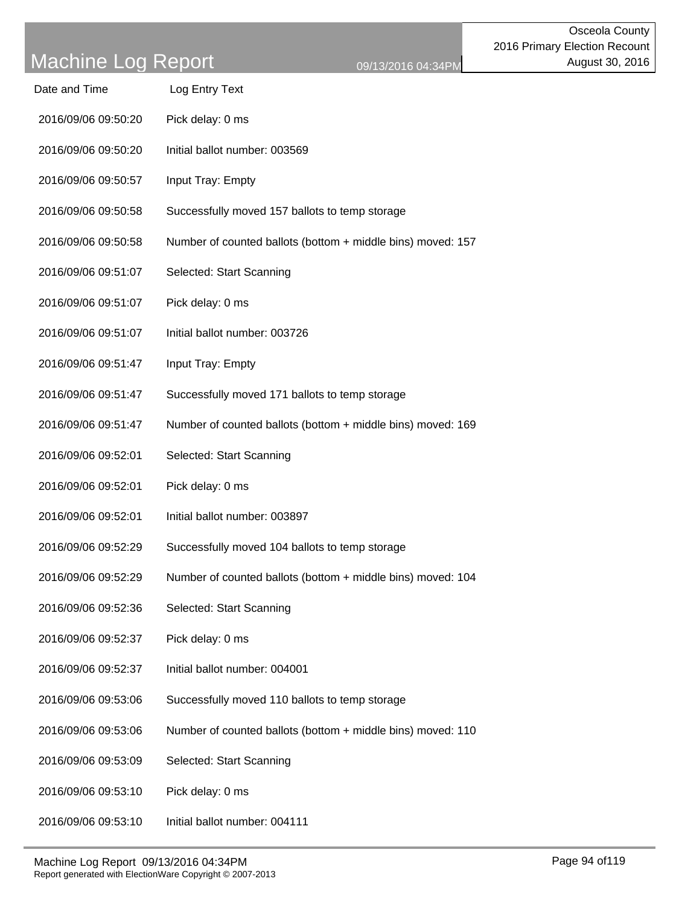| Date and Time       | Log Entry Text                                              |
|---------------------|-------------------------------------------------------------|
| 2016/09/06 09:50:20 | Pick delay: 0 ms                                            |
| 2016/09/06 09:50:20 | Initial ballot number: 003569                               |
| 2016/09/06 09:50:57 | Input Tray: Empty                                           |
| 2016/09/06 09:50:58 | Successfully moved 157 ballots to temp storage              |
| 2016/09/06 09:50:58 | Number of counted ballots (bottom + middle bins) moved: 157 |
| 2016/09/06 09:51:07 | Selected: Start Scanning                                    |
| 2016/09/06 09:51:07 | Pick delay: 0 ms                                            |
| 2016/09/06 09:51:07 | Initial ballot number: 003726                               |
| 2016/09/06 09:51:47 | Input Tray: Empty                                           |
| 2016/09/06 09:51:47 | Successfully moved 171 ballots to temp storage              |
| 2016/09/06 09:51:47 | Number of counted ballots (bottom + middle bins) moved: 169 |
| 2016/09/06 09:52:01 | Selected: Start Scanning                                    |
| 2016/09/06 09:52:01 | Pick delay: 0 ms                                            |
| 2016/09/06 09:52:01 | Initial ballot number: 003897                               |
| 2016/09/06 09:52:29 | Successfully moved 104 ballots to temp storage              |
| 2016/09/06 09:52:29 | Number of counted ballots (bottom + middle bins) moved: 104 |
| 2016/09/06 09:52:36 | Selected: Start Scanning                                    |
| 2016/09/06 09:52:37 | Pick delay: 0 ms                                            |
| 2016/09/06 09:52:37 | Initial ballot number: 004001                               |
| 2016/09/06 09:53:06 | Successfully moved 110 ballots to temp storage              |
| 2016/09/06 09:53:06 | Number of counted ballots (bottom + middle bins) moved: 110 |
| 2016/09/06 09:53:09 | Selected: Start Scanning                                    |
| 2016/09/06 09:53:10 | Pick delay: 0 ms                                            |
| 2016/09/06 09:53:10 | Initial ballot number: 004111                               |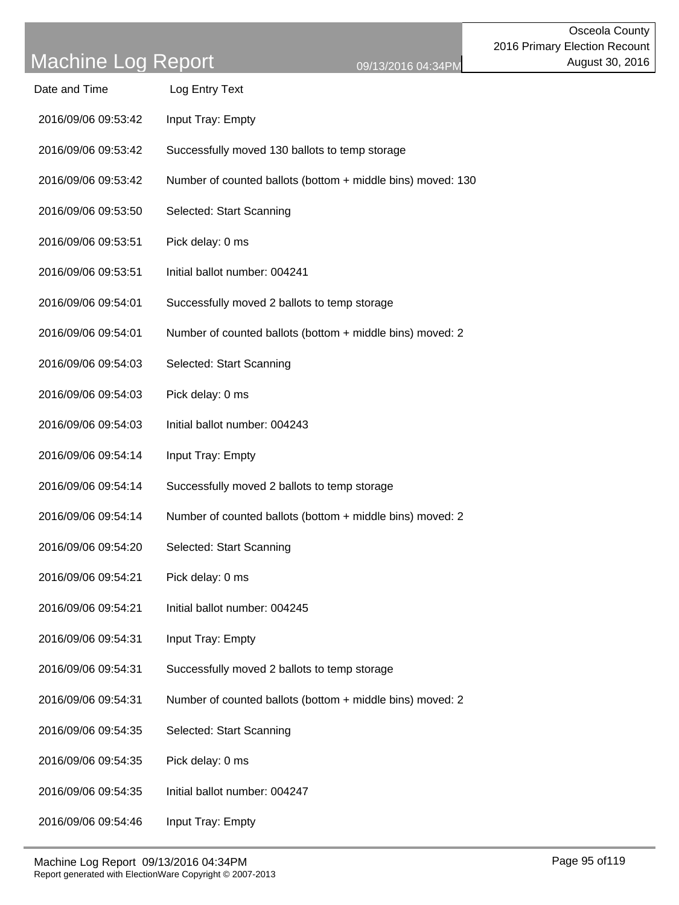| Date and Time       | Log Entry Text                                              |
|---------------------|-------------------------------------------------------------|
| 2016/09/06 09:53:42 | Input Tray: Empty                                           |
| 2016/09/06 09:53:42 | Successfully moved 130 ballots to temp storage              |
| 2016/09/06 09:53:42 | Number of counted ballots (bottom + middle bins) moved: 130 |
| 2016/09/06 09:53:50 | Selected: Start Scanning                                    |
| 2016/09/06 09:53:51 | Pick delay: 0 ms                                            |
| 2016/09/06 09:53:51 | Initial ballot number: 004241                               |
| 2016/09/06 09:54:01 | Successfully moved 2 ballots to temp storage                |
| 2016/09/06 09:54:01 | Number of counted ballots (bottom + middle bins) moved: 2   |
| 2016/09/06 09:54:03 | Selected: Start Scanning                                    |
| 2016/09/06 09:54:03 | Pick delay: 0 ms                                            |
| 2016/09/06 09:54:03 | Initial ballot number: 004243                               |
| 2016/09/06 09:54:14 | Input Tray: Empty                                           |
| 2016/09/06 09:54:14 | Successfully moved 2 ballots to temp storage                |
| 2016/09/06 09:54:14 | Number of counted ballots (bottom + middle bins) moved: 2   |
| 2016/09/06 09:54:20 | Selected: Start Scanning                                    |
| 2016/09/06 09:54:21 | Pick delay: 0 ms                                            |
| 2016/09/06 09:54:21 | Initial ballot number: 004245                               |
| 2016/09/06 09:54:31 | Input Tray: Empty                                           |
| 2016/09/06 09:54:31 | Successfully moved 2 ballots to temp storage                |
| 2016/09/06 09:54:31 | Number of counted ballots (bottom + middle bins) moved: 2   |
| 2016/09/06 09:54:35 | Selected: Start Scanning                                    |
| 2016/09/06 09:54:35 | Pick delay: 0 ms                                            |
| 2016/09/06 09:54:35 | Initial ballot number: 004247                               |
| 2016/09/06 09:54:46 | Input Tray: Empty                                           |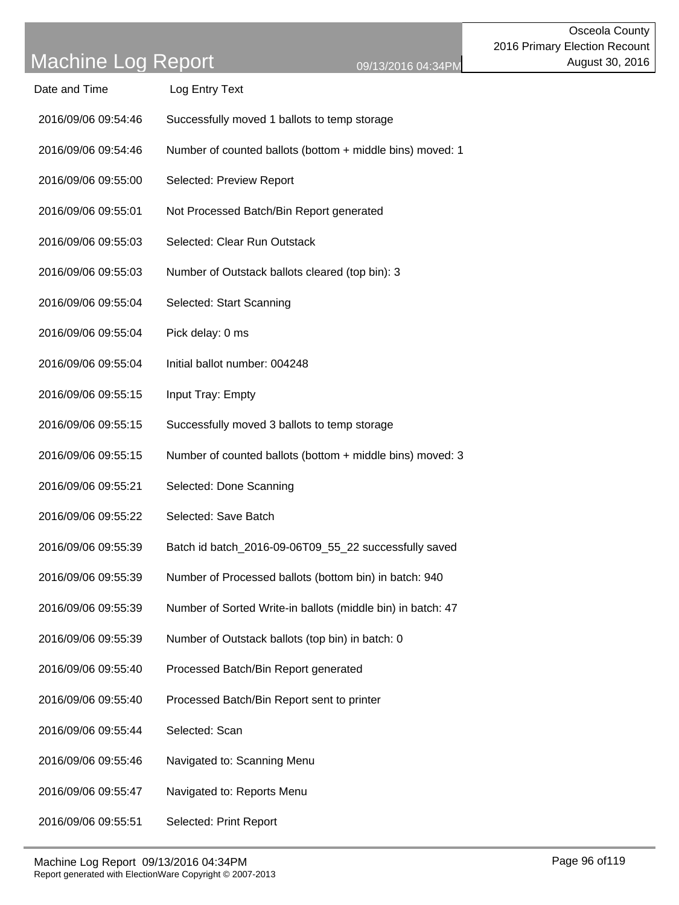| Machine Log Report 09/13/2016 04:34PM |                                                             | Page 96 of 119 |
|---------------------------------------|-------------------------------------------------------------|----------------|
| 2016/09/06 09:55:51                   | Selected: Print Report                                      |                |
| 2016/09/06 09:55:47                   | Navigated to: Reports Menu                                  |                |
| 2016/09/06 09:55:46                   | Navigated to: Scanning Menu                                 |                |
| 2016/09/06 09:55:44                   | Selected: Scan                                              |                |
| 2016/09/06 09:55:40                   | Processed Batch/Bin Report sent to printer                  |                |
| 2016/09/06 09:55:40                   | Processed Batch/Bin Report generated                        |                |
| 2016/09/06 09:55:39                   | Number of Outstack ballots (top bin) in batch: 0            |                |
| 2016/09/06 09:55:39                   | Number of Sorted Write-in ballots (middle bin) in batch: 47 |                |
| 2016/09/06 09:55:39                   | Number of Processed ballots (bottom bin) in batch: 940      |                |
| 2016/09/06 09:55:39                   | Batch id batch_2016-09-06T09_55_22 successfully saved       |                |
| 2016/09/06 09:55:22                   | Selected: Save Batch                                        |                |
| 2016/09/06 09:55:21                   | Selected: Done Scanning                                     |                |
| 2016/09/06 09:55:15                   | Number of counted ballots (bottom + middle bins) moved: 3   |                |
| 2016/09/06 09:55:15                   | Successfully moved 3 ballots to temp storage                |                |
| 2016/09/06 09:55:15                   | Input Tray: Empty                                           |                |
| 2016/09/06 09:55:04                   | Initial ballot number: 004248                               |                |
| 2016/09/06 09:55:04                   | Pick delay: 0 ms                                            |                |
| 2016/09/06 09:55:04                   | Selected: Start Scanning                                    |                |
| 2016/09/06 09:55:03                   | Number of Outstack ballots cleared (top bin): 3             |                |
| 2016/09/06 09:55:03                   | Selected: Clear Run Outstack                                |                |
| 2016/09/06 09:55:01                   | Not Processed Batch/Bin Report generated                    |                |
| 2016/09/06 09:55:00                   | Selected: Preview Report                                    |                |
| 2016/09/06 09:54:46                   | Number of counted ballots (bottom + middle bins) moved: 1   |                |
| 2016/09/06 09:54:46                   | Successfully moved 1 ballots to temp storage                |                |
| Date and Time                         | Log Entry Text                                              |                |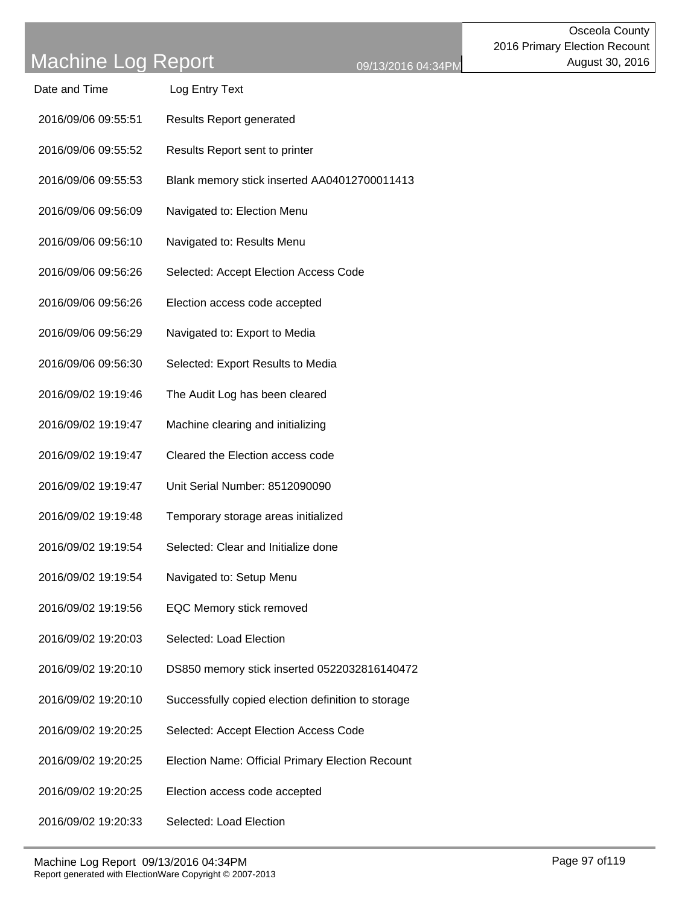| Machine Log Report                    | 09/13/2016                                         |
|---------------------------------------|----------------------------------------------------|
| Date and Time                         | Log Entry Text                                     |
| 2016/09/06 09:55:51                   | <b>Results Report generated</b>                    |
| 2016/09/06 09:55:52                   | Results Report sent to printer                     |
| 2016/09/06 09:55:53                   | Blank memory stick inserted AA04012700011413       |
| 2016/09/06 09:56:09                   | Navigated to: Election Menu                        |
| 2016/09/06 09:56:10                   | Navigated to: Results Menu                         |
| 2016/09/06 09:56:26                   | Selected: Accept Election Access Code              |
| 2016/09/06 09:56:26                   | Election access code accepted                      |
| 2016/09/06 09:56:29                   | Navigated to: Export to Media                      |
| 2016/09/06 09:56:30                   | Selected: Export Results to Media                  |
| 2016/09/02 19:19:46                   | The Audit Log has been cleared                     |
| 2016/09/02 19:19:47                   | Machine clearing and initializing                  |
| 2016/09/02 19:19:47                   | Cleared the Election access code                   |
| 2016/09/02 19:19:47                   | Unit Serial Number: 8512090090                     |
| 2016/09/02 19:19:48                   | Temporary storage areas initialized                |
| 2016/09/02 19:19:54                   | Selected: Clear and Initialize done                |
| 2016/09/02 19:19:54                   | Navigated to: Setup Menu                           |
| 2016/09/02 19:19:56                   | EQC Memory stick removed                           |
| 2016/09/02 19:20:03                   | Selected: Load Election                            |
| 2016/09/02 19:20:10                   | DS850 memory stick inserted 0522032816140472       |
| 2016/09/02 19:20:10                   | Successfully copied election definition to storage |
| 2016/09/02 19:20:25                   | Selected: Accept Election Access Code              |
| 2016/09/02 19:20:25                   | Election Name: Official Primary Election Recount   |
| 2016/09/02 19:20:25                   | Election access code accepted                      |
| 2016/09/02 19:20:33                   | Selected: Load Election                            |
| Machine Log Report 09/13/2016 04:34PM |                                                    |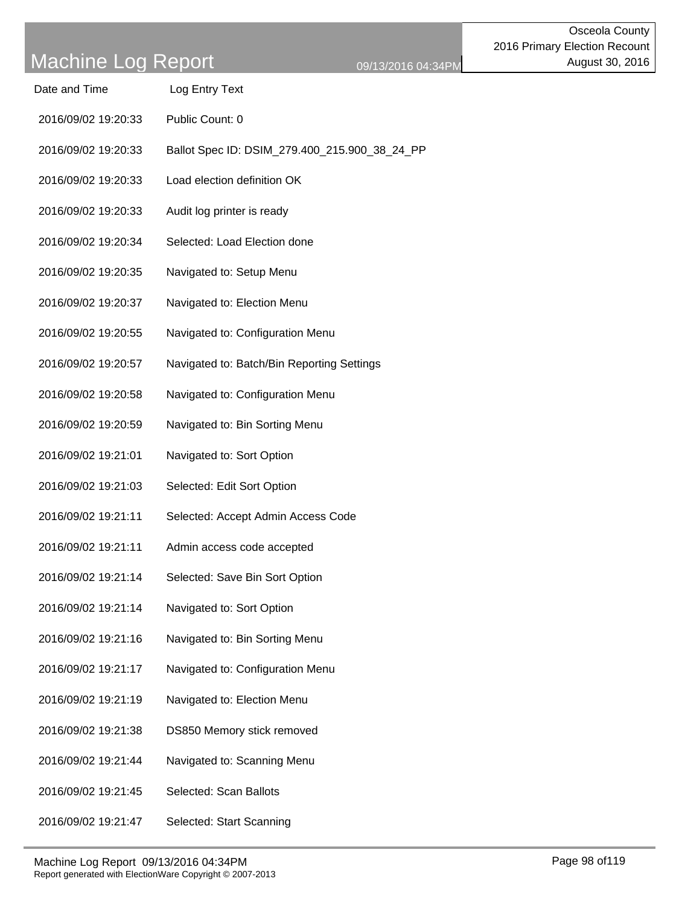| Date and Time | Log Entry Text |
|---------------|----------------|
|               |                |

- 2016/09/02 19:20:33 Public Count: 0
- 2016/09/02 19:20:33 Ballot Spec ID: DSIM\_279.400\_215.900\_38\_24\_PP
- 2016/09/02 19:20:33 Load election definition OK
- 2016/09/02 19:20:33 Audit log printer is ready
- 2016/09/02 19:20:34 Selected: Load Election done
- 2016/09/02 19:20:35 Navigated to: Setup Menu
- 2016/09/02 19:20:37 Navigated to: Election Menu
- 2016/09/02 19:20:55 Navigated to: Configuration Menu
- 2016/09/02 19:20:57 Navigated to: Batch/Bin Reporting Settings
- 2016/09/02 19:20:58 Navigated to: Configuration Menu
- 2016/09/02 19:20:59 Navigated to: Bin Sorting Menu
- 2016/09/02 19:21:01 Navigated to: Sort Option
- 2016/09/02 19:21:03 Selected: Edit Sort Option
- 2016/09/02 19:21:11 Selected: Accept Admin Access Code
- 2016/09/02 19:21:11 Admin access code accepted
- 2016/09/02 19:21:14 Selected: Save Bin Sort Option
- 2016/09/02 19:21:14 Navigated to: Sort Option
- 2016/09/02 19:21:16 Navigated to: Bin Sorting Menu
- 2016/09/02 19:21:17 Navigated to: Configuration Menu
- 2016/09/02 19:21:19 Navigated to: Election Menu
- 2016/09/02 19:21:38 DS850 Memory stick removed
- 2016/09/02 19:21:44 Navigated to: Scanning Menu
- 2016/09/02 19:21:45 Selected: Scan Ballots
- 2016/09/02 19:21:47 Selected: Start Scanning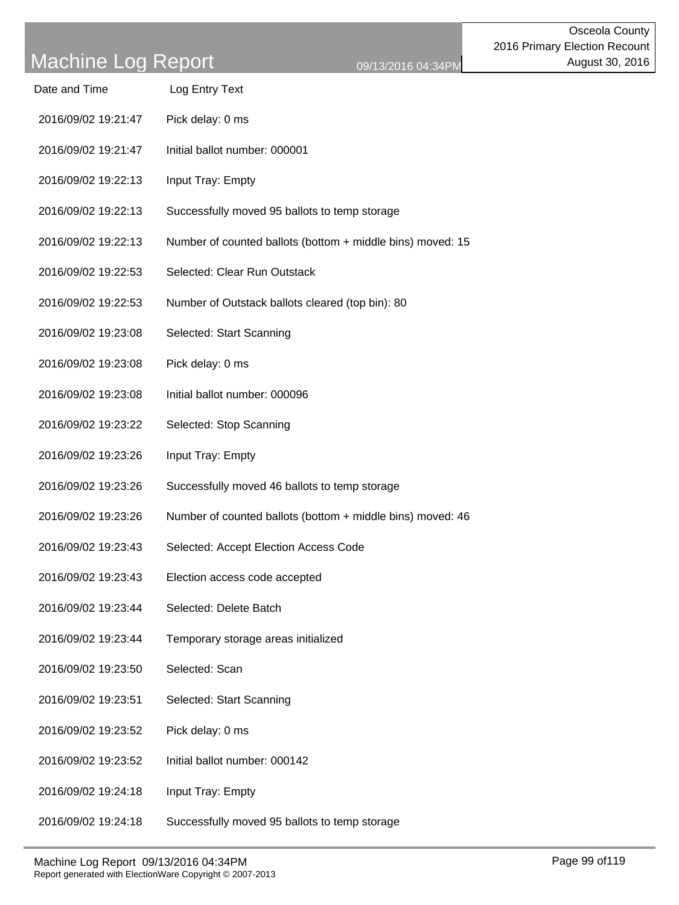| Date and Time | Log Entry Text |
|---------------|----------------|
|               |                |

- 2016/09/02 19:21:47 Pick delay: 0 ms
- 2016/09/02 19:21:47 Initial ballot number: 000001
- 2016/09/02 19:22:13 Input Tray: Empty
- 2016/09/02 19:22:13 Successfully moved 95 ballots to temp storage
- 2016/09/02 19:22:13 Number of counted ballots (bottom + middle bins) moved: 15
- 2016/09/02 19:22:53 Selected: Clear Run Outstack
- 2016/09/02 19:22:53 Number of Outstack ballots cleared (top bin): 80
- 2016/09/02 19:23:08 Selected: Start Scanning
- 2016/09/02 19:23:08 Pick delay: 0 ms
- 2016/09/02 19:23:08 Initial ballot number: 000096
- 2016/09/02 19:23:22 Selected: Stop Scanning
- 2016/09/02 19:23:26 Input Tray: Empty
- 2016/09/02 19:23:26 Successfully moved 46 ballots to temp storage
- 2016/09/02 19:23:26 Number of counted ballots (bottom + middle bins) moved: 46
- 2016/09/02 19:23:43 Selected: Accept Election Access Code
- 2016/09/02 19:23:43 Election access code accepted
- 2016/09/02 19:23:44 Selected: Delete Batch
- 2016/09/02 19:23:44 Temporary storage areas initialized
- 2016/09/02 19:23:50 Selected: Scan
- 2016/09/02 19:23:51 Selected: Start Scanning
- 2016/09/02 19:23:52 Pick delay: 0 ms
- 2016/09/02 19:23:52 Initial ballot number: 000142
- 2016/09/02 19:24:18 Input Tray: Empty
- 2016/09/02 19:24:18 Successfully moved 95 ballots to temp storage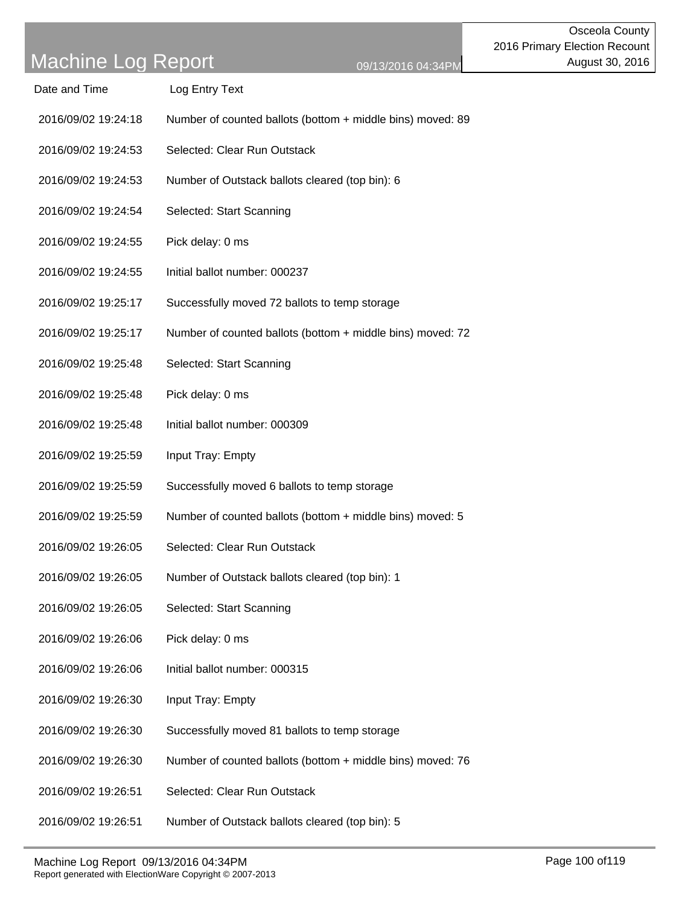### Machine Log Popert

| iviauilliu Luy Inopult | 09/13/2016 04:34PM                                         |
|------------------------|------------------------------------------------------------|
| Date and Time          | Log Entry Text                                             |
| 2016/09/02 19:24:18    | Number of counted ballots (bottom + middle bins) moved: 89 |
| 2016/09/02 19:24:53    | Selected: Clear Run Outstack                               |
| 2016/09/02 19:24:53    | Number of Outstack ballots cleared (top bin): 6            |
| 2016/09/02 19:24:54    | Selected: Start Scanning                                   |
| 2016/09/02 19:24:55    | Pick delay: 0 ms                                           |
| 2016/09/02 19:24:55    | Initial ballot number: 000237                              |
| 2016/09/02 19:25:17    | Successfully moved 72 ballots to temp storage              |
| 2016/09/02 19:25:17    | Number of counted ballots (bottom + middle bins) moved: 72 |
| 2016/09/02 19:25:48    | Selected: Start Scanning                                   |
| 2016/09/02 19:25:48    | Pick delay: 0 ms                                           |
| 2016/09/02 19:25:48    | Initial ballot number: 000309                              |
| 2016/09/02 19:25:59    | Input Tray: Empty                                          |
| 2016/09/02 19:25:59    | Successfully moved 6 ballots to temp storage               |
| 2016/09/02 19:25:59    | Number of counted ballots (bottom + middle bins) moved: 5  |
| 2016/09/02 19:26:05    | Selected: Clear Run Outstack                               |
| 2016/09/02 19:26:05    | Number of Outstack ballots cleared (top bin): 1            |
| 2016/09/02 19:26:05    | Selected: Start Scanning                                   |
| 2016/09/02 19:26:06    | Pick delay: 0 ms                                           |
| 2016/09/02 19:26:06    | Initial ballot number: 000315                              |
| 2016/09/02 19:26:30    | Input Tray: Empty                                          |
| 2016/09/02 19:26:30    | Successfully moved 81 ballots to temp storage              |
| 2016/09/02 19:26:30    | Number of counted ballots (bottom + middle bins) moved: 76 |
| 2016/09/02 19:26:51    | Selected: Clear Run Outstack                               |
| 2016/09/02 19:26:51    | Number of Outstack ballots cleared (top bin): 5            |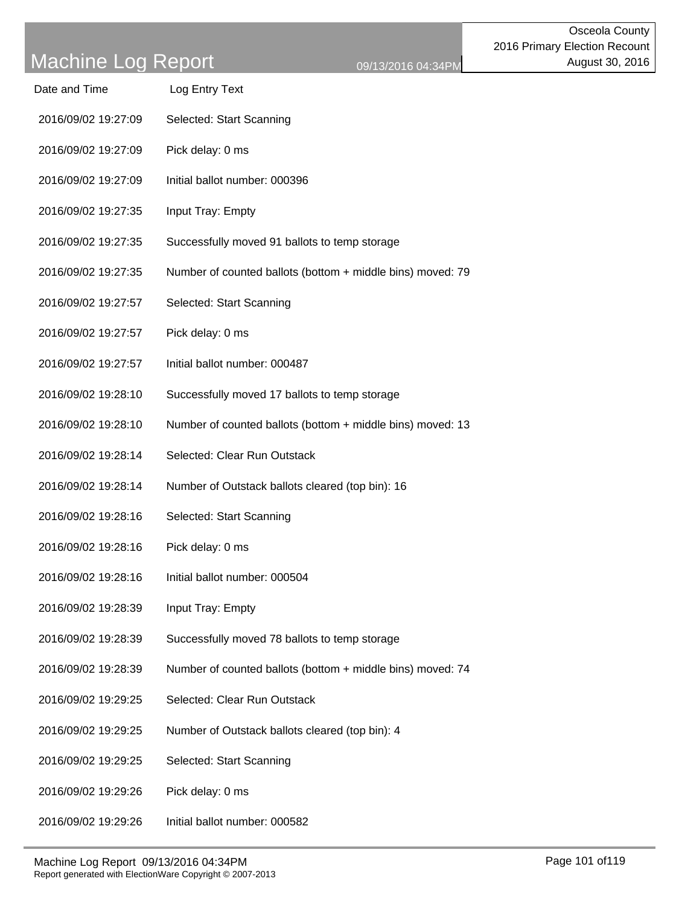| viachine Log Report |                                                  | 09/13/2016 04:34PM                                         |
|---------------------|--------------------------------------------------|------------------------------------------------------------|
| Date and Time       | Log Entry Text                                   |                                                            |
| 2016/09/02 19:27:09 | Selected: Start Scanning                         |                                                            |
| 2016/09/02 19:27:09 | Pick delay: 0 ms                                 |                                                            |
| 2016/09/02 19:27:09 | Initial ballot number: 000396                    |                                                            |
| 2016/09/02 19:27:35 | Input Tray: Empty                                |                                                            |
| 2016/09/02 19:27:35 | Successfully moved 91 ballots to temp storage    |                                                            |
| 2016/09/02 19:27:35 |                                                  | Number of counted ballots (bottom + middle bins) moved: 79 |
| 2016/09/02 19:27:57 | Selected: Start Scanning                         |                                                            |
| 2016/09/02 19:27:57 | Pick delay: 0 ms                                 |                                                            |
| 2016/09/02 19:27:57 | Initial ballot number: 000487                    |                                                            |
| 2016/09/02 19:28:10 | Successfully moved 17 ballots to temp storage    |                                                            |
| 2016/09/02 19:28:10 |                                                  | Number of counted ballots (bottom + middle bins) moved: 13 |
| 2016/09/02 19:28:14 | Selected: Clear Run Outstack                     |                                                            |
| 2016/09/02 19:28:14 | Number of Outstack ballots cleared (top bin): 16 |                                                            |
| 2016/09/02 19:28:16 | Selected: Start Scanning                         |                                                            |
| 2016/09/02 19:28:16 | Pick delay: 0 ms                                 |                                                            |
| 2016/09/02 19:28:16 | Initial ballot number: 000504                    |                                                            |
| 2016/09/02 19:28:39 | Input Tray: Empty                                |                                                            |
| 2016/09/02 19:28:39 | Successfully moved 78 ballots to temp storage    |                                                            |
| 2016/09/02 19:28:39 |                                                  | Number of counted ballots (bottom + middle bins) moved: 74 |
| 2016/09/02 19:29:25 | Selected: Clear Run Outstack                     |                                                            |
| 2016/09/02 19:29:25 | Number of Outstack ballots cleared (top bin): 4  |                                                            |
| 2016/09/02 19:29:25 | Selected: Start Scanning                         |                                                            |
| 2016/09/02 19:29:26 | Pick delay: 0 ms                                 |                                                            |
| 2016/09/02 19:29:26 | Initial ballot number: 000582                    |                                                            |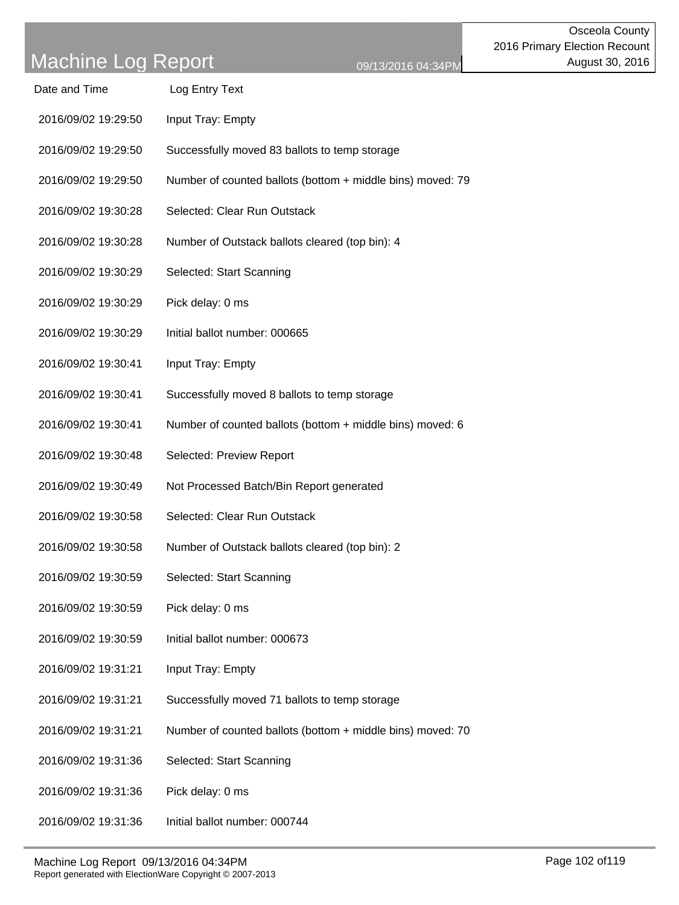| Date and Time       | Log Entry Text                                             |
|---------------------|------------------------------------------------------------|
| 2016/09/02 19:29:50 | Input Tray: Empty                                          |
| 2016/09/02 19:29:50 | Successfully moved 83 ballots to temp storage              |
| 2016/09/02 19:29:50 | Number of counted ballots (bottom + middle bins) moved: 79 |
| 2016/09/02 19:30:28 | Selected: Clear Run Outstack                               |
| 2016/09/02 19:30:28 | Number of Outstack ballots cleared (top bin): 4            |
| 2016/09/02 19:30:29 | Selected: Start Scanning                                   |
| 2016/09/02 19:30:29 | Pick delay: 0 ms                                           |
| 2016/09/02 19:30:29 | Initial ballot number: 000665                              |
| 2016/09/02 19:30:41 | Input Tray: Empty                                          |
| 2016/09/02 19:30:41 | Successfully moved 8 ballots to temp storage               |
| 2016/09/02 19:30:41 | Number of counted ballots (bottom + middle bins) moved: 6  |
| 2016/09/02 19:30:48 | Selected: Preview Report                                   |
| 2016/09/02 19:30:49 | Not Processed Batch/Bin Report generated                   |
| 2016/09/02 19:30:58 | Selected: Clear Run Outstack                               |
| 2016/09/02 19:30:58 | Number of Outstack ballots cleared (top bin): 2            |
| 2016/09/02 19:30:59 | Selected: Start Scanning                                   |
| 2016/09/02 19:30:59 | Pick delay: 0 ms                                           |
| 2016/09/02 19:30:59 | Initial ballot number: 000673                              |
| 2016/09/02 19:31:21 | Input Tray: Empty                                          |
| 2016/09/02 19:31:21 | Successfully moved 71 ballots to temp storage              |
| 2016/09/02 19:31:21 | Number of counted ballots (bottom + middle bins) moved: 70 |
| 2016/09/02 19:31:36 | Selected: Start Scanning                                   |
| 2016/09/02 19:31:36 | Pick delay: 0 ms                                           |
|                     |                                                            |

2016/09/02 19:31:36 Initial ballot number: 000744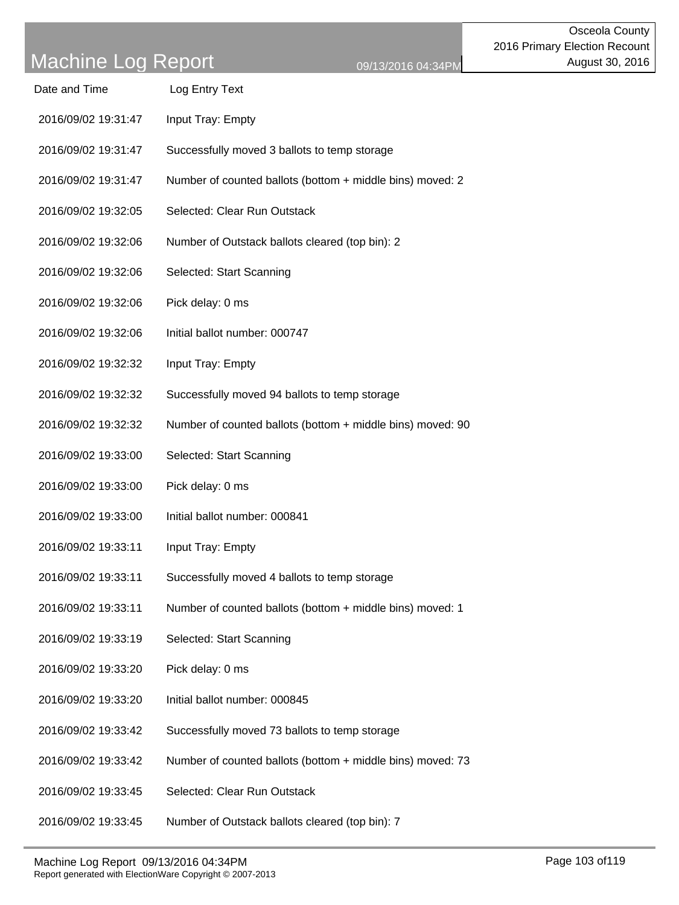| Date and Time       | Log Entry Text                                             |
|---------------------|------------------------------------------------------------|
| 2016/09/02 19:31:47 | Input Tray: Empty                                          |
| 2016/09/02 19:31:47 | Successfully moved 3 ballots to temp storage               |
| 2016/09/02 19:31:47 | Number of counted ballots (bottom + middle bins) moved: 2  |
| 2016/09/02 19:32:05 | Selected: Clear Run Outstack                               |
| 2016/09/02 19:32:06 | Number of Outstack ballots cleared (top bin): 2            |
| 2016/09/02 19:32:06 | Selected: Start Scanning                                   |
| 2016/09/02 19:32:06 | Pick delay: 0 ms                                           |
| 2016/09/02 19:32:06 | Initial ballot number: 000747                              |
| 2016/09/02 19:32:32 | Input Tray: Empty                                          |
| 2016/09/02 19:32:32 | Successfully moved 94 ballots to temp storage              |
| 2016/09/02 19:32:32 | Number of counted ballots (bottom + middle bins) moved: 90 |
| 2016/09/02 19:33:00 | Selected: Start Scanning                                   |
| 2016/09/02 19:33:00 | Pick delay: 0 ms                                           |
| 2016/09/02 19:33:00 | Initial ballot number: 000841                              |
| 2016/09/02 19:33:11 | Input Tray: Empty                                          |
| 2016/09/02 19:33:11 | Successfully moved 4 ballots to temp storage               |
| 2016/09/02 19:33:11 | Number of counted ballots (bottom + middle bins) moved: 1  |
| 2016/09/02 19:33:19 | Selected: Start Scanning                                   |
| 2016/09/02 19:33:20 | Pick delay: 0 ms                                           |
| 2016/09/02 19:33:20 | Initial ballot number: 000845                              |
| 2016/09/02 19:33:42 | Successfully moved 73 ballots to temp storage              |
| 2016/09/02 19:33:42 | Number of counted ballots (bottom + middle bins) moved: 73 |
| 2016/09/02 19:33:45 | Selected: Clear Run Outstack                               |
|                     |                                                            |

2016/09/02 19:33:45 Number of Outstack ballots cleared (top bin): 7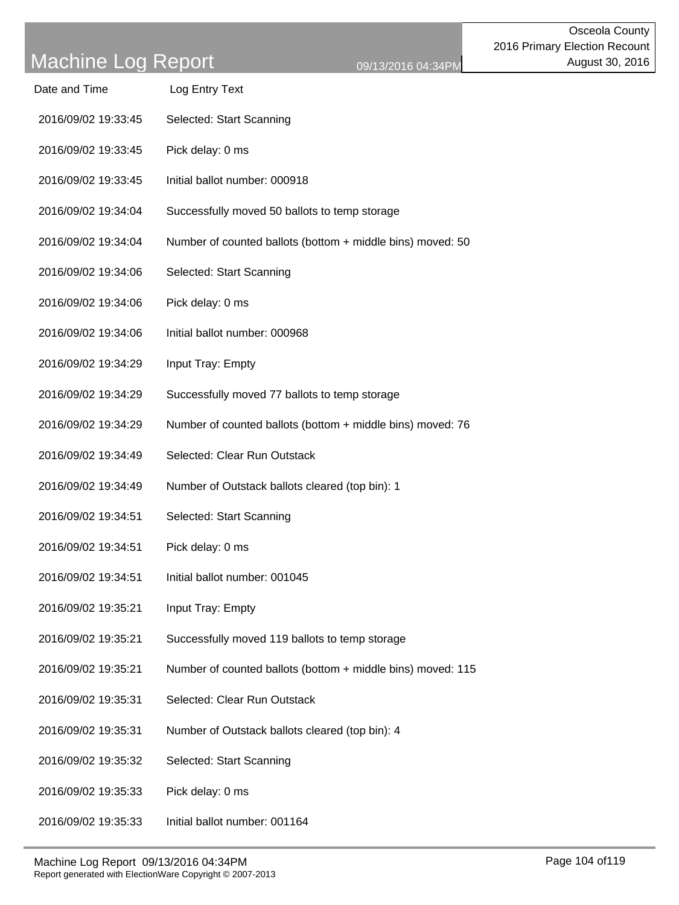| Date and Time       | Log Entry Text                                              |
|---------------------|-------------------------------------------------------------|
| 2016/09/02 19:33:45 | Selected: Start Scanning                                    |
| 2016/09/02 19:33:45 | Pick delay: 0 ms                                            |
| 2016/09/02 19:33:45 | Initial ballot number: 000918                               |
| 2016/09/02 19:34:04 | Successfully moved 50 ballots to temp storage               |
| 2016/09/02 19:34:04 | Number of counted ballots (bottom + middle bins) moved: 50  |
| 2016/09/02 19:34:06 | Selected: Start Scanning                                    |
| 2016/09/02 19:34:06 | Pick delay: 0 ms                                            |
| 2016/09/02 19:34:06 | Initial ballot number: 000968                               |
| 2016/09/02 19:34:29 | Input Tray: Empty                                           |
| 2016/09/02 19:34:29 | Successfully moved 77 ballots to temp storage               |
| 2016/09/02 19:34:29 | Number of counted ballots (bottom + middle bins) moved: 76  |
| 2016/09/02 19:34:49 | Selected: Clear Run Outstack                                |
| 2016/09/02 19:34:49 | Number of Outstack ballots cleared (top bin): 1             |
| 2016/09/02 19:34:51 | Selected: Start Scanning                                    |
| 2016/09/02 19:34:51 | Pick delay: 0 ms                                            |
| 2016/09/02 19:34:51 | Initial ballot number: 001045                               |
| 2016/09/02 19:35:21 | Input Tray: Empty                                           |
| 2016/09/02 19:35:21 | Successfully moved 119 ballots to temp storage              |
| 2016/09/02 19:35:21 | Number of counted ballots (bottom + middle bins) moved: 115 |
| 2016/09/02 19:35:31 | Selected: Clear Run Outstack                                |
| 2016/09/02 19:35:31 | Number of Outstack ballots cleared (top bin): 4             |
| 2016/09/02 19:35:32 | Selected: Start Scanning                                    |
| 2016/09/02 19:35:33 | Pick delay: 0 ms                                            |
| 2016/09/02 19:35:33 | Initial ballot number: 001164                               |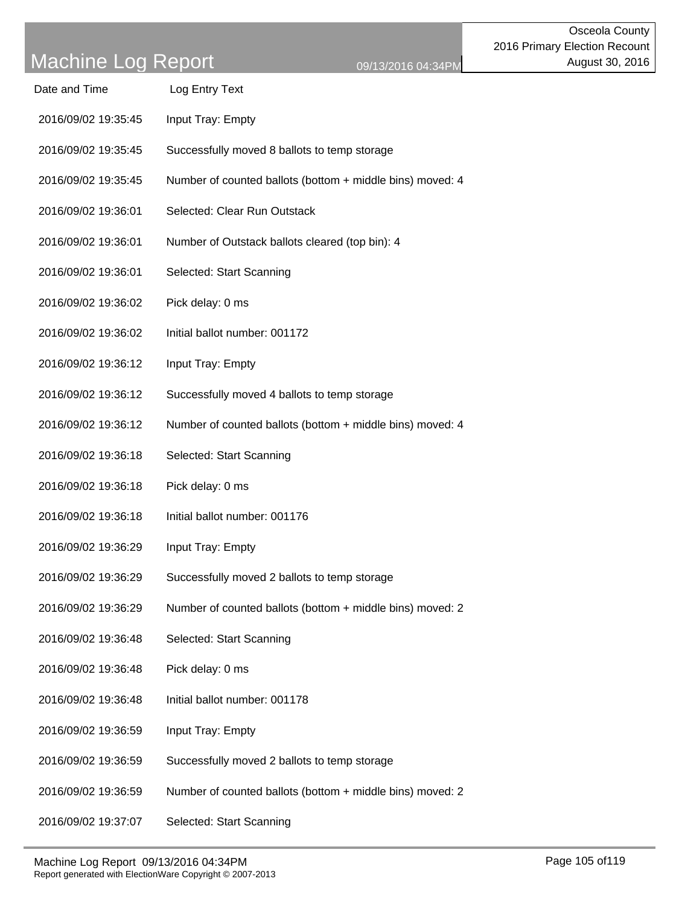| Date and Time       | Log Entry Text                                            |
|---------------------|-----------------------------------------------------------|
| 2016/09/02 19:35:45 | Input Tray: Empty                                         |
| 2016/09/02 19:35:45 | Successfully moved 8 ballots to temp storage              |
| 2016/09/02 19:35:45 | Number of counted ballots (bottom + middle bins) moved: 4 |
| 2016/09/02 19:36:01 | Selected: Clear Run Outstack                              |
| 2016/09/02 19:36:01 | Number of Outstack ballots cleared (top bin): 4           |
| 2016/09/02 19:36:01 | Selected: Start Scanning                                  |
| 2016/09/02 19:36:02 | Pick delay: 0 ms                                          |
| 2016/09/02 19:36:02 | Initial ballot number: 001172                             |
| 2016/09/02 19:36:12 | Input Tray: Empty                                         |
| 2016/09/02 19:36:12 | Successfully moved 4 ballots to temp storage              |
| 2016/09/02 19:36:12 | Number of counted ballots (bottom + middle bins) moved: 4 |
| 2016/09/02 19:36:18 | Selected: Start Scanning                                  |
| 2016/09/02 19:36:18 | Pick delay: 0 ms                                          |
| 2016/09/02 19:36:18 | Initial ballot number: 001176                             |
| 2016/09/02 19:36:29 | Input Tray: Empty                                         |
| 2016/09/02 19:36:29 | Successfully moved 2 ballots to temp storage              |
| 2016/09/02 19:36:29 | Number of counted ballots (bottom + middle bins) moved: 2 |
| 2016/09/02 19:36:48 | Selected: Start Scanning                                  |
| 2016/09/02 19:36:48 | Pick delay: 0 ms                                          |
| 2016/09/02 19:36:48 | Initial ballot number: 001178                             |
| 2016/09/02 19:36:59 | Input Tray: Empty                                         |
| 2016/09/02 19:36:59 | Successfully moved 2 ballots to temp storage              |
| 2016/09/02 19:36:59 | Number of counted ballots (bottom + middle bins) moved: 2 |
| 2016/09/02 19:37:07 | Selected: Start Scanning                                  |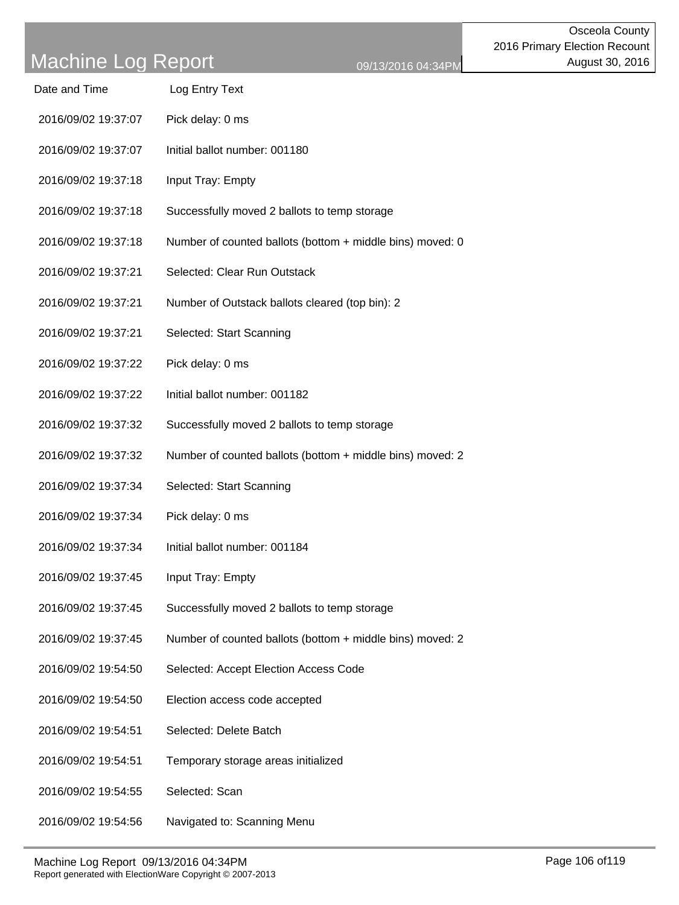- 2016/09/02 19:37:07 Pick delay: 0 ms
- 2016/09/02 19:37:07 Initial ballot number: 001180
- 2016/09/02 19:37:18 Input Tray: Empty
- 2016/09/02 19:37:18 Successfully moved 2 ballots to temp storage
- 2016/09/02 19:37:18 Number of counted ballots (bottom + middle bins) moved: 0
- 2016/09/02 19:37:21 Selected: Clear Run Outstack
- 2016/09/02 19:37:21 Number of Outstack ballots cleared (top bin): 2
- 2016/09/02 19:37:21 Selected: Start Scanning
- 2016/09/02 19:37:22 Pick delay: 0 ms
- 2016/09/02 19:37:22 Initial ballot number: 001182
- 2016/09/02 19:37:32 Successfully moved 2 ballots to temp storage
- 2016/09/02 19:37:32 Number of counted ballots (bottom + middle bins) moved: 2
- 2016/09/02 19:37:34 Selected: Start Scanning
- 2016/09/02 19:37:34 Pick delay: 0 ms
- 2016/09/02 19:37:34 Initial ballot number: 001184
- 2016/09/02 19:37:45 Input Tray: Empty
- 2016/09/02 19:37:45 Successfully moved 2 ballots to temp storage
- 2016/09/02 19:37:45 Number of counted ballots (bottom + middle bins) moved: 2
- 2016/09/02 19:54:50 Selected: Accept Election Access Code
- 2016/09/02 19:54:50 Election access code accepted
- 2016/09/02 19:54:51 Selected: Delete Batch
- 2016/09/02 19:54:51 Temporary storage areas initialized
- 2016/09/02 19:54:55 Selected: Scan
- 2016/09/02 19:54:56 Navigated to: Scanning Menu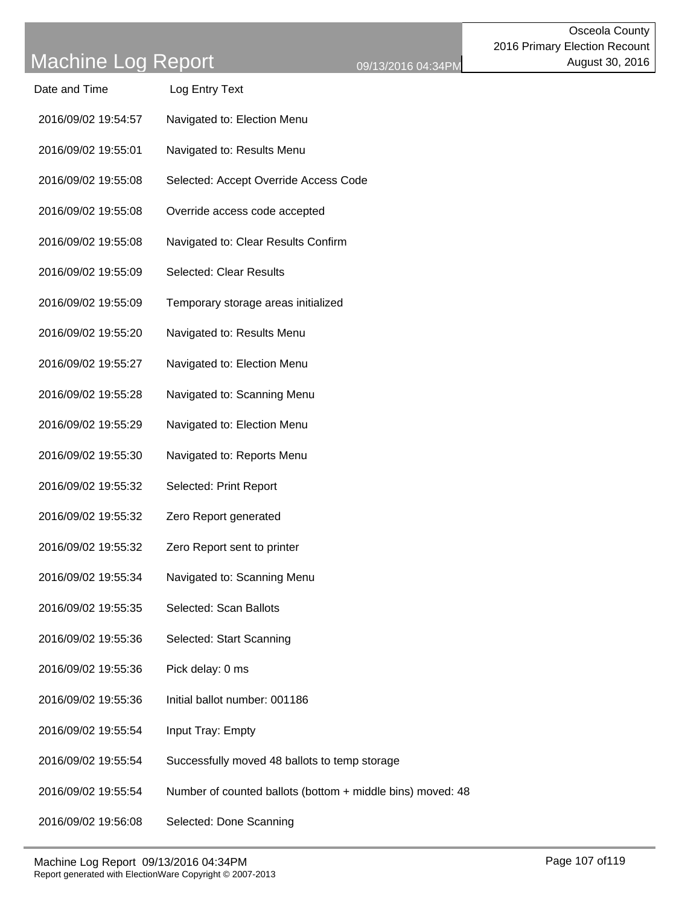| Date and Time       | Log Entry Text                                             |
|---------------------|------------------------------------------------------------|
| 2016/09/02 19:54:57 | Navigated to: Election Menu                                |
| 2016/09/02 19:55:01 | Navigated to: Results Menu                                 |
| 2016/09/02 19:55:08 | Selected: Accept Override Access Code                      |
| 2016/09/02 19:55:08 | Override access code accepted                              |
| 2016/09/02 19:55:08 | Navigated to: Clear Results Confirm                        |
| 2016/09/02 19:55:09 | <b>Selected: Clear Results</b>                             |
| 2016/09/02 19:55:09 | Temporary storage areas initialized                        |
| 2016/09/02 19:55:20 | Navigated to: Results Menu                                 |
| 2016/09/02 19:55:27 | Navigated to: Election Menu                                |
| 2016/09/02 19:55:28 | Navigated to: Scanning Menu                                |
| 2016/09/02 19:55:29 | Navigated to: Election Menu                                |
| 2016/09/02 19:55:30 | Navigated to: Reports Menu                                 |
| 2016/09/02 19:55:32 | Selected: Print Report                                     |
| 2016/09/02 19:55:32 | Zero Report generated                                      |
| 2016/09/02 19:55:32 | Zero Report sent to printer                                |
| 2016/09/02 19:55:34 | Navigated to: Scanning Menu                                |
| 2016/09/02 19:55:35 | Selected: Scan Ballots                                     |
| 2016/09/02 19:55:36 | Selected: Start Scanning                                   |
| 2016/09/02 19:55:36 | Pick delay: 0 ms                                           |
| 2016/09/02 19:55:36 | Initial ballot number: 001186                              |
| 2016/09/02 19:55:54 | Input Tray: Empty                                          |
| 2016/09/02 19:55:54 | Successfully moved 48 ballots to temp storage              |
| 2016/09/02 19:55:54 | Number of counted ballots (bottom + middle bins) moved: 48 |
| 2016/09/02 19:56:08 | Selected: Done Scanning                                    |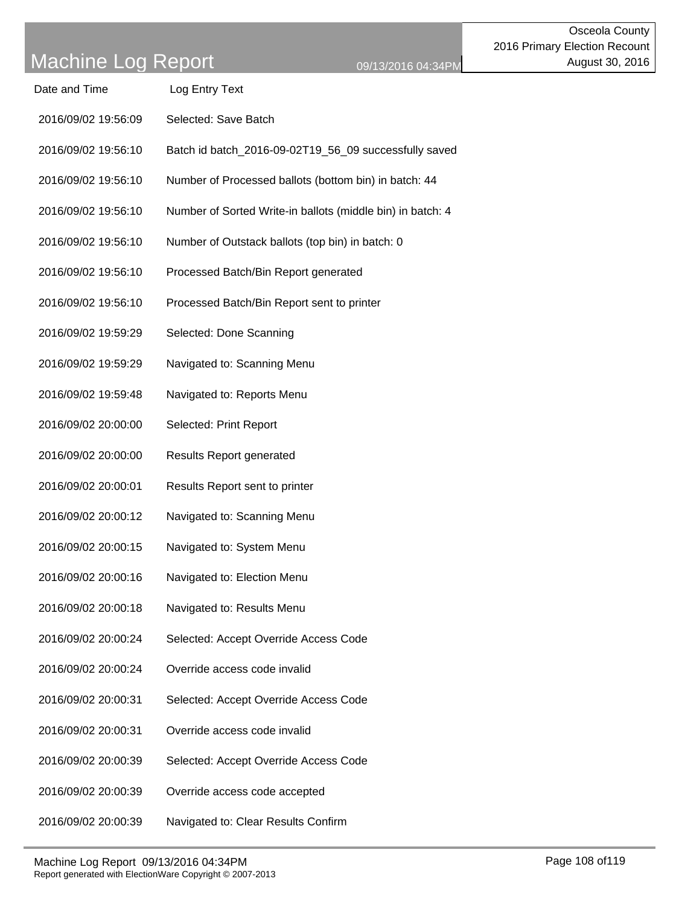| Date and Time       | Log Entry Text       |
|---------------------|----------------------|
| 2016/09/02 19:56:09 | Selected: Save Batch |

- 2016/09/02 19:56:10 Batch id batch\_2016-09-02T19\_56\_09 successfully saved
- 2016/09/02 19:56:10 Number of Processed ballots (bottom bin) in batch: 44
- 2016/09/02 19:56:10 Number of Sorted Write-in ballots (middle bin) in batch: 4
- 2016/09/02 19:56:10 Number of Outstack ballots (top bin) in batch: 0
- 2016/09/02 19:56:10 Processed Batch/Bin Report generated
- 2016/09/02 19:56:10 Processed Batch/Bin Report sent to printer
- 2016/09/02 19:59:29 Selected: Done Scanning
- 2016/09/02 19:59:29 Navigated to: Scanning Menu
- 2016/09/02 19:59:48 Navigated to: Reports Menu
- 2016/09/02 20:00:00 Selected: Print Report
- 2016/09/02 20:00:00 Results Report generated
- 2016/09/02 20:00:01 Results Report sent to printer
- 2016/09/02 20:00:12 Navigated to: Scanning Menu
- 2016/09/02 20:00:15 Navigated to: System Menu
- 2016/09/02 20:00:16 Navigated to: Election Menu
- 2016/09/02 20:00:18 Navigated to: Results Menu
- 2016/09/02 20:00:24 Selected: Accept Override Access Code
- 2016/09/02 20:00:24 Override access code invalid
- 2016/09/02 20:00:31 Selected: Accept Override Access Code
- 2016/09/02 20:00:31 Override access code invalid
- 2016/09/02 20:00:39 Selected: Accept Override Access Code
- 2016/09/02 20:00:39 Override access code accepted
- 2016/09/02 20:00:39 Navigated to: Clear Results Confirm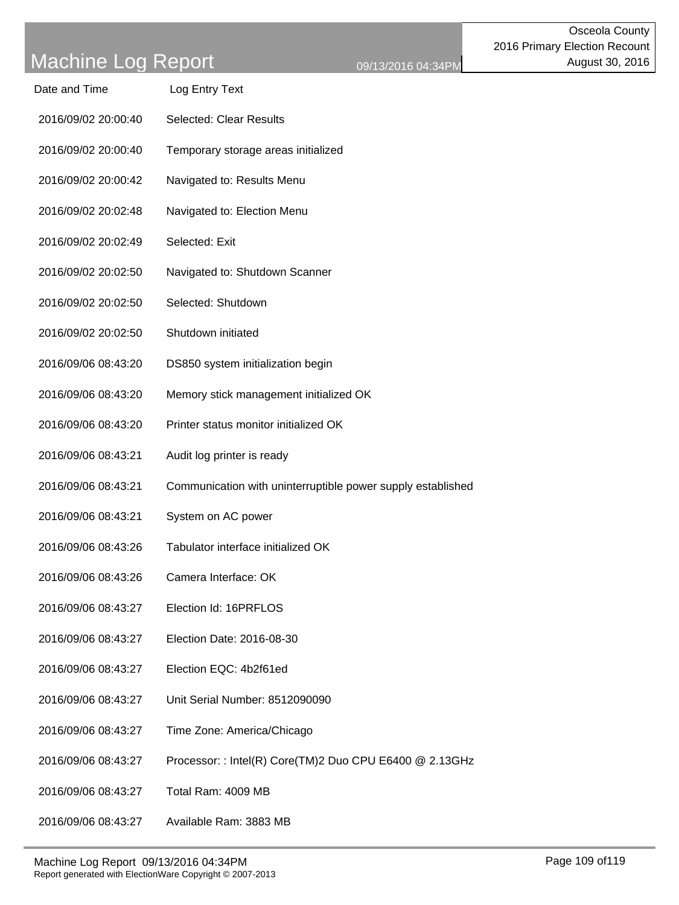| Date and Time       | Log Entry Text                                              |
|---------------------|-------------------------------------------------------------|
| 2016/09/02 20:00:40 | <b>Selected: Clear Results</b>                              |
| 2016/09/02 20:00:40 | Temporary storage areas initialized                         |
| 2016/09/02 20:00:42 | Navigated to: Results Menu                                  |
| 2016/09/02 20:02:48 | Navigated to: Election Menu                                 |
| 2016/09/02 20:02:49 | Selected: Exit                                              |
| 2016/09/02 20:02:50 | Navigated to: Shutdown Scanner                              |
| 2016/09/02 20:02:50 | Selected: Shutdown                                          |
| 2016/09/02 20:02:50 | Shutdown initiated                                          |
| 2016/09/06 08:43:20 | DS850 system initialization begin                           |
| 2016/09/06 08:43:20 | Memory stick management initialized OK                      |
| 2016/09/06 08:43:20 | Printer status monitor initialized OK                       |
| 2016/09/06 08:43:21 | Audit log printer is ready                                  |
| 2016/09/06 08:43:21 | Communication with uninterruptible power supply established |
| 2016/09/06 08:43:21 | System on AC power                                          |
| 2016/09/06 08:43:26 | Tabulator interface initialized OK                          |
| 2016/09/06 08:43:26 | Camera Interface: OK                                        |
| 2016/09/06 08:43:27 | Election Id: 16PRFLOS                                       |
| 2016/09/06 08:43:27 | Election Date: 2016-08-30                                   |
| 2016/09/06 08:43:27 | Election EQC: 4b2f61ed                                      |
| 2016/09/06 08:43:27 | Unit Serial Number: 8512090090                              |
| 2016/09/06 08:43:27 | Time Zone: America/Chicago                                  |
| 2016/09/06 08:43:27 | Processor: : Intel(R) Core(TM)2 Duo CPU E6400 @ 2.13GHz     |
| 2016/09/06 08:43:27 | Total Ram: 4009 MB                                          |
| 2016/09/06 08:43:27 | Available Ram: 3883 MB                                      |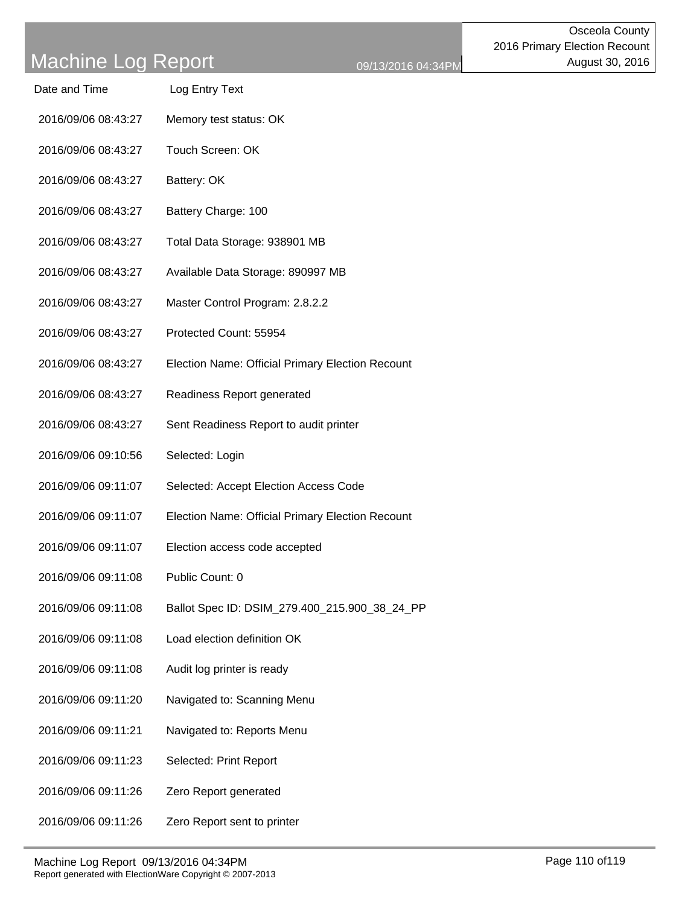- Date and Time Log Entry Text
- 2016/09/06 08:43:27 Memory test status: OK
- 2016/09/06 08:43:27 Touch Screen: OK
- 2016/09/06 08:43:27 Battery: OK
- 2016/09/06 08:43:27 Battery Charge: 100
- 2016/09/06 08:43:27 Total Data Storage: 938901 MB
- 2016/09/06 08:43:27 Available Data Storage: 890997 MB
- 2016/09/06 08:43:27 Master Control Program: 2.8.2.2
- 2016/09/06 08:43:27 Protected Count: 55954
- 2016/09/06 08:43:27 Election Name: Official Primary Election Recount
- 2016/09/06 08:43:27 Readiness Report generated
- 2016/09/06 08:43:27 Sent Readiness Report to audit printer
- 2016/09/06 09:10:56 Selected: Login
- 2016/09/06 09:11:07 Selected: Accept Election Access Code
- 2016/09/06 09:11:07 Election Name: Official Primary Election Recount
- 2016/09/06 09:11:07 Election access code accepted
- 2016/09/06 09:11:08 Public Count: 0
- 2016/09/06 09:11:08 Ballot Spec ID: DSIM\_279.400\_215.900\_38\_24\_PP
- 2016/09/06 09:11:08 Load election definition OK
- 2016/09/06 09:11:08 Audit log printer is ready
- 2016/09/06 09:11:20 Navigated to: Scanning Menu
- 2016/09/06 09:11:21 Navigated to: Reports Menu
- 2016/09/06 09:11:23 Selected: Print Report
- 2016/09/06 09:11:26 Zero Report generated
- 2016/09/06 09:11:26 Zero Report sent to printer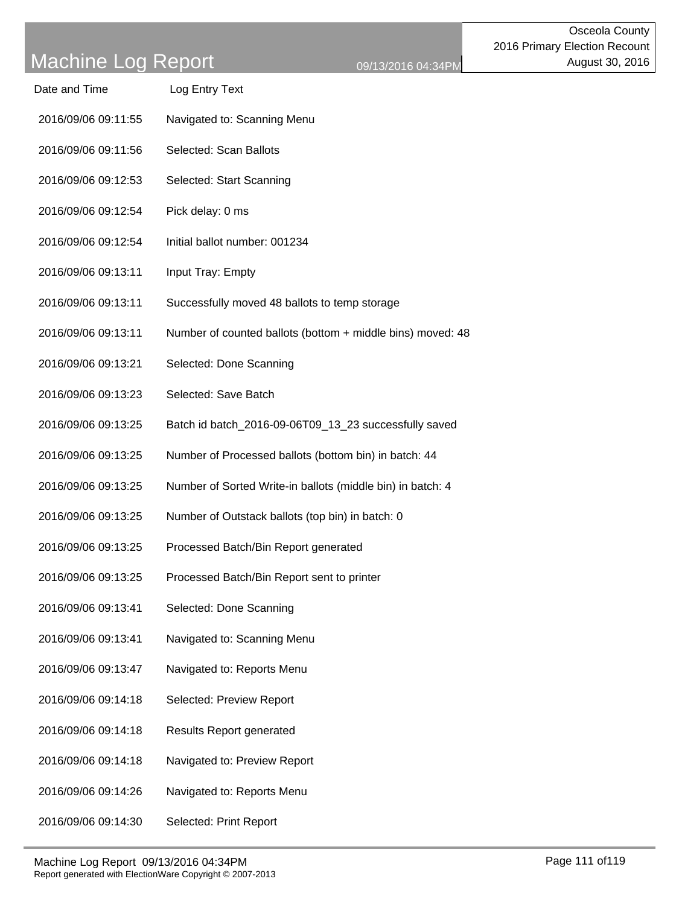| Machine Log Report  |                                                            | 09/13/2016 04:34PM |
|---------------------|------------------------------------------------------------|--------------------|
| Date and Time       | Log Entry Text                                             |                    |
| 2016/09/06 09:11:55 | Navigated to: Scanning Menu                                |                    |
| 2016/09/06 09:11:56 | Selected: Scan Ballots                                     |                    |
| 2016/09/06 09:12:53 | Selected: Start Scanning                                   |                    |
| 2016/09/06 09:12:54 | Pick delay: 0 ms                                           |                    |
| 2016/09/06 09:12:54 | Initial ballot number: 001234                              |                    |
| 2016/09/06 09:13:11 | Input Tray: Empty                                          |                    |
| 2016/09/06 09:13:11 | Successfully moved 48 ballots to temp storage              |                    |
| 2016/09/06 09:13:11 | Number of counted ballots (bottom + middle bins) moved: 48 |                    |
| 2016/09/06 09:13:21 | Selected: Done Scanning                                    |                    |
| 2016/09/06 09:13:23 | Selected: Save Batch                                       |                    |
| 2016/09/06 09:13:25 | Batch id batch_2016-09-06T09_13_23 successfully saved      |                    |
| 2016/09/06 09:13:25 | Number of Processed ballots (bottom bin) in batch: 44      |                    |
| 2016/09/06 09:13:25 | Number of Sorted Write-in ballots (middle bin) in batch: 4 |                    |
| 2016/09/06 09:13:25 | Number of Outstack ballots (top bin) in batch: 0           |                    |
| 2016/09/06 09:13:25 | Processed Batch/Bin Report generated                       |                    |
| 2016/09/06 09:13:25 | Processed Batch/Bin Report sent to printer                 |                    |
| 2016/09/06 09:13:41 | Selected: Done Scanning                                    |                    |
| 2016/09/06 09:13:41 | Navigated to: Scanning Menu                                |                    |
| 2016/09/06 09:13:47 | Navigated to: Reports Menu                                 |                    |
|                     |                                                            |                    |

- 2016/09/06 09:14:18 Selected: Preview Report
- 2016/09/06 09:14:18 Results Report generated
- 2016/09/06 09:14:18 Navigated to: Preview Report
- 2016/09/06 09:14:26 Navigated to: Reports Menu
- 2016/09/06 09:14:30 Selected: Print Report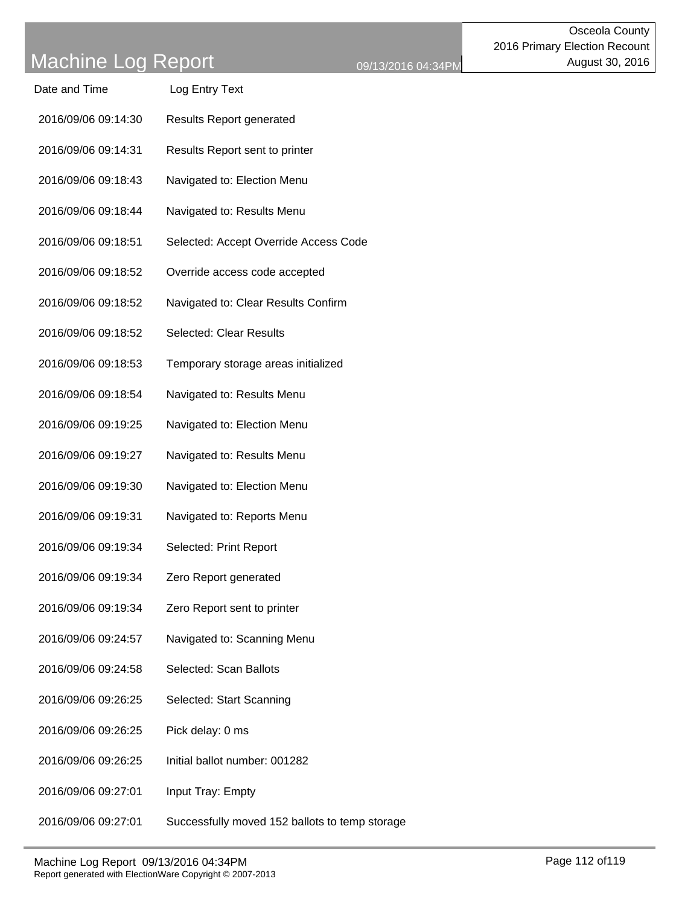| Date and Time | Log Entry Text |
|---------------|----------------|
|               |                |

- 2016/09/06 09:14:30 Results Report generated
- 2016/09/06 09:14:31 Results Report sent to printer
- 2016/09/06 09:18:43 Navigated to: Election Menu
- 2016/09/06 09:18:44 Navigated to: Results Menu
- 2016/09/06 09:18:51 Selected: Accept Override Access Code
- 2016/09/06 09:18:52 Override access code accepted
- 2016/09/06 09:18:52 Navigated to: Clear Results Confirm
- 2016/09/06 09:18:52 Selected: Clear Results
- 2016/09/06 09:18:53 Temporary storage areas initialized
- 2016/09/06 09:18:54 Navigated to: Results Menu
- 2016/09/06 09:19:25 Navigated to: Election Menu
- 2016/09/06 09:19:27 Navigated to: Results Menu
- 2016/09/06 09:19:30 Navigated to: Election Menu
- 2016/09/06 09:19:31 Navigated to: Reports Menu
- 2016/09/06 09:19:34 Selected: Print Report
- 2016/09/06 09:19:34 Zero Report generated
- 2016/09/06 09:19:34 Zero Report sent to printer
- 2016/09/06 09:24:57 Navigated to: Scanning Menu
- 2016/09/06 09:24:58 Selected: Scan Ballots
- 2016/09/06 09:26:25 Selected: Start Scanning
- 2016/09/06 09:26:25 Pick delay: 0 ms
- 2016/09/06 09:26:25 Initial ballot number: 001282
- 2016/09/06 09:27:01 Input Tray: Empty
- 2016/09/06 09:27:01 Successfully moved 152 ballots to temp storage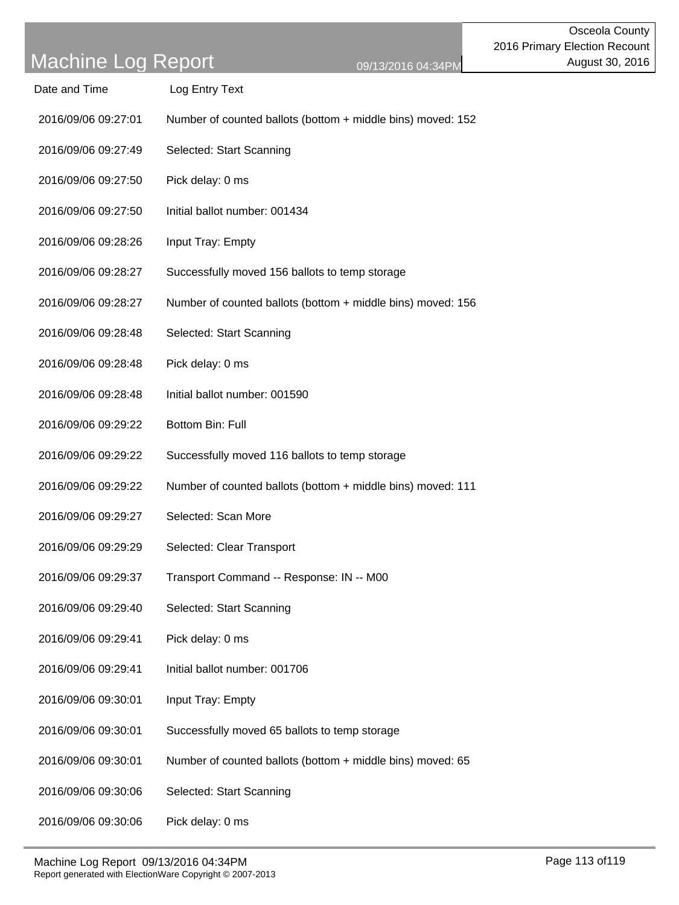| Date and Time       | Log Entry Text                                              |
|---------------------|-------------------------------------------------------------|
| 2016/09/06 09:27:01 | Number of counted ballots (bottom + middle bins) moved: 152 |
| 2016/09/06 09:27:49 | Selected: Start Scanning                                    |
| 2016/09/06 09:27:50 | Pick delay: 0 ms                                            |
| 2016/09/06 09:27:50 | Initial ballot number: 001434                               |
| 2016/09/06 09:28:26 | Input Tray: Empty                                           |
| 2016/09/06 09:28:27 | Successfully moved 156 ballots to temp storage              |
| 2016/09/06 09:28:27 | Number of counted ballots (bottom + middle bins) moved: 156 |
| 2016/09/06 09:28:48 | Selected: Start Scanning                                    |
| 2016/09/06 09:28:48 | Pick delay: 0 ms                                            |
| 2016/09/06 09:28:48 | Initial ballot number: 001590                               |
| 2016/09/06 09:29:22 | <b>Bottom Bin: Full</b>                                     |
| 2016/09/06 09:29:22 | Successfully moved 116 ballots to temp storage              |
| 2016/09/06 09:29:22 | Number of counted ballots (bottom + middle bins) moved: 111 |
| 2016/09/06 09:29:27 | Selected: Scan More                                         |
| 2016/09/06 09:29:29 | Selected: Clear Transport                                   |
| 2016/09/06 09:29:37 | Transport Command -- Response: IN -- M00                    |
| 2016/09/06 09:29:40 | Selected: Start Scanning                                    |
| 2016/09/06 09:29:41 | Pick delay: 0 ms                                            |
| 2016/09/06 09:29:41 | Initial ballot number: 001706                               |
| 2016/09/06 09:30:01 | Input Tray: Empty                                           |
| 2016/09/06 09:30:01 | Successfully moved 65 ballots to temp storage               |
| 2016/09/06 09:30:01 | Number of counted ballots (bottom + middle bins) moved: 65  |
| 2016/09/06 09:30:06 | Selected: Start Scanning                                    |
|                     |                                                             |

2016/09/06 09:30:06 Pick delay: 0 ms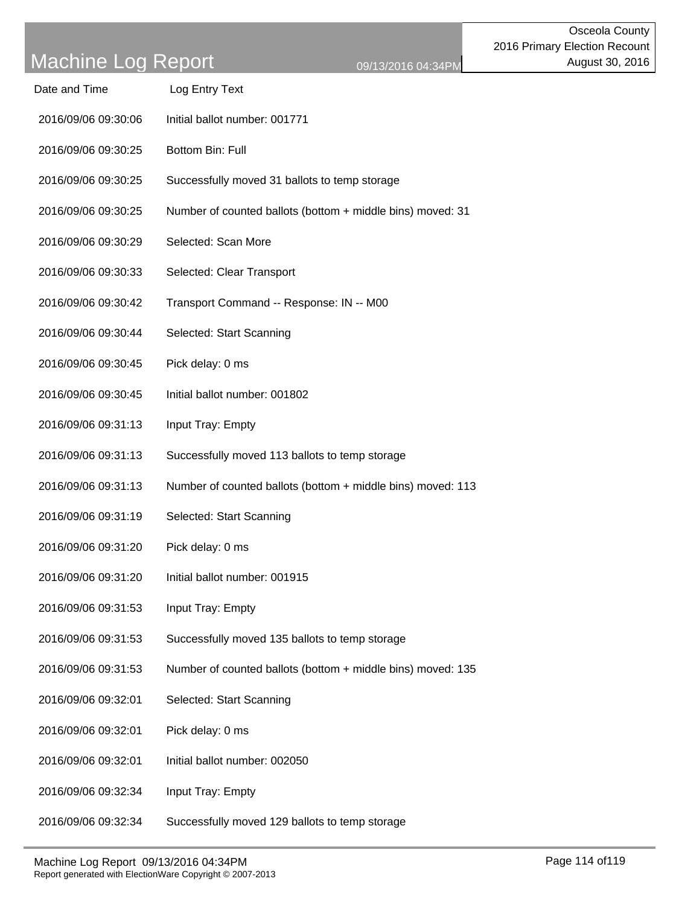| Date and Time       | Log Entry Text                                              |
|---------------------|-------------------------------------------------------------|
| 2016/09/06 09:30:06 | Initial ballot number: 001771                               |
| 2016/09/06 09:30:25 | Bottom Bin: Full                                            |
| 2016/09/06 09:30:25 | Successfully moved 31 ballots to temp storage               |
| 2016/09/06 09:30:25 | Number of counted ballots (bottom + middle bins) moved: 31  |
| 2016/09/06 09:30:29 | Selected: Scan More                                         |
| 2016/09/06 09:30:33 | Selected: Clear Transport                                   |
| 2016/09/06 09:30:42 | Transport Command -- Response: IN -- M00                    |
| 2016/09/06 09:30:44 | Selected: Start Scanning                                    |
| 2016/09/06 09:30:45 | Pick delay: 0 ms                                            |
| 2016/09/06 09:30:45 | Initial ballot number: 001802                               |
| 2016/09/06 09:31:13 | Input Tray: Empty                                           |
| 2016/09/06 09:31:13 | Successfully moved 113 ballots to temp storage              |
| 2016/09/06 09:31:13 | Number of counted ballots (bottom + middle bins) moved: 113 |
| 2016/09/06 09:31:19 | Selected: Start Scanning                                    |
| 2016/09/06 09:31:20 | Pick delay: 0 ms                                            |
| 2016/09/06 09:31:20 | Initial ballot number: 001915                               |
| 2016/09/06 09:31:53 | Input Tray: Empty                                           |
| 2016/09/06 09:31:53 | Successfully moved 135 ballots to temp storage              |
| 2016/09/06 09:31:53 | Number of counted ballots (bottom + middle bins) moved: 135 |
| 2016/09/06 09:32:01 | Selected: Start Scanning                                    |
| 2016/09/06 09:32:01 | Pick delay: 0 ms                                            |
| 2016/09/06 09:32:01 | Initial ballot number: 002050                               |
| 2016/09/06 09:32:34 | Input Tray: Empty                                           |
| 2016/09/06 09:32:34 | Successfully moved 129 ballots to temp storage              |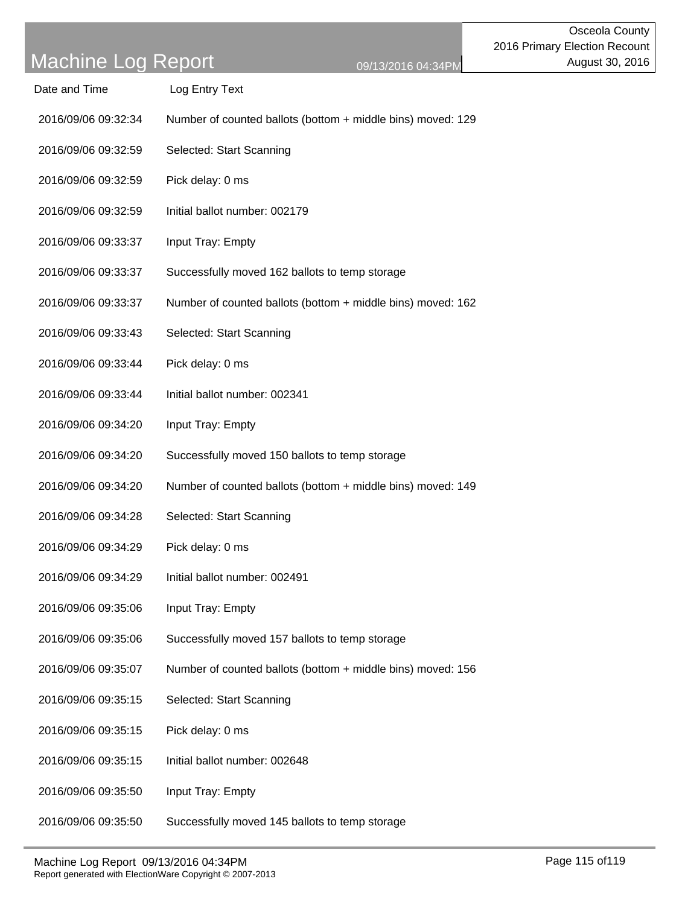Date and Time Log Entry Text

- 2016/09/06 09:32:34 Number of counted ballots (bottom + middle bins) moved: 129
- 2016/09/06 09:32:59 Selected: Start Scanning
- 2016/09/06 09:32:59 Pick delay: 0 ms
- 2016/09/06 09:32:59 Initial ballot number: 002179
- 2016/09/06 09:33:37 Input Tray: Empty
- 2016/09/06 09:33:37 Successfully moved 162 ballots to temp storage
- 2016/09/06 09:33:37 Number of counted ballots (bottom + middle bins) moved: 162
- 2016/09/06 09:33:43 Selected: Start Scanning
- 2016/09/06 09:33:44 Pick delay: 0 ms
- 2016/09/06 09:33:44 Initial ballot number: 002341
- 2016/09/06 09:34:20 Input Tray: Empty
- 2016/09/06 09:34:20 Successfully moved 150 ballots to temp storage
- 2016/09/06 09:34:20 Number of counted ballots (bottom + middle bins) moved: 149
- 2016/09/06 09:34:28 Selected: Start Scanning
- 2016/09/06 09:34:29 Pick delay: 0 ms
- 2016/09/06 09:34:29 Initial ballot number: 002491
- 2016/09/06 09:35:06 Input Tray: Empty
- 2016/09/06 09:35:06 Successfully moved 157 ballots to temp storage
- 2016/09/06 09:35:07 Number of counted ballots (bottom + middle bins) moved: 156
- 2016/09/06 09:35:15 Selected: Start Scanning
- 2016/09/06 09:35:15 Pick delay: 0 ms
- 2016/09/06 09:35:15 Initial ballot number: 002648
- 2016/09/06 09:35:50 Input Tray: Empty
- 2016/09/06 09:35:50 Successfully moved 145 ballots to temp storage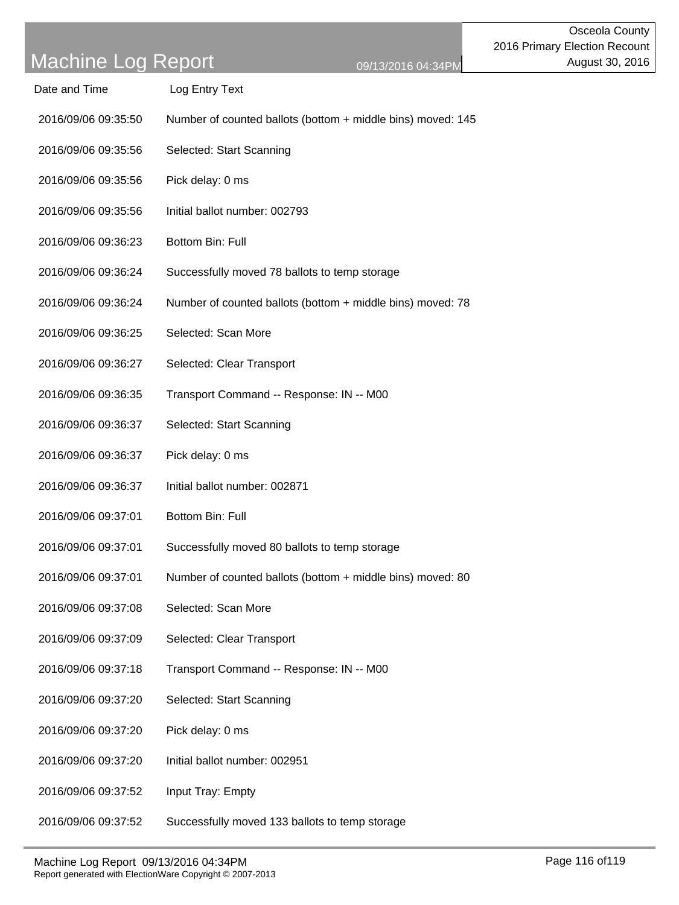Date and Time Log Entry Text

| 2016/09/06 09:35:50 | Number of counted ballots (bottom + middle bins) moved: 145 |
|---------------------|-------------------------------------------------------------|
| 2016/09/06 09:35:56 | Selected: Start Scanning                                    |
| 2016/09/06 09:35:56 | Pick delay: 0 ms                                            |
| 2016/09/06 09:35:56 | Initial ballot number: 002793                               |
| 2016/09/06 09:36:23 | Bottom Bin: Full                                            |
| 2016/09/06 09:36:24 | Successfully moved 78 ballots to temp storage               |
| 2016/09/06 09:36:24 | Number of counted ballots (bottom + middle bins) moved: 78  |
| 2016/09/06 09:36:25 | Selected: Scan More                                         |
| 2016/09/06 09:36:27 | Selected: Clear Transport                                   |
| 2016/09/06 09:36:35 | Transport Command -- Response: IN -- M00                    |
| 2016/09/06 09:36:37 | Selected: Start Scanning                                    |
| 2016/09/06 09:36:37 | Pick delay: 0 ms                                            |
| 2016/09/06 09:36:37 | Initial ballot number: 002871                               |
| 2016/09/06 09:37:01 | Bottom Bin: Full                                            |
| 2016/09/06 09:37:01 | Successfully moved 80 ballots to temp storage               |
| 2016/09/06 09:37:01 | Number of counted ballots (bottom + middle bins) moved: 80  |
| 2016/09/06 09:37:08 | Selected: Scan More                                         |
| 2016/09/06 09:37:09 | Selected: Clear Transport                                   |
| 2016/09/06 09:37:18 | Transport Command -- Response: IN -- M00                    |
| 2016/09/06 09:37:20 | Selected: Start Scanning                                    |
|                     |                                                             |

- 2016/09/06 09:37:20 Pick delay: 0 ms
- 2016/09/06 09:37:20 Initial ballot number: 002951
- 2016/09/06 09:37:52 Input Tray: Empty

2016/09/06 09:37:52 Successfully moved 133 ballots to temp storage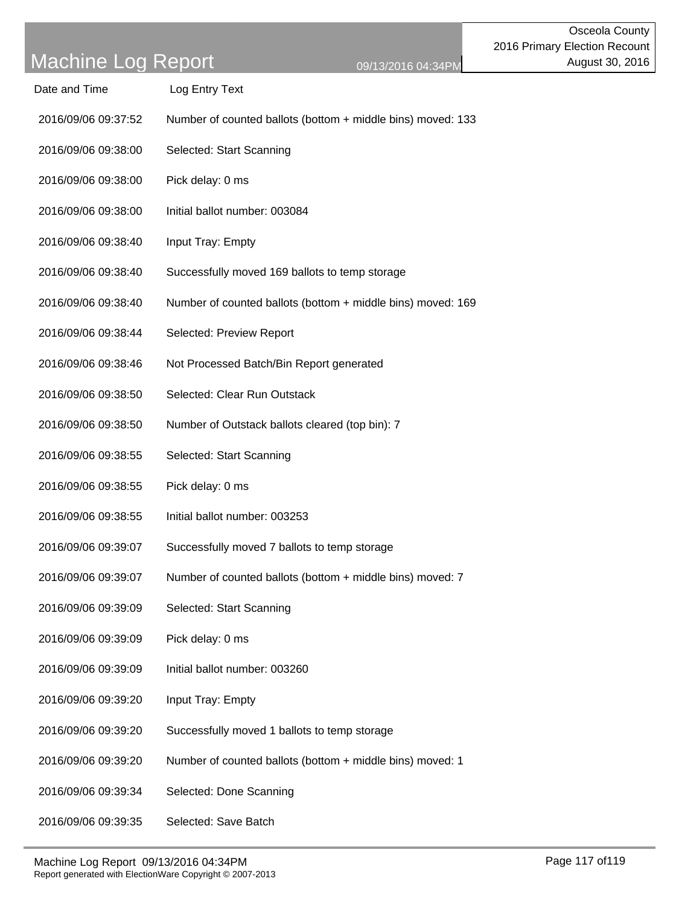| Date and Time       | Log Entry Text                                              |
|---------------------|-------------------------------------------------------------|
| 2016/09/06 09:37:52 | Number of counted ballots (bottom + middle bins) moved: 133 |
| 2016/09/06 09:38:00 | Selected: Start Scanning                                    |
| 2016/09/06 09:38:00 | Pick delay: 0 ms                                            |
| 2016/09/06 09:38:00 | Initial ballot number: 003084                               |
| 2016/09/06 09:38:40 | Input Tray: Empty                                           |
| 2016/09/06 09:38:40 | Successfully moved 169 ballots to temp storage              |
| 2016/09/06 09:38:40 | Number of counted ballots (bottom + middle bins) moved: 169 |
| 2016/09/06 09:38:44 | Selected: Preview Report                                    |
| 2016/09/06 09:38:46 | Not Processed Batch/Bin Report generated                    |
| 2016/09/06 09:38:50 | Selected: Clear Run Outstack                                |
| 2016/09/06 09:38:50 | Number of Outstack ballots cleared (top bin): 7             |
| 2016/09/06 09:38:55 | Selected: Start Scanning                                    |
| 2016/09/06 09:38:55 | Pick delay: 0 ms                                            |
| 2016/09/06 09:38:55 | Initial ballot number: 003253                               |
| 2016/09/06 09:39:07 | Successfully moved 7 ballots to temp storage                |
| 2016/09/06 09:39:07 | Number of counted ballots (bottom + middle bins) moved: 7   |
| 2016/09/06 09:39:09 | Selected: Start Scanning                                    |
| 2016/09/06 09:39:09 | Pick delay: 0 ms                                            |
| 2016/09/06 09:39:09 | Initial ballot number: 003260                               |
| 2016/09/06 09:39:20 | Input Tray: Empty                                           |
| 2016/09/06 09:39:20 | Successfully moved 1 ballots to temp storage                |
| 2016/09/06 09:39:20 | Number of counted ballots (bottom + middle bins) moved: 1   |
| 2016/09/06 09:39:34 | Selected: Done Scanning                                     |
| 2016/09/06 09:39:35 | Selected: Save Batch                                        |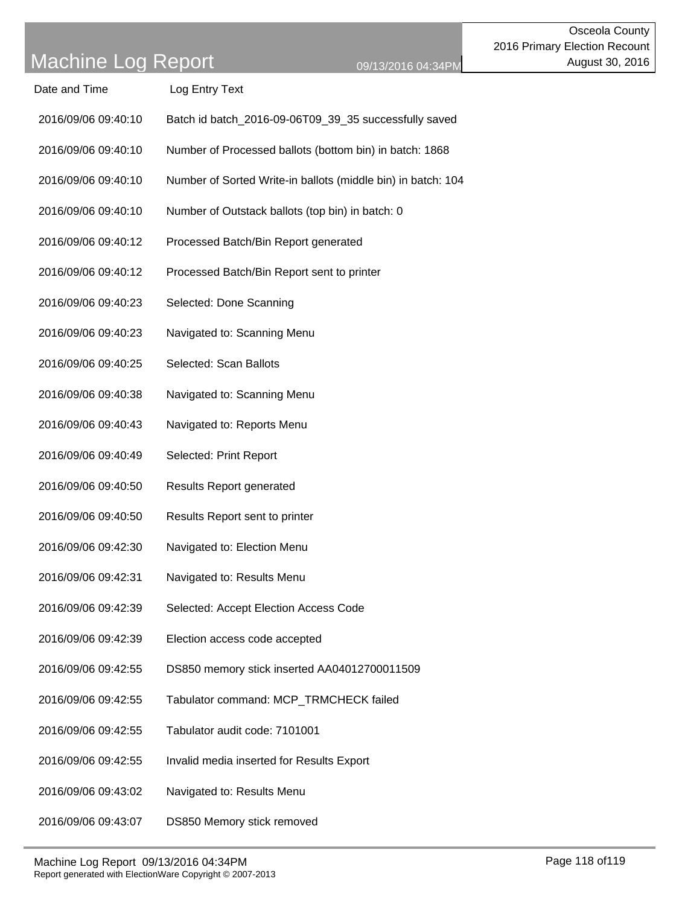| Date and Time       | Log Entry Text                                               |
|---------------------|--------------------------------------------------------------|
| 2016/09/06 09:40:10 | Batch id batch_2016-09-06T09_39_35 successfully saved        |
| 2016/09/06 09:40:10 | Number of Processed ballots (bottom bin) in batch: 1868      |
| 2016/09/06 09:40:10 | Number of Sorted Write-in ballots (middle bin) in batch: 104 |
| 2016/09/06 09:40:10 | Number of Outstack ballots (top bin) in batch: 0             |
| 2016/09/06 09:40:12 | Processed Batch/Bin Report generated                         |
| 2016/09/06 09:40:12 | Processed Batch/Bin Report sent to printer                   |
| 2016/09/06 09:40:23 | Selected: Done Scanning                                      |
| 2016/09/06 09:40:23 | Navigated to: Scanning Menu                                  |
| 2016/09/06 09:40:25 | Selected: Scan Ballots                                       |
| 2016/09/06 09:40:38 | Navigated to: Scanning Menu                                  |
| 2016/09/06 09:40:43 | Navigated to: Reports Menu                                   |
| 2016/09/06 09:40:49 | Selected: Print Report                                       |
| 2016/09/06 09:40:50 | <b>Results Report generated</b>                              |
| 2016/09/06 09:40:50 | Results Report sent to printer                               |
| 2016/09/06 09:42:30 | Navigated to: Election Menu                                  |
| 2016/09/06 09:42:31 | Navigated to: Results Menu                                   |
| 2016/09/06 09:42:39 | Selected: Accept Election Access Code                        |
| 2016/09/06 09:42:39 | Election access code accepted                                |
| 2016/09/06 09:42:55 | DS850 memory stick inserted AA04012700011509                 |
| 2016/09/06 09:42:55 | Tabulator command: MCP_TRMCHECK failed                       |
| 2016/09/06 09:42:55 | Tabulator audit code: 7101001                                |
| 2016/09/06 09:42:55 | Invalid media inserted for Results Export                    |
| 2016/09/06 09:43:02 | Navigated to: Results Menu                                   |
| 2016/09/06 09:43:07 | DS850 Memory stick removed                                   |